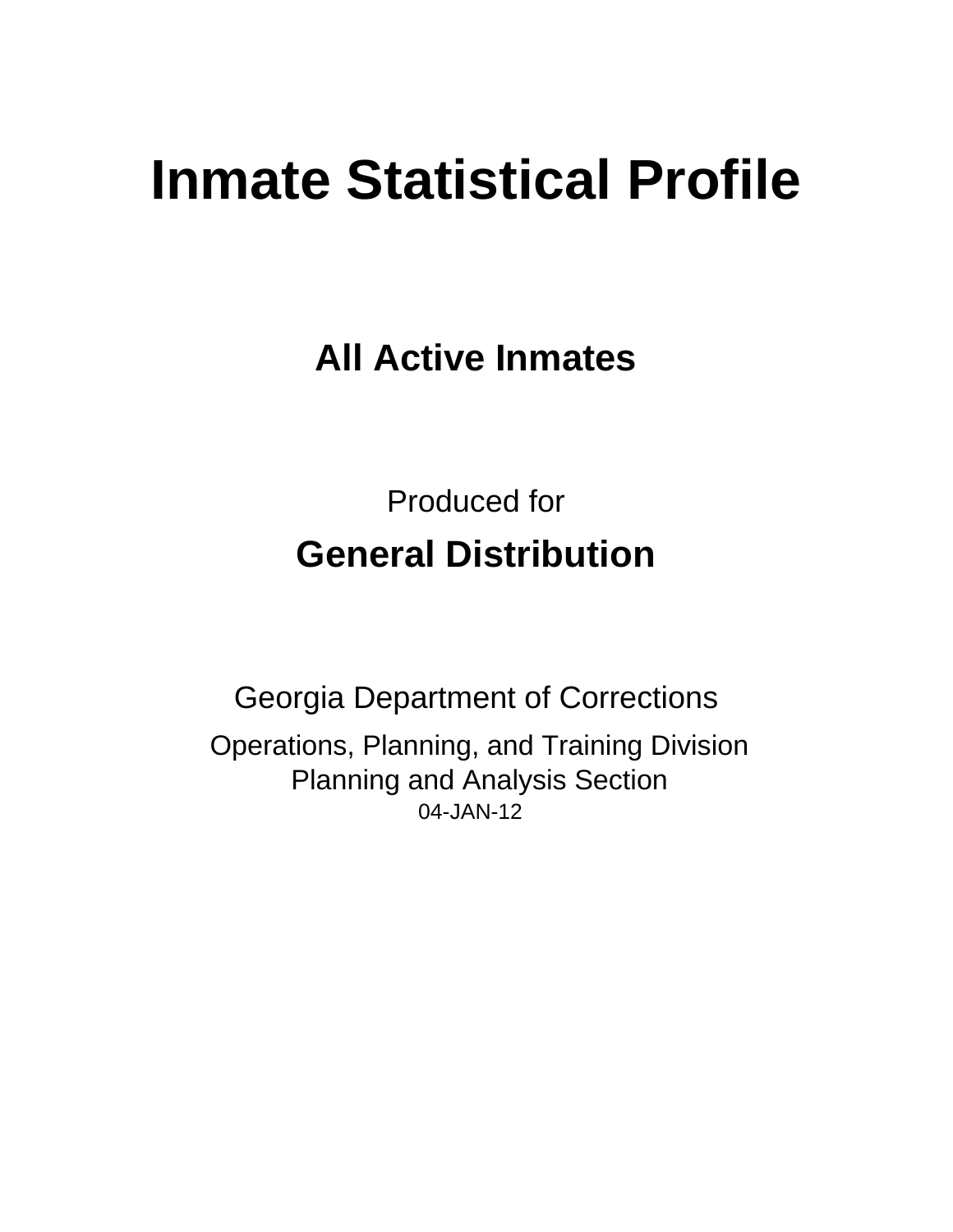# **Inmate Statistical Profile**

**All Active Inmates** 

**Produced for General Distribution** 

**Georgia Department of Corrections** Operations, Planning, and Training Division **Planning and Analysis Section** 04-JAN-12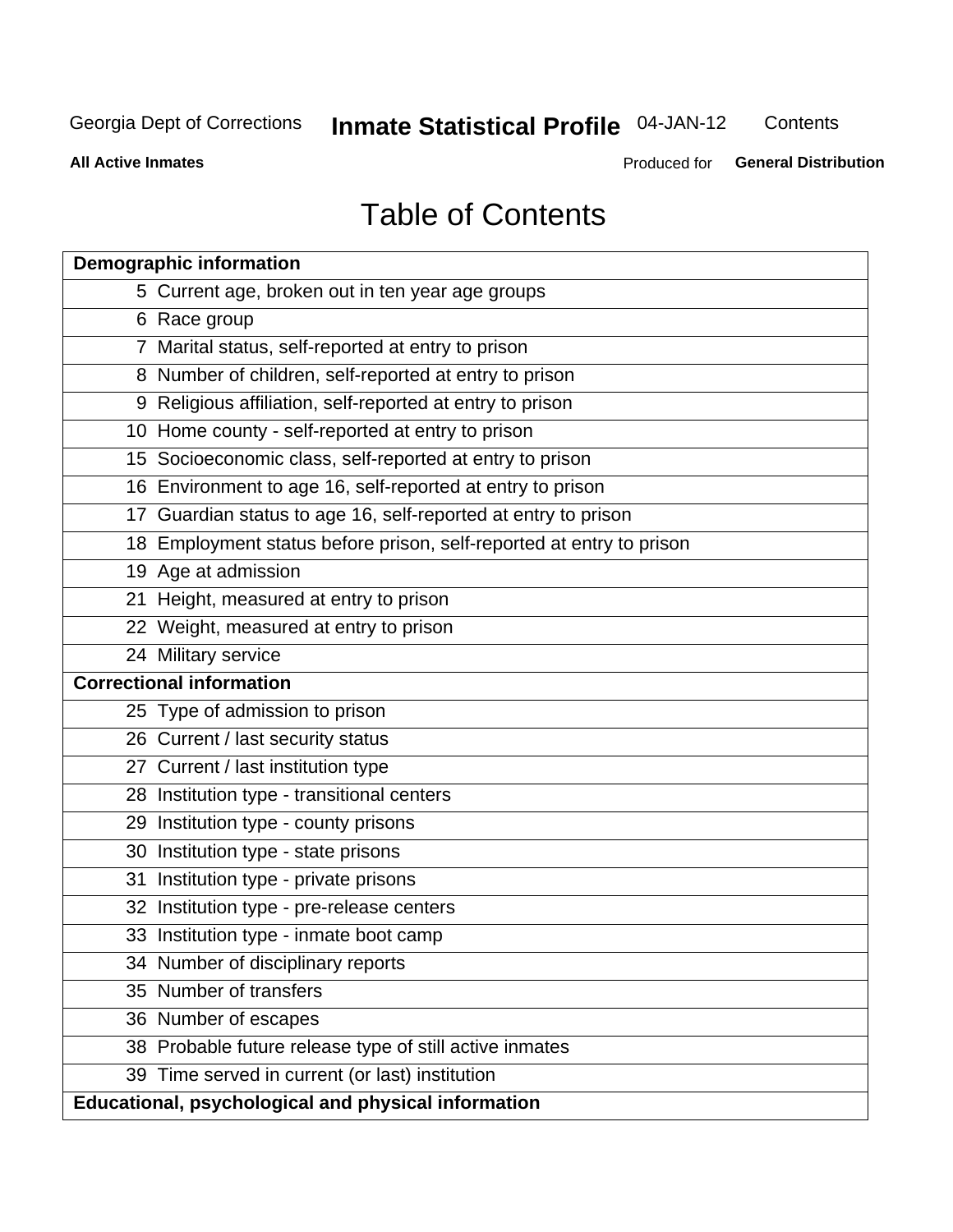### **Inmate Statistical Profile 04-JAN-12**

Contents

**All Active Inmates** 

Produced for General Distribution

## **Table of Contents**

| <b>Demographic information</b>                                       |
|----------------------------------------------------------------------|
| 5 Current age, broken out in ten year age groups                     |
| 6 Race group                                                         |
| 7 Marital status, self-reported at entry to prison                   |
| 8 Number of children, self-reported at entry to prison               |
| 9 Religious affiliation, self-reported at entry to prison            |
| 10 Home county - self-reported at entry to prison                    |
| 15 Socioeconomic class, self-reported at entry to prison             |
| 16 Environment to age 16, self-reported at entry to prison           |
| 17 Guardian status to age 16, self-reported at entry to prison       |
| 18 Employment status before prison, self-reported at entry to prison |
| 19 Age at admission                                                  |
| 21 Height, measured at entry to prison                               |
| 22 Weight, measured at entry to prison                               |
| 24 Military service                                                  |
| <b>Correctional information</b>                                      |
| 25 Type of admission to prison                                       |
| 26 Current / last security status                                    |
| 27 Current / last institution type                                   |
| 28 Institution type - transitional centers                           |
| 29 Institution type - county prisons                                 |
| 30 Institution type - state prisons                                  |
| 31 Institution type - private prisons                                |
| 32 Institution type - pre-release centers                            |
| 33 Institution type - inmate boot camp                               |
| 34 Number of disciplinary reports                                    |
| 35 Number of transfers                                               |
| 36 Number of escapes                                                 |
| 38 Probable future release type of still active inmates              |
| 39 Time served in current (or last) institution                      |
| Educational, psychological and physical information                  |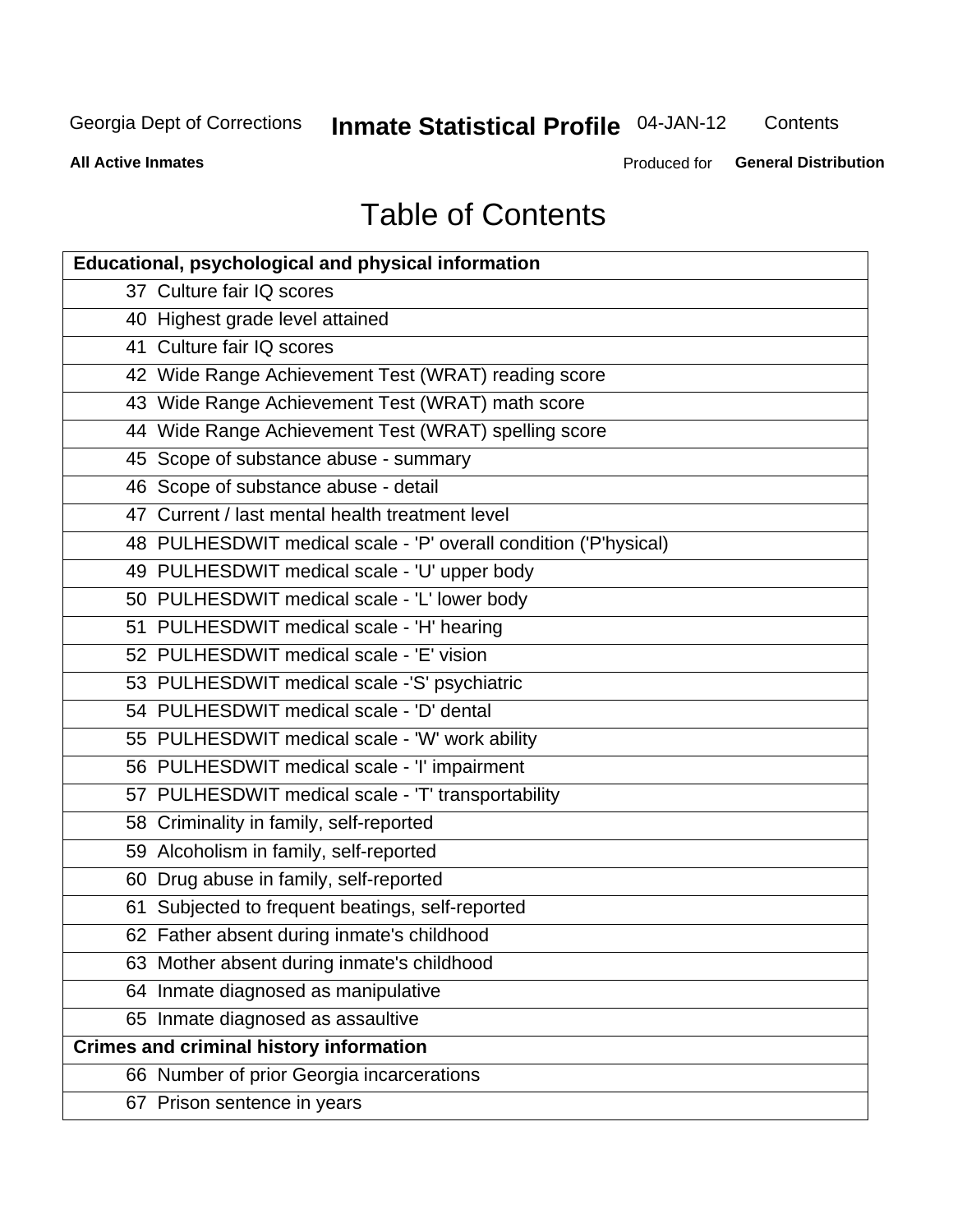### **Inmate Statistical Profile 04-JAN-12**

Contents

**All Active Inmates** 

Produced for General Distribution

# **Table of Contents**

| <b>Educational, psychological and physical information</b>       |
|------------------------------------------------------------------|
| 37 Culture fair IQ scores                                        |
| 40 Highest grade level attained                                  |
| 41 Culture fair IQ scores                                        |
| 42 Wide Range Achievement Test (WRAT) reading score              |
| 43 Wide Range Achievement Test (WRAT) math score                 |
| 44 Wide Range Achievement Test (WRAT) spelling score             |
| 45 Scope of substance abuse - summary                            |
| 46 Scope of substance abuse - detail                             |
| 47 Current / last mental health treatment level                  |
| 48 PULHESDWIT medical scale - 'P' overall condition ('P'hysical) |
| 49 PULHESDWIT medical scale - 'U' upper body                     |
| 50 PULHESDWIT medical scale - 'L' lower body                     |
| 51 PULHESDWIT medical scale - 'H' hearing                        |
| 52 PULHESDWIT medical scale - 'E' vision                         |
| 53 PULHESDWIT medical scale -'S' psychiatric                     |
| 54 PULHESDWIT medical scale - 'D' dental                         |
| 55 PULHESDWIT medical scale - 'W' work ability                   |
| 56 PULHESDWIT medical scale - 'I' impairment                     |
| 57 PULHESDWIT medical scale - 'T' transportability               |
| 58 Criminality in family, self-reported                          |
| 59 Alcoholism in family, self-reported                           |
| 60 Drug abuse in family, self-reported                           |
| 61 Subjected to frequent beatings, self-reported                 |
| 62 Father absent during inmate's childhood                       |
| 63 Mother absent during inmate's childhood                       |
| 64 Inmate diagnosed as manipulative                              |
| 65 Inmate diagnosed as assaultive                                |
| <b>Crimes and criminal history information</b>                   |
| 66 Number of prior Georgia incarcerations                        |
| 67 Prison sentence in years                                      |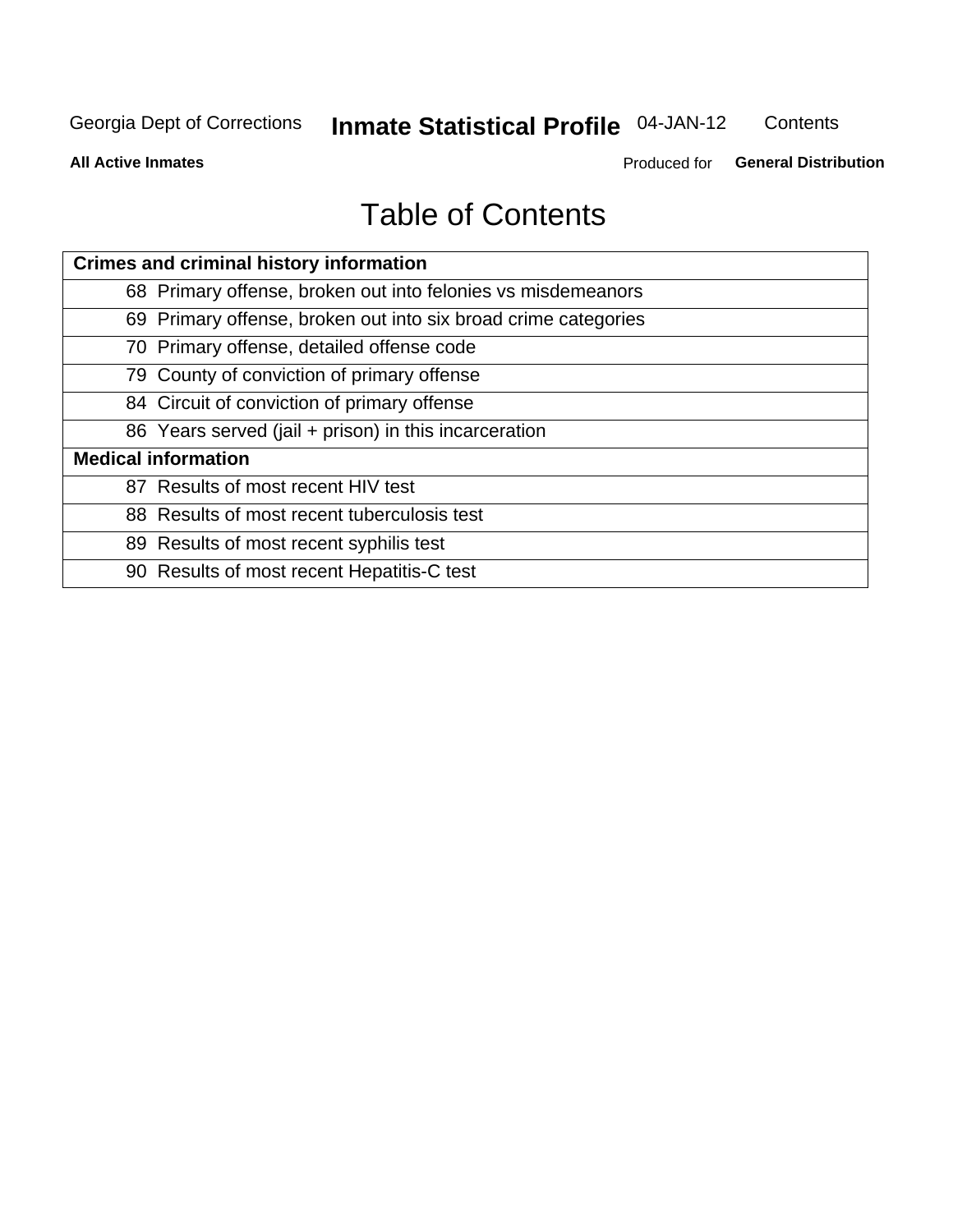### **Inmate Statistical Profile 04-JAN-12**

Contents

**All Active Inmates** 

Produced for General Distribution

## **Table of Contents**

| <b>Crimes and criminal history information</b>                 |
|----------------------------------------------------------------|
| 68 Primary offense, broken out into felonies vs misdemeanors   |
| 69 Primary offense, broken out into six broad crime categories |
| 70 Primary offense, detailed offense code                      |
| 79 County of conviction of primary offense                     |
| 84 Circuit of conviction of primary offense                    |
| 86 Years served (jail + prison) in this incarceration          |
| <b>Medical information</b>                                     |
| 87 Results of most recent HIV test                             |
| 88 Results of most recent tuberculosis test                    |
| 89 Results of most recent syphilis test                        |
| 90 Results of most recent Hepatitis-C test                     |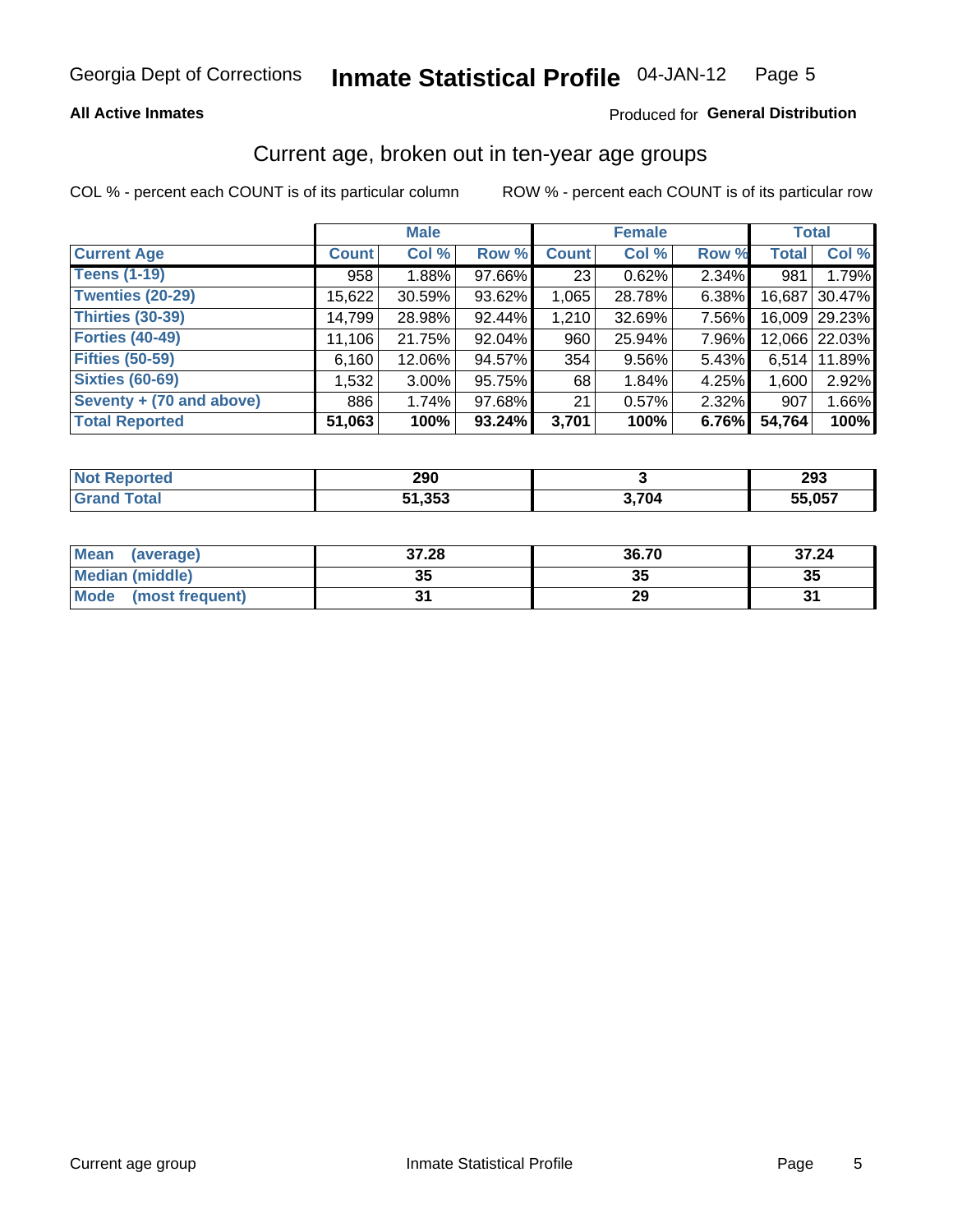### **All Active Inmates**

### Produced for General Distribution

### Current age, broken out in ten-year age groups

COL % - percent each COUNT is of its particular column

|                          |              | <b>Male</b> |        |              | <b>Female</b> |       | <b>Total</b> |               |
|--------------------------|--------------|-------------|--------|--------------|---------------|-------|--------------|---------------|
| <b>Current Age</b>       | <b>Count</b> | Col %       | Row %  | <b>Count</b> | Col %         | Row % | <b>Total</b> | Col %         |
| <b>Teens (1-19)</b>      | 958          | 1.88%       | 97.66% | 23           | 0.62%         | 2.34% | 981          | 1.79%         |
| <b>Twenties (20-29)</b>  | 15,622       | 30.59%      | 93.62% | 1,065        | 28.78%        | 6.38% | 16,687       | 30.47%        |
| <b>Thirties (30-39)</b>  | 14,799       | 28.98%      | 92.44% | 1,210        | 32.69%        | 7.56% |              | 16,009 29.23% |
| <b>Forties (40-49)</b>   | 11,106       | 21.75%      | 92.04% | 960          | 25.94%        | 7.96% |              | 12,066 22.03% |
| <b>Fifties (50-59)</b>   | 6,160        | 12.06%      | 94.57% | 354          | 9.56%         | 5.43% | 6,514        | 11.89%        |
| <b>Sixties (60-69)</b>   | 1,532        | $3.00\%$    | 95.75% | 68           | 1.84%         | 4.25% | 1,600        | 2.92%         |
| Seventy + (70 and above) | 886          | 1.74%       | 97.68% | 21           | 0.57%         | 2.32% | 907          | 1.66%         |
| <b>Total Reported</b>    | 51,063       | 100%        | 93.24% | 3,701        | 100%          | 6.76% | 54,764       | 100%          |

| <b>ported</b><br><b>NOT</b> | 290               |               | 293    |
|-----------------------------|-------------------|---------------|--------|
| <b>Total</b>                | EA DER<br>. ככ, י | <i>א</i> מד כ | 55,057 |

| <b>Mean</b><br>(average)       | 37.28     | 36.70 | 37.24 |
|--------------------------------|-----------|-------|-------|
| Median (middle)                | -25<br>vu | JJ    | 35    |
| <b>Mode</b><br>(most frequent) |           | 29    |       |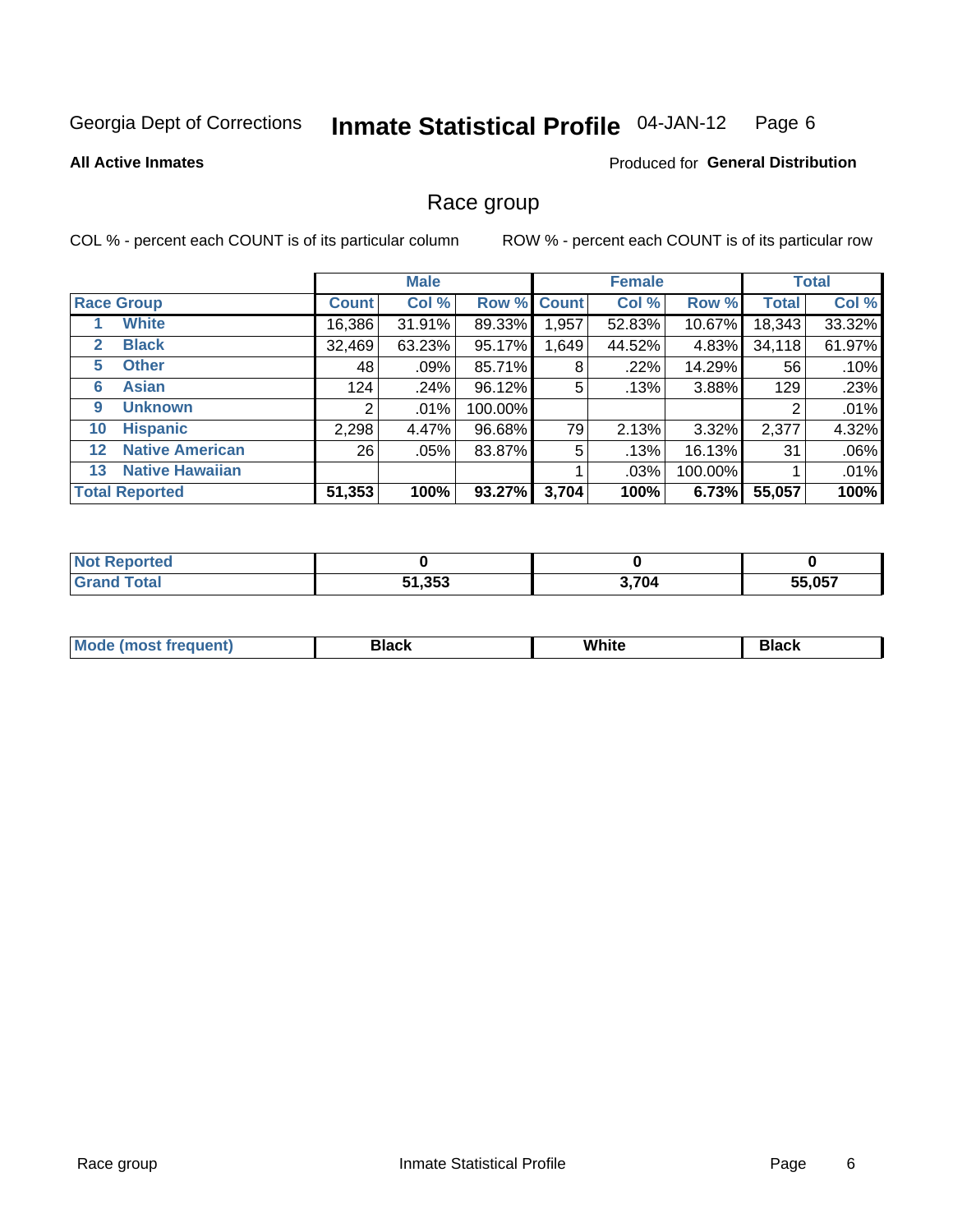#### Inmate Statistical Profile 04-JAN-12 Page 6

**All Active Inmates** 

### Produced for General Distribution

### Race group

COL % - percent each COUNT is of its particular column

|                   |                        |              | <b>Male</b> |         |             | <b>Female</b> |         |              | <b>Total</b> |
|-------------------|------------------------|--------------|-------------|---------|-------------|---------------|---------|--------------|--------------|
|                   | <b>Race Group</b>      | <b>Count</b> | Col %       |         | Row % Count | Col %         | Row %   | <b>Total</b> | Col %        |
|                   | <b>White</b>           | 16,386       | 31.91%      | 89.33%  | 1,957       | 52.83%        | 10.67%  | 18,343       | 33.32%       |
| 2                 | <b>Black</b>           | 32,469       | 63.23%      | 95.17%  | .649        | 44.52%        | 4.83%   | 34,118       | 61.97%       |
| 5                 | <b>Other</b>           | 48           | .09%        | 85.71%  | 8           | $.22\%$       | 14.29%  | 56           | .10%         |
| 6                 | <b>Asian</b>           | 124          | .24%        | 96.12%  | 5           | .13%          | 3.88%   | 129          | .23%         |
| 9                 | <b>Unknown</b>         | 2            | $.01\%$     | 100.00% |             |               |         | 2            | .01%         |
| 10                | <b>Hispanic</b>        | 2,298        | 4.47%       | 96.68%  | 79          | 2.13%         | 3.32%   | 2,377        | 4.32%        |
| $12 \overline{ }$ | <b>Native American</b> | 26           | .05%        | 83.87%  | 5           | .13%          | 16.13%  | 31           | .06%         |
| 13                | <b>Native Hawaiian</b> |              |             |         |             | .03%          | 100.00% |              | .01%         |
|                   | <b>Total Reported</b>  | 51,353       | 100%        | 93.27%  | 3,704       | 100%          | 6.73%   | 55,057       | 100%         |

| <b>rted</b> |               |       |        |
|-------------|---------------|-------|--------|
| iotal       | 51,353<br>E4. | 3,704 | 55.057 |

| Mode (<br>most freduent) | ⊃lack | White | ا تا 1 |
|--------------------------|-------|-------|--------|
|                          |       |       |        |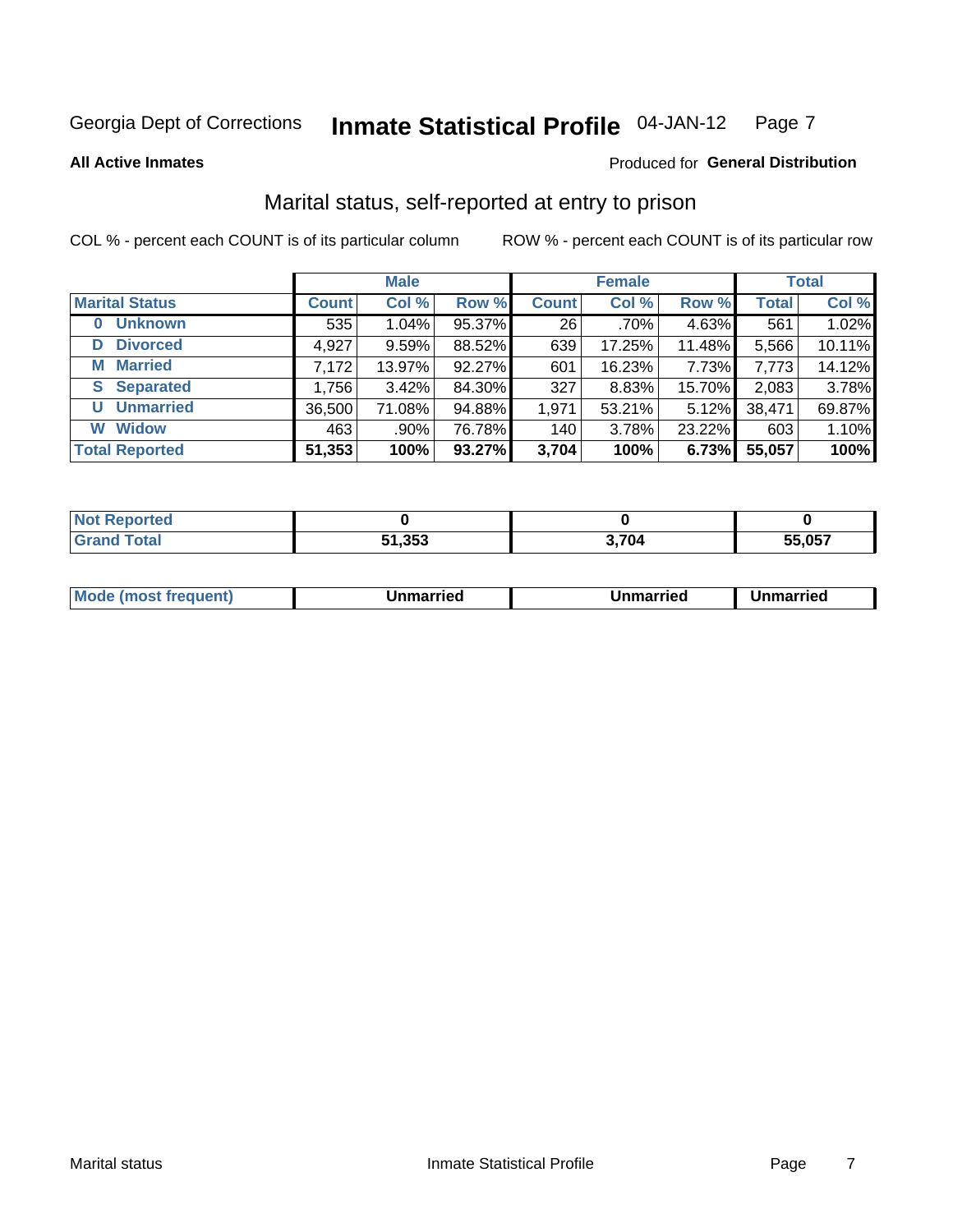#### Inmate Statistical Profile 04-JAN-12 Page 7

**All Active Inmates** 

### Produced for General Distribution

### Marital status, self-reported at entry to prison

COL % - percent each COUNT is of its particular column

|                            |              | <b>Male</b> |        |              | <b>Female</b> |          |              | <b>Total</b> |
|----------------------------|--------------|-------------|--------|--------------|---------------|----------|--------------|--------------|
| <b>Marital Status</b>      | <b>Count</b> | Col %       | Row %  | <b>Count</b> | Col %         | Row %    | <b>Total</b> | Col %        |
| <b>Unknown</b><br>$\bf{0}$ | 535          | $1.04\%$    | 95.37% | 26           | $.70\%$       | 4.63%    | 561          | 1.02%        |
| <b>Divorced</b><br>D       | 4,927        | 9.59%       | 88.52% | 639          | 17.25%        | 11.48%   | 5,566        | 10.11%       |
| <b>Married</b><br>М        | 7,172        | 13.97%      | 92.27% | 601          | 16.23%        | 7.73%    | 7,773        | 14.12%       |
| <b>Separated</b><br>S.     | 1,756        | 3.42%       | 84.30% | 327          | 8.83%         | 15.70%   | 2,083        | 3.78%        |
| <b>Unmarried</b><br>U      | 36,500       | 71.08%      | 94.88% | 1,971        | 53.21%        | $5.12\%$ | 38,471       | 69.87%       |
| <b>Widow</b><br>W          | 463          | .90%        | 76.78% | 140          | 3.78%         | 23.22%   | 603          | 1.10%        |
| <b>Total Reported</b>      | 51,353       | 100%        | 93.27% | 3,704        | 100%          | 6.73%    | 55,057       | 100%         |

| NOT<br>тес   |      |       |        |
|--------------|------|-------|--------|
| <b>Fotal</b> | ,353 | 3,704 | 55.057 |

|--|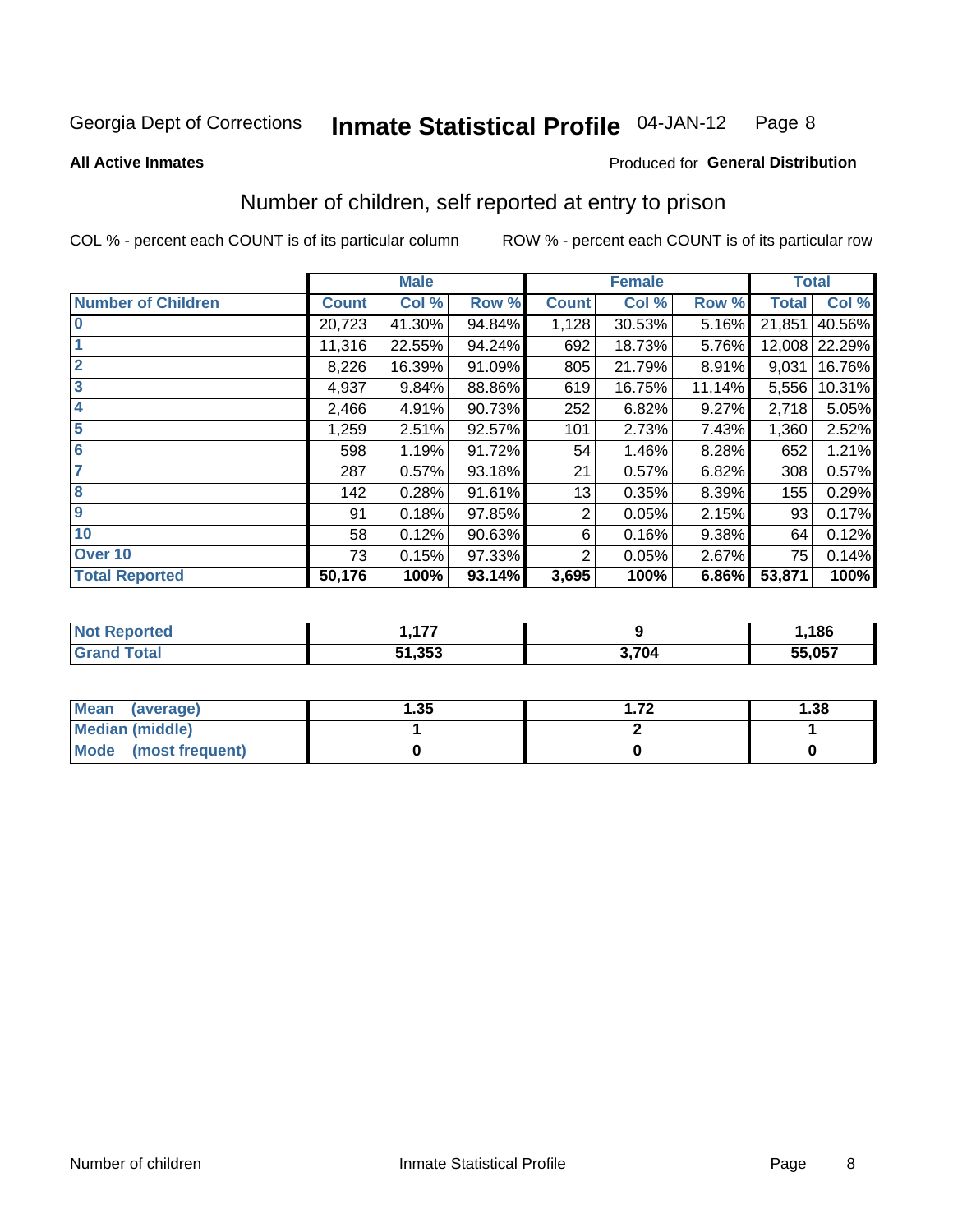#### Inmate Statistical Profile 04-JAN-12 Page 8

**All Active Inmates** 

### Produced for General Distribution

### Number of children, self reported at entry to prison

COL % - percent each COUNT is of its particular column

|                           |              | <b>Male</b> |        |              | <b>Female</b> |        | <b>Total</b> |        |
|---------------------------|--------------|-------------|--------|--------------|---------------|--------|--------------|--------|
| <b>Number of Children</b> | <b>Count</b> | Col %       | Row %  | <b>Count</b> | Col %         | Row %  | <b>Total</b> | Col %  |
| $\bf{0}$                  | 20,723       | 41.30%      | 94.84% | 1,128        | 30.53%        | 5.16%  | 21,851       | 40.56% |
|                           | 11,316       | 22.55%      | 94.24% | 692          | 18.73%        | 5.76%  | 12,008       | 22.29% |
| $\overline{2}$            | 8,226        | 16.39%      | 91.09% | 805          | 21.79%        | 8.91%  | 9,031        | 16.76% |
| 3                         | 4,937        | 9.84%       | 88.86% | 619          | 16.75%        | 11.14% | 5,556        | 10.31% |
| 4                         | 2,466        | 4.91%       | 90.73% | 252          | 6.82%         | 9.27%  | 2,718        | 5.05%  |
| 5                         | 1,259        | 2.51%       | 92.57% | 101          | 2.73%         | 7.43%  | 1,360        | 2.52%  |
| 6                         | 598          | 1.19%       | 91.72% | 54           | 1.46%         | 8.28%  | 652          | 1.21%  |
|                           | 287          | 0.57%       | 93.18% | 21           | 0.57%         | 6.82%  | 308          | 0.57%  |
| 8                         | 142          | 0.28%       | 91.61% | 13           | 0.35%         | 8.39%  | 155          | 0.29%  |
| $\boldsymbol{9}$          | 91           | 0.18%       | 97.85% | 2            | 0.05%         | 2.15%  | 93           | 0.17%  |
| 10                        | 58           | 0.12%       | 90.63% | 6            | 0.16%         | 9.38%  | 64           | 0.12%  |
| Over 10                   | 73           | 0.15%       | 97.33% | 2            | 0.05%         | 2.67%  | 75           | 0.14%  |
| <b>Total Reported</b>     | 50,176       | 100%        | 93.14% | 3,695        | 100%          | 6.86%  | 53,871       | 100%   |

| nec | ---    |      | 186    |
|-----|--------|------|--------|
|     | 51.353 | 704. | 55,057 |

| <b>Mean</b><br>(average)       | .35 | -70 | 1.38 |
|--------------------------------|-----|-----|------|
| <b>Median (middle)</b>         |     |     |      |
| <b>Mode</b><br>(most frequent) |     |     |      |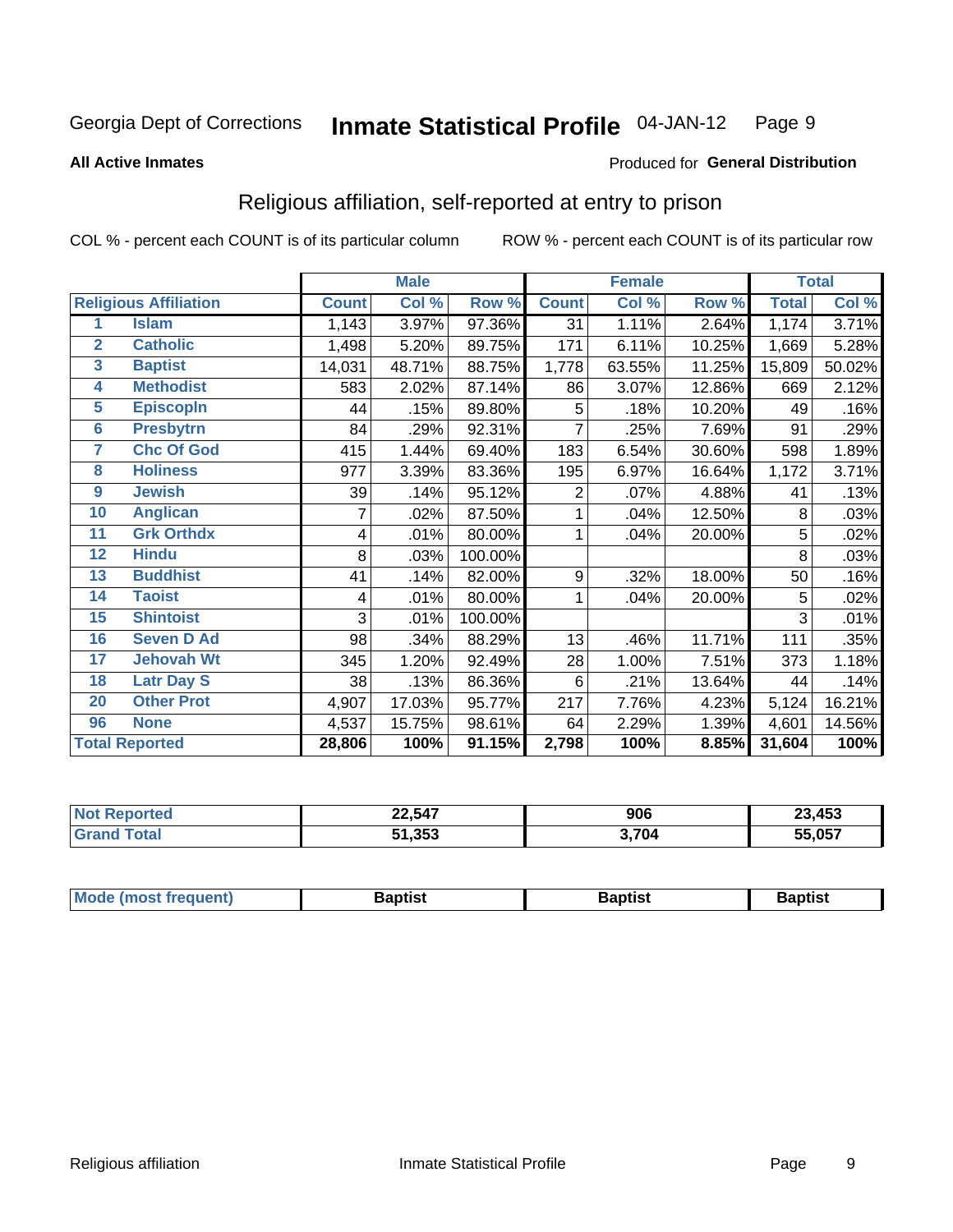#### **Inmate Statistical Profile 04-JAN-12** Page 9

#### **All Active Inmates**

### Produced for General Distribution

### Religious affiliation, self-reported at entry to prison

COL % - percent each COUNT is of its particular column

|                         |                              |              | <b>Male</b> |         |                  | <b>Female</b> |        |              | <b>Total</b> |
|-------------------------|------------------------------|--------------|-------------|---------|------------------|---------------|--------|--------------|--------------|
|                         | <b>Religious Affiliation</b> | <b>Count</b> | Col %       | Row %   | <b>Count</b>     | Col %         | Row %  | <b>Total</b> | Col %        |
| 1                       | <b>Islam</b>                 | 1,143        | 3.97%       | 97.36%  | 31               | 1.11%         | 2.64%  | 1,174        | 3.71%        |
| $\overline{2}$          | <b>Catholic</b>              | 1,498        | 5.20%       | 89.75%  | 171              | 6.11%         | 10.25% | 1,669        | 5.28%        |
| $\overline{\mathbf{3}}$ | <b>Baptist</b>               | 14,031       | 48.71%      | 88.75%  | 1,778            | 63.55%        | 11.25% | 15,809       | 50.02%       |
| 4                       | <b>Methodist</b>             | 583          | 2.02%       | 87.14%  | 86               | 3.07%         | 12.86% | 669          | 2.12%        |
| $\overline{5}$          | <b>EpiscopIn</b>             | 44           | .15%        | 89.80%  | 5                | .18%          | 10.20% | 49           | .16%         |
| $6\overline{6}$         | <b>Presbytrn</b>             | 84           | .29%        | 92.31%  | 7                | .25%          | 7.69%  | 91           | .29%         |
| 7                       | <b>Chc Of God</b>            | 415          | 1.44%       | 69.40%  | 183              | 6.54%         | 30.60% | 598          | 1.89%        |
| 8                       | <b>Holiness</b>              | 977          | 3.39%       | 83.36%  | 195              | 6.97%         | 16.64% | 1,172        | 3.71%        |
| $\boldsymbol{9}$        | <b>Jewish</b>                | 39           | .14%        | 95.12%  | 2                | .07%          | 4.88%  | 41           | .13%         |
| 10                      | <b>Anglican</b>              |              | .02%        | 87.50%  |                  | .04%          | 12.50% | 8            | .03%         |
| 11                      | <b>Grk Orthdx</b>            | 4            | .01%        | 80.00%  | 1                | .04%          | 20.00% | 5            | .02%         |
| 12                      | <b>Hindu</b>                 | 8            | .03%        | 100.00% |                  |               |        | 8            | .03%         |
| 13                      | <b>Buddhist</b>              | 41           | .14%        | 82.00%  | $\boldsymbol{9}$ | .32%          | 18.00% | 50           | .16%         |
| 14                      | <b>Taoist</b>                | 4            | .01%        | 80.00%  | 1                | .04%          | 20.00% | 5            | .02%         |
| 15                      | <b>Shintoist</b>             | 3            | .01%        | 100.00% |                  |               |        | 3            | .01%         |
| 16                      | <b>Seven D Ad</b>            | 98           | .34%        | 88.29%  | 13               | .46%          | 11.71% | 111          | .35%         |
| 17                      | <b>Jehovah Wt</b>            | 345          | 1.20%       | 92.49%  | 28               | 1.00%         | 7.51%  | 373          | 1.18%        |
| 18                      | <b>Latr Day S</b>            | 38           | .13%        | 86.36%  | 6                | .21%          | 13.64% | 44           | .14%         |
| 20                      | <b>Other Prot</b>            | 4,907        | 17.03%      | 95.77%  | 217              | 7.76%         | 4.23%  | 5,124        | 16.21%       |
| 96                      | <b>None</b>                  | 4,537        | 15.75%      | 98.61%  | 64               | 2.29%         | 1.39%  | 4,601        | 14.56%       |
|                         | <b>Total Reported</b>        | 28,806       | 100%        | 91.15%  | 2,798            | 100%          | 8.85%  | 31,604       | 100%         |

| 22,547        | 906  | 23,453 |
|---------------|------|--------|
| 51,353<br>E4. | .704 | .057   |

|  | Mode (most frequent) | 3aptist | 3aptist | Baptist |
|--|----------------------|---------|---------|---------|
|--|----------------------|---------|---------|---------|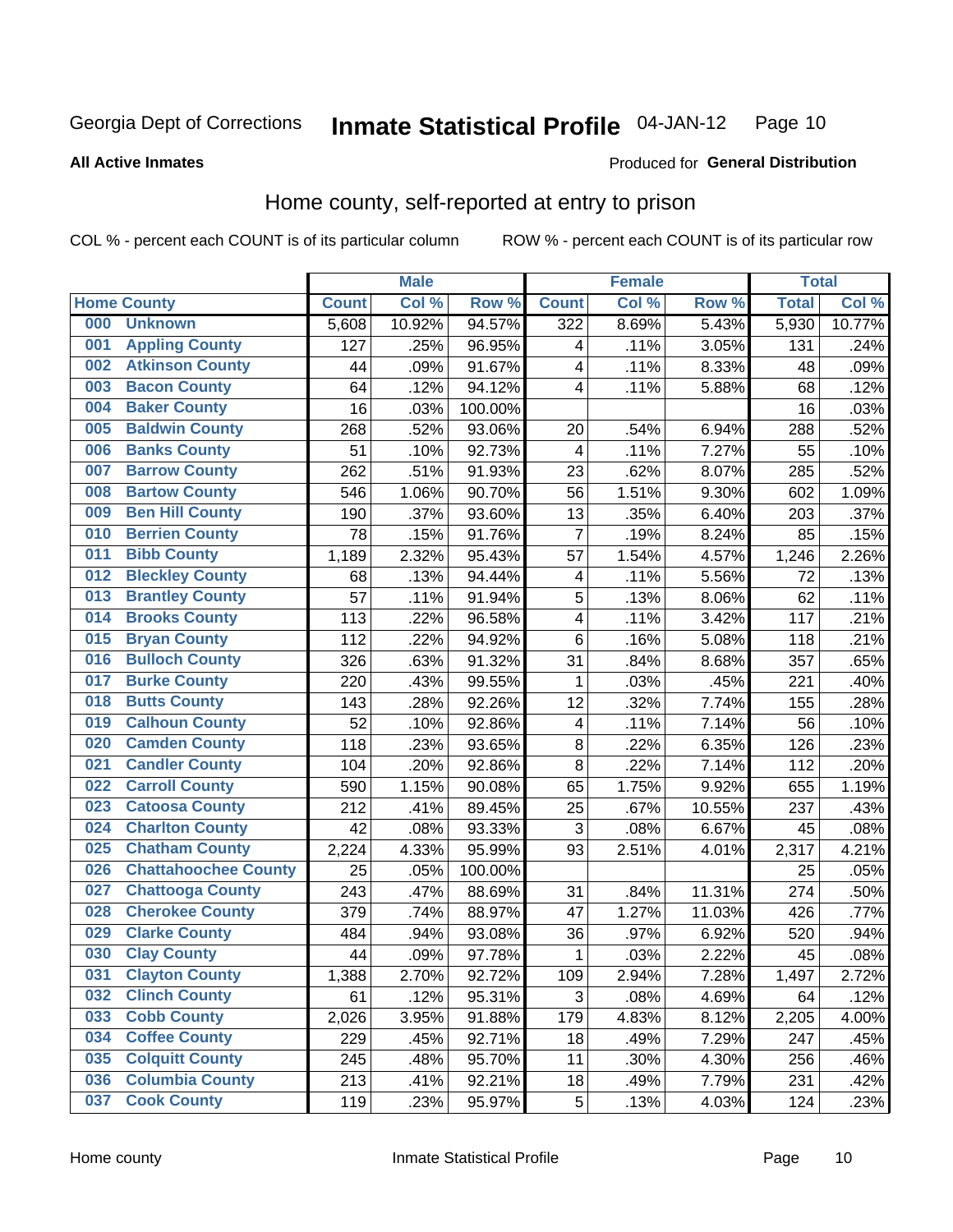#### Inmate Statistical Profile 04-JAN-12 Page 10

### **All Active Inmates**

### Produced for General Distribution

### Home county, self-reported at entry to prison

COL % - percent each COUNT is of its particular column

|     |                             |              | <b>Male</b> |         |                         | <b>Female</b> |        | <b>Total</b> |        |
|-----|-----------------------------|--------------|-------------|---------|-------------------------|---------------|--------|--------------|--------|
|     | <b>Home County</b>          | <b>Count</b> | Col %       | Row %   | <b>Count</b>            | Col %         | Row %  | <b>Total</b> | Col %  |
| 000 | <b>Unknown</b>              | 5,608        | 10.92%      | 94.57%  | 322                     | 8.69%         | 5.43%  | 5,930        | 10.77% |
| 001 | <b>Appling County</b>       | 127          | .25%        | 96.95%  | 4                       | .11%          | 3.05%  | 131          | .24%   |
| 002 | <b>Atkinson County</b>      | 44           | .09%        | 91.67%  | $\overline{\mathbf{4}}$ | .11%          | 8.33%  | 48           | .09%   |
| 003 | <b>Bacon County</b>         | 64           | .12%        | 94.12%  | 4                       | .11%          | 5.88%  | 68           | .12%   |
| 004 | <b>Baker County</b>         | 16           | .03%        | 100.00% |                         |               |        | 16           | .03%   |
| 005 | <b>Baldwin County</b>       | 268          | .52%        | 93.06%  | 20                      | .54%          | 6.94%  | 288          | .52%   |
| 006 | <b>Banks County</b>         | 51           | .10%        | 92.73%  | $\overline{4}$          | .11%          | 7.27%  | 55           | .10%   |
| 007 | <b>Barrow County</b>        | 262          | .51%        | 91.93%  | 23                      | .62%          | 8.07%  | 285          | .52%   |
| 008 | <b>Bartow County</b>        | 546          | 1.06%       | 90.70%  | 56                      | 1.51%         | 9.30%  | 602          | 1.09%  |
| 009 | <b>Ben Hill County</b>      | 190          | .37%        | 93.60%  | 13                      | .35%          | 6.40%  | 203          | .37%   |
| 010 | <b>Berrien County</b>       | 78           | .15%        | 91.76%  | $\overline{7}$          | .19%          | 8.24%  | 85           | .15%   |
| 011 | <b>Bibb County</b>          | 1,189        | 2.32%       | 95.43%  | 57                      | 1.54%         | 4.57%  | 1,246        | 2.26%  |
| 012 | <b>Bleckley County</b>      | 68           | .13%        | 94.44%  | 4                       | .11%          | 5.56%  | 72           | .13%   |
| 013 | <b>Brantley County</b>      | 57           | .11%        | 91.94%  | 5                       | .13%          | 8.06%  | 62           | .11%   |
| 014 | <b>Brooks County</b>        | 113          | .22%        | 96.58%  | $\overline{\mathbf{4}}$ | .11%          | 3.42%  | 117          | .21%   |
| 015 | <b>Bryan County</b>         | 112          | .22%        | 94.92%  | $\,6$                   | .16%          | 5.08%  | 118          | .21%   |
| 016 | <b>Bulloch County</b>       | 326          | .63%        | 91.32%  | 31                      | .84%          | 8.68%  | 357          | .65%   |
| 017 | <b>Burke County</b>         | 220          | .43%        | 99.55%  | 1                       | .03%          | .45%   | 221          | .40%   |
| 018 | <b>Butts County</b>         | 143          | .28%        | 92.26%  | 12                      | .32%          | 7.74%  | 155          | .28%   |
| 019 | <b>Calhoun County</b>       | 52           | .10%        | 92.86%  | $\overline{\mathbf{4}}$ | .11%          | 7.14%  | 56           | .10%   |
| 020 | <b>Camden County</b>        | 118          | .23%        | 93.65%  | 8                       | .22%          | 6.35%  | 126          | .23%   |
| 021 | <b>Candler County</b>       | 104          | .20%        | 92.86%  | 8                       | .22%          | 7.14%  | 112          | .20%   |
| 022 | <b>Carroll County</b>       | 590          | 1.15%       | 90.08%  | 65                      | 1.75%         | 9.92%  | 655          | 1.19%  |
| 023 | <b>Catoosa County</b>       | 212          | .41%        | 89.45%  | 25                      | .67%          | 10.55% | 237          | .43%   |
| 024 | <b>Charlton County</b>      | 42           | .08%        | 93.33%  | 3                       | .08%          | 6.67%  | 45           | .08%   |
| 025 | <b>Chatham County</b>       | 2,224        | 4.33%       | 95.99%  | 93                      | 2.51%         | 4.01%  | 2,317        | 4.21%  |
| 026 | <b>Chattahoochee County</b> | 25           | .05%        | 100.00% |                         |               |        | 25           | .05%   |
| 027 | <b>Chattooga County</b>     | 243          | .47%        | 88.69%  | 31                      | .84%          | 11.31% | 274          | .50%   |
| 028 | <b>Cherokee County</b>      | 379          | .74%        | 88.97%  | 47                      | 1.27%         | 11.03% | 426          | .77%   |
| 029 | <b>Clarke County</b>        | 484          | .94%        | 93.08%  | 36                      | .97%          | 6.92%  | 520          | .94%   |
| 030 | <b>Clay County</b>          | 44           | .09%        | 97.78%  | 1                       | .03%          | 2.22%  | 45           | .08%   |
| 031 | <b>Clayton County</b>       | 1,388        | 2.70%       | 92.72%  | 109                     | 2.94%         | 7.28%  | 1,497        | 2.72%  |
| 032 | <b>Clinch County</b>        | 61           | .12%        | 95.31%  | 3                       | .08%          | 4.69%  | 64           | .12%   |
| 033 | <b>Cobb County</b>          | 2,026        | 3.95%       | 91.88%  | 179                     | 4.83%         | 8.12%  | 2,205        | 4.00%  |
| 034 | <b>Coffee County</b>        | 229          | .45%        | 92.71%  | 18                      | .49%          | 7.29%  | 247          | .45%   |
| 035 | <b>Colquitt County</b>      | 245          | .48%        | 95.70%  | 11                      | .30%          | 4.30%  | 256          | .46%   |
| 036 | <b>Columbia County</b>      | 213          | .41%        | 92.21%  | 18                      | .49%          | 7.79%  | 231          | .42%   |
| 037 | <b>Cook County</b>          | 119          | .23%        | 95.97%  | $\mathbf 5$             | .13%          | 4.03%  | 124          | .23%   |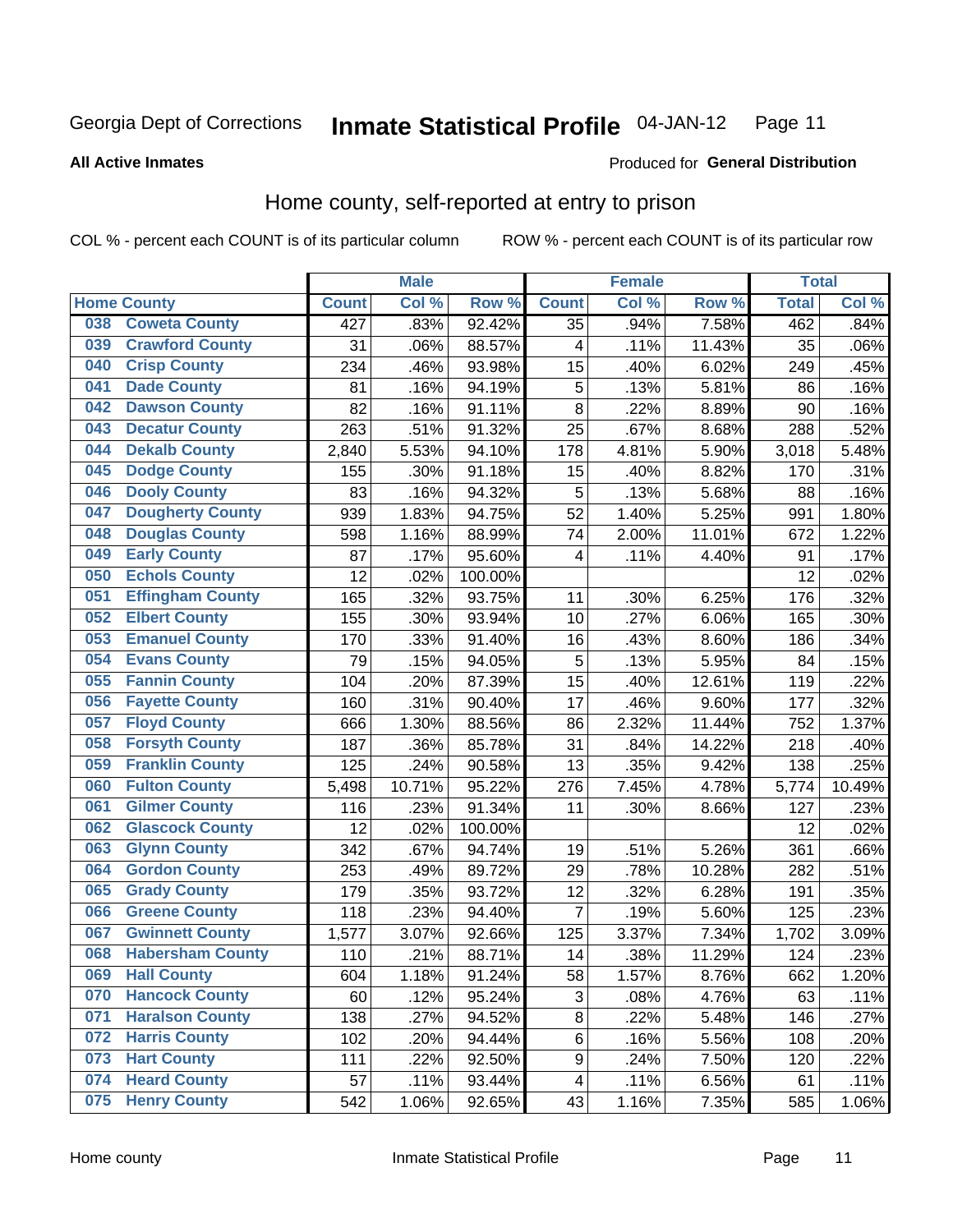#### **Inmate Statistical Profile 04-JAN-12** Page 11

**Produced for General Distribution** 

#### **All Active Inmates**

### Home county, self-reported at entry to prison

COL % - percent each COUNT is of its particular column

|     |                         |              | <b>Male</b> |                  |                         | <b>Female</b> |        | <b>Total</b> |        |
|-----|-------------------------|--------------|-------------|------------------|-------------------------|---------------|--------|--------------|--------|
|     | <b>Home County</b>      | <b>Count</b> | Col %       | Row <sup>%</sup> | <b>Count</b>            | Col %         | Row %  | <b>Total</b> | Col%   |
| 038 | <b>Coweta County</b>    | 427          | .83%        | 92.42%           | 35                      | .94%          | 7.58%  | 462          | .84%   |
| 039 | <b>Crawford County</b>  | 31           | .06%        | 88.57%           | $\overline{\mathbf{4}}$ | .11%          | 11.43% | 35           | .06%   |
| 040 | <b>Crisp County</b>     | 234          | .46%        | 93.98%           | 15                      | .40%          | 6.02%  | 249          | .45%   |
| 041 | <b>Dade County</b>      | 81           | .16%        | 94.19%           | 5                       | .13%          | 5.81%  | 86           | .16%   |
| 042 | <b>Dawson County</b>    | 82           | .16%        | 91.11%           | 8                       | .22%          | 8.89%  | 90           | .16%   |
| 043 | <b>Decatur County</b>   | 263          | .51%        | 91.32%           | 25                      | .67%          | 8.68%  | 288          | .52%   |
| 044 | <b>Dekalb County</b>    | 2,840        | 5.53%       | 94.10%           | 178                     | 4.81%         | 5.90%  | 3,018        | 5.48%  |
| 045 | <b>Dodge County</b>     | 155          | .30%        | 91.18%           | 15                      | .40%          | 8.82%  | 170          | .31%   |
| 046 | <b>Dooly County</b>     | 83           | .16%        | 94.32%           | 5                       | .13%          | 5.68%  | 88           | .16%   |
| 047 | <b>Dougherty County</b> | 939          | 1.83%       | 94.75%           | 52                      | 1.40%         | 5.25%  | 991          | 1.80%  |
| 048 | <b>Douglas County</b>   | 598          | 1.16%       | 88.99%           | 74                      | 2.00%         | 11.01% | 672          | 1.22%  |
| 049 | <b>Early County</b>     | 87           | .17%        | 95.60%           | 4                       | .11%          | 4.40%  | 91           | .17%   |
| 050 | <b>Echols County</b>    | 12           | .02%        | 100.00%          |                         |               |        | 12           | .02%   |
| 051 | <b>Effingham County</b> | 165          | .32%        | 93.75%           | 11                      | .30%          | 6.25%  | 176          | .32%   |
| 052 | <b>Elbert County</b>    | 155          | .30%        | 93.94%           | 10                      | .27%          | 6.06%  | 165          | .30%   |
| 053 | <b>Emanuel County</b>   | 170          | .33%        | 91.40%           | 16                      | .43%          | 8.60%  | 186          | .34%   |
| 054 | <b>Evans County</b>     | 79           | .15%        | 94.05%           | 5                       | .13%          | 5.95%  | 84           | .15%   |
| 055 | <b>Fannin County</b>    | 104          | .20%        | 87.39%           | $1\overline{5}$         | .40%          | 12.61% | 119          | .22%   |
| 056 | <b>Fayette County</b>   | 160          | .31%        | 90.40%           | 17                      | .46%          | 9.60%  | 177          | .32%   |
| 057 | <b>Floyd County</b>     | 666          | 1.30%       | 88.56%           | 86                      | 2.32%         | 11.44% | 752          | 1.37%  |
| 058 | <b>Forsyth County</b>   | 187          | .36%        | 85.78%           | 31                      | .84%          | 14.22% | 218          | .40%   |
| 059 | <b>Franklin County</b>  | 125          | .24%        | 90.58%           | 13                      | .35%          | 9.42%  | 138          | .25%   |
| 060 | <b>Fulton County</b>    | 5,498        | 10.71%      | 95.22%           | 276                     | 7.45%         | 4.78%  | 5,774        | 10.49% |
| 061 | <b>Gilmer County</b>    | 116          | .23%        | 91.34%           | 11                      | .30%          | 8.66%  | 127          | .23%   |
| 062 | <b>Glascock County</b>  | 12           | .02%        | 100.00%          |                         |               |        | 12           | .02%   |
| 063 | <b>Glynn County</b>     | 342          | .67%        | 94.74%           | 19                      | .51%          | 5.26%  | 361          | .66%   |
| 064 | <b>Gordon County</b>    | 253          | .49%        | 89.72%           | 29                      | .78%          | 10.28% | 282          | .51%   |
| 065 | <b>Grady County</b>     | 179          | .35%        | 93.72%           | 12                      | .32%          | 6.28%  | 191          | .35%   |
| 066 | <b>Greene County</b>    | 118          | .23%        | 94.40%           | $\overline{7}$          | .19%          | 5.60%  | 125          | .23%   |
| 067 | <b>Gwinnett County</b>  | 1,577        | 3.07%       | 92.66%           | 125                     | 3.37%         | 7.34%  | 1,702        | 3.09%  |
| 068 | <b>Habersham County</b> | 110          | .21%        | 88.71%           | 14                      | .38%          | 11.29% | 124          | .23%   |
| 069 | <b>Hall County</b>      | 604          | 1.18%       | 91.24%           | 58                      | 1.57%         | 8.76%  | 662          | 1.20%  |
| 070 | <b>Hancock County</b>   | 60           | .12%        | 95.24%           | 3                       | .08%          | 4.76%  | 63           | .11%   |
| 071 | <b>Haralson County</b>  | 138          | .27%        | 94.52%           | $\bf 8$                 | .22%          | 5.48%  | 146          | .27%   |
| 072 | <b>Harris County</b>    | 102          | .20%        | 94.44%           | $\,6$                   | .16%          | 5.56%  | 108          | .20%   |
| 073 | <b>Hart County</b>      | 111          | .22%        | 92.50%           | 9                       | .24%          | 7.50%  | 120          | .22%   |
| 074 | <b>Heard County</b>     | 57           | .11%        | 93.44%           | 4                       | .11%          | 6.56%  | 61           | .11%   |
| 075 | <b>Henry County</b>     | 542          | 1.06%       | 92.65%           | 43                      | 1.16%         | 7.35%  | 585          | 1.06%  |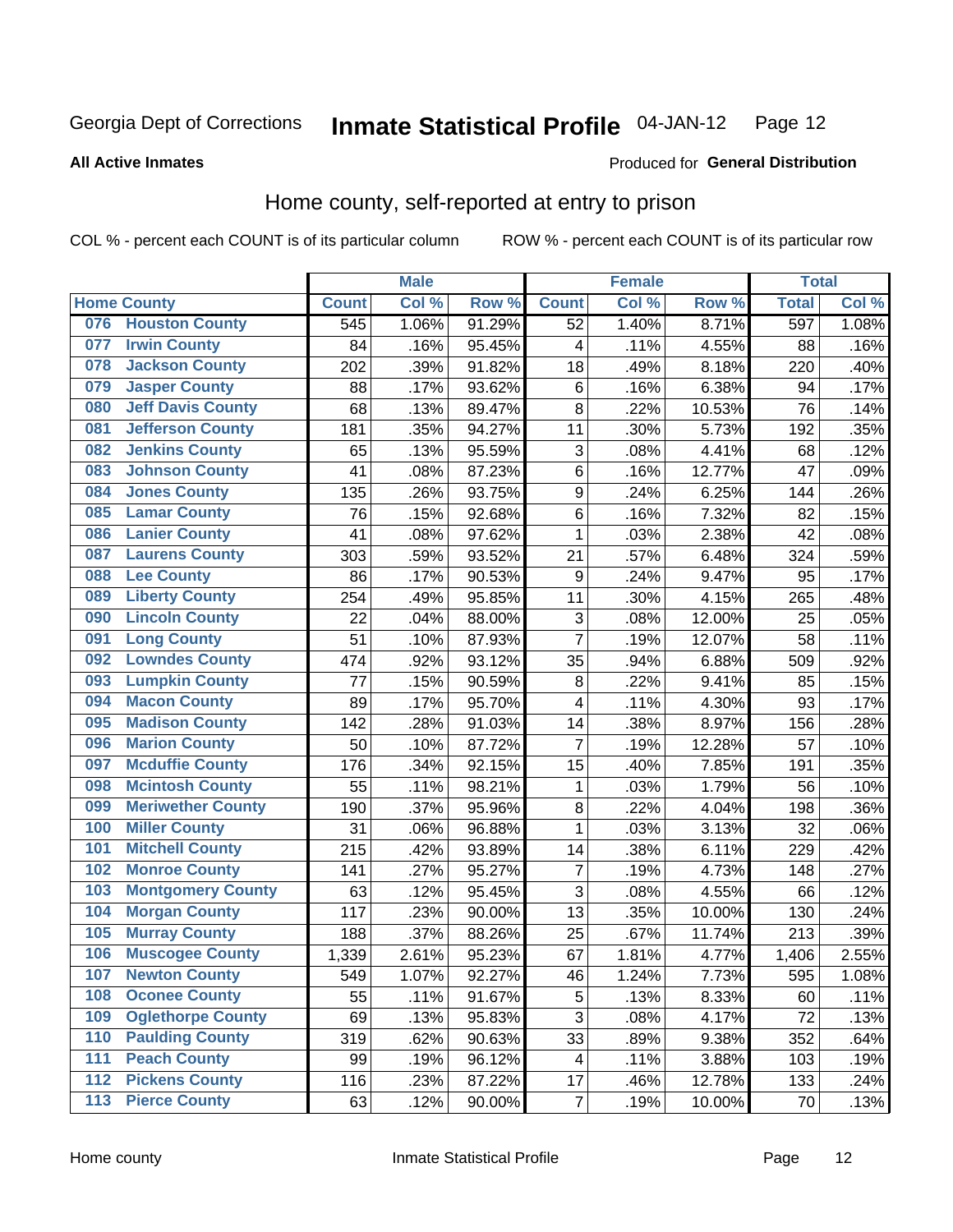#### Inmate Statistical Profile 04-JAN-12 Page 12

**All Active Inmates** 

### Produced for General Distribution

### Home county, self-reported at entry to prison

COL % - percent each COUNT is of its particular column

|                  |                          |              | <b>Male</b> |                  |                         | <b>Female</b>     |        | <b>Total</b> |       |
|------------------|--------------------------|--------------|-------------|------------------|-------------------------|-------------------|--------|--------------|-------|
|                  | <b>Home County</b>       | <b>Count</b> | Col %       | Row <sup>%</sup> | <b>Count</b>            | Col %             | Row %  | <b>Total</b> | Col % |
| 076              | <b>Houston County</b>    | 545          | 1.06%       | 91.29%           | 52                      | 1.40%             | 8.71%  | 597          | 1.08% |
| 077              | <b>Irwin County</b>      | 84           | .16%        | 95.45%           | 4                       | .11%              | 4.55%  | 88           | .16%  |
| 078              | <b>Jackson County</b>    | 202          | .39%        | 91.82%           | 18                      | .49%              | 8.18%  | 220          | .40%  |
| 079              | <b>Jasper County</b>     | 88           | .17%        | 93.62%           | 6                       | .16%              | 6.38%  | 94           | .17%  |
| 080              | <b>Jeff Davis County</b> | 68           | .13%        | 89.47%           | 8                       | $\overline{2}2\%$ | 10.53% | 76           | .14%  |
| 081              | <b>Jefferson County</b>  | 181          | .35%        | 94.27%           | 11                      | .30%              | 5.73%  | 192          | .35%  |
| 082              | <b>Jenkins County</b>    | 65           | .13%        | 95.59%           | 3                       | .08%              | 4.41%  | 68           | .12%  |
| 083              | <b>Johnson County</b>    | 41           | .08%        | 87.23%           | 6                       | .16%              | 12.77% | 47           | .09%  |
| 084              | <b>Jones County</b>      | 135          | .26%        | 93.75%           | 9                       | .24%              | 6.25%  | 144          | .26%  |
| 085              | <b>Lamar County</b>      | 76           | .15%        | 92.68%           | 6                       | .16%              | 7.32%  | 82           | .15%  |
| 086              | <b>Lanier County</b>     | 41           | .08%        | 97.62%           | 1                       | .03%              | 2.38%  | 42           | .08%  |
| 087              | <b>Laurens County</b>    | 303          | .59%        | 93.52%           | 21                      | .57%              | 6.48%  | 324          | .59%  |
| 088              | <b>Lee County</b>        | 86           | .17%        | 90.53%           | 9                       | .24%              | 9.47%  | 95           | .17%  |
| 089              | <b>Liberty County</b>    | 254          | .49%        | 95.85%           | 11                      | .30%              | 4.15%  | 265          | .48%  |
| 090              | <b>Lincoln County</b>    | 22           | .04%        | 88.00%           | 3                       | .08%              | 12.00% | 25           | .05%  |
| 091              | <b>Long County</b>       | 51           | .10%        | 87.93%           | $\overline{7}$          | .19%              | 12.07% | 58           | .11%  |
| 092              | <b>Lowndes County</b>    | 474          | .92%        | 93.12%           | 35                      | .94%              | 6.88%  | 509          | .92%  |
| 093              | <b>Lumpkin County</b>    | 77           | .15%        | 90.59%           | $\bf 8$                 | .22%              | 9.41%  | 85           | .15%  |
| 094              | <b>Macon County</b>      | 89           | .17%        | 95.70%           | 4                       | .11%              | 4.30%  | 93           | .17%  |
| 095              | <b>Madison County</b>    | 142          | .28%        | 91.03%           | 14                      | .38%              | 8.97%  | 156          | .28%  |
| 096              | <b>Marion County</b>     | 50           | .10%        | 87.72%           | 7                       | .19%              | 12.28% | 57           | .10%  |
| 097              | <b>Mcduffie County</b>   | 176          | .34%        | 92.15%           | 15                      | .40%              | 7.85%  | 191          | .35%  |
| 098              | <b>Mcintosh County</b>   | 55           | .11%        | 98.21%           | 1                       | .03%              | 1.79%  | 56           | .10%  |
| 099              | <b>Meriwether County</b> | 190          | .37%        | 95.96%           | 8                       | .22%              | 4.04%  | 198          | .36%  |
| 100              | <b>Miller County</b>     | 31           | .06%        | 96.88%           | 1                       | .03%              | 3.13%  | 32           | .06%  |
| 101              | <b>Mitchell County</b>   | 215          | .42%        | 93.89%           | 14                      | .38%              | 6.11%  | 229          | .42%  |
| 102              | <b>Monroe County</b>     | 141          | .27%        | 95.27%           | $\overline{7}$          | .19%              | 4.73%  | 148          | .27%  |
| 103              | <b>Montgomery County</b> | 63           | .12%        | 95.45%           | 3                       | .08%              | 4.55%  | 66           | .12%  |
| 104              | <b>Morgan County</b>     | 117          | .23%        | 90.00%           | 13                      | .35%              | 10.00% | 130          | .24%  |
| 105              | <b>Murray County</b>     | 188          | .37%        | 88.26%           | 25                      | .67%              | 11.74% | 213          | .39%  |
| 106              | <b>Muscogee County</b>   | 1,339        | 2.61%       | 95.23%           | 67                      | 1.81%             | 4.77%  | 1,406        | 2.55% |
| 107              | <b>Newton County</b>     | 549          | 1.07%       | 92.27%           | 46                      | 1.24%             | 7.73%  | 595          | 1.08% |
| 108              | <b>Oconee County</b>     | 55           | .11%        | 91.67%           | 5                       | .13%              | 8.33%  | 60           | .11%  |
| 109              | <b>Oglethorpe County</b> | 69           | .13%        | 95.83%           | $\overline{3}$          | .08%              | 4.17%  | 72           | .13%  |
| 110              | <b>Paulding County</b>   | 319          | .62%        | 90.63%           | 33                      | .89%              | 9.38%  | 352          | .64%  |
| 111              | <b>Peach County</b>      | 99           | .19%        | 96.12%           | $\overline{\mathbf{4}}$ | .11%              | 3.88%  | 103          | .19%  |
| $\overline{112}$ | <b>Pickens County</b>    | 116          | .23%        | 87.22%           | 17                      | .46%              | 12.78% | 133          | .24%  |
| 113              | <b>Pierce County</b>     | 63           | .12%        | 90.00%           | $\overline{7}$          | .19%              | 10.00% | 70           | .13%  |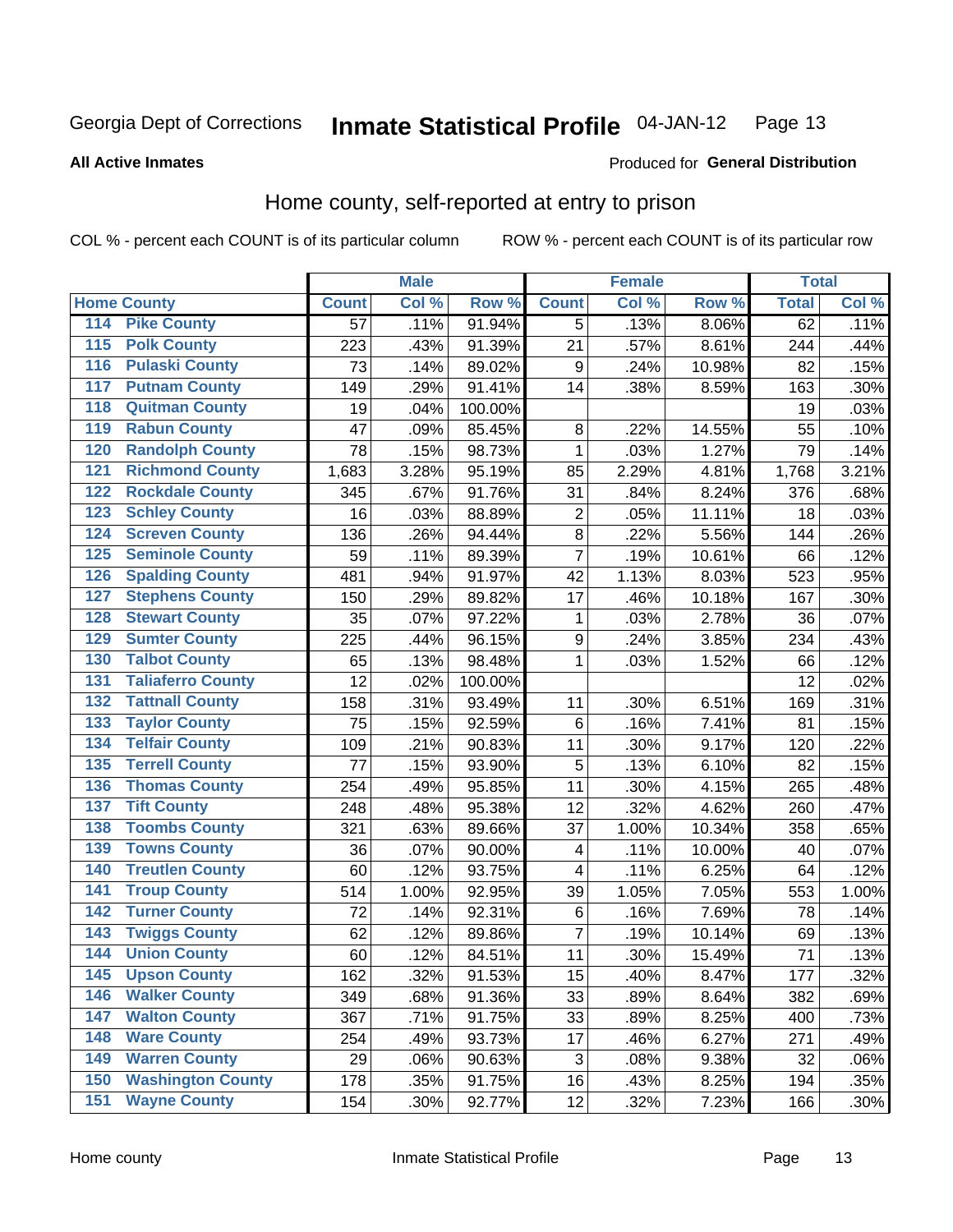#### Inmate Statistical Profile 04-JAN-12 Page 13

### **All Active Inmates**

### Produced for General Distribution

### Home county, self-reported at entry to prison

COL % - percent each COUNT is of its particular column

|                    |                          |              | <b>Male</b> |                  |                  | <b>Female</b> |                     | <b>Total</b> |         |
|--------------------|--------------------------|--------------|-------------|------------------|------------------|---------------|---------------------|--------------|---------|
| <b>Home County</b> |                          | <b>Count</b> | Col %       | Row <sup>%</sup> | <b>Count</b>     | Col %         | Row %               | <b>Total</b> | Col %   |
| 114                | <b>Pike County</b>       | 57           | .11%        | 91.94%           | 5                | .13%          | 8.06%               | 62           | .11%    |
| 115                | <b>Polk County</b>       | 223          | .43%        | 91.39%           | 21               | .57%          | 8.61%               | 244          | .44%    |
| 116                | <b>Pulaski County</b>    | 73           | .14%        | 89.02%           | 9                | .24%          | 10.98%              | 82           | .15%    |
| 117                | <b>Putnam County</b>     | 149          | .29%        | 91.41%           | 14               | .38%          | 8.59%               | 163          | .30%    |
| 118                | <b>Quitman County</b>    | 19           | .04%        | 100.00%          |                  |               |                     | 19           | .03%    |
| 119                | <b>Rabun County</b>      | 47           | .09%        | 85.45%           | 8                | .22%          | 14.55%              | 55           | .10%    |
| 120                | <b>Randolph County</b>   | 78           | .15%        | 98.73%           | $\mathbf{1}$     | .03%          | $\overline{1.27\%}$ | 79           | .14%    |
| 121                | <b>Richmond County</b>   | 1,683        | 3.28%       | 95.19%           | 85               | 2.29%         | 4.81%               | 1,768        | 3.21%   |
| 122                | <b>Rockdale County</b>   | 345          | .67%        | 91.76%           | 31               | .84%          | 8.24%               | 376          | .68%    |
| 123                | <b>Schley County</b>     | 16           | .03%        | 88.89%           | $\overline{2}$   | .05%          | 11.11%              | 18           | .03%    |
| 124                | <b>Screven County</b>    | 136          | .26%        | 94.44%           | 8                | .22%          | 5.56%               | 144          | .26%    |
| 125                | <b>Seminole County</b>   | 59           | .11%        | 89.39%           | $\overline{7}$   | .19%          | 10.61%              | 66           | .12%    |
| 126                | <b>Spalding County</b>   | 481          | .94%        | 91.97%           | 42               | 1.13%         | 8.03%               | 523          | .95%    |
| 127                | <b>Stephens County</b>   | 150          | .29%        | 89.82%           | 17               | .46%          | 10.18%              | 167          | .30%    |
| 128                | <b>Stewart County</b>    | 35           | .07%        | 97.22%           | 1                | .03%          | 2.78%               | 36           | .07%    |
| 129                | <b>Sumter County</b>     | 225          | .44%        | 96.15%           | $\boldsymbol{9}$ | .24%          | 3.85%               | 234          | .43%    |
| 130                | <b>Talbot County</b>     | 65           | .13%        | 98.48%           | 1                | .03%          | 1.52%               | 66           | .12%    |
| 131                | <b>Taliaferro County</b> | 12           | .02%        | 100.00%          |                  |               |                     | 12           | .02%    |
| 132                | <b>Tattnall County</b>   | 158          | .31%        | 93.49%           | 11               | .30%          | 6.51%               | 169          | .31%    |
| 133                | <b>Taylor County</b>     | 75           | .15%        | 92.59%           | 6                | .16%          | 7.41%               | 81           | .15%    |
| 134                | <b>Telfair County</b>    | 109          | .21%        | 90.83%           | 11               | .30%          | 9.17%               | 120          | .22%    |
| 135                | <b>Terrell County</b>    | 77           | .15%        | 93.90%           | 5                | .13%          | 6.10%               | 82           | .15%    |
| 136                | <b>Thomas County</b>     | 254          | .49%        | 95.85%           | 11               | .30%          | 4.15%               | 265          | .48%    |
| 137                | <b>Tift County</b>       | 248          | .48%        | 95.38%           | 12               | .32%          | 4.62%               | 260          | .47%    |
| 138                | <b>Toombs County</b>     | 321          | .63%        | 89.66%           | 37               | 1.00%         | 10.34%              | 358          | .65%    |
| 139                | <b>Towns County</b>      | 36           | .07%        | 90.00%           | 4                | .11%          | 10.00%              | 40           | .07%    |
| 140                | <b>Treutlen County</b>   | 60           | .12%        | 93.75%           | 4                | .11%          | 6.25%               | 64           | .12%    |
| 141                | <b>Troup County</b>      | 514          | 1.00%       | 92.95%           | 39               | 1.05%         | 7.05%               | 553          | 1.00%   |
| 142                | <b>Turner County</b>     | 72           | .14%        | 92.31%           | 6                | .16%          | 7.69%               | 78           | .14%    |
| 143                | <b>Twiggs County</b>     | 62           | .12%        | 89.86%           | $\overline{7}$   | .19%          | 10.14%              | 69           | .13%    |
| 144                | <b>Union County</b>      | 60           | .12%        | 84.51%           | 11               | .30%          | 15.49%              | 71           | .13%    |
| 145                | <b>Upson County</b>      | 162          | .32%        | 91.53%           | 15               | .40%          | 8.47%               | 177          | .32%    |
| 146                | <b>Walker County</b>     | 349          | .68%        | 91.36%           | 33               | .89%          | 8.64%               | 382          | .69%    |
| 147                | <b>Walton County</b>     | 367          | .71%        | 91.75%           | 33               | .89%          | 8.25%               | 400          | .73%    |
| 148                | <b>Ware County</b>       | 254          | .49%        | 93.73%           | 17               | .46%          | 6.27%               | 271          | .49%    |
| 149                | <b>Warren County</b>     | 29           | .06%        | 90.63%           | 3                | .08%          | 9.38%               | 32           | .06%    |
| 150                | <b>Washington County</b> | 178          | .35%        | 91.75%           | 16               | .43%          | 8.25%               | 194          | .35%    |
| 151                | <b>Wayne County</b>      | 154          | .30%        | 92.77%           | 12               | .32%          | 7.23%               | 166          | $.30\%$ |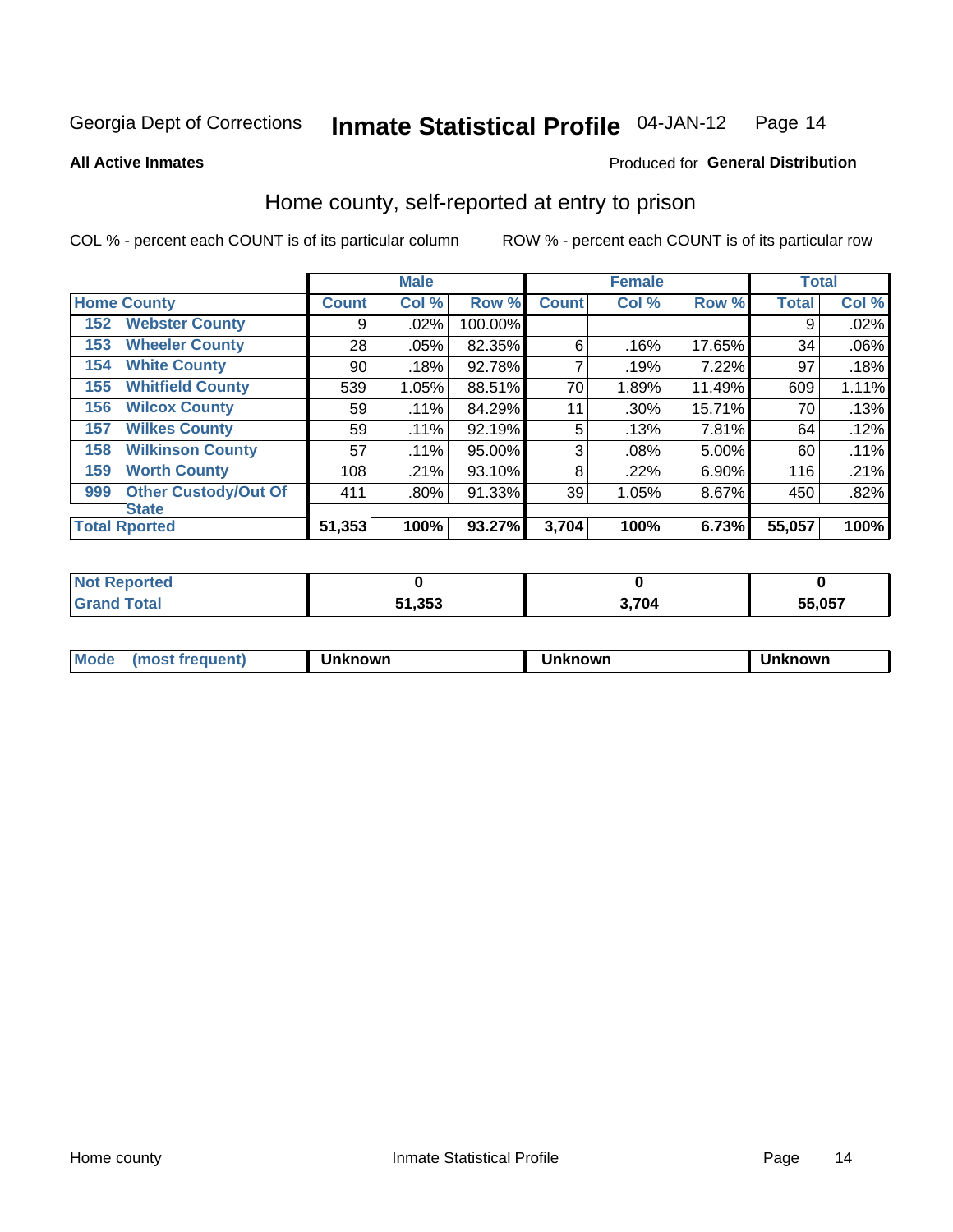**All Active Inmates** 

#### **Inmate Statistical Profile 04-JAN-12** Page 14

Produced for General Distribution

### Home county, self-reported at entry to prison

COL % - percent each COUNT is of its particular column

|     |                             |              | <b>Male</b> |         |              | <b>Female</b> |        | <b>Total</b> |         |
|-----|-----------------------------|--------------|-------------|---------|--------------|---------------|--------|--------------|---------|
|     | <b>Home County</b>          | <b>Count</b> | Col %       | Row %   | <b>Count</b> | Col %         | Row %  | <b>Total</b> | Col %   |
| 152 | <b>Webster County</b>       | 9            | .02%        | 100.00% |              |               |        | 9            | .02%    |
| 153 | <b>Wheeler County</b>       | 28           | .05%        | 82.35%  | 6            | .16%          | 17.65% | 34           | $.06\%$ |
| 154 | <b>White County</b>         | 90           | .18%        | 92.78%  | 7            | .19%          | 7.22%  | 97           | .18%    |
| 155 | <b>Whitfield County</b>     | 539          | 1.05%       | 88.51%  | 70           | 1.89%         | 11.49% | 609          | 1.11%   |
| 156 | <b>Wilcox County</b>        | 59           | .11%        | 84.29%  | 11           | .30%          | 15.71% | 70           | .13%    |
| 157 | <b>Wilkes County</b>        | 59           | .11%        | 92.19%  | 5            | .13%          | 7.81%  | 64           | .12%    |
| 158 | <b>Wilkinson County</b>     | 57           | $.11\%$     | 95.00%  | 3            | .08%          | 5.00%  | 60           | .11%    |
| 159 | <b>Worth County</b>         | 108          | .21%        | 93.10%  | 8            | .22%          | 6.90%  | 116          | .21%    |
| 999 | <b>Other Custody/Out Of</b> | 411          | .80%        | 91.33%  | 39           | 1.05%         | 8.67%  | 450          | .82%    |
|     | <b>State</b>                |              |             |         |              |               |        |              |         |
|     | <b>Total Rported</b>        | 51,353       | 100%        | 93.27%  | 3,704        | 100%          | 6.73%  | 55,057       | 100%    |

| reo |        |      |        |
|-----|--------|------|--------|
|     | 51,353 | .704 | 55,057 |

| Mode<br><b>Tequent)</b><br>ns | nown | mown | เทown |
|-------------------------------|------|------|-------|
|                               |      |      |       |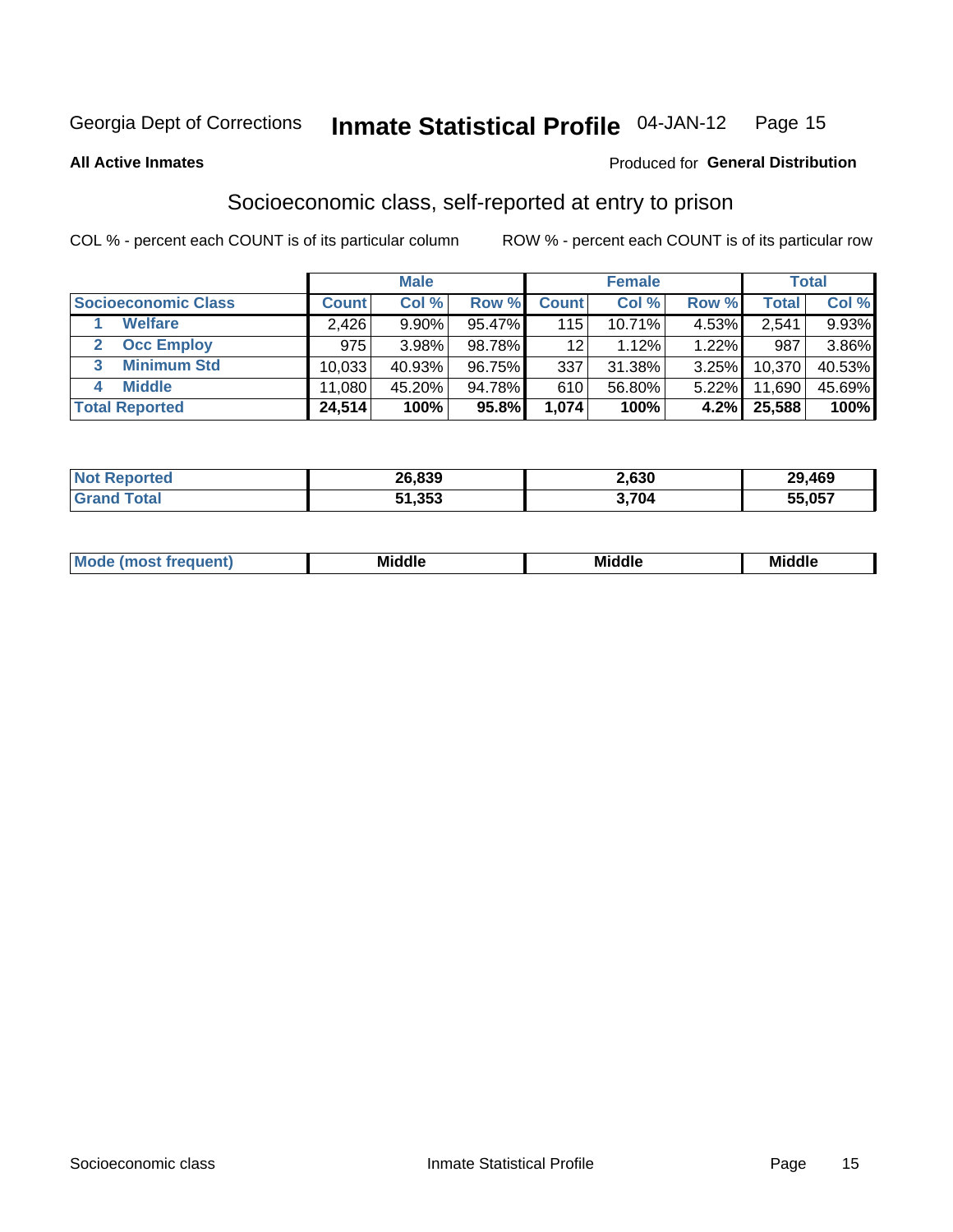#### **Inmate Statistical Profile 04-JAN-12** Page 15

**All Active Inmates** 

### Produced for General Distribution

### Socioeconomic class, self-reported at entry to prison

COL % - percent each COUNT is of its particular column

|                       |              | <b>Male</b> |        |                 | <b>Female</b> |       |        | <b>Total</b> |
|-----------------------|--------------|-------------|--------|-----------------|---------------|-------|--------|--------------|
| Socioeconomic Class   | <b>Count</b> | Col %       | Row %  | <b>Count</b>    | Col %         | Row % | Total  | Col %        |
| <b>Welfare</b>        | 2,426        | 9.90%       | 95.47% | 115             | 10.71%        | 4.53% | 2,541  | 9.93%        |
| <b>Occ Employ</b>     | 975          | 3.98%       | 98.78% | 12 <sup>°</sup> | 1.12%         | 1.22% | 987    | 3.86%        |
| <b>Minimum Std</b>    | 10,033       | 40.93%      | 96.75% | 337             | 31.38%        | 3.25% | 10,370 | 40.53%       |
| <b>Middle</b><br>4    | 11.080       | 45.20%      | 94.78% | 610             | 56.80%        | 5.22% | 11,690 | 45.69%       |
| <b>Total Reported</b> | 24,514       | 100%        | 95.8%  | 1,074           | 100%          | 4.2%  | 25,588 | 100%         |

| <b>orteo</b><br>NOT | 26,839 | 2,630 | 29,469 |
|---------------------|--------|-------|--------|
|                     | 51,353 | 704   | 55,057 |

| ____<br>____ |
|--------------|
|--------------|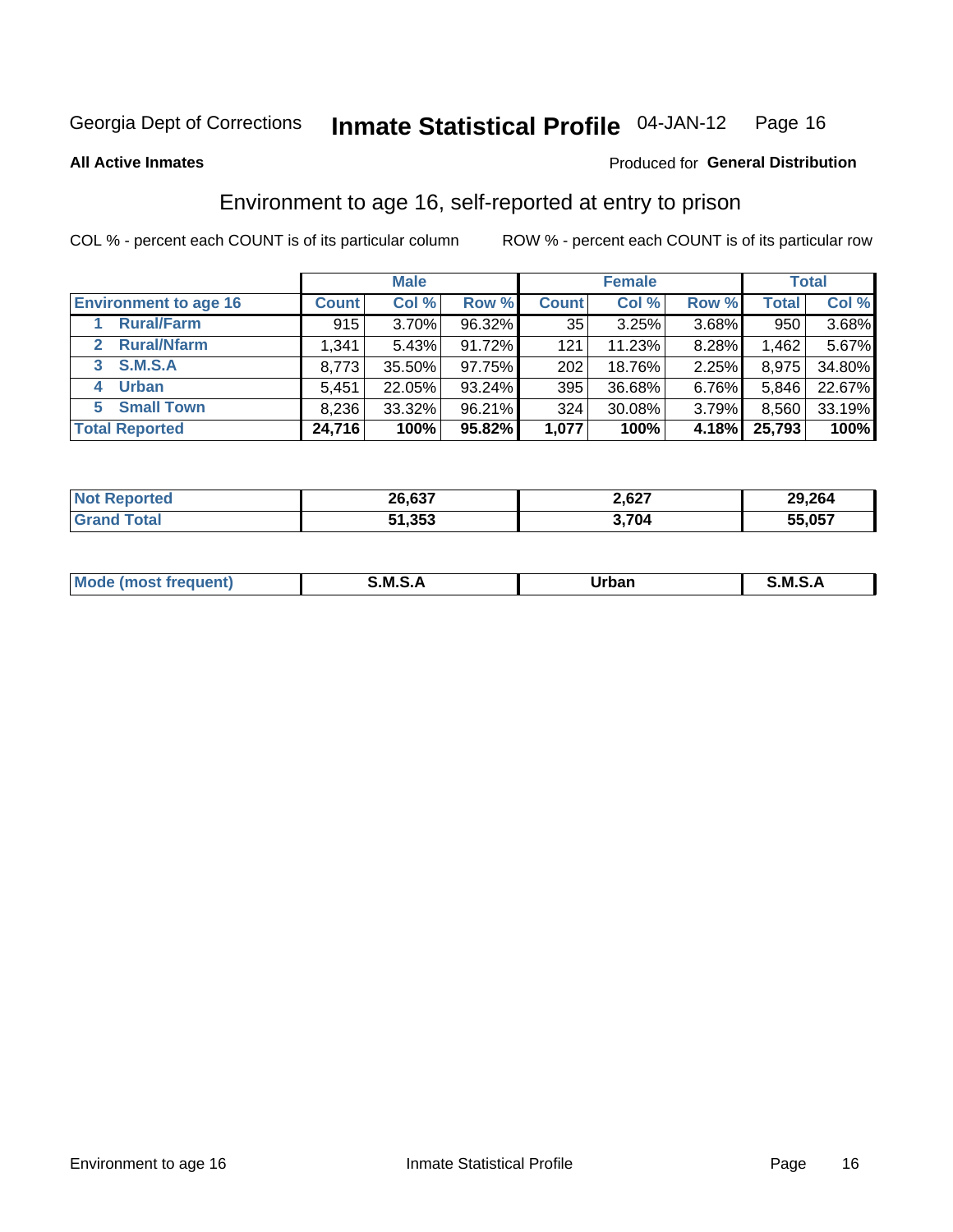#### **Inmate Statistical Profile 04-JAN-12** Page 16

Produced for General Distribution

#### **All Active Inmates**

### Environment to age 16, self-reported at entry to prison

COL % - percent each COUNT is of its particular column

|                                      |              | <b>Male</b> |        |              | <b>Female</b> |       |              | <b>Total</b> |
|--------------------------------------|--------------|-------------|--------|--------------|---------------|-------|--------------|--------------|
| <b>Environment to age 16</b>         | <b>Count</b> | Col %       | Row %  | <b>Count</b> | Col %         | Row % | <b>Total</b> | Col %        |
| <b>Rural/Farm</b>                    | 915          | 3.70%       | 96.32% | 35           | 3.25%         | 3.68% | 950          | 3.68%        |
| <b>Rural/Nfarm</b><br>$\overline{2}$ | 1,341        | 5.43%       | 91.72% | 121          | 11.23%        | 8.28% | .462         | 5.67%        |
| 3 S.M.S.A                            | 8,773        | 35.50%      | 97.75% | 202          | 18.76%        | 2.25% | 8,975        | 34.80%       |
| <b>Urban</b><br>4                    | 5,451        | 22.05%      | 93.24% | 395          | 36.68%        | 6.76% | 5,846        | 22.67%       |
| 5 Small Town                         | 8,236        | 33.32%      | 96.21% | 324          | 30.08%        | 3.79% | 8,560        | 33.19%       |
| <b>Total Reported</b>                | 24,716       | 100%        | 95.82% | 1,077        | 100%          | 4.18% | 25,793       | 100%         |

| <b>Not Reported</b> | 26,637 | 2,627 | 29,264 |
|---------------------|--------|-------|--------|
| <b>Grand Total</b>  | 51,353 | 3,704 | 55,057 |

| Mo | M<br>______ | Irhan<br>rva<br>_____ | M<br>______ |
|----|-------------|-----------------------|-------------|
|    |             |                       |             |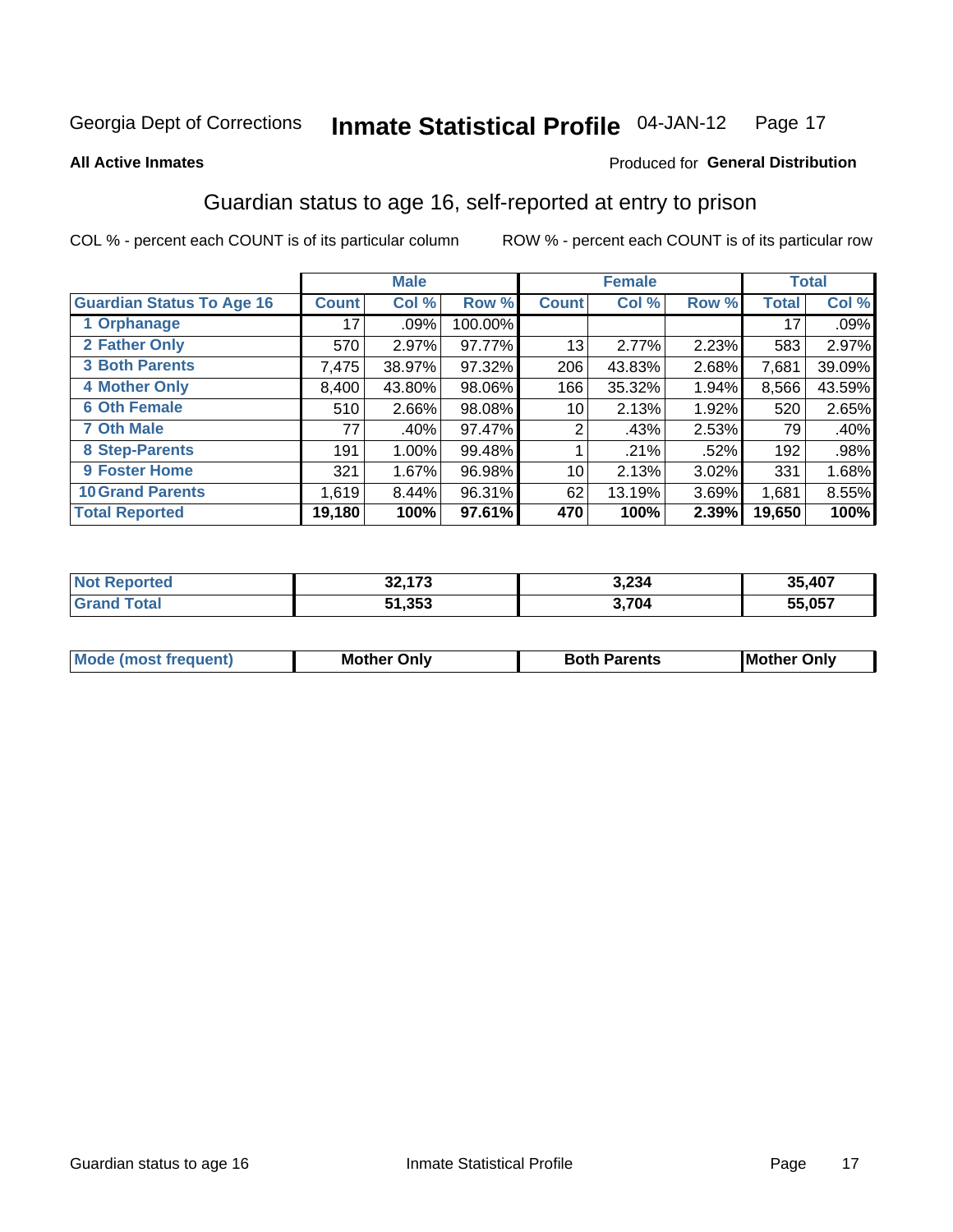#### **Inmate Statistical Profile 04-JAN-12** Page 17

Produced for General Distribution

#### **All Active Inmates**

### Guardian status to age 16, self-reported at entry to prison

COL % - percent each COUNT is of its particular column

|                                  |              | <b>Male</b> |           |                 | <b>Female</b> |       |              | <b>Total</b> |
|----------------------------------|--------------|-------------|-----------|-----------------|---------------|-------|--------------|--------------|
| <b>Guardian Status To Age 16</b> | <b>Count</b> | Col %       | Row %     | <b>Count</b>    | Col %         | Row % | <b>Total</b> | Col %        |
| 1 Orphanage                      | 17           | .09%        | 100.00%   |                 |               |       | 17           | .09%         |
| 2 Father Only                    | 570          | 2.97%       | 97.77%    | 13              | 2.77%         | 2.23% | 583          | 2.97%        |
| <b>3 Both Parents</b>            | 7,475        | 38.97%      | $97.32\%$ | 206             | 43.83%        | 2.68% | 7,681        | 39.09%       |
| <b>4 Mother Only</b>             | 8,400        | 43.80%      | 98.06%    | 166             | 35.32%        | 1.94% | 8,566        | 43.59%       |
| <b>6 Oth Female</b>              | 510          | 2.66%       | 98.08%    | 10 <sup>1</sup> | 2.13%         | 1.92% | 520          | 2.65%        |
| <b>7 Oth Male</b>                | 77           | .40%        | 97.47%    | 2               | .43%          | 2.53% | 79           | $.40\%$      |
| 8 Step-Parents                   | 191          | 1.00%       | 99.48%    |                 | .21%          | .52%  | 192          | .98%         |
| <b>9 Foster Home</b>             | 321          | 1.67%       | 96.98%    | 10              | 2.13%         | 3.02% | 331          | 1.68%        |
| <b>10 Grand Parents</b>          | 1,619        | 8.44%       | 96.31%    | 62              | 13.19%        | 3.69% | 1,681        | 8.55%        |
| <b>Total Reported</b>            | 19,180       | 100%        | 97.61%    | 470             | 100%          | 2.39% | 19,650       | 100%         |

| <b>orteg</b> | so 170 | 3,234 | ,407          |
|--------------|--------|-------|---------------|
| ' NOT        | JZ.I   |       | 35.           |
| .Gr          | 51,353 | 3,704 | 55,057<br>היה |

| <b>Mode (most frequent)</b> | วทIv<br>- -<br>MΩ | <b>Roth</b><br>ີ <sup>ລ</sup> າrents | l Mc<br>Only<br>- - |
|-----------------------------|-------------------|--------------------------------------|---------------------|
|                             |                   |                                      |                     |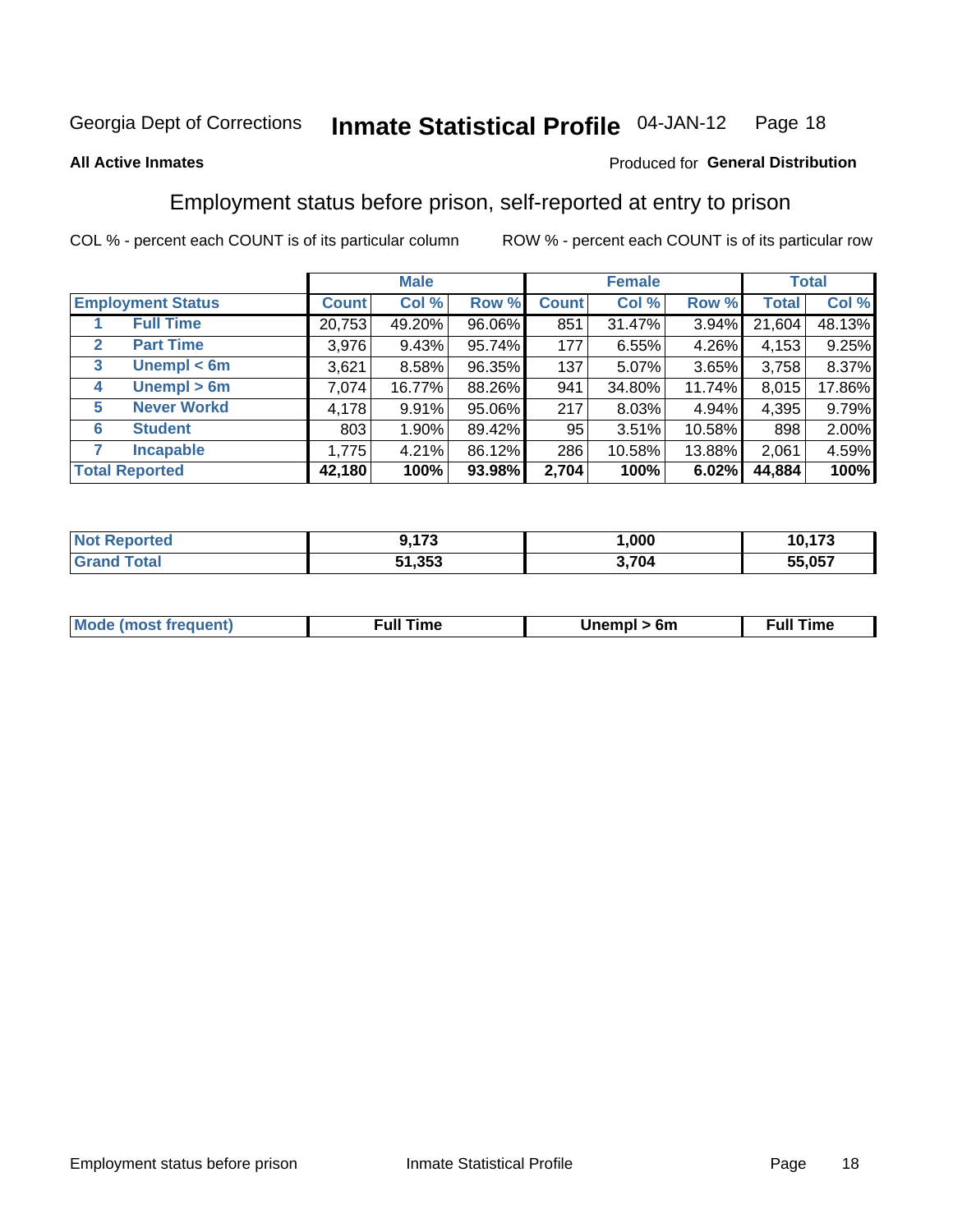#### Inmate Statistical Profile 04-JAN-12 Page 18

### **All Active Inmates**

### Produced for General Distribution

### Employment status before prison, self-reported at entry to prison

COL % - percent each COUNT is of its particular column

|                                  |              | <b>Male</b> |        |              | <b>Female</b> |        |        | <b>Total</b> |
|----------------------------------|--------------|-------------|--------|--------------|---------------|--------|--------|--------------|
| <b>Employment Status</b>         | <b>Count</b> | Col %       | Row %  | <b>Count</b> | Col %         | Row %  | Total  | Col %        |
| <b>Full Time</b>                 | 20,753       | 49.20%      | 96.06% | 851          | 31.47%        | 3.94%  | 21,604 | 48.13%       |
| <b>Part Time</b><br>$\mathbf{2}$ | 3,976        | 9.43%       | 95.74% | 177          | 6.55%         | 4.26%  | 4,153  | 9.25%        |
| Unempl $<$ 6m<br>3               | 3,621        | 8.58%       | 96.35% | 137          | 5.07%         | 3.65%  | 3,758  | 8.37%        |
| Unempl > 6m<br>4                 | 7,074        | 16.77%      | 88.26% | 941          | 34.80%        | 11.74% | 8,015  | 17.86%       |
| <b>Never Workd</b><br>5          | 4,178        | 9.91%       | 95.06% | 217          | 8.03%         | 4.94%  | 4,395  | 9.79%        |
| <b>Student</b><br>6              | 803          | $1.90\%$    | 89.42% | 95           | 3.51%         | 10.58% | 898    | 2.00%        |
| <b>Incapable</b>                 | 1,775        | 4.21%       | 86.12% | 286          | 10.58%        | 13.88% | 2,061  | 4.59%        |
| <b>Total Reported</b>            | 42,180       | 100%        | 93.98% | 2,704        | 100%          | 6.02%  | 44,884 | 100%         |

| orteo  | , <i>.</i> | ,000  | 170    |
|--------|------------|-------|--------|
| NO     | .          |       | 10,175 |
| $\sim$ | 51,353     | 3,704 | 55,057 |

| <b>Mode (most frequent)</b> | full "<br>the contract of the contract of the contract of the contract of the contract of the contract of the contract of | 6m | ïme<br>้นเ<br>the contract of the contract of the contract of the contract of the contract of the contract of the contract of |
|-----------------------------|---------------------------------------------------------------------------------------------------------------------------|----|-------------------------------------------------------------------------------------------------------------------------------|
|                             |                                                                                                                           |    |                                                                                                                               |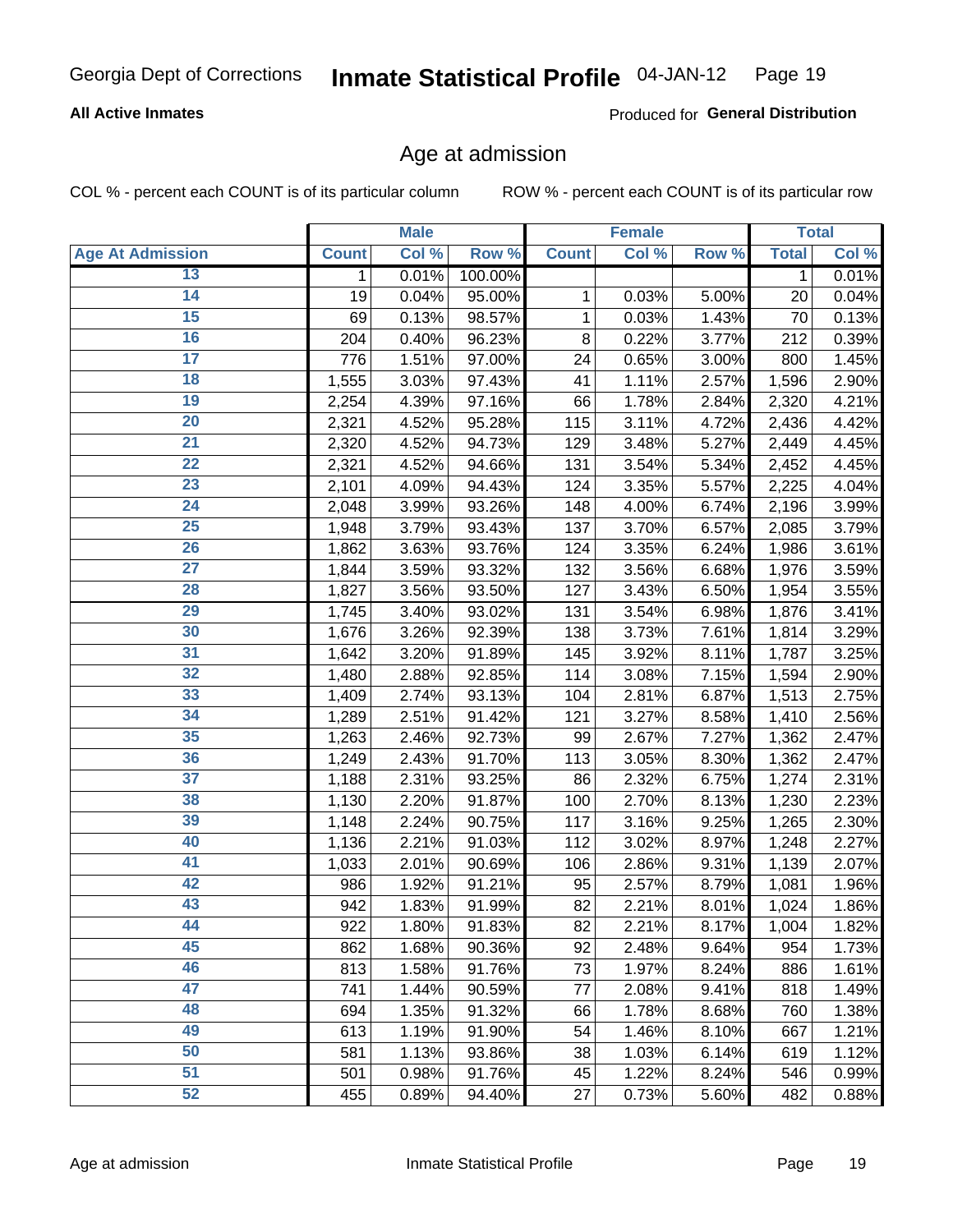### **All Active Inmates**

Produced for General Distribution

### Age at admission

COL % - percent each COUNT is of its particular column

|                         |              | <b>Male</b> |         |              | <b>Female</b> |       |              | <b>Total</b> |
|-------------------------|--------------|-------------|---------|--------------|---------------|-------|--------------|--------------|
| <b>Age At Admission</b> | <b>Count</b> | Col %       | Row %   | <b>Count</b> | Col %         | Row % | <b>Total</b> | Col %        |
| 13                      | 1            | 0.01%       | 100.00% |              |               |       | $\mathbf 1$  | 0.01%        |
| $\overline{14}$         | 19           | 0.04%       | 95.00%  | 1            | 0.03%         | 5.00% | 20           | 0.04%        |
| 15                      | 69           | 0.13%       | 98.57%  | 1            | 0.03%         | 1.43% | 70           | 0.13%        |
| 16                      | 204          | 0.40%       | 96.23%  | 8            | 0.22%         | 3.77% | 212          | 0.39%        |
| $\overline{17}$         | 776          | 1.51%       | 97.00%  | 24           | 0.65%         | 3.00% | 800          | 1.45%        |
| 18                      | 1,555        | 3.03%       | 97.43%  | 41           | 1.11%         | 2.57% | 1,596        | 2.90%        |
| 19                      | 2,254        | 4.39%       | 97.16%  | 66           | 1.78%         | 2.84% | 2,320        | 4.21%        |
| $\overline{20}$         | 2,321        | 4.52%       | 95.28%  | 115          | 3.11%         | 4.72% | 2,436        | 4.42%        |
| $\overline{21}$         | 2,320        | 4.52%       | 94.73%  | 129          | 3.48%         | 5.27% | 2,449        | 4.45%        |
| $\overline{22}$         | 2,321        | 4.52%       | 94.66%  | 131          | 3.54%         | 5.34% | 2,452        | 4.45%        |
| 23                      | 2,101        | 4.09%       | 94.43%  | 124          | 3.35%         | 5.57% | 2,225        | 4.04%        |
| $\overline{24}$         | 2,048        | 3.99%       | 93.26%  | 148          | 4.00%         | 6.74% | 2,196        | 3.99%        |
| $\overline{25}$         | 1,948        | 3.79%       | 93.43%  | 137          | 3.70%         | 6.57% | 2,085        | 3.79%        |
| 26                      | 1,862        | 3.63%       | 93.76%  | 124          | 3.35%         | 6.24% | 1,986        | 3.61%        |
| 27                      | 1,844        | 3.59%       | 93.32%  | 132          | 3.56%         | 6.68% | 1,976        | 3.59%        |
| 28                      | 1,827        | 3.56%       | 93.50%  | 127          | 3.43%         | 6.50% | 1,954        | 3.55%        |
| 29                      | 1,745        | 3.40%       | 93.02%  | 131          | 3.54%         | 6.98% | 1,876        | 3.41%        |
| 30                      | 1,676        | 3.26%       | 92.39%  | 138          | 3.73%         | 7.61% | 1,814        | 3.29%        |
| 31                      | 1,642        | 3.20%       | 91.89%  | 145          | 3.92%         | 8.11% | 1,787        | 3.25%        |
| $\overline{32}$         | 1,480        | 2.88%       | 92.85%  | 114          | 3.08%         | 7.15% | 1,594        | 2.90%        |
| 33                      | 1,409        | 2.74%       | 93.13%  | 104          | 2.81%         | 6.87% | 1,513        | 2.75%        |
| 34                      | 1,289        | 2.51%       | 91.42%  | 121          | 3.27%         | 8.58% | 1,410        | 2.56%        |
| 35                      | 1,263        | 2.46%       | 92.73%  | 99           | 2.67%         | 7.27% | 1,362        | 2.47%        |
| 36                      | 1,249        | 2.43%       | 91.70%  | 113          | 3.05%         | 8.30% | 1,362        | 2.47%        |
| $\overline{37}$         | 1,188        | 2.31%       | 93.25%  | 86           | 2.32%         | 6.75% | 1,274        | 2.31%        |
| 38                      | 1,130        | 2.20%       | 91.87%  | 100          | 2.70%         | 8.13% | 1,230        | 2.23%        |
| 39                      | 1,148        | 2.24%       | 90.75%  | 117          | 3.16%         | 9.25% | 1,265        | 2.30%        |
| 40                      | 1,136        | 2.21%       | 91.03%  | 112          | 3.02%         | 8.97% | 1,248        | 2.27%        |
| 41                      | 1,033        | 2.01%       | 90.69%  | 106          | 2.86%         | 9.31% | 1,139        | 2.07%        |
| 42                      | 986          | 1.92%       | 91.21%  | 95           | 2.57%         | 8.79% | 1,081        | 1.96%        |
| 43                      | 942          | 1.83%       | 91.99%  | 82           | 2.21%         | 8.01% | 1,024        | 1.86%        |
| 44                      | 922          | 1.80%       | 91.83%  | 82           | 2.21%         | 8.17% | 1,004        | 1.82%        |
| 45                      | 862          | 1.68%       | 90.36%  | 92           | 2.48%         | 9.64% | 954          | 1.73%        |
| 46                      | 813          | 1.58%       | 91.76%  | 73           | 1.97%         | 8.24% | 886          | 1.61%        |
| 47                      | 741          | 1.44%       | 90.59%  | 77           | 2.08%         | 9.41% | 818          | 1.49%        |
| 48                      | 694          | 1.35%       | 91.32%  | 66           | 1.78%         | 8.68% | 760          | 1.38%        |
| 49                      | 613          | 1.19%       | 91.90%  | 54           | 1.46%         | 8.10% | 667          | 1.21%        |
| 50                      | 581          | 1.13%       | 93.86%  | 38           | 1.03%         | 6.14% | 619          | 1.12%        |
| 51                      | 501          | 0.98%       | 91.76%  | 45           | 1.22%         | 8.24% | 546          | 0.99%        |
| 52                      | 455          | 0.89%       | 94.40%  | 27           | 0.73%         | 5.60% | 482          | 0.88%        |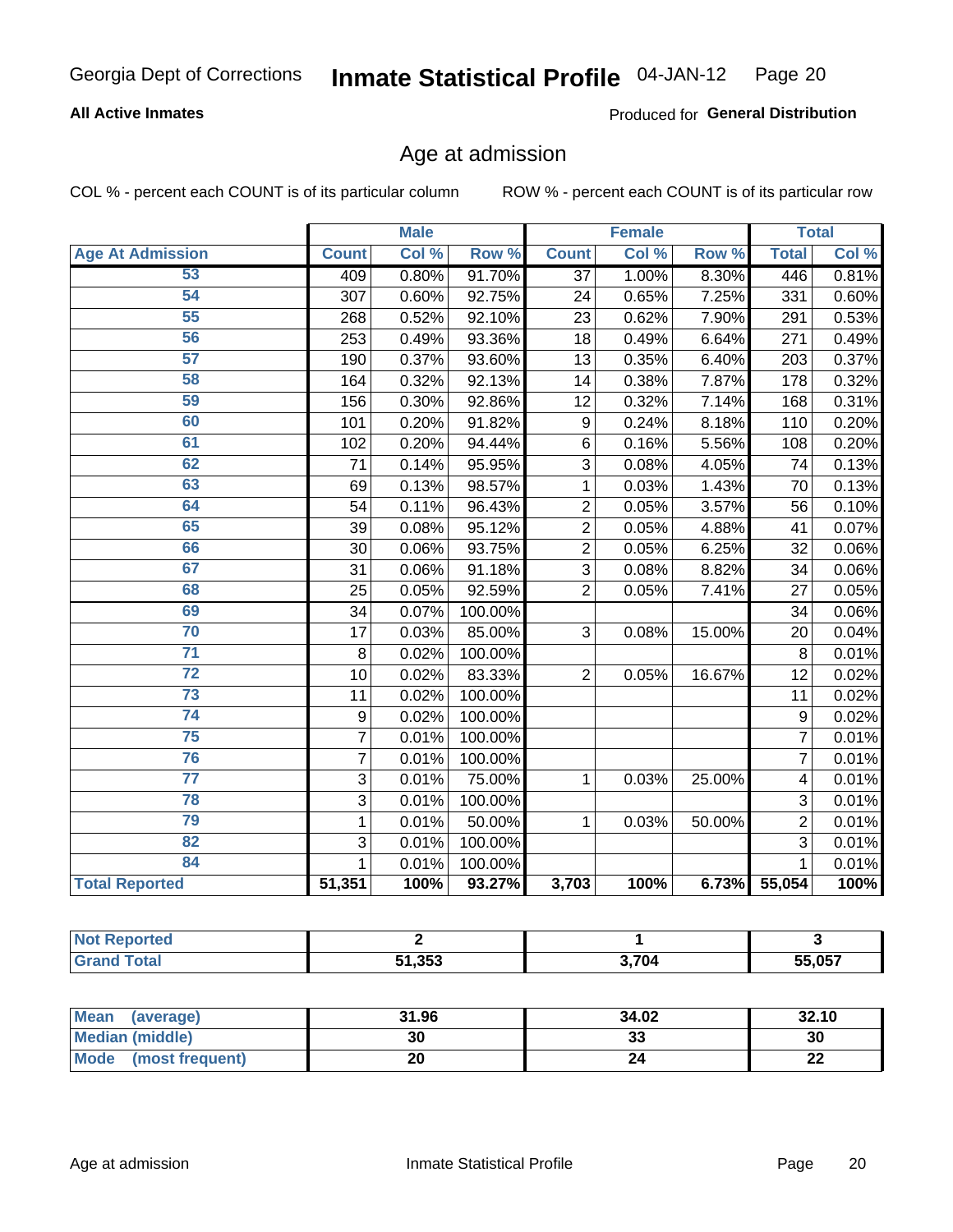### **All Active Inmates**

Produced for General Distribution

### Age at admission

COL % - percent each COUNT is of its particular column

|                         | <b>Male</b>      |       | <b>Female</b> |                 |       | <b>Total</b> |                |       |
|-------------------------|------------------|-------|---------------|-----------------|-------|--------------|----------------|-------|
| <b>Age At Admission</b> | <b>Count</b>     | Col % | Row %         | <b>Count</b>    | Col % | Row %        | <b>Total</b>   | Col % |
| 53                      | 409              | 0.80% | 91.70%        | 37              | 1.00% | 8.30%        | 446            | 0.81% |
| 54                      | 307              | 0.60% | 92.75%        | 24              | 0.65% | 7.25%        | 331            | 0.60% |
| 55                      | 268              | 0.52% | 92.10%        | 23              | 0.62% | 7.90%        | 291            | 0.53% |
| 56                      | 253              | 0.49% | 93.36%        | $\overline{18}$ | 0.49% | 6.64%        | 271            | 0.49% |
| 57                      | 190              | 0.37% | 93.60%        | 13              | 0.35% | 6.40%        | 203            | 0.37% |
| 58                      | 164              | 0.32% | 92.13%        | 14              | 0.38% | 7.87%        | 178            | 0.32% |
| 59                      | 156              | 0.30% | 92.86%        | 12              | 0.32% | 7.14%        | 168            | 0.31% |
| 60                      | 101              | 0.20% | 91.82%        | 9               | 0.24% | 8.18%        | 110            | 0.20% |
| 61                      | 102              | 0.20% | 94.44%        | 6               | 0.16% | 5.56%        | 108            | 0.20% |
| 62                      | 71               | 0.14% | 95.95%        | 3               | 0.08% | 4.05%        | 74             | 0.13% |
| 63                      | 69               | 0.13% | 98.57%        | 1               | 0.03% | 1.43%        | 70             | 0.13% |
| 64                      | 54               | 0.11% | 96.43%        | $\overline{2}$  | 0.05% | 3.57%        | 56             | 0.10% |
| 65                      | 39               | 0.08% | 95.12%        | $\overline{2}$  | 0.05% | 4.88%        | 41             | 0.07% |
| 66                      | 30               | 0.06% | 93.75%        | $\overline{2}$  | 0.05% | 6.25%        | 32             | 0.06% |
| 67                      | 31               | 0.06% | 91.18%        | 3               | 0.08% | 8.82%        | 34             | 0.06% |
| 68                      | 25               | 0.05% | 92.59%        | $\overline{2}$  | 0.05% | 7.41%        | 27             | 0.05% |
| 69                      | 34               | 0.07% | 100.00%       |                 |       |              | 34             | 0.06% |
| 70                      | 17               | 0.03% | 85.00%        | 3               | 0.08% | 15.00%       | 20             | 0.04% |
| $\overline{71}$         | 8                | 0.02% | 100.00%       |                 |       |              | 8              | 0.01% |
| $\overline{72}$         | 10               | 0.02% | 83.33%        | $\overline{2}$  | 0.05% | 16.67%       | 12             | 0.02% |
| $\overline{73}$         | 11               | 0.02% | 100.00%       |                 |       |              | 11             | 0.02% |
| 74                      | $\boldsymbol{9}$ | 0.02% | 100.00%       |                 |       |              | 9              | 0.02% |
| $\overline{75}$         | $\overline{7}$   | 0.01% | 100.00%       |                 |       |              | 7              | 0.01% |
| 76                      | $\overline{7}$   | 0.01% | 100.00%       |                 |       |              | $\overline{7}$ | 0.01% |
| $\overline{77}$         | 3                | 0.01% | 75.00%        | 1               | 0.03% | 25.00%       | 4              | 0.01% |
| 78                      | 3                | 0.01% | 100.00%       |                 |       |              | 3              | 0.01% |
| 79                      | $\mathbf{1}$     | 0.01% | 50.00%        | $\mathbf{1}$    | 0.03% | 50.00%       | $\overline{2}$ | 0.01% |
| 82                      | $\overline{3}$   | 0.01% | 100.00%       |                 |       |              | $\overline{3}$ | 0.01% |
| 84                      | 1                | 0.01% | 100.00%       |                 |       |              | 1              | 0.01% |
| <b>Total Reported</b>   | 51,351           | 100%  | 93.27%        | 3,703           | 100%  | 6.73%        | 55,054         | 100%  |

| TA O<br>NOT |        |       |        |
|-------------|--------|-------|--------|
|             | 51,353 | 3.704 | 55.057 |

| Mean (average)         | 31.96 | 34.02   | 32.10    |
|------------------------|-------|---------|----------|
| <b>Median (middle)</b> | 30    | ົ<br>აა | 30       |
| Mode (most frequent)   | 20    |         | n.<br>LL |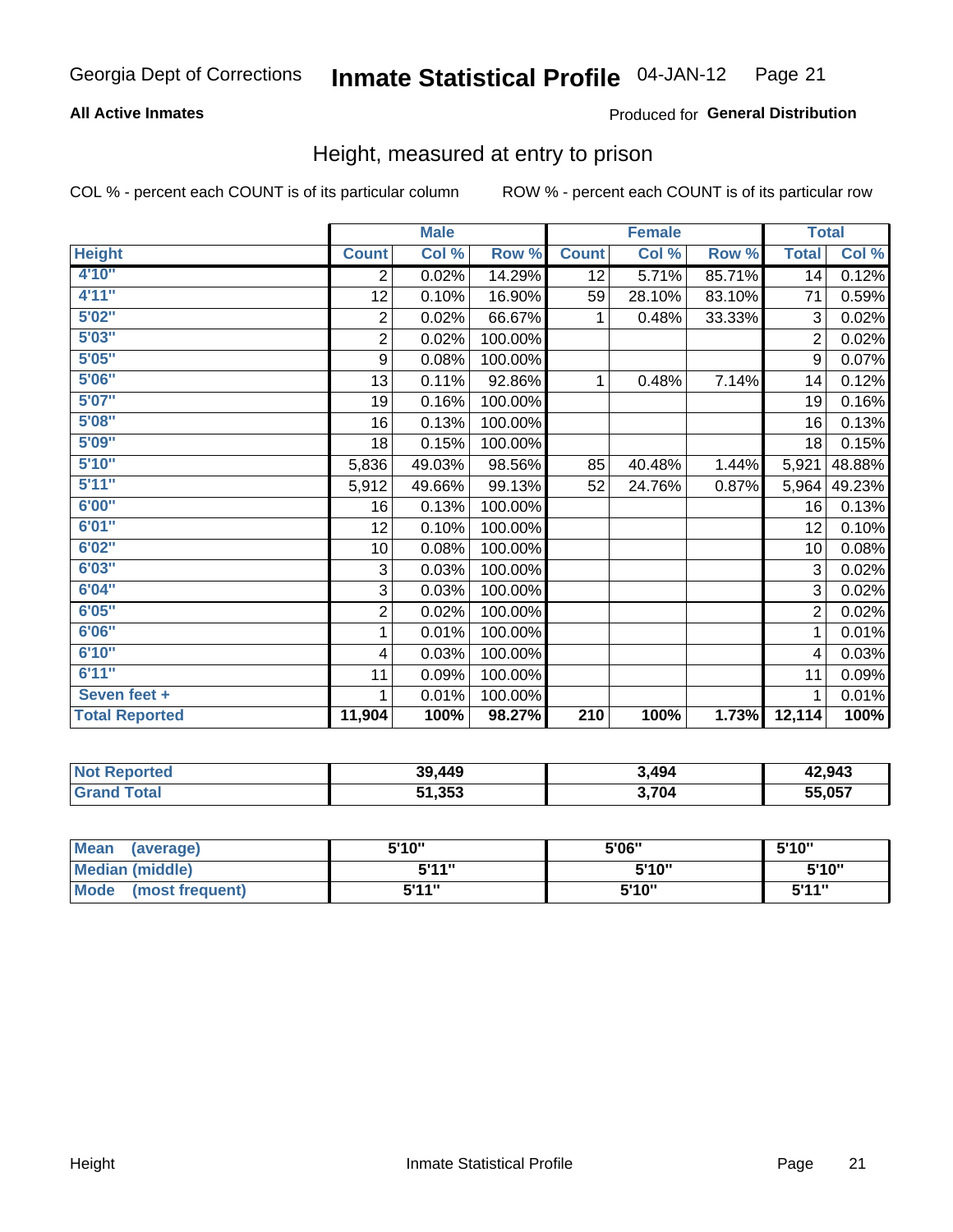### **All Active Inmates**

### **Produced for General Distribution**

### Height, measured at entry to prison

COL % - percent each COUNT is of its particular column

|                       | <b>Male</b>             |        |         | <b>Female</b> |        |        | <b>Total</b>     |        |
|-----------------------|-------------------------|--------|---------|---------------|--------|--------|------------------|--------|
| <b>Height</b>         | <b>Count</b>            | Col %  | Row %   | <b>Count</b>  | Col %  | Row %  | <b>Total</b>     | Col %  |
| 4'10"                 | 2                       | 0.02%  | 14.29%  | 12            | 5.71%  | 85.71% | 14               | 0.12%  |
| 4'11''                | 12                      | 0.10%  | 16.90%  | 59            | 28.10% | 83.10% | 71               | 0.59%  |
| 5'02''                | $\overline{c}$          | 0.02%  | 66.67%  | 1             | 0.48%  | 33.33% | 3                | 0.02%  |
| 5'03''                | $\overline{2}$          | 0.02%  | 100.00% |               |        |        | $\overline{2}$   | 0.02%  |
| 5'05''                | 9                       | 0.08%  | 100.00% |               |        |        | $\boldsymbol{9}$ | 0.07%  |
| 5'06''                | 13                      | 0.11%  | 92.86%  | 1             | 0.48%  | 7.14%  | 14               | 0.12%  |
| 5'07''                | 19                      | 0.16%  | 100.00% |               |        |        | 19               | 0.16%  |
| 5'08''                | 16                      | 0.13%  | 100.00% |               |        |        | 16               | 0.13%  |
| 5'09''                | 18                      | 0.15%  | 100.00% |               |        |        | 18               | 0.15%  |
| 5'10''                | 5,836                   | 49.03% | 98.56%  | 85            | 40.48% | 1.44%  | 5,921            | 48.88% |
| 5'11''                | 5,912                   | 49.66% | 99.13%  | 52            | 24.76% | 0.87%  | 5,964            | 49.23% |
| 6'00''                | 16                      | 0.13%  | 100.00% |               |        |        | 16               | 0.13%  |
| 6'01''                | 12                      | 0.10%  | 100.00% |               |        |        | 12               | 0.10%  |
| 6'02''                | 10                      | 0.08%  | 100.00% |               |        |        | 10               | 0.08%  |
| 6'03''                | 3                       | 0.03%  | 100.00% |               |        |        | 3                | 0.02%  |
| 6'04"                 | 3                       | 0.03%  | 100.00% |               |        |        | 3                | 0.02%  |
| 6'05''                | $\overline{\mathbf{c}}$ | 0.02%  | 100.00% |               |        |        | $\overline{2}$   | 0.02%  |
| 6'06''                | 1                       | 0.01%  | 100.00% |               |        |        | 1                | 0.01%  |
| 6'10''                | 4                       | 0.03%  | 100.00% |               |        |        | 4                | 0.03%  |
| 6'11''                | 11                      | 0.09%  | 100.00% |               |        |        | 11               | 0.09%  |
| Seven feet +          | 1                       | 0.01%  | 100.00% |               |        |        | 1                | 0.01%  |
| <b>Total Reported</b> | 11,904                  | 100%   | 98.27%  | 210           | 100%   | 1.73%  | 12,114           | 100%   |

| <b>Not</b><br>Reported | 39,449 | 3,494 | 42,943 |
|------------------------|--------|-------|--------|
| ™ota⊦                  | 51,353 | 3,704 | 55,057 |

| <b>Mean</b><br>(average)       | 5'10" | 5'06" | 5'10"  |
|--------------------------------|-------|-------|--------|
| Median (middle)                | 544"  | 5'10" | 5'10'' |
| <b>Mode</b><br>(most frequent) | 5'11" | 5'10" | 544"   |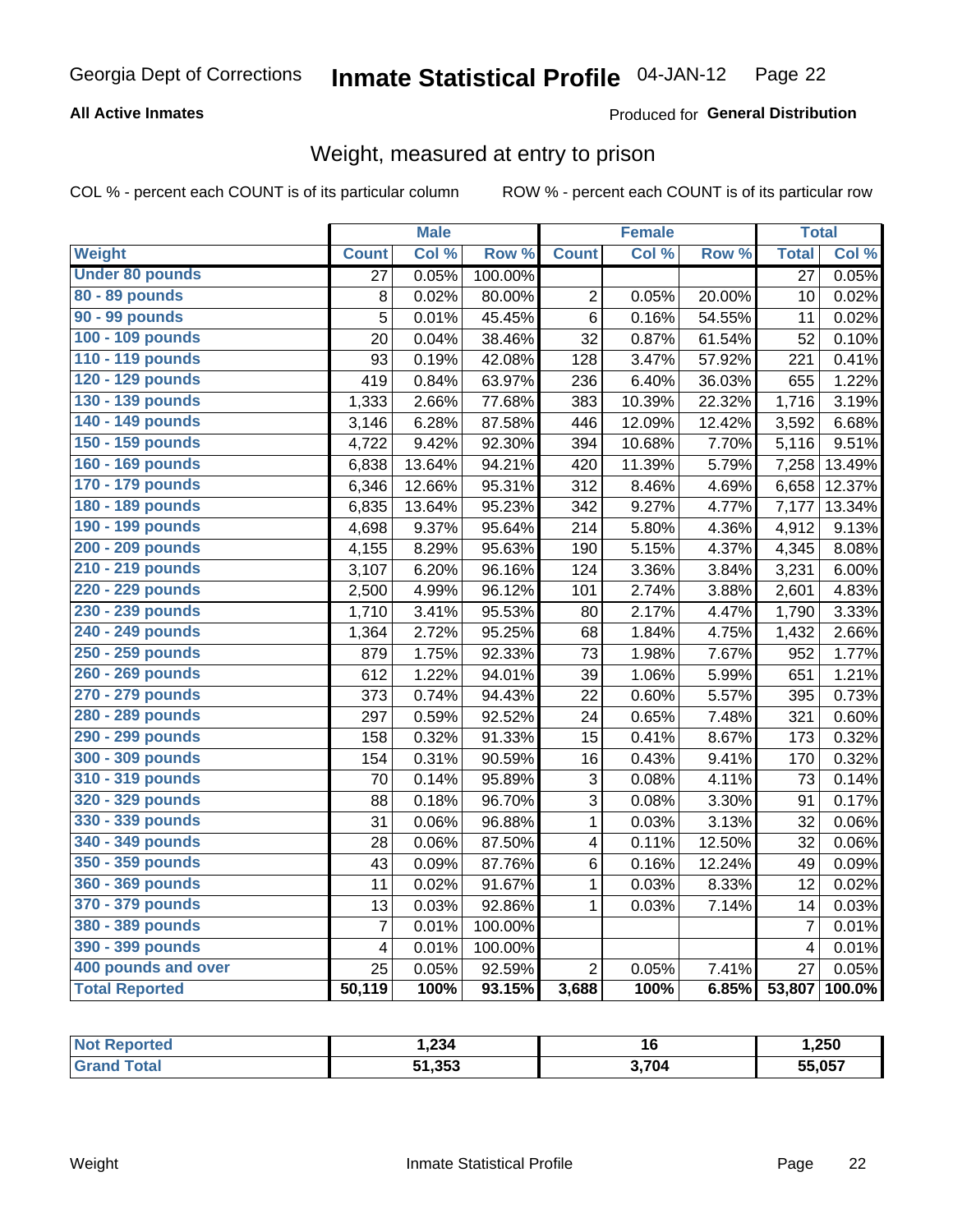### **All Active Inmates**

### Produced for General Distribution

### Weight, measured at entry to prison

COL % - percent each COUNT is of its particular column

|                        |                         | <b>Male</b> |                  |                         | <b>Female</b> |                  |                | <b>Total</b> |
|------------------------|-------------------------|-------------|------------------|-------------------------|---------------|------------------|----------------|--------------|
| Weight                 | <b>Count</b>            | Col %       | Row <sup>%</sup> | <b>Count</b>            | Col %         | Row <sup>%</sup> | <b>Total</b>   | Col %        |
| <b>Under 80 pounds</b> | 27                      | 0.05%       | 100.00%          |                         |               |                  | 27             | 0.05%        |
| 80 - 89 pounds         | 8                       | 0.02%       | 80.00%           | $\overline{2}$          | 0.05%         | 20.00%           | 10             | 0.02%        |
| 90 - 99 pounds         | 5                       | 0.01%       | 45.45%           | $\,6$                   | 0.16%         | 54.55%           | 11             | 0.02%        |
| 100 - 109 pounds       | 20                      | 0.04%       | 38.46%           | 32                      | 0.87%         | 61.54%           | 52             | 0.10%        |
| 110 - 119 pounds       | 93                      | 0.19%       | 42.08%           | 128                     | 3.47%         | 57.92%           | 221            | 0.41%        |
| 120 - 129 pounds       | 419                     | 0.84%       | 63.97%           | 236                     | 6.40%         | 36.03%           | 655            | 1.22%        |
| 130 - 139 pounds       | 1,333                   | 2.66%       | 77.68%           | 383                     | 10.39%        | 22.32%           | 1,716          | 3.19%        |
| 140 - 149 pounds       | 3,146                   | 6.28%       | 87.58%           | 446                     | 12.09%        | 12.42%           | 3,592          | 6.68%        |
| 150 - 159 pounds       | 4,722                   | 9.42%       | 92.30%           | 394                     | 10.68%        | 7.70%            | 5,116          | 9.51%        |
| 160 - 169 pounds       | 6,838                   | 13.64%      | 94.21%           | 420                     | 11.39%        | 5.79%            | 7,258          | 13.49%       |
| 170 - 179 pounds       | 6,346                   | 12.66%      | 95.31%           | 312                     | 8.46%         | 4.69%            | 6,658          | 12.37%       |
| 180 - 189 pounds       | 6,835                   | 13.64%      | 95.23%           | 342                     | 9.27%         | 4.77%            | 7,177          | 13.34%       |
| 190 - 199 pounds       | 4,698                   | 9.37%       | 95.64%           | 214                     | 5.80%         | 4.36%            | 4,912          | 9.13%        |
| 200 - 209 pounds       | 4,155                   | 8.29%       | 95.63%           | 190                     | 5.15%         | 4.37%            | 4,345          | 8.08%        |
| 210 - 219 pounds       | 3,107                   | 6.20%       | 96.16%           | 124                     | 3.36%         | 3.84%            | 3,231          | 6.00%        |
| 220 - 229 pounds       | 2,500                   | 4.99%       | 96.12%           | 101                     | 2.74%         | 3.88%            | 2,601          | 4.83%        |
| 230 - 239 pounds       | 1,710                   | 3.41%       | 95.53%           | 80                      | 2.17%         | 4.47%            | 1,790          | 3.33%        |
| 240 - 249 pounds       | 1,364                   | 2.72%       | 95.25%           | 68                      | 1.84%         | 4.75%            | 1,432          | 2.66%        |
| 250 - 259 pounds       | 879                     | 1.75%       | 92.33%           | 73                      | 1.98%         | 7.67%            | 952            | 1.77%        |
| 260 - 269 pounds       | 612                     | 1.22%       | 94.01%           | 39                      | 1.06%         | 5.99%            | 651            | 1.21%        |
| 270 - 279 pounds       | 373                     | 0.74%       | 94.43%           | 22                      | 0.60%         | 5.57%            | 395            | 0.73%        |
| 280 - 289 pounds       | 297                     | 0.59%       | 92.52%           | 24                      | 0.65%         | 7.48%            | 321            | 0.60%        |
| 290 - 299 pounds       | 158                     | 0.32%       | 91.33%           | 15                      | 0.41%         | 8.67%            | 173            | 0.32%        |
| 300 - 309 pounds       | 154                     | 0.31%       | 90.59%           | 16                      | 0.43%         | 9.41%            | 170            | 0.32%        |
| 310 - 319 pounds       | 70                      | 0.14%       | 95.89%           | 3                       | 0.08%         | 4.11%            | 73             | 0.14%        |
| 320 - 329 pounds       | 88                      | 0.18%       | 96.70%           | $\overline{3}$          | 0.08%         | 3.30%            | 91             | 0.17%        |
| 330 - 339 pounds       | 31                      | 0.06%       | 96.88%           | 1                       | 0.03%         | 3.13%            | 32             | 0.06%        |
| 340 - 349 pounds       | 28                      | 0.06%       | 87.50%           | $\overline{\mathbf{4}}$ | 0.11%         | 12.50%           | 32             | 0.06%        |
| 350 - 359 pounds       | 43                      | 0.09%       | 87.76%           | 6                       | 0.16%         | 12.24%           | 49             | 0.09%        |
| 360 - 369 pounds       | 11                      | 0.02%       | 91.67%           | $\mathbf 1$             | 0.03%         | 8.33%            | 12             | 0.02%        |
| 370 - 379 pounds       | 13                      | 0.03%       | 92.86%           | $\mathbf{1}$            | 0.03%         | 7.14%            | 14             | 0.03%        |
| 380 - 389 pounds       | $\overline{7}$          | 0.01%       | 100.00%          |                         |               |                  | $\overline{7}$ | 0.01%        |
| 390 - 399 pounds       | $\overline{\mathbf{4}}$ | 0.01%       | 100.00%          |                         |               |                  | $\overline{4}$ | 0.01%        |
| 400 pounds and over    | 25                      | 0.05%       | 92.59%           | $\overline{2}$          | 0.05%         | 7.41%            | 27             | 0.05%        |
| <b>Total Reported</b>  | 50,119                  | 100%        | 93.15%           | 3,688                   | 100%          | 6.85%            | 53,807         | 100.0%       |

| วrteo<br>'N ( | ,234   | 16    | 250, ا |
|---------------|--------|-------|--------|
| <b>ota</b>    | 51,353 | 3,704 | 55,057 |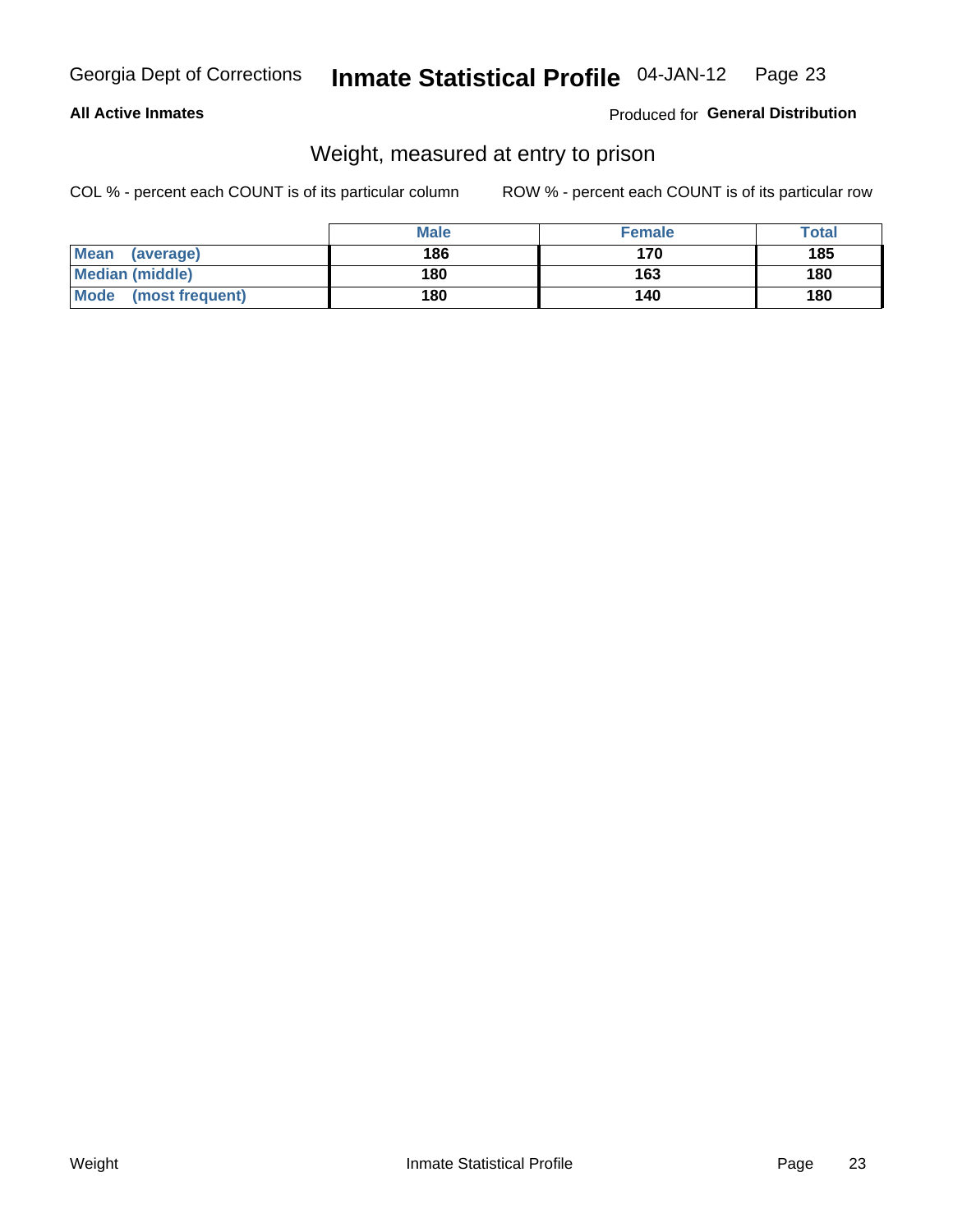### **All Active Inmates**

### Produced for General Distribution

### Weight, measured at entry to prison

COL % - percent each COUNT is of its particular column

|                          | <b>Male</b> | <b>Female</b> | Total |
|--------------------------|-------------|---------------|-------|
| <b>Mean</b><br>(average) | 186         | 170           | 185   |
| <b>Median (middle)</b>   | 180         | 163           | 180   |
| Mode<br>(most frequent)  | 180         | 140           | 180   |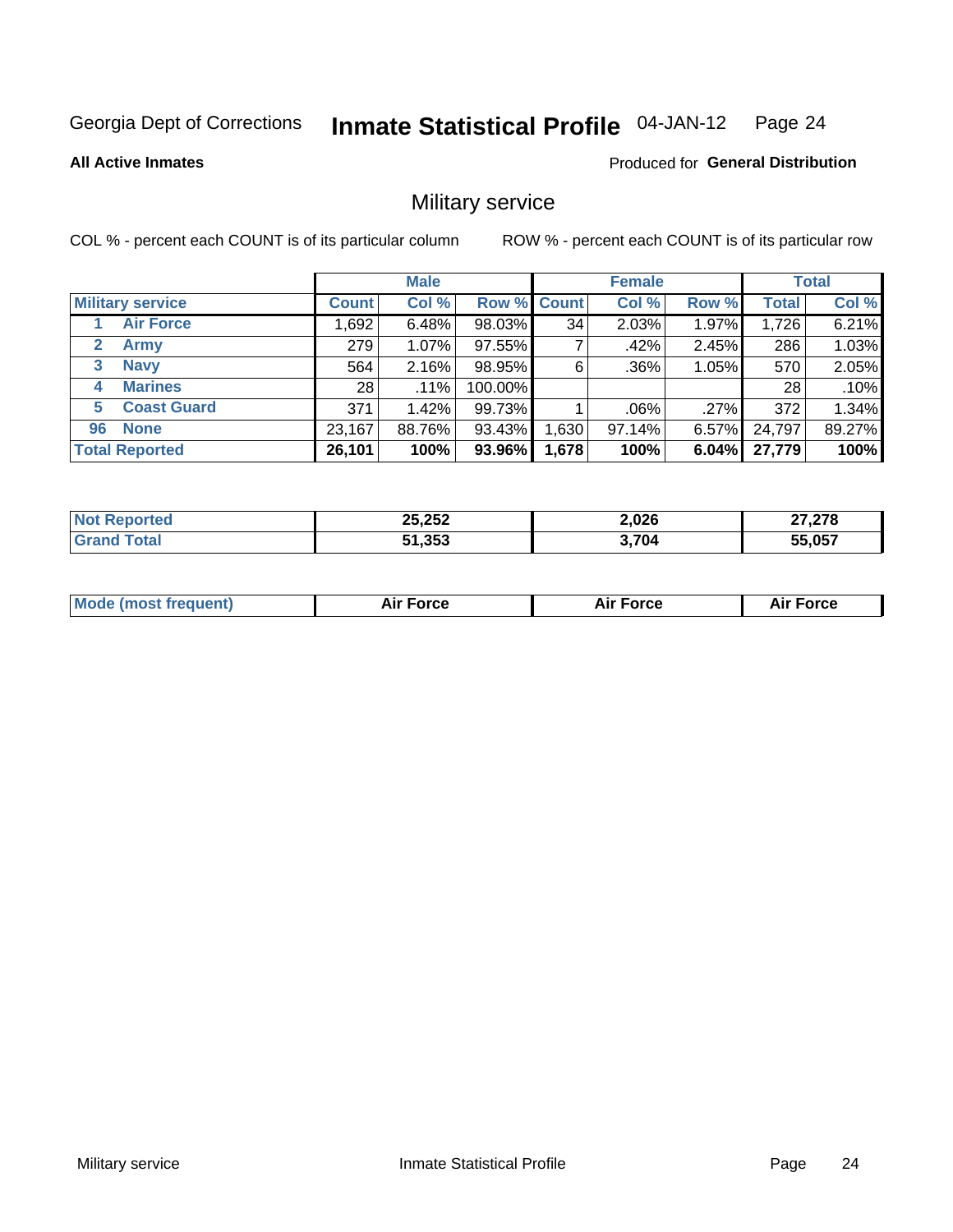#### Inmate Statistical Profile 04-JAN-12 Page 24

### **All Active Inmates**

Produced for General Distribution

### Military service

COL % - percent each COUNT is of its particular column

|                             | <b>Male</b>     |        |             | <b>Female</b> |         |          | <b>Total</b> |        |
|-----------------------------|-----------------|--------|-------------|---------------|---------|----------|--------------|--------|
| <b>Military service</b>     | <b>Count</b>    | Col %  | Row % Count |               | Col %   | Row %    | <b>Total</b> | Col %  |
| <b>Air Force</b>            | ,692            | 6.48%  | 98.03%      | 34            | 2.03%   | 1.97%    | 1,726        | 6.21%  |
| $\mathbf{2}$<br><b>Army</b> | 279             | 1.07%  | 97.55%      |               | .42%    | 2.45%    | 286          | 1.03%  |
| <b>Navy</b><br>3            | 564             | 2.16%  | 98.95%      | 6             | .36%    | 1.05%    | 570          | 2.05%  |
| <b>Marines</b><br>4         | 28 <sub>1</sub> | .11%   | 100.00%     |               |         |          | 28           | .10%   |
| <b>Coast Guard</b><br>5     | 371             | 1.42%  | 99.73%      |               | $.06\%$ | $.27\%$  | 372          | 1.34%  |
| <b>None</b><br>96           | 23,167          | 88.76% | 93.43%      | .630          | 97.14%  | $6.57\%$ | 24,797       | 89.27% |
| <b>Total Reported</b>       | 26,101          | 100%   | 93.96%      | 1,678         | 100%    | 6.04%    | 27,779       | 100%   |

| ortec<br>N | 25,252<br>$\sim$ $\sim$<br>$\sim$ | 2,026<br>$\sim$ $\sim$ | <b>07.070</b><br>∠70 |
|------------|-----------------------------------|------------------------|----------------------|
|            | 51,353                            | 2,704                  | 55,057               |

| <b>Mode (most frequent)</b><br>Force<br><b>Force</b><br>orce<br>Aır |
|---------------------------------------------------------------------|
|---------------------------------------------------------------------|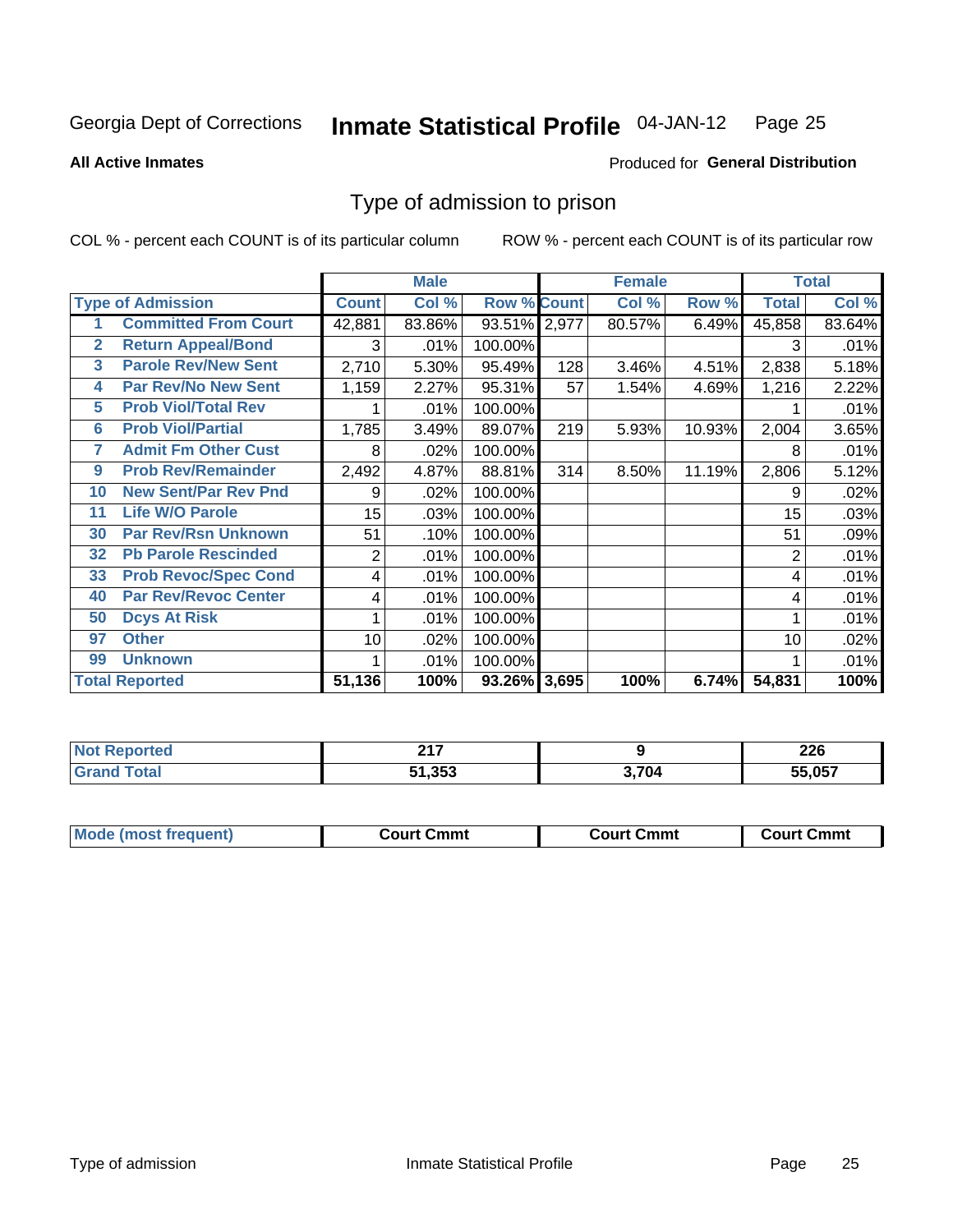#### Inmate Statistical Profile 04-JAN-12 Page 25

**All Active Inmates** 

### Produced for General Distribution

### Type of admission to prison

COL % - percent each COUNT is of its particular column

|                |                             |                  | <b>Male</b> |                    |     | <b>Female</b> |        | <b>Total</b> |        |  |
|----------------|-----------------------------|------------------|-------------|--------------------|-----|---------------|--------|--------------|--------|--|
|                | <b>Type of Admission</b>    | <b>Count</b>     | Col %       | <b>Row % Count</b> |     | Col %         | Row %  | <b>Total</b> | Col %  |  |
|                | <b>Committed From Court</b> | 42,881           | 83.86%      | 93.51% 2,977       |     | 80.57%        | 6.49%  | 45,858       | 83.64% |  |
| $\overline{2}$ | <b>Return Appeal/Bond</b>   | 3                | .01%        | 100.00%            |     |               |        | 3            | .01%   |  |
| 3              | <b>Parole Rev/New Sent</b>  | 2,710            | 5.30%       | 95.49%             | 128 | 3.46%         | 4.51%  | 2,838        | 5.18%  |  |
| 4              | <b>Par Rev/No New Sent</b>  | 1,159            | 2.27%       | 95.31%             | 57  | 1.54%         | 4.69%  | 1,216        | 2.22%  |  |
| 5              | <b>Prob Viol/Total Rev</b>  |                  | .01%        | 100.00%            |     |               |        |              | .01%   |  |
| $6\phantom{a}$ | <b>Prob Viol/Partial</b>    | 1,785            | 3.49%       | 89.07%             | 219 | 5.93%         | 10.93% | 2,004        | 3.65%  |  |
| 7              | <b>Admit Fm Other Cust</b>  | 8                | .02%        | 100.00%            |     |               |        | 8            | .01%   |  |
| 9              | <b>Prob Rev/Remainder</b>   | 2,492            | 4.87%       | 88.81%             | 314 | 8.50%         | 11.19% | 2,806        | 5.12%  |  |
| 10             | <b>New Sent/Par Rev Pnd</b> | 9                | .02%        | 100.00%            |     |               |        | 9            | .02%   |  |
| 11             | <b>Life W/O Parole</b>      | 15 <sub>15</sub> | .03%        | 100.00%            |     |               |        | 15           | .03%   |  |
| 30             | <b>Par Rev/Rsn Unknown</b>  | 51               | .10%        | 100.00%            |     |               |        | 51           | .09%   |  |
| 32             | <b>Pb Parole Rescinded</b>  | $\overline{2}$   | .01%        | 100.00%            |     |               |        | 2            | .01%   |  |
| 33             | <b>Prob Revoc/Spec Cond</b> | 4                | .01%        | 100.00%            |     |               |        | 4            | .01%   |  |
| 40             | <b>Par Rev/Revoc Center</b> | 4                | .01%        | 100.00%            |     |               |        | 4            | .01%   |  |
| 50             | <b>Dcys At Risk</b>         |                  | .01%        | 100.00%            |     |               |        |              | .01%   |  |
| 97             | <b>Other</b>                | 10               | .02%        | 100.00%            |     |               |        | 10           | .02%   |  |
| 99             | <b>Unknown</b>              |                  | .01%        | 100.00%            |     |               |        |              | .01%   |  |
|                | <b>Total Reported</b>       | 51,136           | 100%        | 93.26% 3,695       |     | 100%          | 6.74%  | 54,831       | 100%   |  |

| eported<br>nin.        | 0.47<br>. |       | へへへ<br>ZZU |
|------------------------|-----------|-------|------------|
| <b>Total</b><br>'Grano | 51,353    | ີ 704 | 55.057     |

| <b>Mode (most frequent)</b> | Court Cmmt | <b>Court Cmmt</b> | Court Cmmt |
|-----------------------------|------------|-------------------|------------|
|                             |            |                   |            |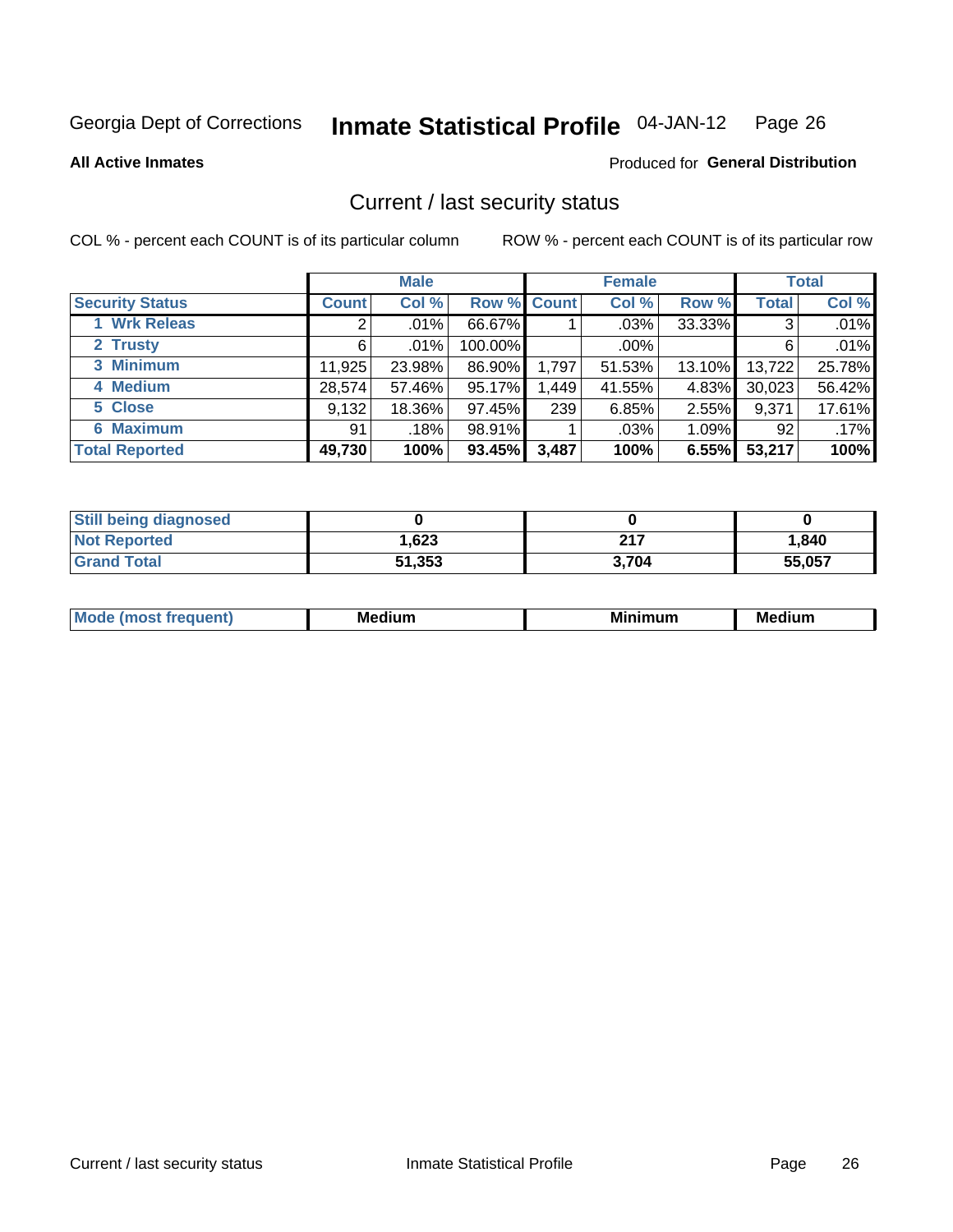#### **Inmate Statistical Profile 04-JAN-12** Page 26

**All Active Inmates** 

### Produced for General Distribution

### Current / last security status

COL % - percent each COUNT is of its particular column

|                        | <b>Male</b>  |         |             | <b>Female</b> |         |        | <b>Total</b> |        |
|------------------------|--------------|---------|-------------|---------------|---------|--------|--------------|--------|
| <b>Security Status</b> | <b>Count</b> | Col %   | Row % Count |               | Col %   | Row %  | <b>Total</b> | Col %  |
| 1 Wrk Releas           | 2            | $.01\%$ | 66.67%      |               | $.03\%$ | 33.33% | 3            | .01%   |
| 2 Trusty               | 6            | .01%    | 100.00%     |               | $.00\%$ |        | 6            | .01%   |
| 3 Minimum              | 11,925       | 23.98%  | 86.90%      | 1,797         | 51.53%  | 13.10% | 13,722       | 25.78% |
| 4 Medium               | 28,574       | 57.46%  | 95.17%      | 1,449         | 41.55%  | 4.83%  | 30,023       | 56.42% |
| 5 Close                | 9,132        | 18.36%  | 97.45%      | 239           | 6.85%   | 2.55%  | 9,371        | 17.61% |
| <b>6 Maximum</b>       | 91           | .18%    | 98.91%      |               | .03%    | 1.09%  | 92           | .17%   |
| <b>Total Reported</b>  | 49,730       | 100%    | 93.45%      | 3,487         | 100%    | 6.55%  | 53,217       | 100%   |

| <b>Still being diagnosed</b> |        |       |        |
|------------------------------|--------|-------|--------|
| <b>Not Reported</b>          | 1,623  | 217   | 1.840  |
| <b>Grand Total</b>           | 51,353 | 3.704 | 55.057 |

| M | NЛ<br><br>dilim<br>_____ | ---<br>-- | . .<br>Medium<br>Me |
|---|--------------------------|-----------|---------------------|
|   |                          |           |                     |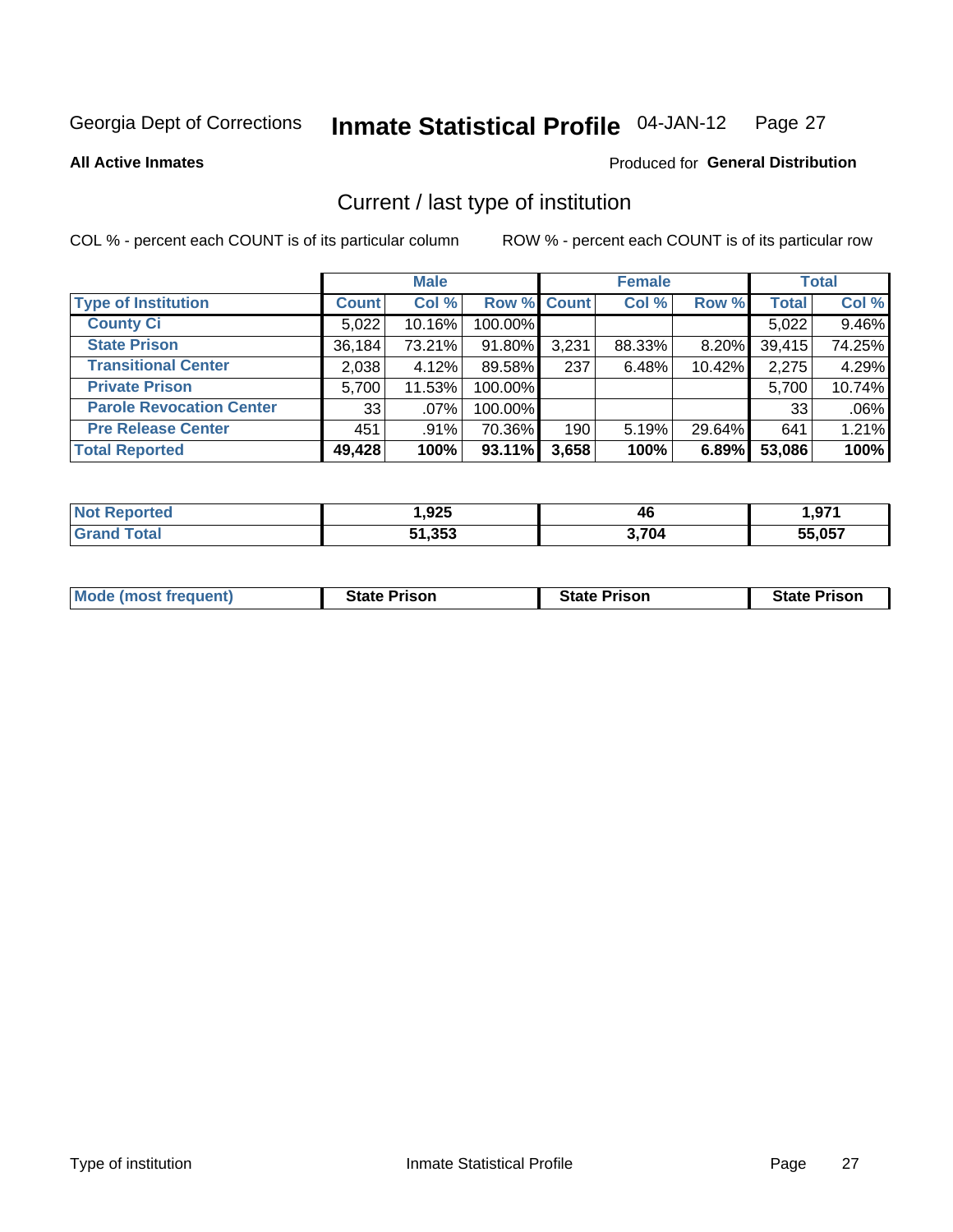#### Inmate Statistical Profile 04-JAN-12 Page 27

**All Active Inmates** 

### Produced for General Distribution

### Current / last type of institution

COL % - percent each COUNT is of its particular column

|                                 |              | <b>Male</b> |             |       | <b>Female</b> |          |              | <b>Total</b> |
|---------------------------------|--------------|-------------|-------------|-------|---------------|----------|--------------|--------------|
| <b>Type of Institution</b>      | <b>Count</b> | Col %       | Row % Count |       | Col %         | Row %    | <b>Total</b> | Col %        |
| <b>County Ci</b>                | 5,022        | 10.16%      | 100.00%     |       |               |          | 5,022        | 9.46%        |
| <b>State Prison</b>             | 36,184       | 73.21%      | 91.80%      | 3,231 | 88.33%        | $8.20\%$ | 39,415       | 74.25%       |
| <b>Transitional Center</b>      | 2,038        | 4.12%       | 89.58%      | 237   | 6.48%         | 10.42%   | 2,275        | 4.29%        |
| <b>Private Prison</b>           | 5,700        | 11.53%      | 100.00%     |       |               |          | 5,700        | 10.74%       |
| <b>Parole Revocation Center</b> | 33           | $.07\%$     | 100.00%     |       |               |          | 33           | .06%         |
| <b>Pre Release Center</b>       | 451          | $.91\%$     | 70.36%      | 190   | 5.19%         | 29.64%   | 641          | 1.21%        |
| <b>Total Reported</b>           | 49,428       | 100%        | 93.11%      | 3,658 | 100%          | 6.89%    | 53,086       | 100%         |

| е | ,925   | 46    | 071<br>.      |
|---|--------|-------|---------------|
|   | 51,353 | 3.704 | <b>EE 057</b> |

| <b>Mode (most frequent)</b><br><b>State Prison</b><br><b>State Prison</b><br><b>State Prison</b> |
|--------------------------------------------------------------------------------------------------|
|--------------------------------------------------------------------------------------------------|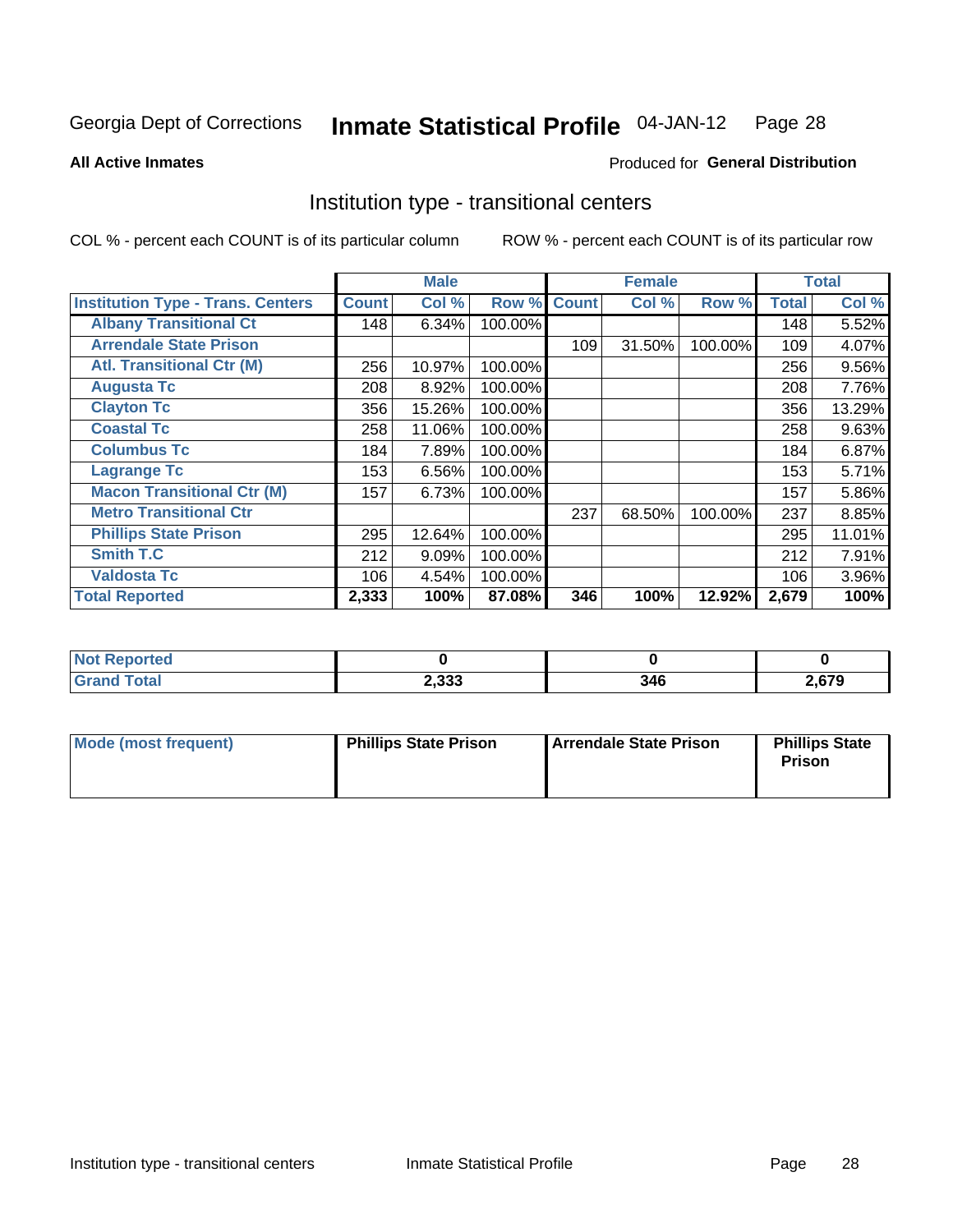#### Inmate Statistical Profile 04-JAN-12 Page 28

**All Active Inmates** 

### Produced for General Distribution

### Institution type - transitional centers

COL % - percent each COUNT is of its particular column

|                                          |              | <b>Male</b> |         |              | <b>Female</b> |         |              | <b>Total</b> |
|------------------------------------------|--------------|-------------|---------|--------------|---------------|---------|--------------|--------------|
| <b>Institution Type - Trans. Centers</b> | <b>Count</b> | Col %       | Row %   | <b>Count</b> | Col %         | Row %   | <b>Total</b> | Col %        |
| <b>Albany Transitional Ct</b>            | 148          | 6.34%       | 100.00% |              |               |         | 148          | 5.52%        |
| <b>Arrendale State Prison</b>            |              |             |         | 109          | 31.50%        | 100.00% | 109          | 4.07%        |
| <b>Atl. Transitional Ctr (M)</b>         | 256          | 10.97%      | 100.00% |              |               |         | 256          | 9.56%        |
| <b>Augusta Tc</b>                        | 208          | 8.92%       | 100.00% |              |               |         | 208          | 7.76%        |
| <b>Clayton Tc</b>                        | 356          | 15.26%      | 100.00% |              |               |         | 356          | 13.29%       |
| <b>Coastal Tc</b>                        | 258          | 11.06%      | 100.00% |              |               |         | 258          | 9.63%        |
| <b>Columbus Tc</b>                       | 184          | 7.89%       | 100.00% |              |               |         | 184          | 6.87%        |
| <b>Lagrange Tc</b>                       | 153          | 6.56%       | 100.00% |              |               |         | 153          | 5.71%        |
| <b>Macon Transitional Ctr (M)</b>        | 157          | 6.73%       | 100.00% |              |               |         | 157          | 5.86%        |
| <b>Metro Transitional Ctr</b>            |              |             |         | 237          | 68.50%        | 100.00% | 237          | 8.85%        |
| <b>Phillips State Prison</b>             | 295          | 12.64%      | 100.00% |              |               |         | 295          | 11.01%       |
| <b>Smith T.C</b>                         | 212          | 9.09%       | 100.00% |              |               |         | 212          | 7.91%        |
| <b>Valdosta Tc</b>                       | 106          | 4.54%       | 100.00% |              |               |         | 106          | 3.96%        |
| <b>Total Reported</b>                    | 2,333        | 100%        | 87.08%  | 346          | 100%          | 12.92%  | 2,679        | 100%         |

| N.<br>oortea |       |     |      |
|--------------|-------|-----|------|
|              | 2,333 | 346 | ,679 |

| Mode (most frequent) | <b>Phillips State Prison</b> | Arrendale State Prison | <b>Phillips State</b><br>Prison |
|----------------------|------------------------------|------------------------|---------------------------------|
|                      |                              |                        |                                 |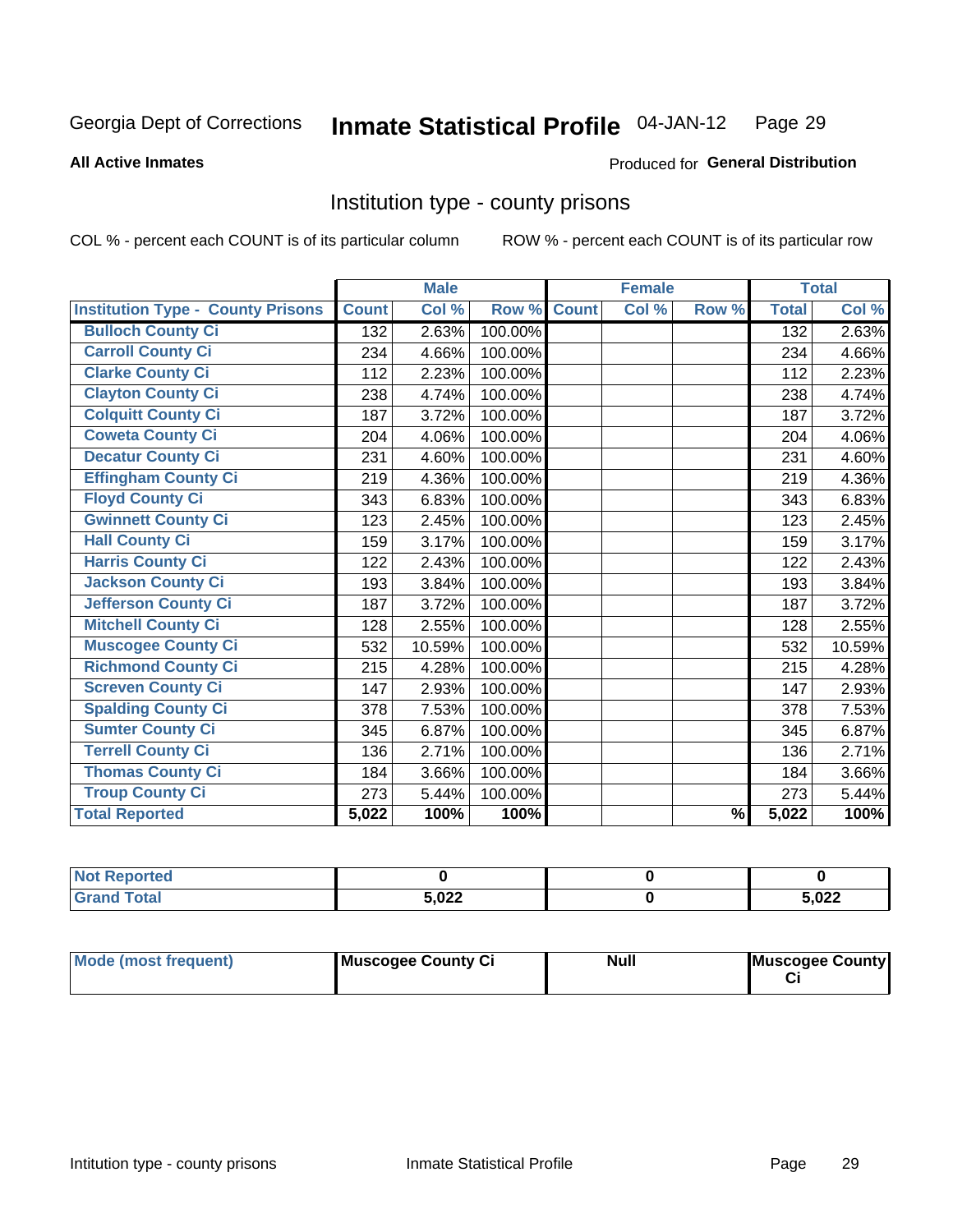#### Inmate Statistical Profile 04-JAN-12 Page 29

#### **All Active Inmates**

### Produced for General Distribution

### Institution type - county prisons

COL % - percent each COUNT is of its particular column

|                                          |              | <b>Male</b> |         |              | <b>Female</b> |               |              | <b>Total</b> |
|------------------------------------------|--------------|-------------|---------|--------------|---------------|---------------|--------------|--------------|
| <b>Institution Type - County Prisons</b> | <b>Count</b> | Col %       | Row %   | <b>Count</b> | Col %         | Row %         | <b>Total</b> | Col %        |
| <b>Bulloch County Ci</b>                 | 132          | 2.63%       | 100.00% |              |               |               | 132          | 2.63%        |
| <b>Carroll County Ci</b>                 | 234          | 4.66%       | 100.00% |              |               |               | 234          | 4.66%        |
| <b>Clarke County Ci</b>                  | 112          | 2.23%       | 100.00% |              |               |               | 112          | 2.23%        |
| <b>Clayton County Ci</b>                 | 238          | 4.74%       | 100.00% |              |               |               | 238          | 4.74%        |
| <b>Colquitt County Ci</b>                | 187          | 3.72%       | 100.00% |              |               |               | 187          | 3.72%        |
| <b>Coweta County Ci</b>                  | 204          | 4.06%       | 100.00% |              |               |               | 204          | 4.06%        |
| <b>Decatur County Ci</b>                 | 231          | 4.60%       | 100.00% |              |               |               | 231          | 4.60%        |
| <b>Effingham County Ci</b>               | 219          | 4.36%       | 100.00% |              |               |               | 219          | 4.36%        |
| <b>Floyd County Ci</b>                   | 343          | 6.83%       | 100.00% |              |               |               | 343          | 6.83%        |
| <b>Gwinnett County Ci</b>                | 123          | 2.45%       | 100.00% |              |               |               | 123          | 2.45%        |
| <b>Hall County Ci</b>                    | 159          | 3.17%       | 100.00% |              |               |               | 159          | 3.17%        |
| <b>Harris County Ci</b>                  | 122          | 2.43%       | 100.00% |              |               |               | 122          | 2.43%        |
| <b>Jackson County Ci</b>                 | 193          | 3.84%       | 100.00% |              |               |               | 193          | 3.84%        |
| <b>Jefferson County Ci</b>               | 187          | 3.72%       | 100.00% |              |               |               | 187          | 3.72%        |
| <b>Mitchell County Ci</b>                | 128          | 2.55%       | 100.00% |              |               |               | 128          | 2.55%        |
| <b>Muscogee County Ci</b>                | 532          | 10.59%      | 100.00% |              |               |               | 532          | 10.59%       |
| <b>Richmond County Ci</b>                | 215          | 4.28%       | 100.00% |              |               |               | 215          | 4.28%        |
| <b>Screven County Ci</b>                 | 147          | 2.93%       | 100.00% |              |               |               | 147          | 2.93%        |
| <b>Spalding County Ci</b>                | 378          | 7.53%       | 100.00% |              |               |               | 378          | 7.53%        |
| <b>Sumter County Ci</b>                  | 345          | 6.87%       | 100.00% |              |               |               | 345          | 6.87%        |
| <b>Terrell County Ci</b>                 | 136          | 2.71%       | 100.00% |              |               |               | 136          | 2.71%        |
| <b>Thomas County Ci</b>                  | 184          | 3.66%       | 100.00% |              |               |               | 184          | 3.66%        |
| <b>Troup County Ci</b>                   | 273          | 5.44%       | 100.00% |              |               |               | 273          | 5.44%        |
| <b>Total Reported</b>                    | 5,022        | 100%        | 100%    |              |               | $\frac{9}{6}$ | 5,022        | 100%         |

| <b>Not Reported</b> |       |       |
|---------------------|-------|-------|
| <b>Grand Total</b>  | 5.022 | 5.022 |

| Mode (most frequent) | Muscogee County Ci | <b>Null</b> | Muscogee County |
|----------------------|--------------------|-------------|-----------------|
|                      |                    |             |                 |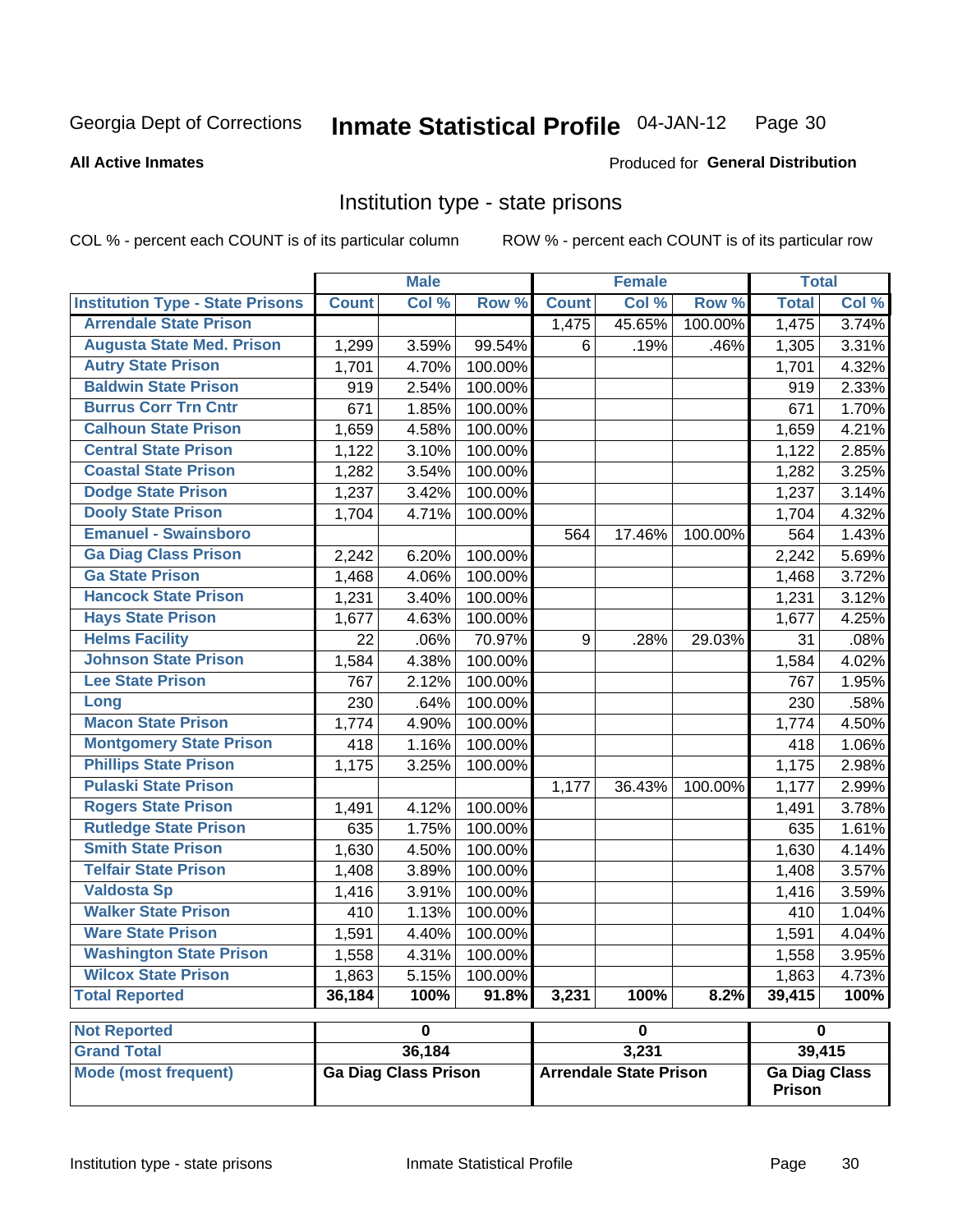#### Inmate Statistical Profile 04-JAN-12 Page 30

Produced for General Distribution

### **All Active Inmates**

### Institution type - state prisons

COL % - percent each COUNT is of its particular column

|                                         |              | <b>Male</b>                 |         |              | <b>Female</b>                 |         | <b>Total</b>                          |       |
|-----------------------------------------|--------------|-----------------------------|---------|--------------|-------------------------------|---------|---------------------------------------|-------|
| <b>Institution Type - State Prisons</b> | <b>Count</b> | Col %                       | Row %   | <b>Count</b> | Col %                         | Row %   | <b>Total</b>                          | Col % |
| <b>Arrendale State Prison</b>           |              |                             |         | 1,475        | 45.65%                        | 100.00% | 1,475                                 | 3.74% |
| <b>Augusta State Med. Prison</b>        | 1,299        | 3.59%                       | 99.54%  | 6            | .19%                          | .46%    | 1,305                                 | 3.31% |
| <b>Autry State Prison</b>               | 1,701        | 4.70%                       | 100.00% |              |                               |         | 1,701                                 | 4.32% |
| <b>Baldwin State Prison</b>             | 919          | 2.54%                       | 100.00% |              |                               |         | 919                                   | 2.33% |
| <b>Burrus Corr Trn Cntr</b>             | 671          | 1.85%                       | 100.00% |              |                               |         | 671                                   | 1.70% |
| <b>Calhoun State Prison</b>             | 1,659        | 4.58%                       | 100.00% |              |                               |         | 1,659                                 | 4.21% |
| <b>Central State Prison</b>             | 1,122        | 3.10%                       | 100.00% |              |                               |         | 1,122                                 | 2.85% |
| <b>Coastal State Prison</b>             | 1,282        | 3.54%                       | 100.00% |              |                               |         | 1,282                                 | 3.25% |
| <b>Dodge State Prison</b>               | 1,237        | 3.42%                       | 100.00% |              |                               |         | 1,237                                 | 3.14% |
| <b>Dooly State Prison</b>               | 1,704        | 4.71%                       | 100.00% |              |                               |         | 1,704                                 | 4.32% |
| <b>Emanuel - Swainsboro</b>             |              |                             |         | 564          | 17.46%                        | 100.00% | 564                                   | 1.43% |
| <b>Ga Diag Class Prison</b>             | 2,242        | 6.20%                       | 100.00% |              |                               |         | 2,242                                 | 5.69% |
| <b>Ga State Prison</b>                  | 1,468        | 4.06%                       | 100.00% |              |                               |         | 1,468                                 | 3.72% |
| <b>Hancock State Prison</b>             | 1,231        | 3.40%                       | 100.00% |              |                               |         | 1,231                                 | 3.12% |
| <b>Hays State Prison</b>                | 1,677        | 4.63%                       | 100.00% |              |                               |         | 1,677                                 | 4.25% |
| <b>Helms Facility</b>                   | 22           | .06%                        | 70.97%  | 9            | .28%                          | 29.03%  | 31                                    | .08%  |
| <b>Johnson State Prison</b>             | 1,584        | 4.38%                       | 100.00% |              |                               |         | 1,584                                 | 4.02% |
| <b>Lee State Prison</b>                 | 767          | 2.12%                       | 100.00% |              |                               |         | 767                                   | 1.95% |
| Long                                    | 230          | .64%                        | 100.00% |              |                               |         | 230                                   | .58%  |
| <b>Macon State Prison</b>               | 1,774        | 4.90%                       | 100.00% |              |                               |         | 1,774                                 | 4.50% |
| <b>Montgomery State Prison</b>          | 418          | 1.16%                       | 100.00% |              |                               |         | 418                                   | 1.06% |
| <b>Phillips State Prison</b>            | 1,175        | 3.25%                       | 100.00% |              |                               |         | 1,175                                 | 2.98% |
| <b>Pulaski State Prison</b>             |              |                             |         | 1,177        | 36.43%                        | 100.00% | 1,177                                 | 2.99% |
| <b>Rogers State Prison</b>              | 1,491        | 4.12%                       | 100.00% |              |                               |         | 1,491                                 | 3.78% |
| <b>Rutledge State Prison</b>            | 635          | 1.75%                       | 100.00% |              |                               |         | 635                                   | 1.61% |
| <b>Smith State Prison</b>               | 1,630        | 4.50%                       | 100.00% |              |                               |         | 1,630                                 | 4.14% |
| <b>Telfair State Prison</b>             | 1,408        | 3.89%                       | 100.00% |              |                               |         | 1,408                                 | 3.57% |
| <b>Valdosta Sp</b>                      | 1,416        | 3.91%                       | 100.00% |              |                               |         | 1,416                                 | 3.59% |
| <b>Walker State Prison</b>              | 410          | 1.13%                       | 100.00% |              |                               |         | 410                                   | 1.04% |
| <b>Ware State Prison</b>                | 1,591        | 4.40%                       | 100.00% |              |                               |         | 1,591                                 | 4.04% |
| <b>Washington State Prison</b>          | 1,558        | 4.31%                       | 100.00% |              |                               |         | 1,558                                 | 3.95% |
| <b>Wilcox State Prison</b>              | 1,863        | 5.15%                       | 100.00% |              |                               |         | 1,863                                 | 4.73% |
| <b>Total Reported</b>                   | 36,184       | 100%                        | 91.8%   | 3,231        | 100%                          | 8.2%    | 39,415                                | 100%  |
| <b>Not Reported</b>                     |              | $\overline{\mathbf{0}}$     |         |              | $\overline{\mathbf{0}}$       |         | $\mathbf 0$                           |       |
| <b>Grand Total</b>                      |              | 36,184                      |         |              | 3,231                         |         | 39,415                                |       |
| <b>Mode (most frequent)</b>             |              | <b>Ga Diag Class Prison</b> |         |              | <b>Arrendale State Prison</b> |         | <b>Ga Diag Class</b><br><b>Prison</b> |       |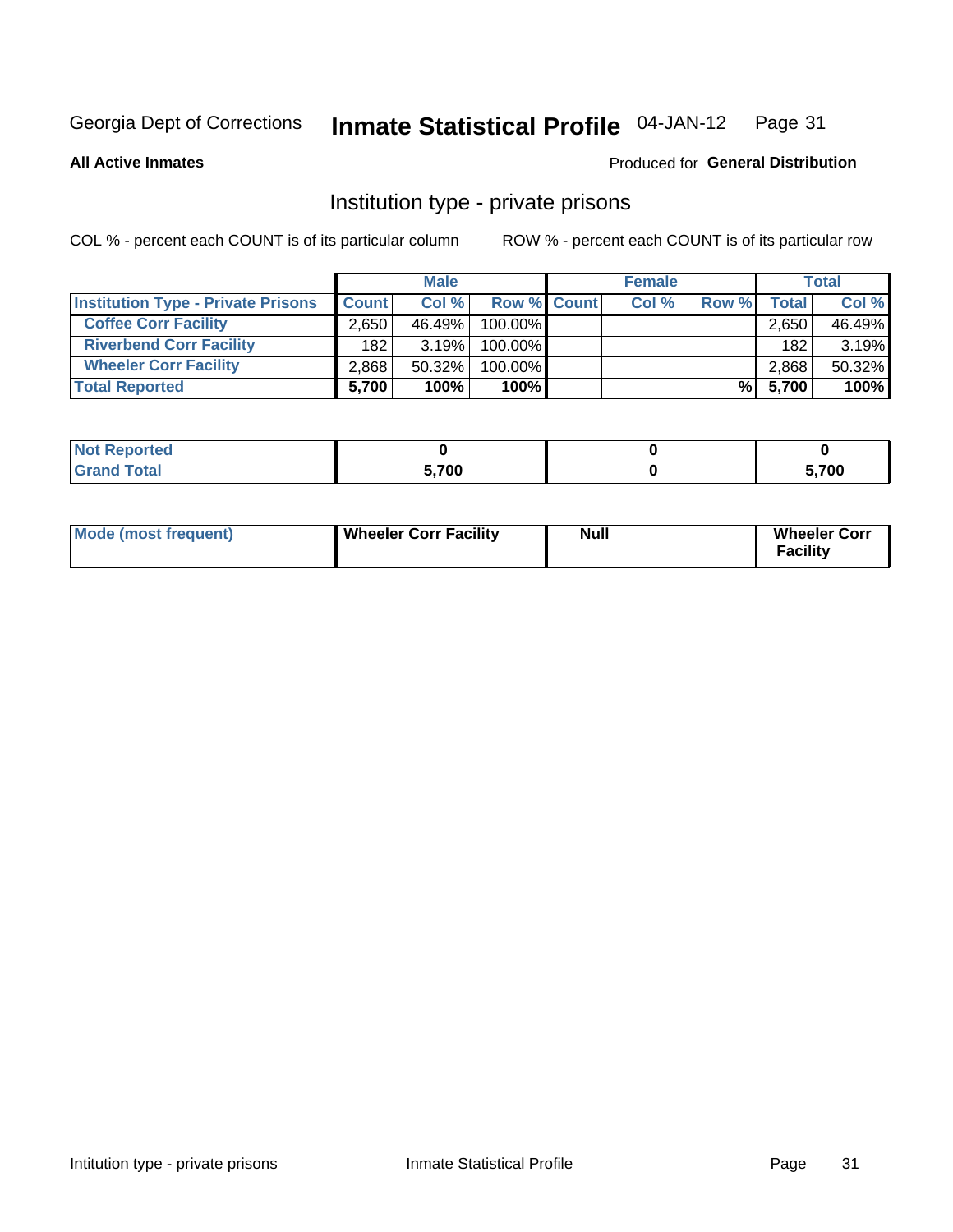#### **Inmate Statistical Profile 04-JAN-12** Page 31

**All Active Inmates** 

### Produced for General Distribution

### Institution type - private prisons

COL % - percent each COUNT is of its particular column

|                                           |              | <b>Male</b> |                    | <b>Female</b> |       |              | <b>Total</b> |
|-------------------------------------------|--------------|-------------|--------------------|---------------|-------|--------------|--------------|
| <b>Institution Type - Private Prisons</b> | <b>Count</b> | Col %       | <b>Row % Count</b> | Col %         | Row % | <b>Total</b> | Col %        |
| <b>Coffee Corr Facility</b>               | 2,650        | $46.49\%$   | 100.00%            |               |       | 2,650        | 46.49%       |
| <b>Riverbend Corr Facility</b>            | 182          | 3.19%       | 100.00%            |               |       | 182          | 3.19%        |
| <b>Wheeler Corr Facility</b>              | 2.868        | 50.32%      | 100.00%            |               |       | 2,868        | 50.32%       |
| <b>Total Reported</b>                     | 5,700        | 100%        | 100%               |               |       | % 5,700      | 100%         |

| <b>Reported</b><br><b>NOT</b> |       |      |
|-------------------------------|-------|------|
| Total                         | 5.700 | ,700 |

| <b>Mode (most frequent)</b> | <b>Wheeler Corr Facility</b> | <b>Null</b> | <b>Wheeler Corr</b><br><b>Facility</b> |
|-----------------------------|------------------------------|-------------|----------------------------------------|
|-----------------------------|------------------------------|-------------|----------------------------------------|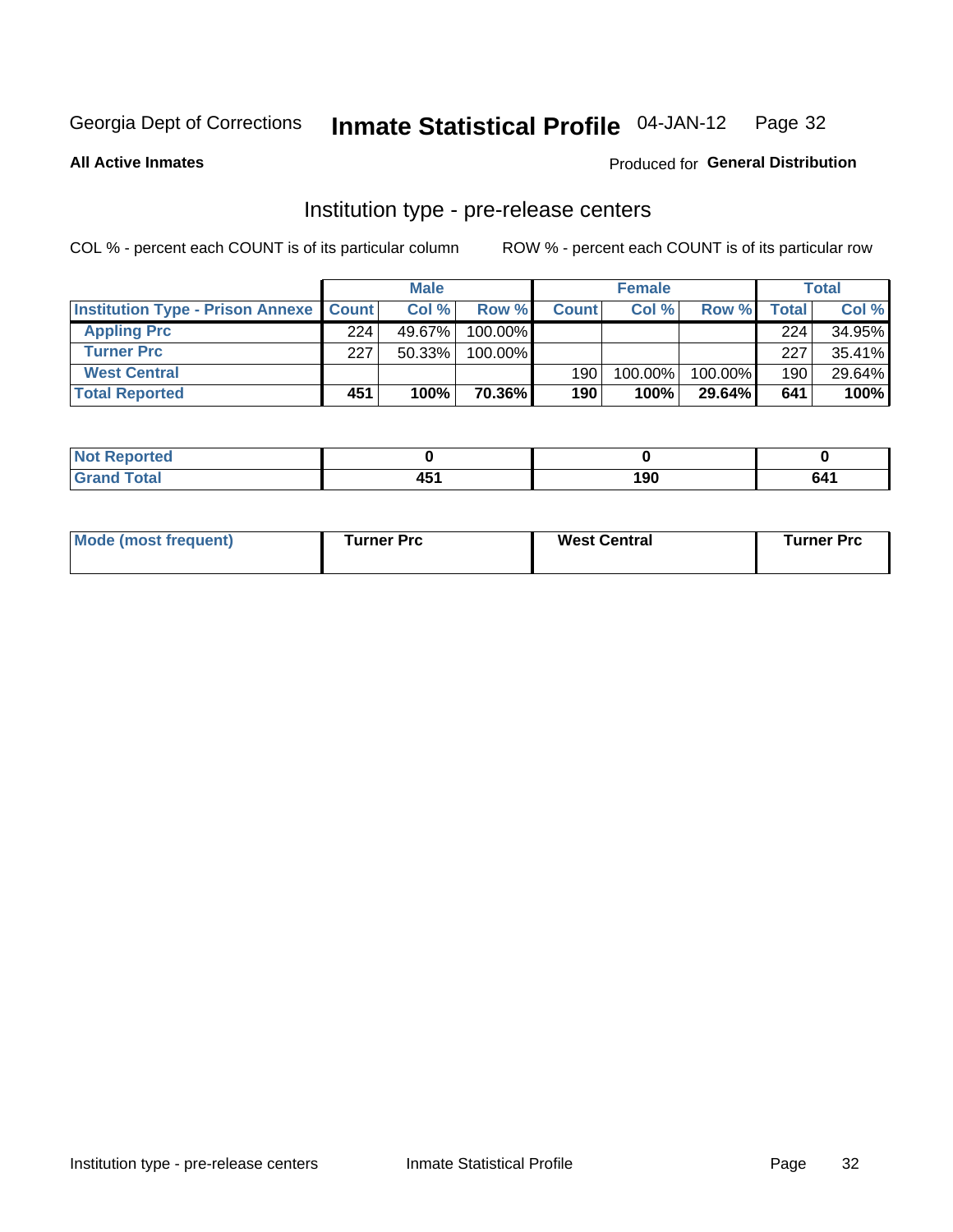#### **Inmate Statistical Profile 04-JAN-12** Page 32

**Produced for General Distribution** 

### **All Active Inmates**

### Institution type - pre-release centers

COL % - percent each COUNT is of its particular column

|                                                   |     | <b>Male</b> |            |              | <b>Female</b> |           |       | <b>Total</b> |
|---------------------------------------------------|-----|-------------|------------|--------------|---------------|-----------|-------|--------------|
| <b>Institution Type - Prison Annexe   Count  </b> |     | Col %       | Row %      | <b>Count</b> | Col %         | Row %     | Total | Col %        |
| <b>Appling Prc</b>                                | 224 | 49.67%      | 100.00%    |              |               |           | 224   | 34.95%       |
| <b>Turner Prc</b>                                 | 227 | $50.33\%$   | $100.00\%$ |              |               |           | 227   | 35.41%       |
| <b>West Central</b>                               |     |             |            | 190          | 100.00%       | 100.00%   | 190   | 29.64%       |
| <b>Total Reported</b>                             | 451 | 100%        | 70.36%I    | 190          | 100%          | $29.64\%$ | 641   | 100%         |

| <b>v</b> ur<br>$\sim$ | . .<br>. .<br>rv. | ח ח<br>טע ו | - - - |
|-----------------------|-------------------|-------------|-------|

| Mode (most frequent) | Turner Prc | <b>West Central</b> | Turner Prc |
|----------------------|------------|---------------------|------------|
|----------------------|------------|---------------------|------------|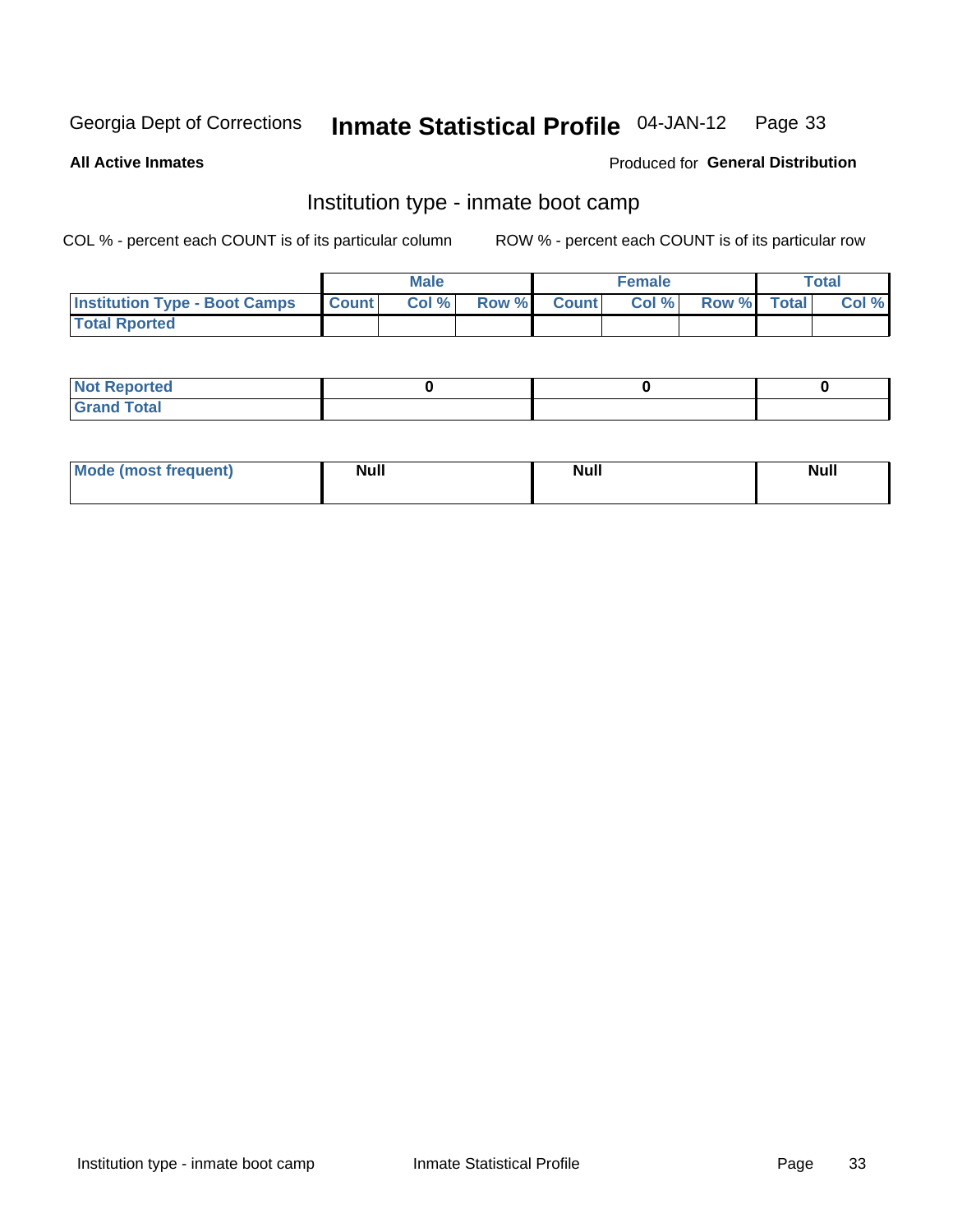#### Inmate Statistical Profile 04-JAN-12 Page 33

**All Active Inmates** 

### Produced for General Distribution

### Institution type - inmate boot camp

COL % - percent each COUNT is of its particular column

|                                      |                 | <b>Male</b> |              |              | <b>Female</b> |             | <b>Total</b> |
|--------------------------------------|-----------------|-------------|--------------|--------------|---------------|-------------|--------------|
| <b>Institution Type - Boot Camps</b> | <b>I</b> Count⊥ | Col %       | <b>Row %</b> | <b>Count</b> | Col %         | Row % Total | Col %        |
| <b>Total Rported</b>                 |                 |             |              |              |               |             |              |

| <b>Not Reported</b>                   |  |  |
|---------------------------------------|--|--|
| <b>Total</b><br><b>C HAM</b><br>_____ |  |  |

| <b>Mode (most frequent)</b> | <b>Null</b> | <b>Null</b> | <b>Null</b> |
|-----------------------------|-------------|-------------|-------------|
|                             |             |             |             |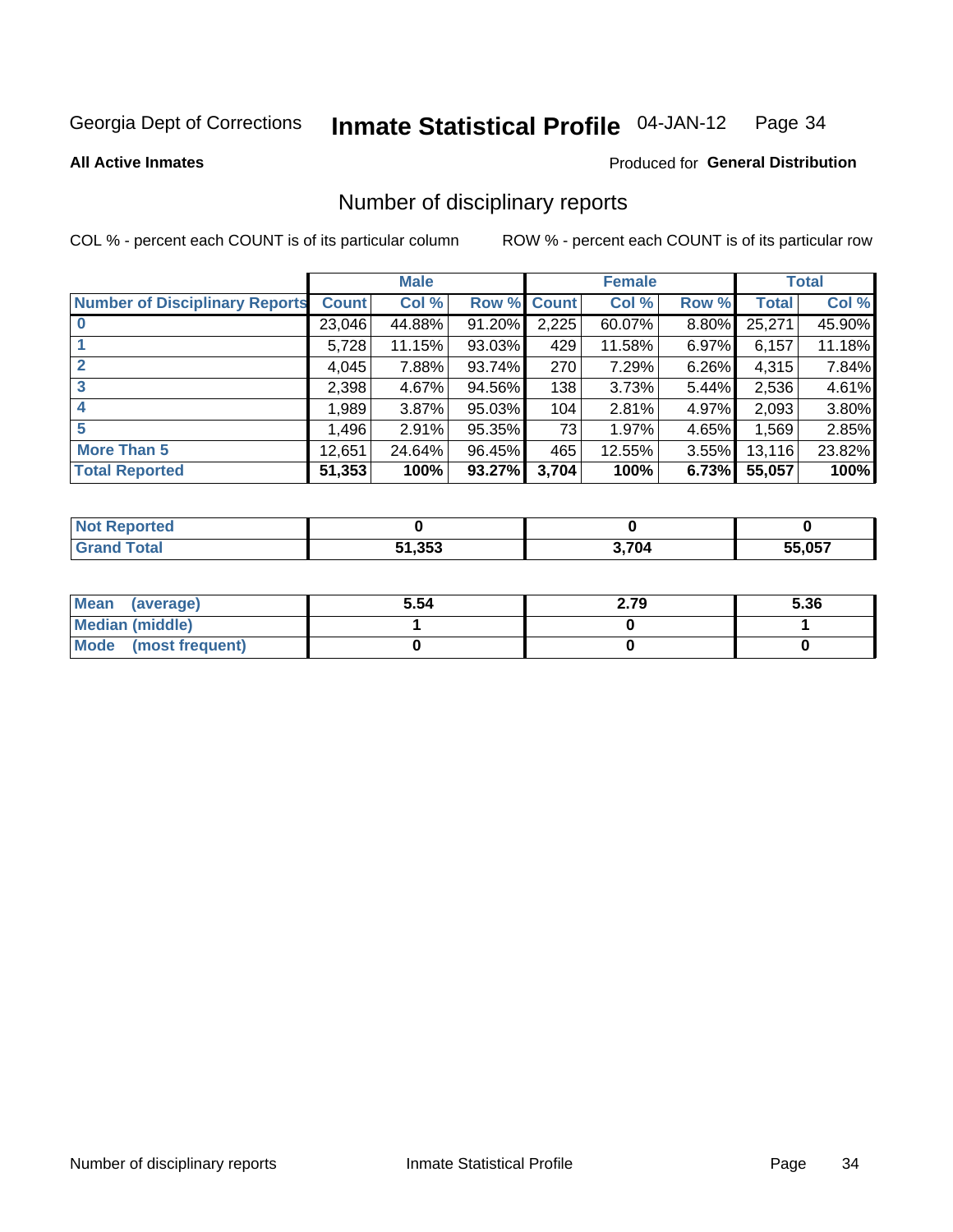#### Inmate Statistical Profile 04-JAN-12 Page 34

#### **All Active Inmates**

### Produced for General Distribution

### Number of disciplinary reports

COL % - percent each COUNT is of its particular column

|                                       |              | <b>Male</b> |        |       | <b>Female</b> |          |              | <b>Total</b> |
|---------------------------------------|--------------|-------------|--------|-------|---------------|----------|--------------|--------------|
| <b>Number of Disciplinary Reports</b> | <b>Count</b> | Col %       | Row %  | Count | Col %         | Row %    | <b>Total</b> | Col %        |
| $\bf{0}$                              | 23,046       | 44.88%      | 91.20% | 2,225 | 60.07%        | 8.80%    | 25,271       | 45.90%       |
|                                       | 5,728        | 11.15%      | 93.03% | 429   | 11.58%        | $6.97\%$ | 6,157        | 11.18%       |
| $\overline{2}$                        | 4,045        | 7.88%       | 93.74% | 270   | 7.29%         | 6.26%    | 4,315        | 7.84%        |
| 3                                     | 2,398        | 4.67%       | 94.56% | 138   | 3.73%         | 5.44%    | 2,536        | 4.61%        |
| 4                                     | 1,989        | 3.87%       | 95.03% | 104   | 2.81%         | 4.97%    | 2,093        | 3.80%        |
| 5                                     | 1,496        | $2.91\%$    | 95.35% | 73    | 1.97%         | 4.65%    | 1,569        | 2.85%        |
| <b>More Than 5</b>                    | 12,651       | 24.64%      | 96.45% | 465   | 12.55%        | $3.55\%$ | 13,116       | 23.82%       |
| <b>Total Reported</b>                 | 51,353       | 100%        | 93.27% | 3,704 | 100%          | 6.73%    | 55,057       | 100%         |

| orted<br>NO  |        |       |        |
|--------------|--------|-------|--------|
| <b>Fotal</b> | 51,353 | 3.704 | 55.057 |

| Mean (average)       | 5.54 | 2.79 | 5.36 |
|----------------------|------|------|------|
| Median (middle)      |      |      |      |
| Mode (most frequent) |      |      |      |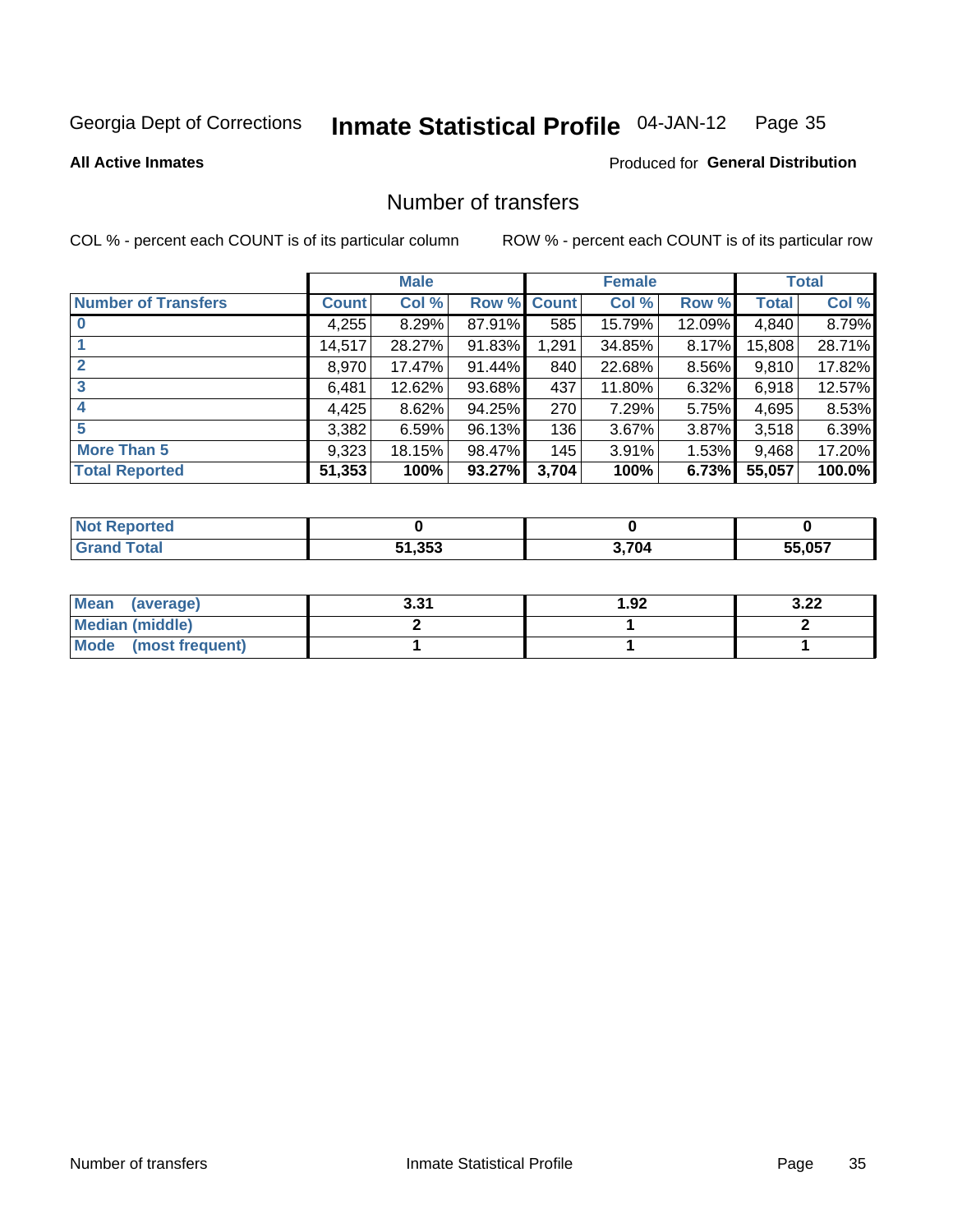#### **Inmate Statistical Profile 04-JAN-12** Page 35

**All Active Inmates** 

### Produced for General Distribution

### Number of transfers

COL % - percent each COUNT is of its particular column

|                            |         | <b>Male</b> |             |       | <b>Female</b> |          |              | <b>Total</b> |
|----------------------------|---------|-------------|-------------|-------|---------------|----------|--------------|--------------|
| <b>Number of Transfers</b> | Count l | Col %       | Row % Count |       | Col %         | Row %    | <b>Total</b> | Col %        |
|                            | 4,255   | 8.29%       | 87.91%      | 585   | 15.79%        | 12.09%   | 4,840        | 8.79%        |
|                            | 14,517  | 28.27%      | 91.83%      | 1,291 | 34.85%        | $8.17\%$ | 15,808       | 28.71%       |
| $\mathbf{2}$               | 8,970   | 17.47%      | 91.44%      | 840   | 22.68%        | 8.56%    | 9,810        | 17.82%       |
| 3                          | 6,481   | 12.62%      | 93.68%      | 437   | 11.80%        | $6.32\%$ | 6,918        | 12.57%       |
|                            | 4,425   | 8.62%       | 94.25%      | 270   | 7.29%         | 5.75%    | 4,695        | 8.53%        |
| 5                          | 3,382   | 6.59%       | 96.13%      | 136   | 3.67%         | 3.87%    | 3,518        | 6.39%        |
| <b>More Than 5</b>         | 9,323   | 18.15%      | 98.47%      | 145   | 3.91%         | $1.53\%$ | 9,468        | 17.20%       |
| <b>Total Reported</b>      | 51,353  | 100%        | 93.27%      | 3,704 | 100%          | 6.73%    | 55,057       | 100.0%       |

| 'ted<br>NO   |        |       |        |
|--------------|--------|-------|--------|
| <b>Total</b> | 51.353 | 3.704 | EE NET |

| Mean (average)       | 2 21<br>J.JI | 1.92 | ר כ<br>J.LL |
|----------------------|--------------|------|-------------|
| Median (middle)      |              |      |             |
| Mode (most frequent) |              |      |             |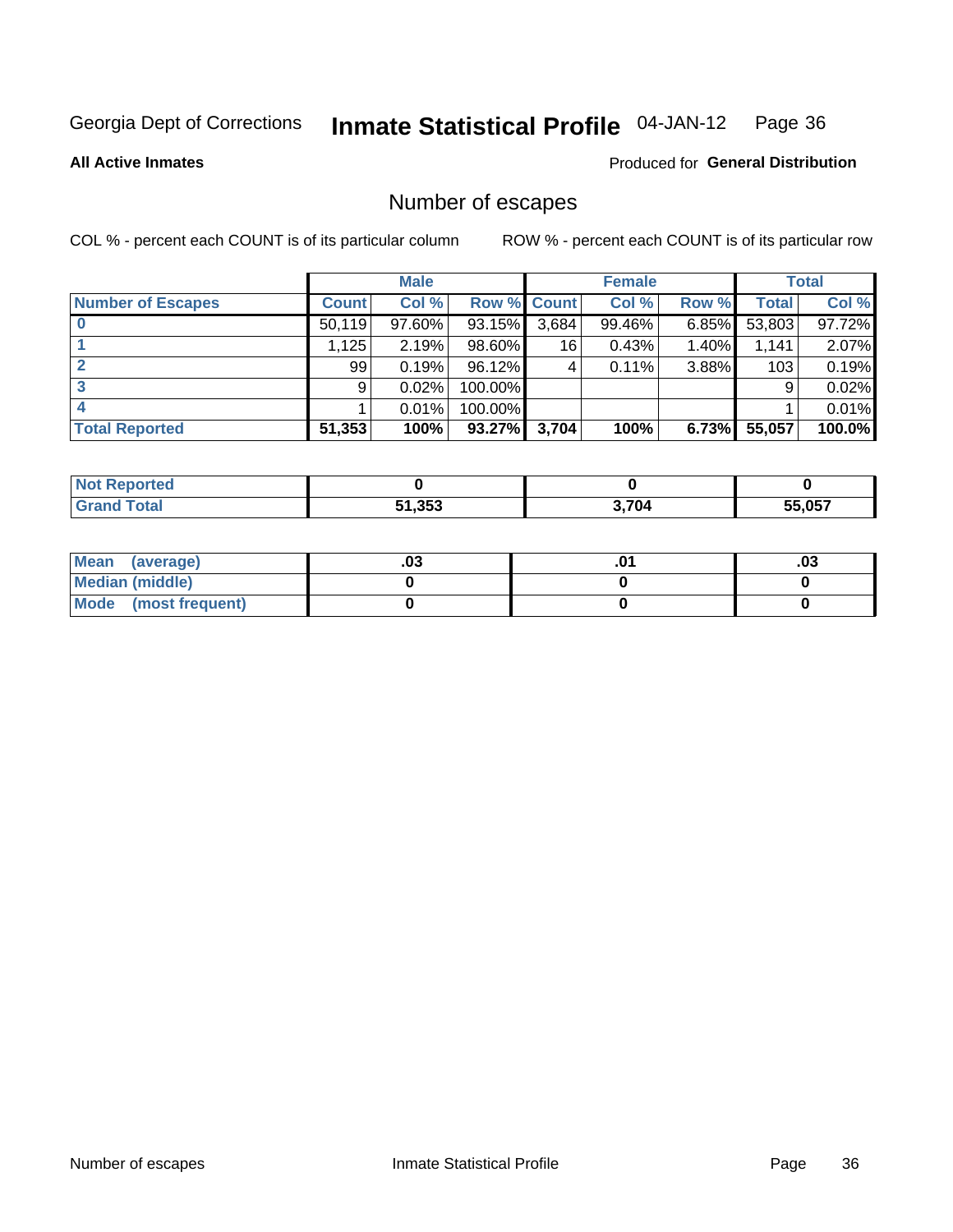#### **Inmate Statistical Profile 04-JAN-12** Page 36

### **All Active Inmates**

### Produced for General Distribution

### Number of escapes

COL % - percent each COUNT is of its particular column

|                          |              | <b>Male</b> |             |       | <b>Female</b> |          |              | <b>Total</b> |
|--------------------------|--------------|-------------|-------------|-------|---------------|----------|--------------|--------------|
| <b>Number of Escapes</b> | <b>Count</b> | Col %       | Row % Count |       | Col %         | Row %    | <b>Total</b> | Col %        |
|                          | 50,119       | 97.60%      | 93.15%      | 3,684 | 99.46%        | $6.85\%$ | 53,803       | 97.72%       |
|                          | 1,125        | 2.19%       | 98.60%      | 16    | 0.43%         | $1.40\%$ | 1,141        | 2.07%        |
|                          | 99           | 0.19%       | 96.12%      | 4     | 0.11%         | 3.88%    | 103          | 0.19%        |
|                          | 9            | 0.02%       | 100.00%     |       |               |          | 9            | 0.02%        |
|                          |              | 0.01%       | 100.00%     |       |               |          |              | 0.01%        |
| <b>Total Reported</b>    | 51,353       | 100%        | 93.27%      | 3,704 | 100%          | 6.73%    | 55,057       | 100.0%       |

| <b>TEG</b> |        |       |        |
|------------|--------|-------|--------|
| Total      | 51,353 | 3.704 | 55.057 |

| Mean (average)         | .ט. | .03 |
|------------------------|-----|-----|
| <b>Median (middle)</b> |     |     |
| Mode (most frequent)   |     |     |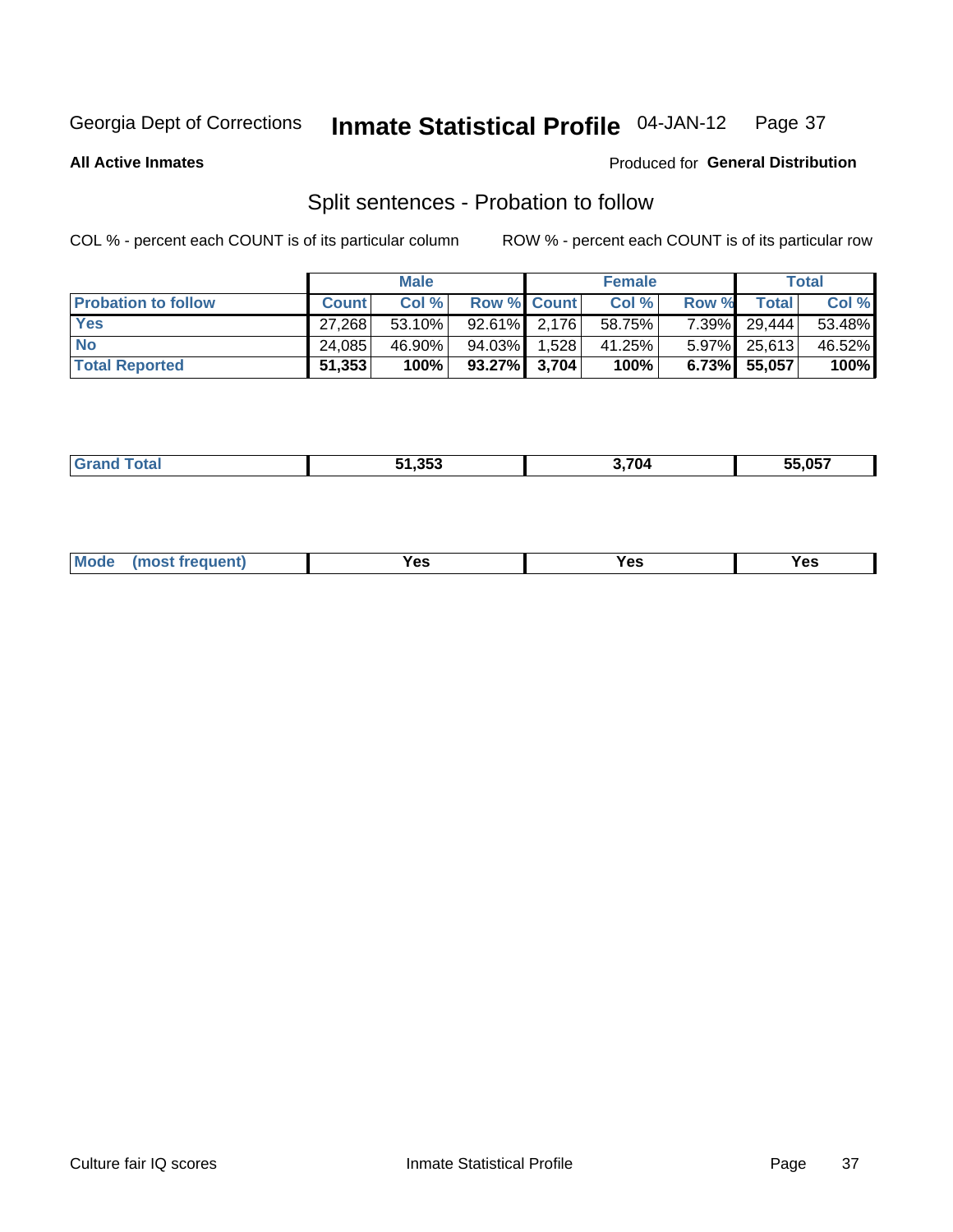#### Inmate Statistical Profile 04-JAN-12 Page 37

**All Active Inmates** 

## Produced for General Distribution

## Split sentences - Probation to follow

COL % - percent each COUNT is of its particular column

|                            |              | <b>Male</b> |                    | <b>Female</b> |       |              | <b>Total</b> |
|----------------------------|--------------|-------------|--------------------|---------------|-------|--------------|--------------|
| <b>Probation to follow</b> | <b>Count</b> | Col %       | <b>Row % Count</b> | Col %         | Row % | <b>Total</b> | Col %        |
| <b>Yes</b>                 | 27,268       | 53.10%      | $92.61\%$ 2.176    | 58.75%        |       | 7.39% 29,444 | 53.48%       |
| <b>No</b>                  | 24,085       | 46.90%      | 94.03% 1.528       | 41.25%        |       | 5.97% 25,613 | 46.52%       |
| <b>Total Reported</b>      | 51,353       | 100%        | $93.27\%$ 3,704    | 100%          |       | 6.73% 55,057 | $100\%$      |

| _______ | 51.353 | 704 | <b>EE 057</b><br>33.V37 |
|---------|--------|-----|-------------------------|
|         |        |     |                         |

| M<br>reauent)<br>/٥<br>$\sim$<br>v.,<br>.<br>w<br>$\cdot$ - $\cdot$ |
|---------------------------------------------------------------------|
|---------------------------------------------------------------------|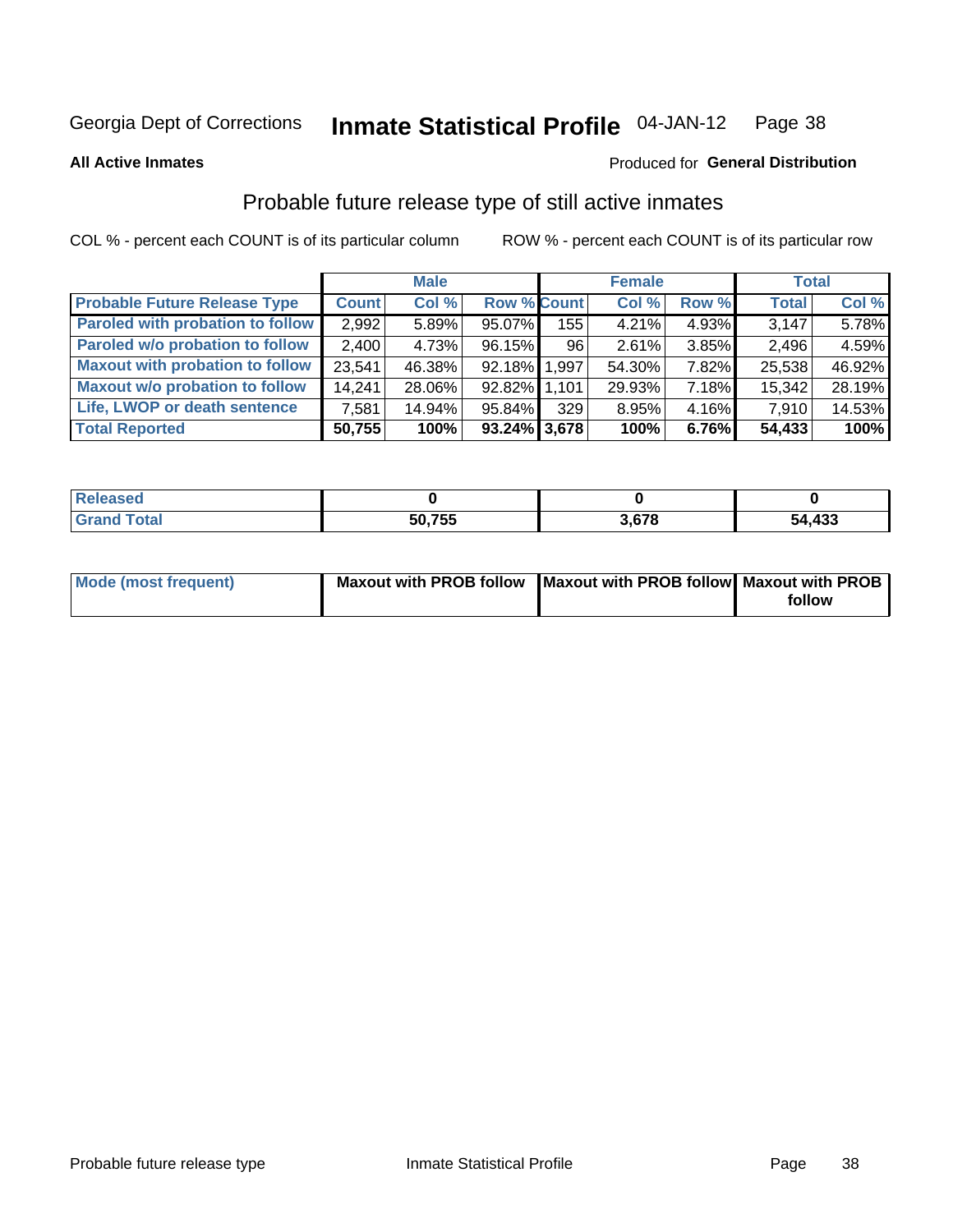#### Inmate Statistical Profile 04-JAN-12 Page 38

### **All Active Inmates**

## Produced for General Distribution

## Probable future release type of still active inmates

COL % - percent each COUNT is of its particular column

|                                         |              | <b>Male</b> |                    |     | <b>Female</b> |       | <b>Total</b> |        |
|-----------------------------------------|--------------|-------------|--------------------|-----|---------------|-------|--------------|--------|
| <b>Probable Future Release Type</b>     | <b>Count</b> | Col %       | <b>Row % Count</b> |     | Col %         | Row % | <b>Total</b> | Col %  |
| <b>Paroled with probation to follow</b> | 2,992        | 5.89%       | 95.07%             | 155 | 4.21%         | 4.93% | 3,147        | 5.78%  |
| Paroled w/o probation to follow         | 2,400        | 4.73%       | 96.15%             | 96  | 2.61%         | 3.85% | 2,496        | 4.59%  |
| <b>Maxout with probation to follow</b>  | 23,541       | 46.38%      | 92.18% 1.997       |     | 54.30%        | 7.82% | 25,538       | 46.92% |
| <b>Maxout w/o probation to follow</b>   | 14,241       | 28.06%      | 92.82% 1,101       |     | 29.93%        | 7.18% | 15,342       | 28.19% |
| Life, LWOP or death sentence            | 7,581        | 14.94%      | 95.84%             | 329 | 8.95%         | 4.16% | 7,910        | 14.53% |
| <b>Total Reported</b>                   | 50,755       | 100%        | $93.24\%$ 3,678    |     | 100%          | 6.76% | 54,433       | 100%   |

| ased |        |     |            |
|------|--------|-----|------------|
|      | 50,755 | c70 | ,433<br>54 |

| <b>Mode (most frequent)</b> | Maxout with PROB follow   Maxout with PROB follow   Maxout with PROB |        |
|-----------------------------|----------------------------------------------------------------------|--------|
|                             |                                                                      | follow |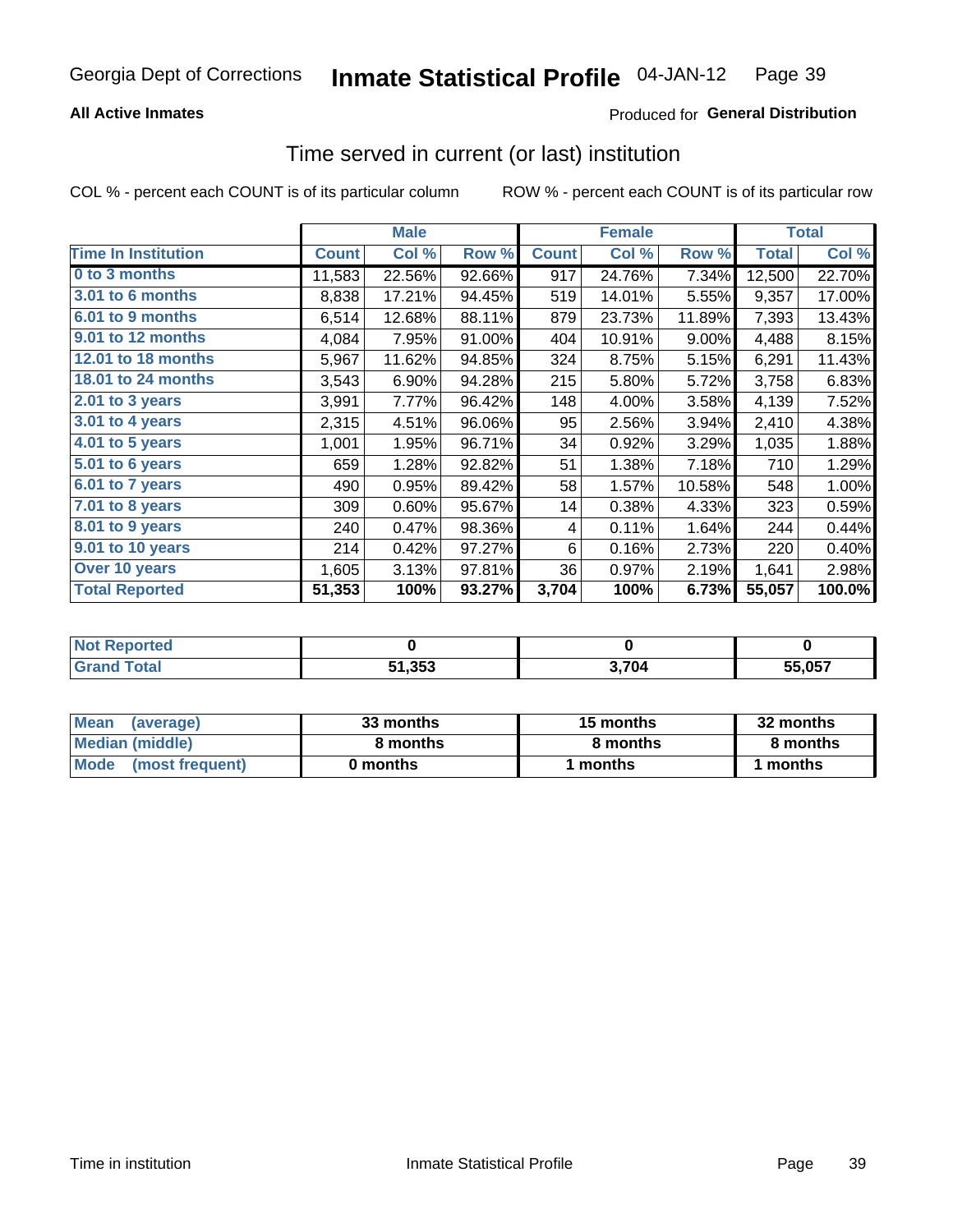## **All Active Inmates**

## Produced for General Distribution

## Time served in current (or last) institution

COL % - percent each COUNT is of its particular column

|                            |              | <b>Male</b> |        |              | <b>Female</b> |        |              | <b>Total</b> |
|----------------------------|--------------|-------------|--------|--------------|---------------|--------|--------------|--------------|
| <b>Time In Institution</b> | <b>Count</b> | Col %       | Row %  | <b>Count</b> | Col %         | Row %  | <b>Total</b> | Col %        |
| 0 to 3 months              | 11,583       | 22.56%      | 92.66% | 917          | 24.76%        | 7.34%  | 12,500       | 22.70%       |
| 3.01 to 6 months           | 8,838        | 17.21%      | 94.45% | 519          | 14.01%        | 5.55%  | 9,357        | 17.00%       |
| 6.01 to 9 months           | 6,514        | 12.68%      | 88.11% | 879          | 23.73%        | 11.89% | 7,393        | 13.43%       |
| 9.01 to 12 months          | 4,084        | 7.95%       | 91.00% | 404          | 10.91%        | 9.00%  | 4,488        | 8.15%        |
| 12.01 to 18 months         | 5,967        | 11.62%      | 94.85% | 324          | 8.75%         | 5.15%  | 6,291        | 11.43%       |
| <b>18.01 to 24 months</b>  | 3,543        | 6.90%       | 94.28% | 215          | 5.80%         | 5.72%  | 3,758        | 6.83%        |
| 2.01 to 3 years            | 3,991        | 7.77%       | 96.42% | 148          | 4.00%         | 3.58%  | 4,139        | 7.52%        |
| $3.01$ to 4 years          | 2,315        | 4.51%       | 96.06% | 95           | 2.56%         | 3.94%  | 2,410        | 4.38%        |
| 4.01 to 5 years            | 1,001        | 1.95%       | 96.71% | 34           | 0.92%         | 3.29%  | 1,035        | 1.88%        |
| 5.01 to 6 years            | 659          | 1.28%       | 92.82% | 51           | 1.38%         | 7.18%  | 710          | 1.29%        |
| 6.01 to 7 years            | 490          | 0.95%       | 89.42% | 58           | 1.57%         | 10.58% | 548          | 1.00%        |
| 7.01 to 8 years            | 309          | 0.60%       | 95.67% | 14           | 0.38%         | 4.33%  | 323          | 0.59%        |
| $8.01$ to 9 years          | 240          | 0.47%       | 98.36% | 4            | 0.11%         | 1.64%  | 244          | 0.44%        |
| 9.01 to 10 years           | 214          | 0.42%       | 97.27% | 6            | 0.16%         | 2.73%  | 220          | 0.40%        |
| Over 10 years              | 1,605        | 3.13%       | 97.81% | 36           | 0.97%         | 2.19%  | 1,641        | 2.98%        |
| <b>Total Reported</b>      | 51,353       | 100%        | 93.27% | 3,704        | 100%          | 6.73%  | 55,057       | 100.0%       |

| NO |        |       |        |
|----|--------|-------|--------|
|    | 51,353 | 3,704 | EE OE7 |

| <b>Mean</b><br>(average) | 33 months | 15 months | 32 months |  |
|--------------------------|-----------|-----------|-----------|--|
| Median (middle)          | 8 months  | 8 months  | 8 months  |  |
| Mode<br>(most frequent)  | 0 months  | months    | ∖ months  |  |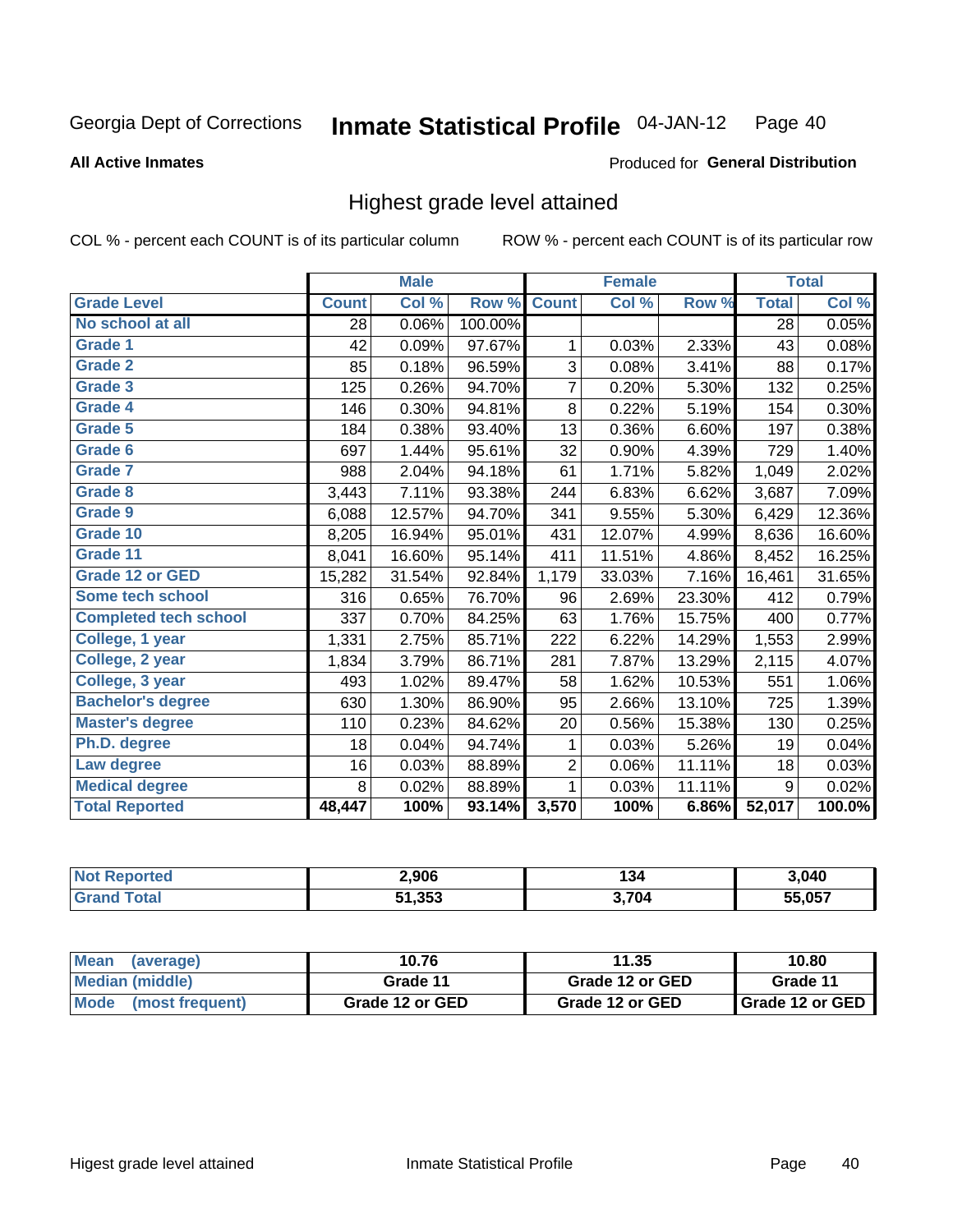### **All Active Inmates**

### Produced for General Distribution

## Highest grade level attained

COL % - percent each COUNT is of its particular column

|                              |              | <b>Male</b> |         |                | <b>Female</b> |        |              | <b>Total</b> |
|------------------------------|--------------|-------------|---------|----------------|---------------|--------|--------------|--------------|
| <b>Grade Level</b>           | <b>Count</b> | Col %       | Row %   | <b>Count</b>   | Col %         | Row %  | <b>Total</b> | Col %        |
| No school at all             | 28           | 0.06%       | 100.00% |                |               |        | 28           | 0.05%        |
| <b>Grade 1</b>               | 42           | 0.09%       | 97.67%  | 1              | 0.03%         | 2.33%  | 43           | 0.08%        |
| Grade 2                      | 85           | 0.18%       | 96.59%  | 3              | 0.08%         | 3.41%  | 88           | 0.17%        |
| Grade 3                      | 125          | 0.26%       | 94.70%  | $\overline{7}$ | 0.20%         | 5.30%  | 132          | 0.25%        |
| Grade 4                      | 146          | 0.30%       | 94.81%  | 8              | 0.22%         | 5.19%  | 154          | 0.30%        |
| Grade 5                      | 184          | 0.38%       | 93.40%  | 13             | 0.36%         | 6.60%  | 197          | 0.38%        |
| Grade 6                      | 697          | 1.44%       | 95.61%  | 32             | 0.90%         | 4.39%  | 729          | 1.40%        |
| <b>Grade 7</b>               | 988          | 2.04%       | 94.18%  | 61             | 1.71%         | 5.82%  | 1,049        | 2.02%        |
| Grade 8                      | 3,443        | 7.11%       | 93.38%  | 244            | 6.83%         | 6.62%  | 3,687        | 7.09%        |
| <b>Grade 9</b>               | 6,088        | 12.57%      | 94.70%  | 341            | 9.55%         | 5.30%  | 6,429        | 12.36%       |
| Grade 10                     | 8,205        | 16.94%      | 95.01%  | 431            | 12.07%        | 4.99%  | 8,636        | 16.60%       |
| Grade 11                     | 8,041        | 16.60%      | 95.14%  | 411            | 11.51%        | 4.86%  | 8,452        | 16.25%       |
| <b>Grade 12 or GED</b>       | 15,282       | 31.54%      | 92.84%  | 1,179          | 33.03%        | 7.16%  | 16,461       | 31.65%       |
| Some tech school             | 316          | 0.65%       | 76.70%  | 96             | 2.69%         | 23.30% | 412          | 0.79%        |
| <b>Completed tech school</b> | 337          | 0.70%       | 84.25%  | 63             | 1.76%         | 15.75% | 400          | 0.77%        |
| College, 1 year              | 1,331        | 2.75%       | 85.71%  | 222            | 6.22%         | 14.29% | 1,553        | 2.99%        |
| College, 2 year              | 1,834        | 3.79%       | 86.71%  | 281            | 7.87%         | 13.29% | 2,115        | 4.07%        |
| College, 3 year              | 493          | 1.02%       | 89.47%  | 58             | 1.62%         | 10.53% | 551          | 1.06%        |
| <b>Bachelor's degree</b>     | 630          | 1.30%       | 86.90%  | 95             | 2.66%         | 13.10% | 725          | 1.39%        |
| <b>Master's degree</b>       | 110          | 0.23%       | 84.62%  | 20             | 0.56%         | 15.38% | 130          | 0.25%        |
| Ph.D. degree                 | 18           | 0.04%       | 94.74%  | 1              | 0.03%         | 5.26%  | 19           | 0.04%        |
| Law degree                   | 16           | 0.03%       | 88.89%  | 2              | 0.06%         | 11.11% | 18           | 0.03%        |
| <b>Medical degree</b>        | 8            | 0.02%       | 88.89%  | 1              | 0.03%         | 11.11% | 9            | 0.02%        |
| <b>Total Reported</b>        | 48,447       | 100%        | 93.14%  | 3,570          | 100%          | 6.86%  | 52,017       | 100.0%       |

| <b>Not Reported</b>     | 2.906  | 12.5<br>ەد. | 3,040  |
|-------------------------|--------|-------------|--------|
| <b>Total</b><br>' Grand | 51,353 | 3,704       | 55,057 |

| Mean<br>(average)              | 10.76           | 11.35           | 10.80                    |
|--------------------------------|-----------------|-----------------|--------------------------|
| Median (middle)                | Grade 11        | Grade 12 or GED | Grade 11                 |
| <b>Mode</b><br>(most frequent) | Grade 12 or GED | Grade 12 or GED | <b>I</b> Grade 12 or GED |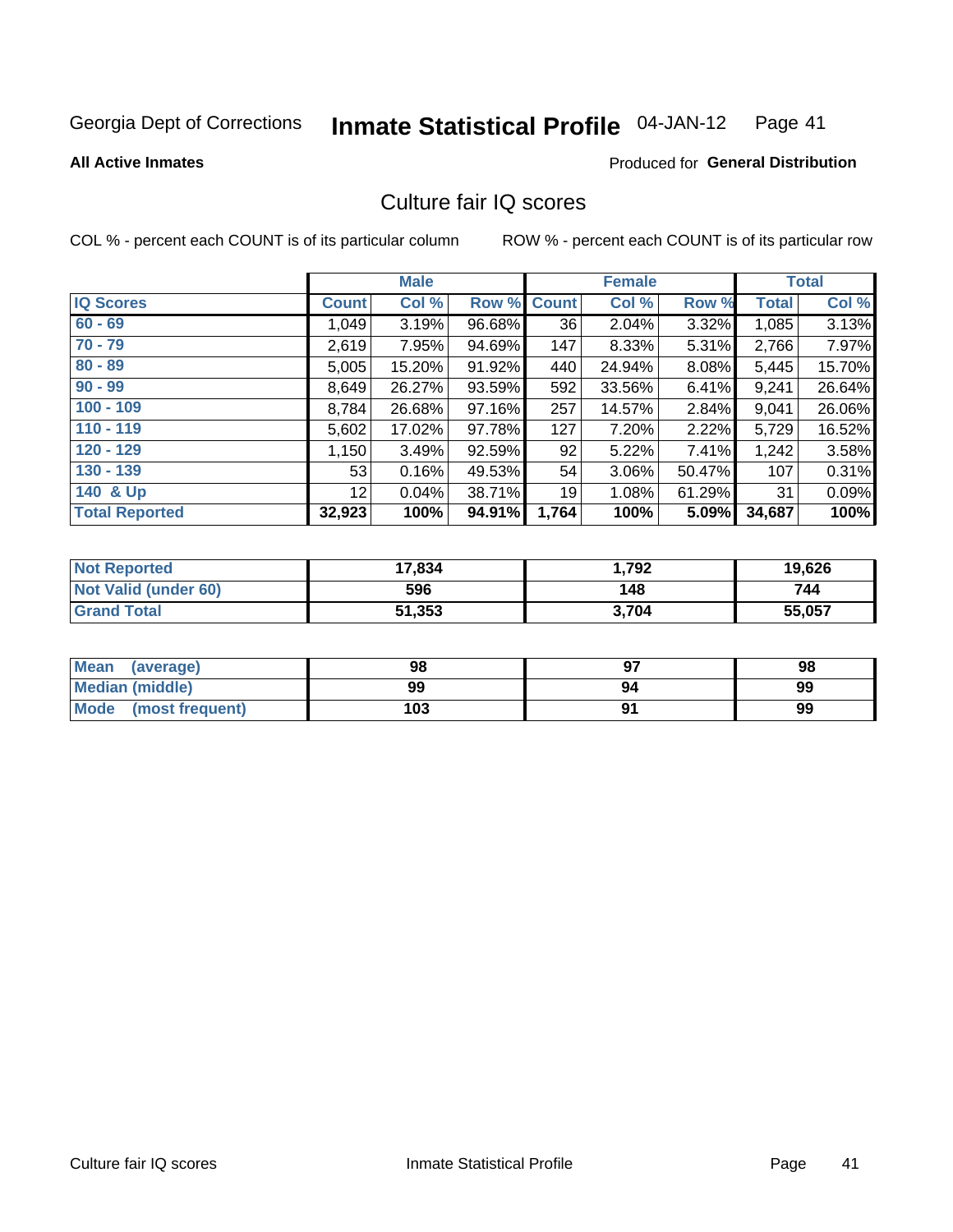#### Inmate Statistical Profile 04-JAN-12 Page 41

#### **All Active Inmates**

## **Produced for General Distribution**

## Culture fair IQ scores

COL % - percent each COUNT is of its particular column

|                       |                 | <b>Male</b> |        |              | <b>Female</b> |          |              | <b>Total</b> |
|-----------------------|-----------------|-------------|--------|--------------|---------------|----------|--------------|--------------|
| <b>IQ Scores</b>      | <b>Count</b>    | Col %       | Row %  | <b>Count</b> | Col %         | Row %    | <b>Total</b> | Col %        |
| $60 - 69$             | 1,049           | 3.19%       | 96.68% | 36           | 2.04%         | $3.32\%$ | 1,085        | 3.13%        |
| $70 - 79$             | 2,619           | 7.95%       | 94.69% | 147          | 8.33%         | 5.31%    | 2,766        | 7.97%        |
| $80 - 89$             | 5,005           | 15.20%      | 91.92% | 440          | 24.94%        | $8.08\%$ | 5,445        | 15.70%       |
| $90 - 99$             | 8,649           | 26.27%      | 93.59% | 592          | 33.56%        | 6.41%    | 9,241        | 26.64%       |
| $100 - 109$           | 8,784           | 26.68%      | 97.16% | 257          | 14.57%        | 2.84%    | 9,041        | 26.06%       |
| $110 - 119$           | 5,602           | 17.02%      | 97.78% | 127          | 7.20%         | 2.22%    | 5,729        | 16.52%       |
| $120 - 129$           | 1,150           | 3.49%       | 92.59% | 92           | 5.22%         | 7.41%    | 1,242        | 3.58%        |
| $130 - 139$           | 53              | 0.16%       | 49.53% | 54           | 3.06%         | 50.47%   | 107          | 0.31%        |
| 140 & Up              | 12 <sub>1</sub> | 0.04%       | 38.71% | 19           | 1.08%         | 61.29%   | 31           | 0.09%        |
| <b>Total Reported</b> | 32,923          | 100%        | 94.91% | 1,764        | 100%          | 5.09%    | 34,687       | 100%         |

| <b>Not Reported</b>         | 17,834 | 1,792 | 19,626 |
|-----------------------------|--------|-------|--------|
| <b>Not Valid (under 60)</b> | 596    | 148   | 744    |
| <b>Grand Total</b>          | 51,353 | 3,704 | 55,057 |

| Mean<br>(average)       | 98  | כח | 98 |
|-------------------------|-----|----|----|
| Median (middle)         | 99  | 94 | 99 |
| Mode<br>(most frequent) | 103 |    | 99 |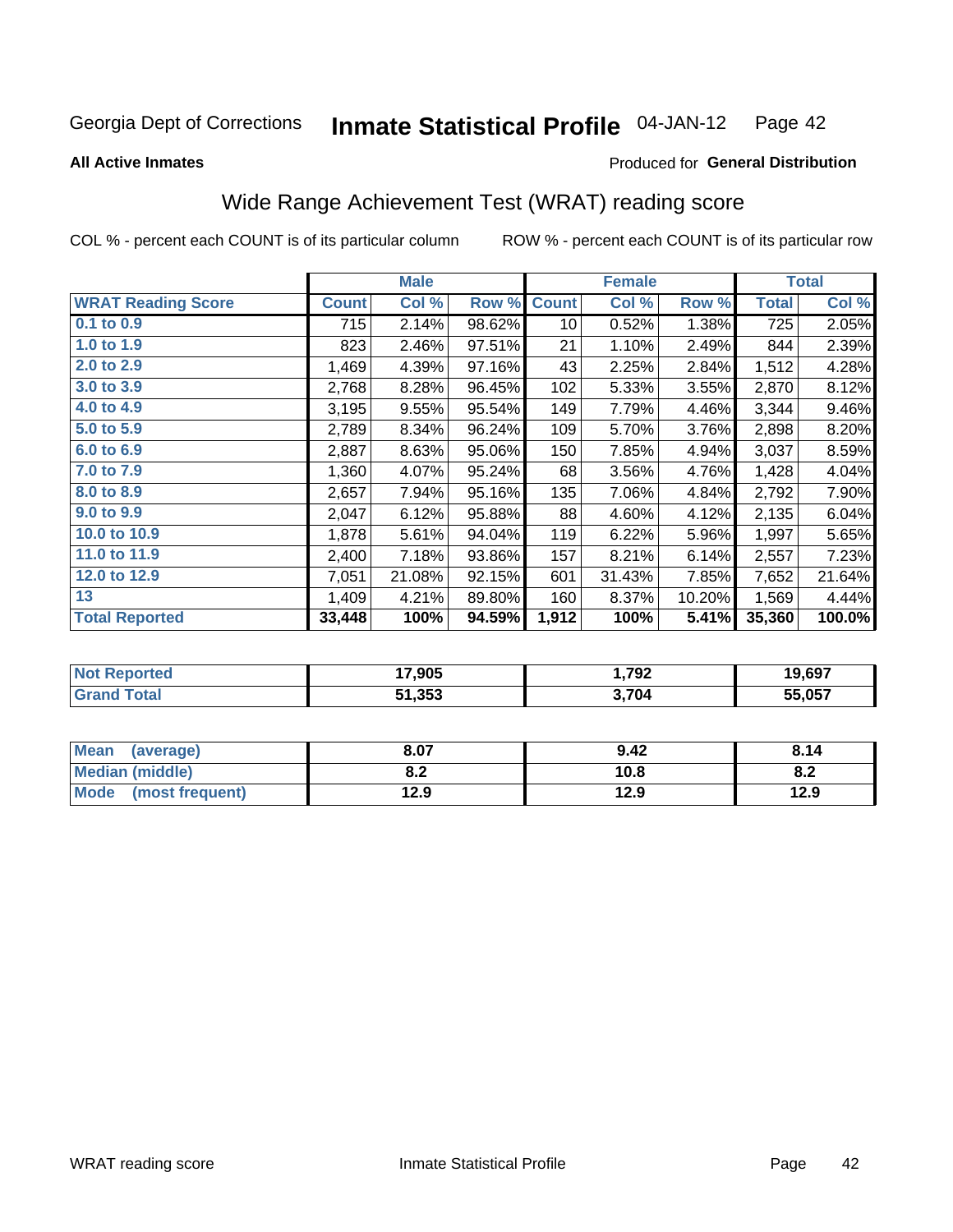#### Inmate Statistical Profile 04-JAN-12 Page 42

**All Active Inmates** 

### Produced for General Distribution

## Wide Range Achievement Test (WRAT) reading score

COL % - percent each COUNT is of its particular column

|                           |              | <b>Male</b> |        |              | <b>Female</b> |        |              | <b>Total</b> |
|---------------------------|--------------|-------------|--------|--------------|---------------|--------|--------------|--------------|
| <b>WRAT Reading Score</b> | <b>Count</b> | Col %       | Row %  | <b>Count</b> | Col %         | Row %  | <b>Total</b> | Col %        |
| $0.1$ to $0.9$            | 715          | 2.14%       | 98.62% | 10           | 0.52%         | 1.38%  | 725          | 2.05%        |
| 1.0 to 1.9                | 823          | 2.46%       | 97.51% | 21           | 1.10%         | 2.49%  | 844          | 2.39%        |
| 2.0 to 2.9                | 1,469        | 4.39%       | 97.16% | 43           | 2.25%         | 2.84%  | 1,512        | 4.28%        |
| 3.0 to 3.9                | 2,768        | 8.28%       | 96.45% | 102          | 5.33%         | 3.55%  | 2,870        | 8.12%        |
| 4.0 to 4.9                | 3,195        | 9.55%       | 95.54% | 149          | 7.79%         | 4.46%  | 3,344        | 9.46%        |
| 5.0 to 5.9                | 2,789        | 8.34%       | 96.24% | 109          | 5.70%         | 3.76%  | 2,898        | 8.20%        |
| 6.0 to 6.9                | 2,887        | 8.63%       | 95.06% | 150          | 7.85%         | 4.94%  | 3,037        | 8.59%        |
| 7.0 to 7.9                | 1,360        | 4.07%       | 95.24% | 68           | 3.56%         | 4.76%  | 1,428        | 4.04%        |
| 8.0 to 8.9                | 2,657        | 7.94%       | 95.16% | 135          | 7.06%         | 4.84%  | 2,792        | 7.90%        |
| 9.0 to 9.9                | 2,047        | 6.12%       | 95.88% | 88           | 4.60%         | 4.12%  | 2,135        | 6.04%        |
| 10.0 to 10.9              | 1,878        | 5.61%       | 94.04% | 119          | 6.22%         | 5.96%  | 1,997        | 5.65%        |
| 11.0 to 11.9              | 2,400        | 7.18%       | 93.86% | 157          | 8.21%         | 6.14%  | 2,557        | 7.23%        |
| 12.0 to 12.9              | 7,051        | 21.08%      | 92.15% | 601          | 31.43%        | 7.85%  | 7,652        | 21.64%       |
| 13                        | 1,409        | 4.21%       | 89.80% | 160          | 8.37%         | 10.20% | 1,569        | 4.44%        |
| <b>Total Reported</b>     | 33,448       | 100%        | 94.59% | 1,912        | 100%          | 5.41%  | 35,360       | 100.0%       |

| Reported<br><b>NOT</b> | 17,905 | 1,792 | 19,697 |
|------------------------|--------|-------|--------|
| <b>cotal</b>           | 51,353 | 3,704 | 55,057 |

| <b>Mean</b><br>(average)       | 8.07       | 9.42 | 8.14 |
|--------------------------------|------------|------|------|
| <b>Median (middle)</b>         | י ה<br>0.Z | 10.8 | O.A  |
| <b>Mode</b><br>(most frequent) | 12.9       | 12.9 | 12.9 |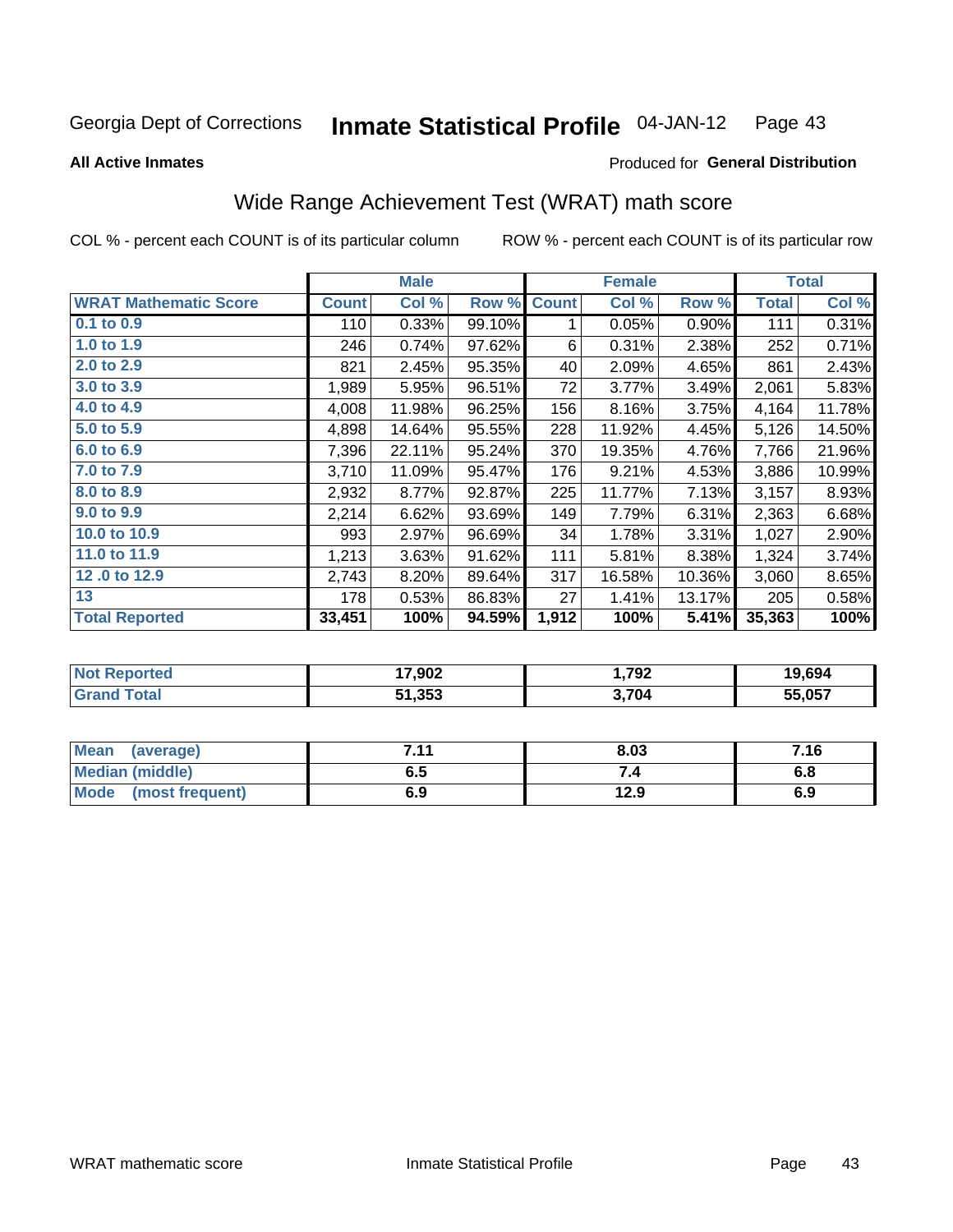#### Inmate Statistical Profile 04-JAN-12 Page 43

**All Active Inmates** 

### Produced for General Distribution

## Wide Range Achievement Test (WRAT) math score

COL % - percent each COUNT is of its particular column

|                              |              | <b>Male</b> |        |              | <b>Female</b> |        |              | <b>Total</b> |
|------------------------------|--------------|-------------|--------|--------------|---------------|--------|--------------|--------------|
| <b>WRAT Mathematic Score</b> | <b>Count</b> | Col %       | Row %  | <b>Count</b> | Col %         | Row %  | <b>Total</b> | Col %        |
| $0.1$ to $0.9$               | 110          | 0.33%       | 99.10% | 1.           | 0.05%         | 0.90%  | 111          | 0.31%        |
| 1.0 to 1.9                   | 246          | 0.74%       | 97.62% | 6            | 0.31%         | 2.38%  | 252          | 0.71%        |
| 2.0 to 2.9                   | 821          | 2.45%       | 95.35% | 40           | 2.09%         | 4.65%  | 861          | 2.43%        |
| 3.0 to 3.9                   | 1,989        | 5.95%       | 96.51% | 72           | 3.77%         | 3.49%  | 2,061        | 5.83%        |
| 4.0 to 4.9                   | 4,008        | 11.98%      | 96.25% | 156          | 8.16%         | 3.75%  | 4,164        | 11.78%       |
| 5.0 to 5.9                   | 4,898        | 14.64%      | 95.55% | 228          | 11.92%        | 4.45%  | 5,126        | 14.50%       |
| 6.0 to 6.9                   | 7,396        | 22.11%      | 95.24% | 370          | 19.35%        | 4.76%  | 7,766        | 21.96%       |
| 7.0 to 7.9                   | 3,710        | 11.09%      | 95.47% | 176          | 9.21%         | 4.53%  | 3,886        | 10.99%       |
| 8.0 to 8.9                   | 2,932        | $8.77\%$    | 92.87% | 225          | 11.77%        | 7.13%  | 3,157        | 8.93%        |
| 9.0 to 9.9                   | 2,214        | 6.62%       | 93.69% | 149          | 7.79%         | 6.31%  | 2,363        | 6.68%        |
| 10.0 to 10.9                 | 993          | 2.97%       | 96.69% | 34           | 1.78%         | 3.31%  | 1,027        | 2.90%        |
| 11.0 to 11.9                 | 1,213        | 3.63%       | 91.62% | 111          | 5.81%         | 8.38%  | 1,324        | 3.74%        |
| 12.0 to 12.9                 | 2,743        | 8.20%       | 89.64% | 317          | 16.58%        | 10.36% | 3,060        | 8.65%        |
| 13                           | 178          | 0.53%       | 86.83% | 27           | 1.41%         | 13.17% | 205          | 0.58%        |
| <b>Total Reported</b>        | 33,451       | 100%        | 94.59% | 1,912        | 100%          | 5.41%  | 35,363       | 100%         |
|                              |              |             |        |              |               |        |              |              |

| <b>Not Reported</b> | 17,902 | 792.ا | 19,694 |
|---------------------|--------|-------|--------|
| <b>Grand Total</b>  | 51,353 | 3.704 | 55,057 |

| Mean (average)       | 7 4 4<br>. | 8.03 | 7.16 |
|----------------------|------------|------|------|
| Median (middle)      | ง. ว       | 54   | o.o  |
| Mode (most frequent) | 6.9        | 12.9 | 6.9  |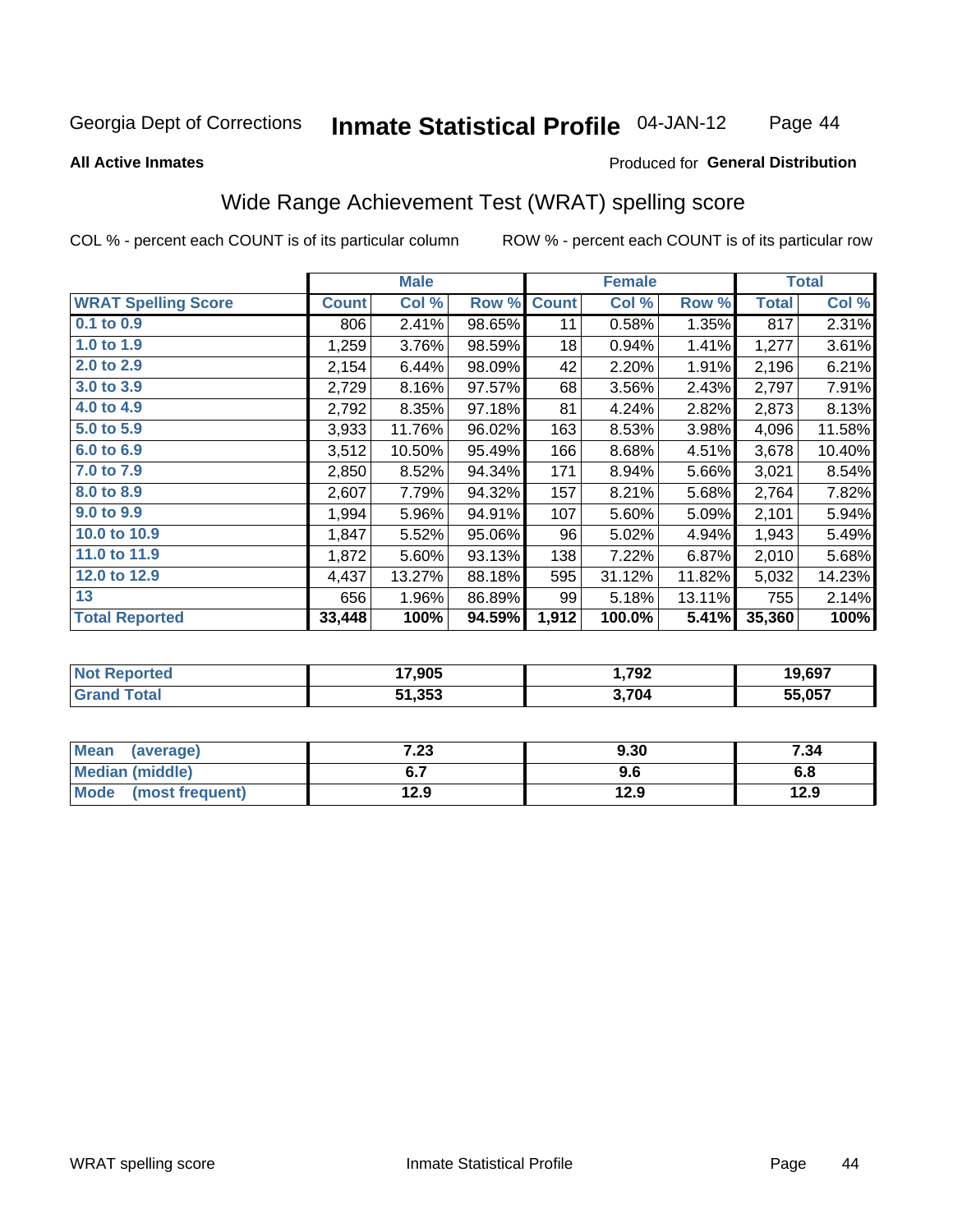#### **Inmate Statistical Profile 04-JAN-12** Page 44

#### **All Active Inmates**

## Produced for General Distribution

## Wide Range Achievement Test (WRAT) spelling score

COL % - percent each COUNT is of its particular column

|                            |              | <b>Male</b> |        |              | <b>Female</b> |        |              | <b>Total</b> |
|----------------------------|--------------|-------------|--------|--------------|---------------|--------|--------------|--------------|
| <b>WRAT Spelling Score</b> | <b>Count</b> | Col %       | Row %  | <b>Count</b> | Col %         | Row %  | <b>Total</b> | Col %        |
| $0.1$ to $0.9$             | 806          | 2.41%       | 98.65% | 11           | 0.58%         | 1.35%  | 817          | 2.31%        |
| 1.0 to 1.9                 | 1,259        | 3.76%       | 98.59% | 18           | 0.94%         | 1.41%  | 1,277        | 3.61%        |
| 2.0 to 2.9                 | 2,154        | 6.44%       | 98.09% | 42           | 2.20%         | 1.91%  | 2,196        | 6.21%        |
| 3.0 to 3.9                 | 2,729        | 8.16%       | 97.57% | 68           | 3.56%         | 2.43%  | 2,797        | 7.91%        |
| 4.0 to 4.9                 | 2,792        | 8.35%       | 97.18% | 81           | 4.24%         | 2.82%  | 2,873        | 8.13%        |
| 5.0 to 5.9                 | 3,933        | 11.76%      | 96.02% | 163          | 8.53%         | 3.98%  | 4,096        | 11.58%       |
| 6.0 to 6.9                 | 3,512        | 10.50%      | 95.49% | 166          | 8.68%         | 4.51%  | 3,678        | 10.40%       |
| 7.0 to 7.9                 | 2,850        | 8.52%       | 94.34% | 171          | 8.94%         | 5.66%  | 3,021        | 8.54%        |
| 8.0 to 8.9                 | 2,607        | 7.79%       | 94.32% | 157          | 8.21%         | 5.68%  | 2,764        | 7.82%        |
| 9.0 to 9.9                 | 1,994        | 5.96%       | 94.91% | 107          | 5.60%         | 5.09%  | 2,101        | 5.94%        |
| 10.0 to 10.9               | 1,847        | 5.52%       | 95.06% | 96           | 5.02%         | 4.94%  | 1,943        | 5.49%        |
| 11.0 to 11.9               | 1,872        | 5.60%       | 93.13% | 138          | 7.22%         | 6.87%  | 2,010        | 5.68%        |
| 12.0 to 12.9               | 4,437        | 13.27%      | 88.18% | 595          | 31.12%        | 11.82% | 5,032        | 14.23%       |
| 13                         | 656          | 1.96%       | 86.89% | 99           | 5.18%         | 13.11% | 755          | 2.14%        |
| <b>Total Reported</b>      | 33,448       | 100%        | 94.59% | 1,912        | 100.0%        | 5.41%  | 35,360       | 100%         |

| rtea<br>NO | 17,905 | 1,792 | 19,697 |
|------------|--------|-------|--------|
|            | 51,353 | 3,704 | 55.057 |

| <b>Mean</b><br>(average) | 7.23 | 9.30 | 7.34 |
|--------------------------|------|------|------|
| Median (middle)          |      | 9.6  | o.o  |
| Mode<br>(most frequent)  | 12.9 | 12.9 | 12.9 |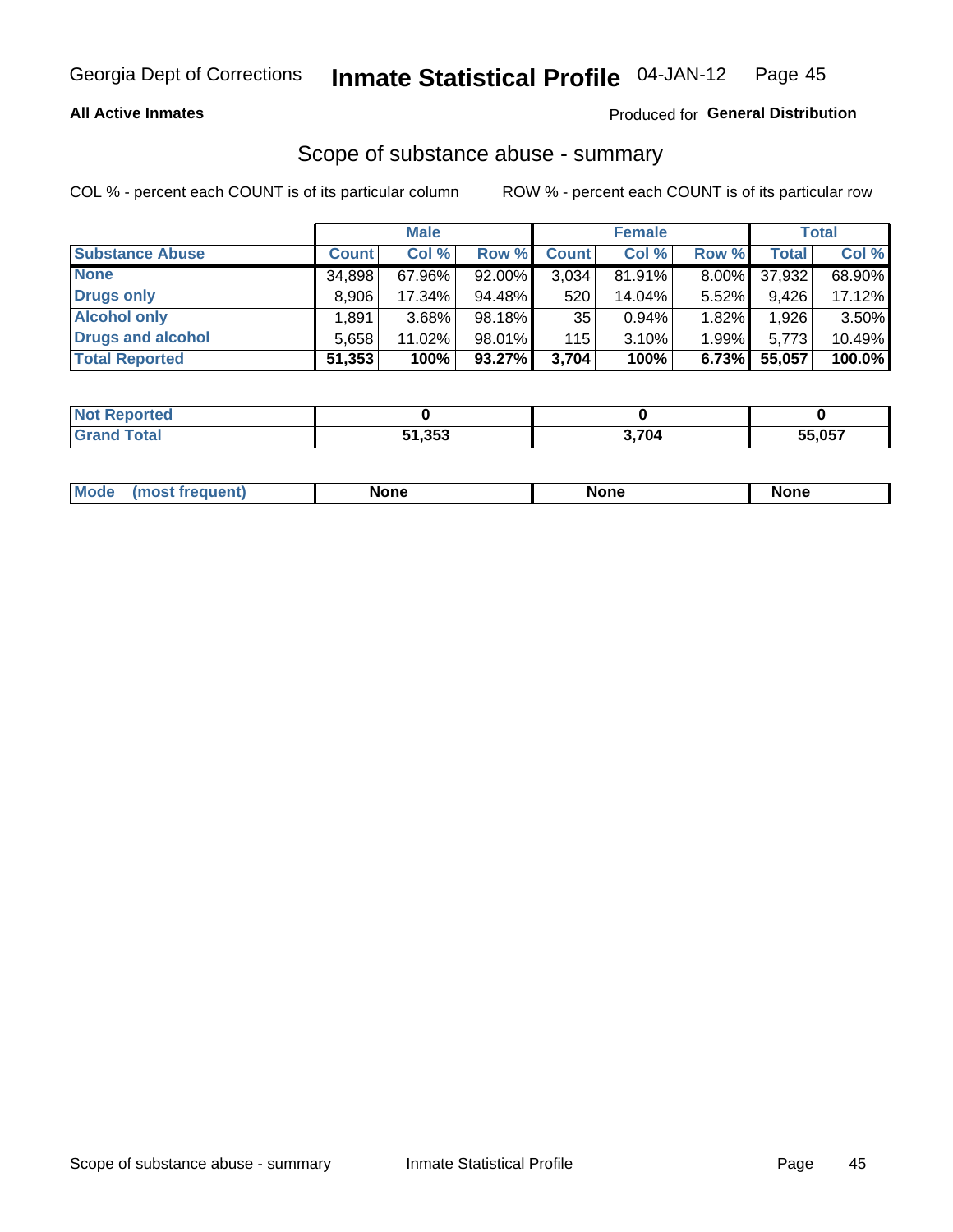## **All Active Inmates**

## Produced for General Distribution

## Scope of substance abuse - summary

COL % - percent each COUNT is of its particular column

|                        | <b>Male</b>  |          | <b>Female</b> |              |        | <b>Total</b> |              |        |
|------------------------|--------------|----------|---------------|--------------|--------|--------------|--------------|--------|
| <b>Substance Abuse</b> | <b>Count</b> | Col %    | Row %         | <b>Count</b> | Col %  | Row %        | <b>Total</b> | Col %  |
| <b>None</b>            | 34,898       | 67.96%   | $92.00\%$     | 3,034        | 81.91% | $8.00\%$     | 37,932       | 68.90% |
| <b>Drugs only</b>      | 8.906        | 17.34%   | 94.48%        | 520          | 14.04% | $5.52\%$     | 9,426        | 17.12% |
| <b>Alcohol only</b>    | .891         | $3.68\%$ | 98.18%        | 35           | 0.94%  | 1.82%        | 1,926        | 3.50%  |
| Drugs and alcohol      | 5,658        | 11.02%   | 98.01%        | 115          | 3.10%  | 1.99%        | 5,773        | 10.49% |
| <b>Total Reported</b>  | 51,353       | 100%     | 93.27%        | 3,704        | 100%   | 6.73%        | 55,057       | 100.0% |

| <b>Not Reported</b> |        |       |        |
|---------------------|--------|-------|--------|
| <b>Grand Total</b>  | 51,353 | 3,704 | 55,057 |

| Mode<br>None<br><b>None</b><br>None<br>most<br>quenti<br>___ |
|--------------------------------------------------------------|
|--------------------------------------------------------------|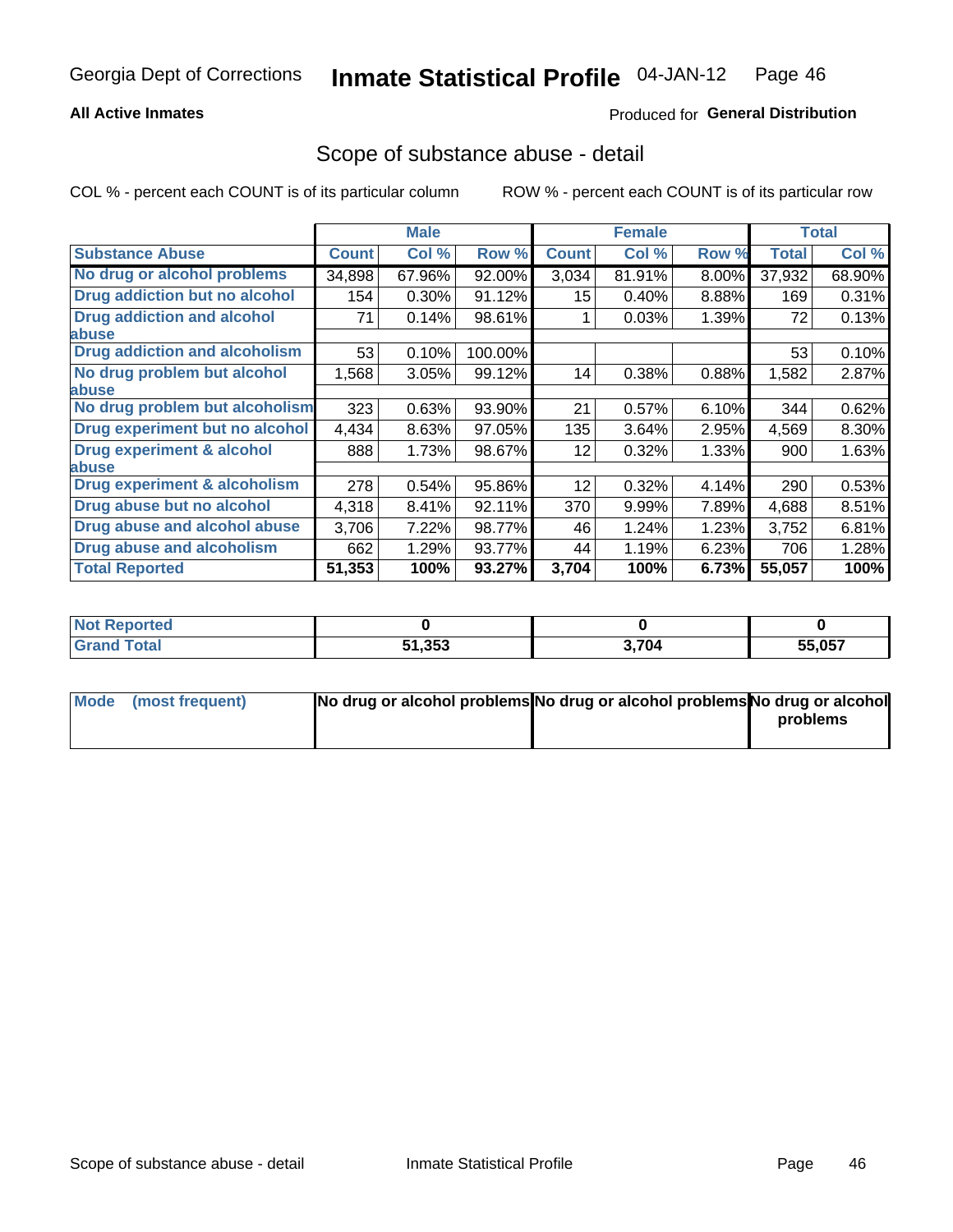## **All Active Inmates**

## Produced for General Distribution

## Scope of substance abuse - detail

COL % - percent each COUNT is of its particular column

|                                      | <b>Male</b>  |        | <b>Female</b> |              |        | <b>Total</b> |              |        |
|--------------------------------------|--------------|--------|---------------|--------------|--------|--------------|--------------|--------|
| <b>Substance Abuse</b>               | <b>Count</b> | Col %  | Row %         | <b>Count</b> | Col %  | Row %        | <b>Total</b> | Col %  |
| No drug or alcohol problems          | 34,898       | 67.96% | 92.00%        | 3,034        | 81.91% | $8.00\%$     | 37,932       | 68.90% |
| Drug addiction but no alcohol        | 154          | 0.30%  | 91.12%        | 15           | 0.40%  | 8.88%        | 169          | 0.31%  |
| <b>Drug addiction and alcohol</b>    | 71           | 0.14%  | 98.61%        |              | 0.03%  | 1.39%        | 72           | 0.13%  |
| <b>labuse</b>                        |              |        |               |              |        |              |              |        |
| <b>Drug addiction and alcoholism</b> | 53           | 0.10%  | 100.00%       |              |        |              | 53           | 0.10%  |
| No drug problem but alcohol          | 1,568        | 3.05%  | 99.12%        | 14           | 0.38%  | 0.88%        | 1,582        | 2.87%  |
| <b>labuse</b>                        |              |        |               |              |        |              |              |        |
| No drug problem but alcoholism       | 323          | 0.63%  | 93.90%        | 21           | 0.57%  | 6.10%        | 344          | 0.62%  |
| Drug experiment but no alcohol       | 4,434        | 8.63%  | 97.05%        | 135          | 3.64%  | 2.95%        | 4,569        | 8.30%  |
| <b>Drug experiment &amp; alcohol</b> | 888          | 1.73%  | 98.67%        | 12           | 0.32%  | 1.33%        | 900          | 1.63%  |
| abuse                                |              |        |               |              |        |              |              |        |
| Drug experiment & alcoholism         | 278          | 0.54%  | 95.86%        | 12           | 0.32%  | 4.14%        | 290          | 0.53%  |
| Drug abuse but no alcohol            | 4,318        | 8.41%  | 92.11%        | 370          | 9.99%  | 7.89%        | 4,688        | 8.51%  |
| Drug abuse and alcohol abuse         | 3,706        | 7.22%  | 98.77%        | 46           | 1.24%  | 1.23%        | 3,752        | 6.81%  |
| <b>Drug abuse and alcoholism</b>     | 662          | 1.29%  | 93.77%        | 44           | 1.19%  | 6.23%        | 706          | 1.28%  |
| <b>Total Reported</b>                | 51,353       | 100%   | 93.27%        | 3,704        | 100%   | 6.73%        | 55,057       | 100%   |

| orted<br>' NOT |        |       |        |
|----------------|--------|-------|--------|
|                | 51,353 | 3,704 | 55,057 |

| Mode (most frequent) | No drug or alcohol problems No drug or alcohol problems No drug or alcohol |          |
|----------------------|----------------------------------------------------------------------------|----------|
|                      |                                                                            | problems |
|                      |                                                                            |          |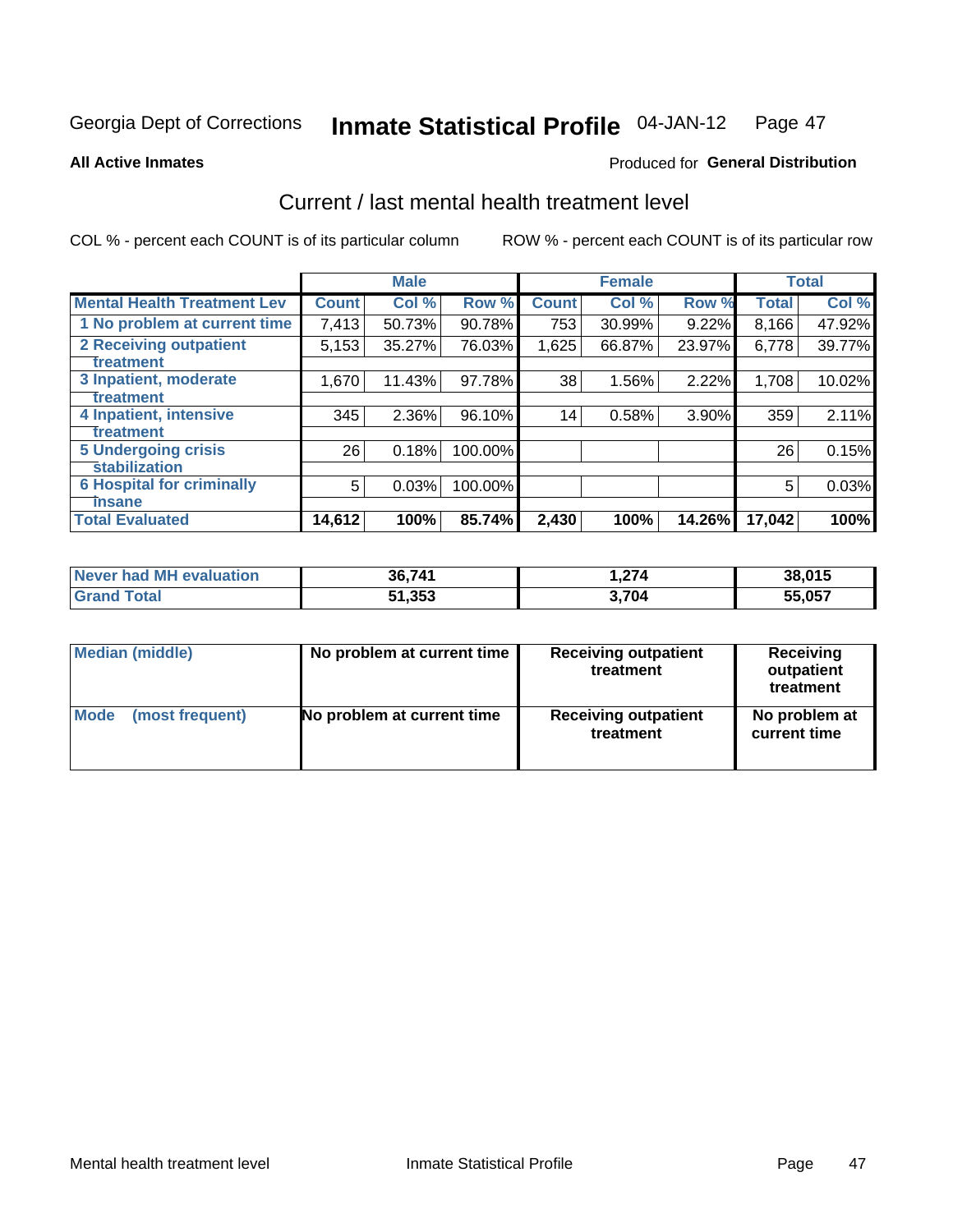#### Inmate Statistical Profile 04-JAN-12 Page 47

### **All Active Inmates**

## **Produced for General Distribution**

## Current / last mental health treatment level

COL % - percent each COUNT is of its particular column

|                                    |              | <b>Male</b> |         |              | <b>Female</b> |        |              | <b>Total</b> |
|------------------------------------|--------------|-------------|---------|--------------|---------------|--------|--------------|--------------|
| <b>Mental Health Treatment Lev</b> | <b>Count</b> | Col %       | Row %   | <b>Count</b> | Col %         | Row %  | <b>Total</b> | Col %        |
| 1 No problem at current time       | 7,413        | 50.73%      | 90.78%  | 753          | 30.99%        | 9.22%  | 8,166        | 47.92%       |
| 2 Receiving outpatient             | 5,153        | 35.27%      | 76.03%  | 1,625        | 66.87%        | 23.97% | 6,778        | 39.77%       |
| <b>Treatment</b>                   |              |             |         |              |               |        |              |              |
| 3 Inpatient, moderate              | 1,670        | 11.43%      | 97.78%  | 38           | 1.56%         | 2.22%  | 1,708        | 10.02%       |
| <b>Treatment</b>                   |              |             |         |              |               |        |              |              |
| 4 Inpatient, intensive             | 345          | 2.36%       | 96.10%  | 14           | 0.58%         | 3.90%  | 359          | 2.11%        |
| Treatment                          |              |             |         |              |               |        |              |              |
| <b>5 Undergoing crisis</b>         | 26           | 0.18%       | 100.00% |              |               |        | 26           | 0.15%        |
| <b>stabilization</b>               |              |             |         |              |               |        |              |              |
| <b>6 Hospital for criminally</b>   | 5            | 0.03%       | 100.00% |              |               |        | 5            | 0.03%        |
| <b>Tinsane</b>                     |              |             |         |              |               |        |              |              |
| <b>Total Evaluated</b>             | 14,612       | 100%        | 85.74%  | 2,430        | 100%          | 14.26% | 17,042       | 100%         |

| Never had MH evaluation | 36,741 | 1,274 | 38,015 |
|-------------------------|--------|-------|--------|
| <b>Grand Total</b>      | 51,353 | 3,704 | 55,057 |

| Median (middle) | No problem at current time | <b>Receiving outpatient</b><br>treatment | <b>Receiving</b><br>outpatient<br>treatment |  |  |
|-----------------|----------------------------|------------------------------------------|---------------------------------------------|--|--|
| <b>Mode</b>     | No problem at current time | <b>Receiving outpatient</b>              | No problem at                               |  |  |
| (most frequent) |                            | treatment                                | current time                                |  |  |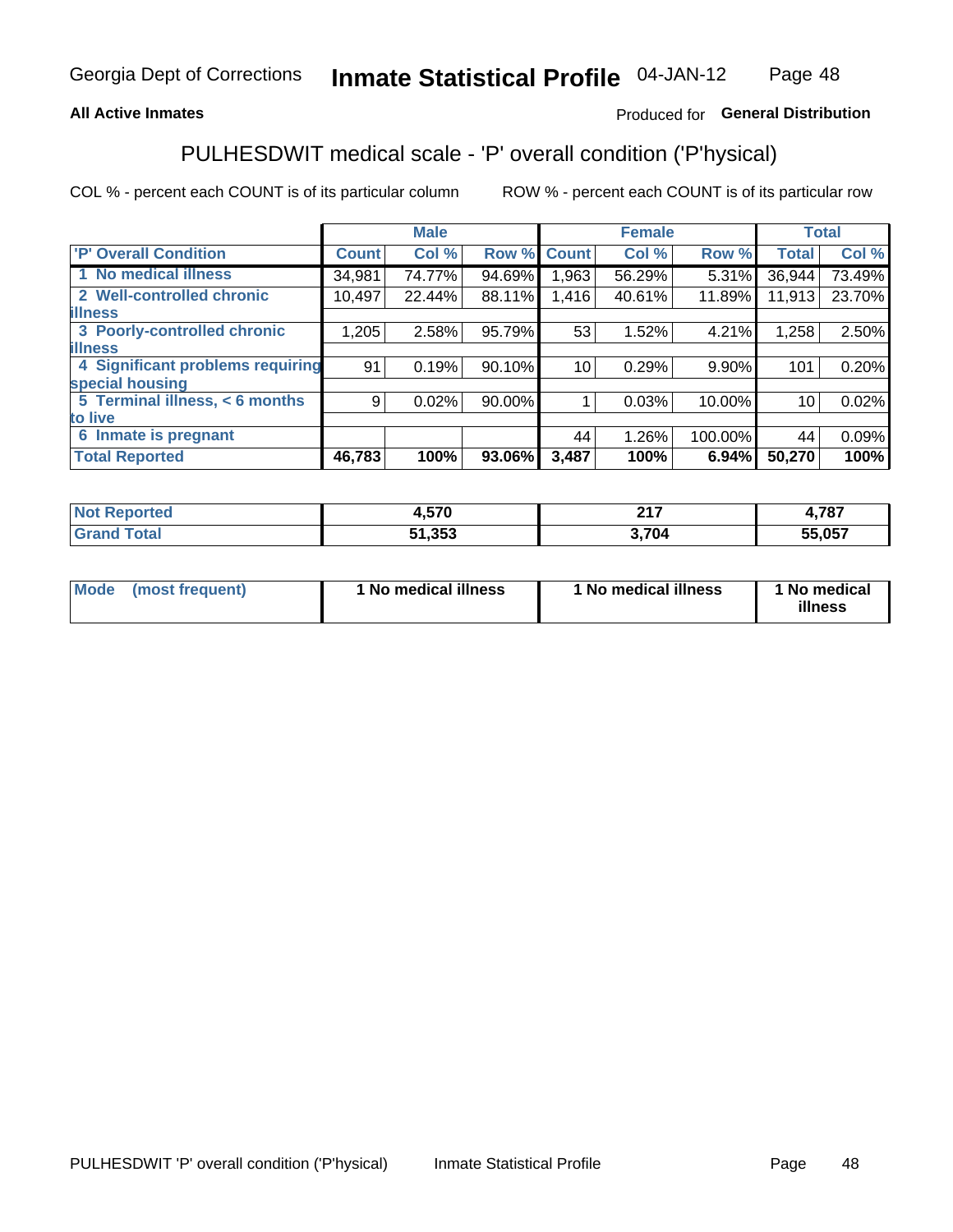## **All Active Inmates**

## Produced for General Distribution

## PULHESDWIT medical scale - 'P' overall condition ('P'hysical)

COL % - percent each COUNT is of its particular column

|                                  |              | <b>Male</b> |        | <b>Female</b>   |        |         | <b>Total</b> |        |
|----------------------------------|--------------|-------------|--------|-----------------|--------|---------|--------------|--------|
| 'P' Overall Condition            | <b>Count</b> | Col %       | Row %  | <b>Count</b>    | Col %  | Row %   | <b>Total</b> | Col %  |
| 1 No medical illness             | 34,981       | 74.77%      | 94.69% | 1,963           | 56.29% | 5.31%   | 36,944       | 73.49% |
| 2 Well-controlled chronic        | 10,497       | 22.44%      | 88.11% | 1,416           | 40.61% | 11.89%  | 11,913       | 23.70% |
| <b>illness</b>                   |              |             |        |                 |        |         |              |        |
| 3 Poorly-controlled chronic      | 1,205        | 2.58%       | 95.79% | 53              | 1.52%  | 4.21%   | 1,258        | 2.50%  |
| <b>illness</b>                   |              |             |        |                 |        |         |              |        |
| 4 Significant problems requiring | 91           | 0.19%       | 90.10% | 10 <sub>1</sub> | 0.29%  | 9.90%   | 101          | 0.20%  |
| special housing                  |              |             |        |                 |        |         |              |        |
| 5 Terminal illness, $< 6$ months | 9            | 0.02%       | 90.00% |                 | 0.03%  | 10.00%  | 10           | 0.02%  |
| to live                          |              |             |        |                 |        |         |              |        |
| 6 Inmate is pregnant             |              |             |        | 44              | 1.26%  | 100.00% | 44           | 0.09%  |
| <b>Total Reported</b>            | 46,783       | 100%        | 93.06% | 3,487           | 100%   | 6.94%   | 50,270       | 100%   |

| тес | <b>E70</b> | <b>047</b><br>4 I I | 707<br>701 |
|-----|------------|---------------------|------------|
|     | ったっ        | <b>704</b><br>v     | 55.057     |

| Mode<br>(most frequent) |  | <sup>1</sup> No medical illness | 1 No medical illness | 1 No medical<br>illness |
|-------------------------|--|---------------------------------|----------------------|-------------------------|
|-------------------------|--|---------------------------------|----------------------|-------------------------|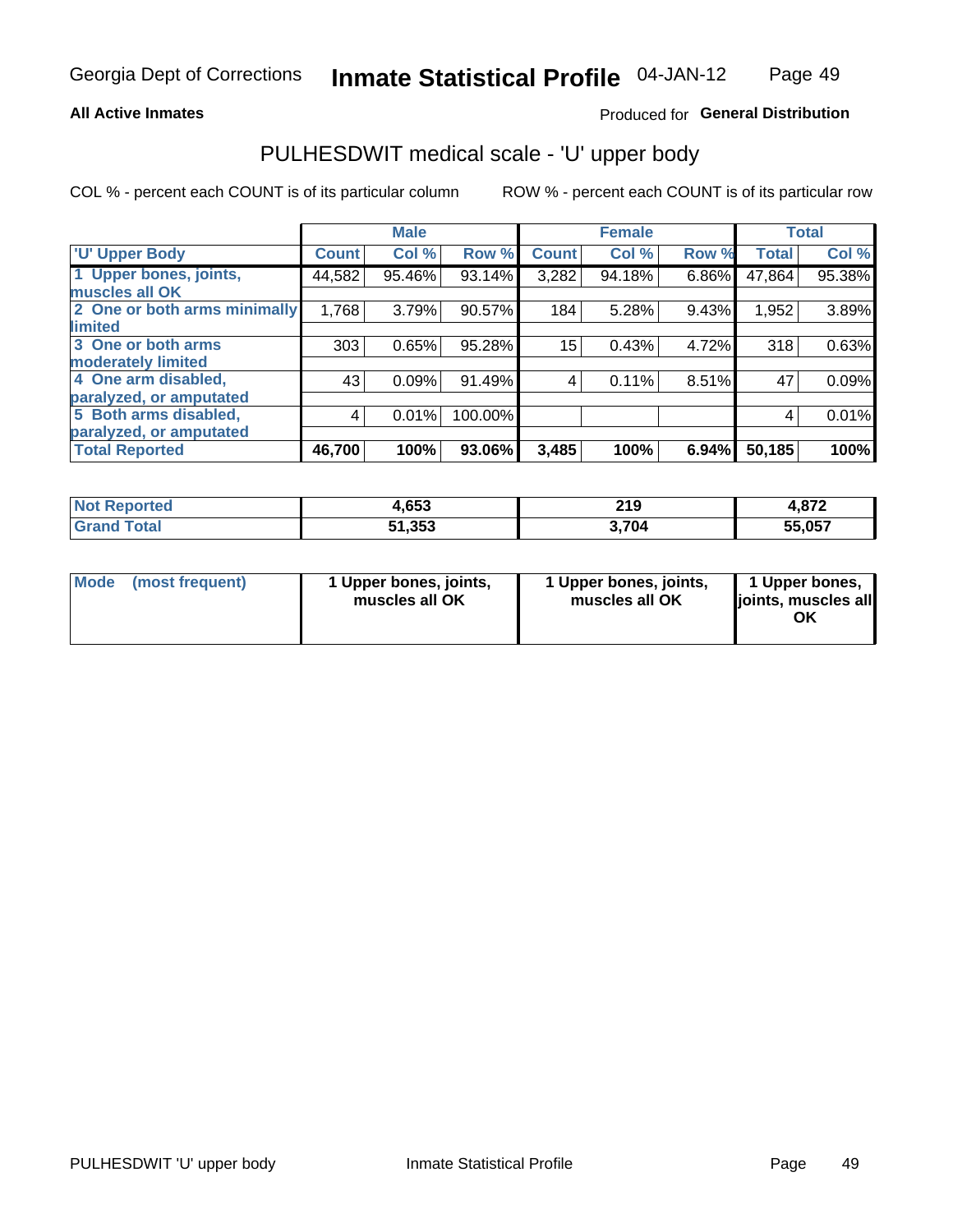### **All Active Inmates**

## Produced for General Distribution

# PULHESDWIT medical scale - 'U' upper body

COL % - percent each COUNT is of its particular column

|                              |               | <b>Male</b> |         |              | <b>Female</b> |       |              | <b>Total</b> |
|------------------------------|---------------|-------------|---------|--------------|---------------|-------|--------------|--------------|
| <b>U' Upper Body</b>         | <b>Count!</b> | Col %       | Row %   | <b>Count</b> | Col %         | Row % | <b>Total</b> | Col %        |
| 1 Upper bones, joints,       | 44,582        | 95.46%      | 93.14%  | 3,282        | 94.18%        | 6.86% | 47,864       | 95.38%       |
| muscles all OK               |               |             |         |              |               |       |              |              |
| 2 One or both arms minimally | 1,768         | 3.79%       | 90.57%  | 184          | 5.28%         | 9.43% | 1,952        | 3.89%        |
| limited                      |               |             |         |              |               |       |              |              |
| 3 One or both arms           | 303           | 0.65%       | 95.28%  | 15           | 0.43%         | 4.72% | 318          | 0.63%        |
| <b>moderately limited</b>    |               |             |         |              |               |       |              |              |
| 4 One arm disabled,          | 43            | 0.09%       | 91.49%  | 4            | 0.11%         | 8.51% | 47           | 0.09%        |
| paralyzed, or amputated      |               |             |         |              |               |       |              |              |
| 5 Both arms disabled,        | 4             | 0.01%       | 100.00% |              |               |       | 4            | 0.01%        |
| paralyzed, or amputated      |               |             |         |              |               |       |              |              |
| <b>Total Reported</b>        | 46,700        | 100%        | 93.06%  | 3,485        | 100%          | 6.94% | 50,185       | 100%         |

| <b>Not Reported</b>          | 1,653  | 219   | ່ດາາ   |
|------------------------------|--------|-------|--------|
| <b>Total</b><br><b>Grand</b> | 51,353 | 3,704 | 55,057 |

| Mode (most frequent) | 1 Upper bones, joints,<br>muscles all OK | 1 Upper bones, joints,<br>muscles all OK | 1 Upper bones,<br>joints, muscles all<br>ΟK |
|----------------------|------------------------------------------|------------------------------------------|---------------------------------------------|
|----------------------|------------------------------------------|------------------------------------------|---------------------------------------------|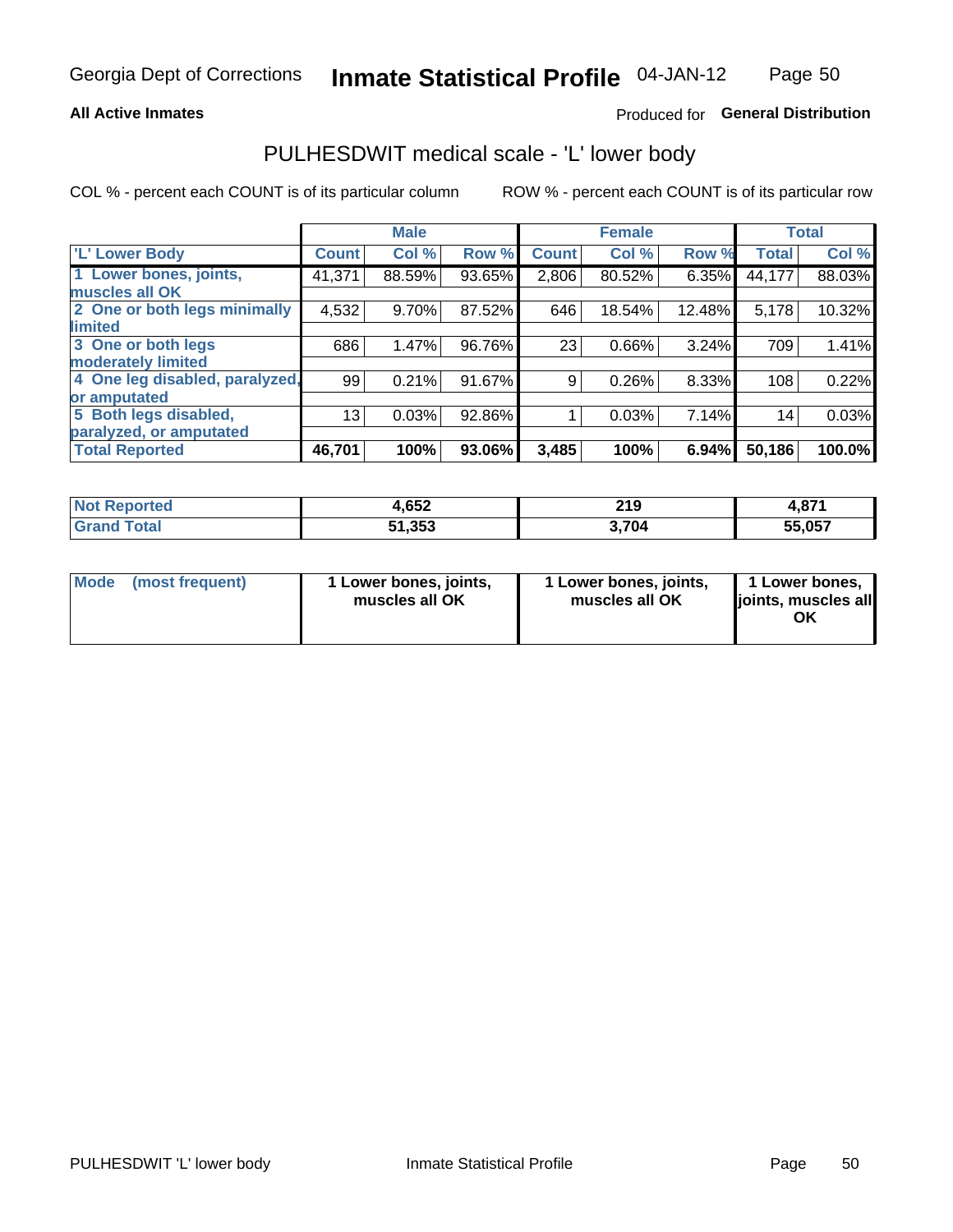### **All Active Inmates**

## Produced for General Distribution

## PULHESDWIT medical scale - 'L' lower body

COL % - percent each COUNT is of its particular column

|                                |              | <b>Male</b> |        |              | <b>Female</b> |        |              | <b>Total</b> |
|--------------------------------|--------------|-------------|--------|--------------|---------------|--------|--------------|--------------|
| 'L' Lower Body                 | <b>Count</b> | Col %       | Row %  | <b>Count</b> | Col %         | Row %  | <b>Total</b> | Col %        |
| 1 Lower bones, joints,         | 41,371       | 88.59%      | 93.65% | 2,806        | 80.52%        | 6.35%  | 44,177       | 88.03%       |
| muscles all OK                 |              |             |        |              |               |        |              |              |
| 2 One or both legs minimally   | 4,532        | 9.70%       | 87.52% | 646          | 18.54%        | 12.48% | 5,178        | 10.32%       |
| limited                        |              |             |        |              |               |        |              |              |
| 3 One or both legs             | 686          | 1.47%       | 96.76% | 23           | 0.66%         | 3.24%  | 709          | 1.41%        |
| moderately limited             |              |             |        |              |               |        |              |              |
| 4 One leg disabled, paralyzed, | 99           | 0.21%       | 91.67% | 9            | 0.26%         | 8.33%  | 108          | 0.22%        |
| or amputated                   |              |             |        |              |               |        |              |              |
| 5 Both legs disabled,          | 13           | 0.03%       | 92.86% |              | 0.03%         | 7.14%  | 14           | 0.03%        |
| paralyzed, or amputated        |              |             |        |              |               |        |              |              |
| <b>Total Reported</b>          | 46,701       | 100%        | 93.06% | 3,485        | 100%          | 6.94%  | 50,186       | 100.0%       |

| <b>Not Reported</b> | 4,652  | 219   | - 074<br>4.OL. |
|---------------------|--------|-------|----------------|
| <b>Grand Total</b>  | 51,353 | 3,704 | 55,057         |

| Mode | (most frequent) | 1 Lower bones, joints,<br>muscles all OK | 1 Lower bones, joints,<br>muscles all OK | 1 Lower bones,<br>joints, muscles all<br>ΟK |
|------|-----------------|------------------------------------------|------------------------------------------|---------------------------------------------|
|------|-----------------|------------------------------------------|------------------------------------------|---------------------------------------------|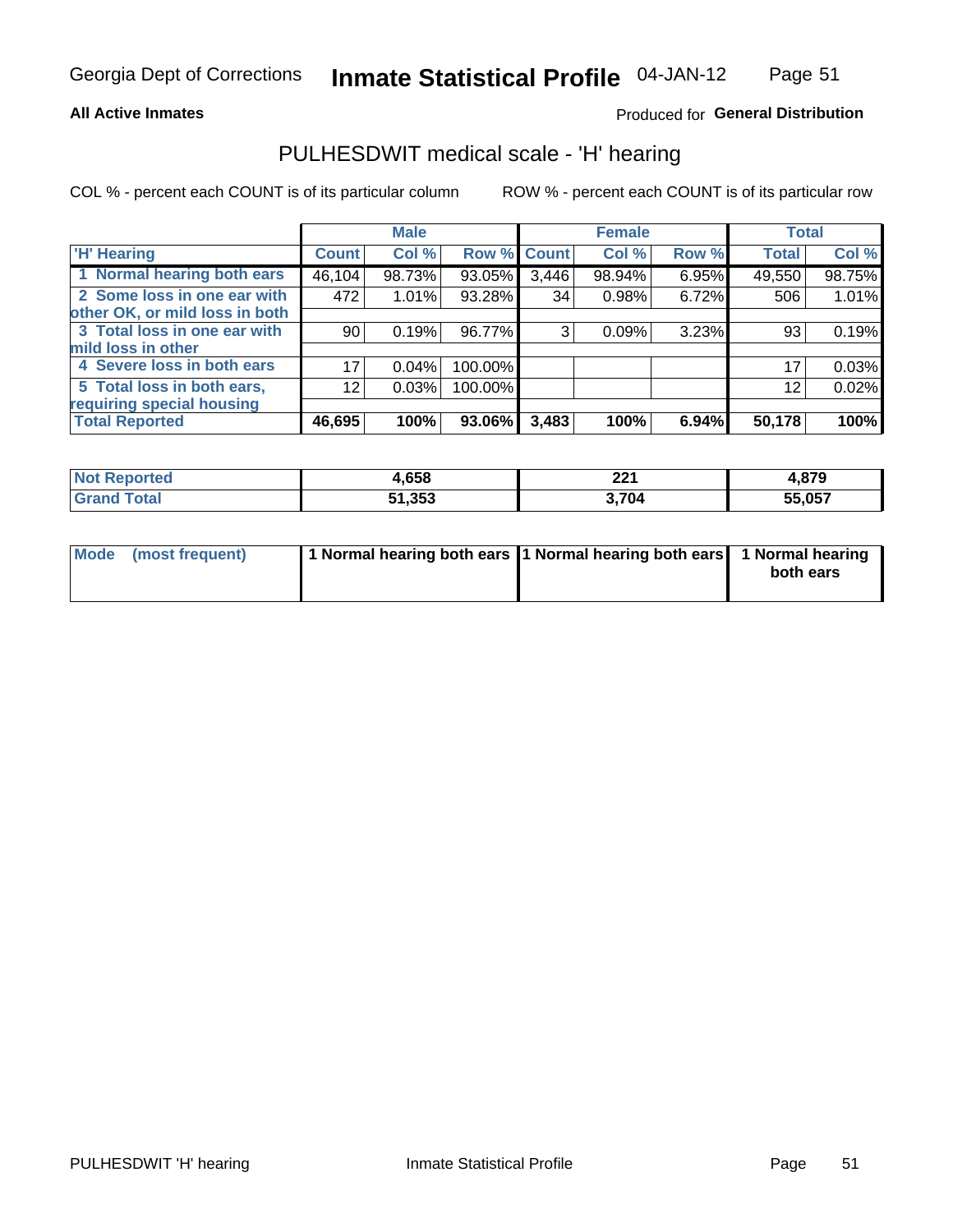### **All Active Inmates**

## Produced for General Distribution

## PULHESDWIT medical scale - 'H' hearing

COL % - percent each COUNT is of its particular column

|                                |                 | <b>Male</b> |         |             | <b>Female</b> |       | <b>Total</b> |        |
|--------------------------------|-----------------|-------------|---------|-------------|---------------|-------|--------------|--------|
| <b>H' Hearing</b>              | <b>Count</b>    | Col %       |         | Row % Count | Col %         | Row % | <b>Total</b> | Col %  |
| 1 Normal hearing both ears     | 46,104          | 98.73%      | 93.05%  | 3,446       | 98.94%        | 6.95% | 49,550       | 98.75% |
| 2 Some loss in one ear with    | 472             | 1.01%       | 93.28%  | 34          | 0.98%         | 6.72% | 506          | 1.01%  |
| other OK, or mild loss in both |                 |             |         |             |               |       |              |        |
| 3 Total loss in one ear with   | 90 <sub>1</sub> | 0.19%       | 96.77%  | 3           | 0.09%         | 3.23% | 93           | 0.19%  |
| mild loss in other             |                 |             |         |             |               |       |              |        |
| 4 Severe loss in both ears     | 17              | 0.04%       | 100.00% |             |               |       | 17           | 0.03%  |
| 5 Total loss in both ears,     | 12 <sub>2</sub> | 0.03%       | 100.00% |             |               |       | 12           | 0.02%  |
| requiring special housing      |                 |             |         |             |               |       |              |        |
| <b>Total Reported</b>          | 46,695          | 100%        | 93.06%  | 3,483       | 100%          | 6.94% | 50,178       | 100%   |

| morted and      | ,658   | ົດດາ<br>44 I | .879   |
|-----------------|--------|--------------|--------|
| $f$ $f \circ f$ | 51,353 | 704          | 55,057 |

| Mode (most frequent) | 1 Normal hearing both ears 1 Normal hearing both ears 1 Normal hearing |           |
|----------------------|------------------------------------------------------------------------|-----------|
|                      |                                                                        | both ears |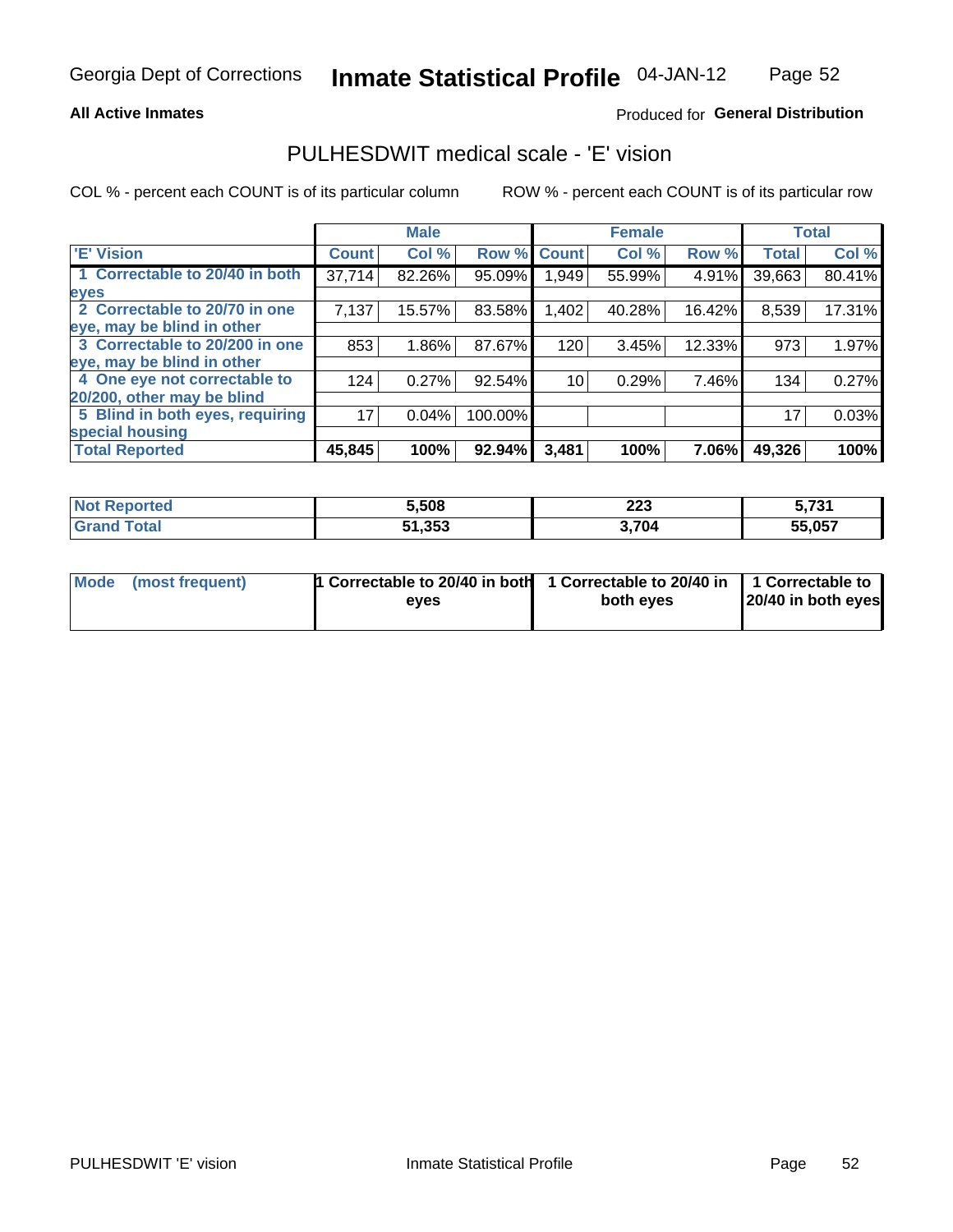### **All Active Inmates**

## Produced for General Distribution

## PULHESDWIT medical scale - 'E' vision

COL % - percent each COUNT is of its particular column

|                                 |              | <b>Male</b> |         |              | <b>Female</b> |        |              | <b>Total</b> |
|---------------------------------|--------------|-------------|---------|--------------|---------------|--------|--------------|--------------|
| <b>E' Vision</b>                | <b>Count</b> | Col %       | Row %   | <b>Count</b> | Col %         | Row %  | <b>Total</b> | Col %        |
| 1 Correctable to 20/40 in both  | 37,714       | 82.26%      | 95.09%  | 949. ا       | 55.99%        | 4.91%  | 39,663       | 80.41%       |
| eyes                            |              |             |         |              |               |        |              |              |
| 2 Correctable to 20/70 in one   | 7,137        | 15.57%      | 83.58%  | 1,402        | 40.28%        | 16.42% | 8,539        | 17.31%       |
| eye, may be blind in other      |              |             |         |              |               |        |              |              |
| 3 Correctable to 20/200 in one  | 853          | 1.86%       | 87.67%  | 120          | 3.45%         | 12.33% | 973          | 1.97%        |
| eye, may be blind in other      |              |             |         |              |               |        |              |              |
| 4 One eye not correctable to    | 124          | 0.27%       | 92.54%  | 10           | 0.29%         | 7.46%  | 134          | 0.27%        |
| 20/200, other may be blind      |              |             |         |              |               |        |              |              |
| 5 Blind in both eyes, requiring | 17           | 0.04%       | 100.00% |              |               |        | 17           | 0.03%        |
| special housing                 |              |             |         |              |               |        |              |              |
| <b>Total Reported</b>           | 45,845       | 100%        | 92.94%  | 3,481        | 100%          | 7.06%  | 49,326       | 100%         |

| Reported<br>NOT. | 5.508  | $\sim$<br>ZZJ<br>___ | - -^*<br>. J I |
|------------------|--------|----------------------|----------------|
| <b>Fotal</b>     | 51,353 | 3.704                | 55,057<br>     |

| Mode (most frequent) | 1 Correctable to 20/40 in both<br>eves | 1 Correctable to 20/40 in   1 Correctable to  <br>both eyes | 20/40 in both eyes |
|----------------------|----------------------------------------|-------------------------------------------------------------|--------------------|
|                      |                                        |                                                             |                    |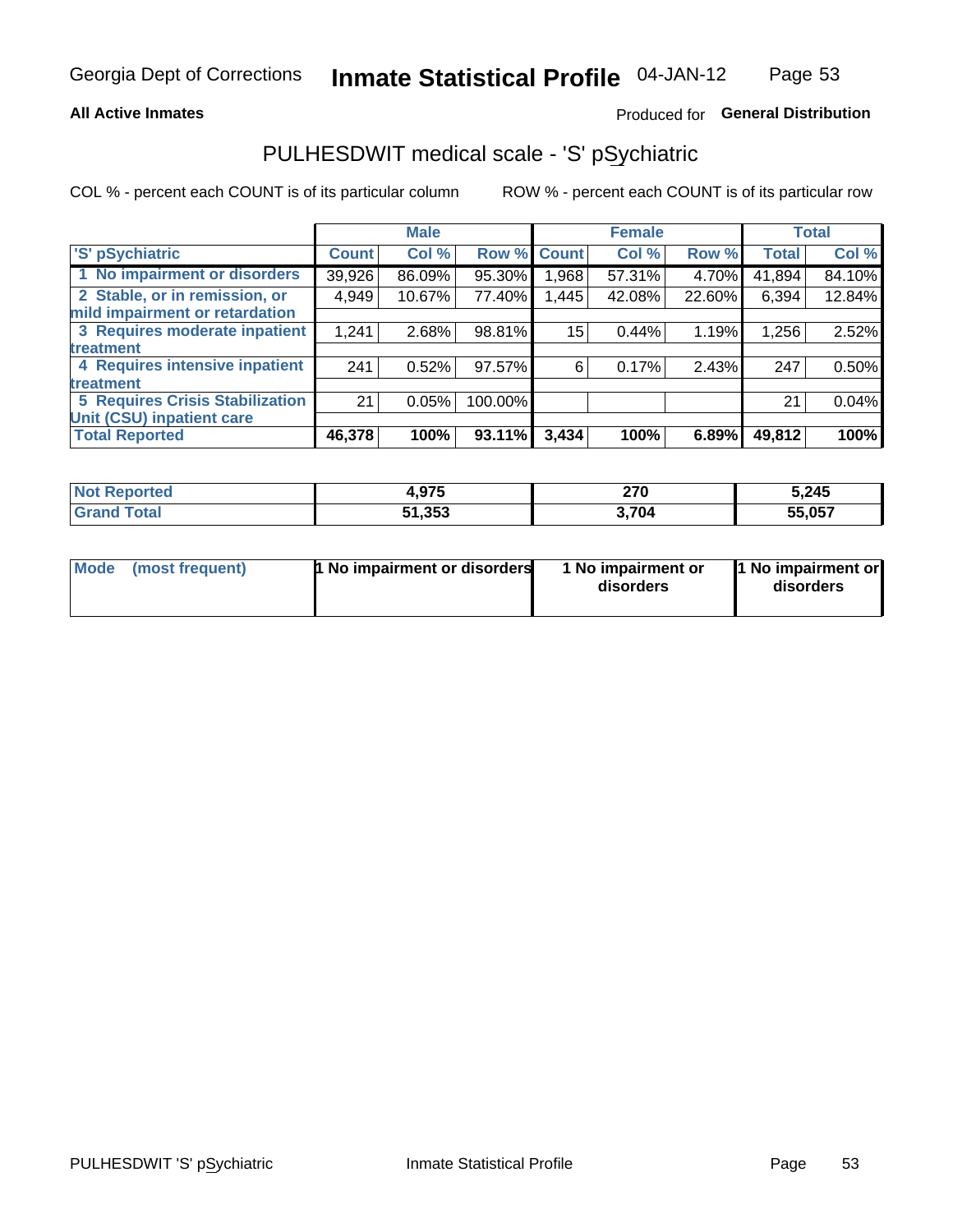### **All Active Inmates**

## Produced for General Distribution

## PULHESDWIT medical scale - 'S' pSychiatric

COL % - percent each COUNT is of its particular column

|                                        |              | <b>Male</b> |         |             | <b>Female</b> |        |              | <b>Total</b> |
|----------------------------------------|--------------|-------------|---------|-------------|---------------|--------|--------------|--------------|
| 'S' pSychiatric                        | <b>Count</b> | Col %       |         | Row % Count | Col %         | Row %  | <b>Total</b> | Col %        |
| 1 No impairment or disorders           | 39,926       | 86.09%      | 95.30%  | .968        | 57.31%        | 4.70%  | 41,894       | 84.10%       |
| 2 Stable, or in remission, or          | 4,949        | 10.67%      | 77.40%  | 1,445       | 42.08%        | 22.60% | 6,394        | 12.84%       |
| mild impairment or retardation         |              |             |         |             |               |        |              |              |
| 3 Requires moderate inpatient          | 1,241        | 2.68%       | 98.81%  | 15          | 0.44%         | 1.19%  | 1,256        | 2.52%        |
| treatment                              |              |             |         |             |               |        |              |              |
| 4 Requires intensive inpatient         | 241          | 0.52%       | 97.57%  | 6           | 0.17%         | 2.43%  | 247          | 0.50%        |
| treatment                              |              |             |         |             |               |        |              |              |
| <b>5 Requires Crisis Stabilization</b> | 21           | 0.05%       | 100.00% |             |               |        | 21           | 0.04%        |
| Unit (CSU) inpatient care              |              |             |         |             |               |        |              |              |
| <b>Total Reported</b>                  | 46,378       | 100%        | 93.11%  | 3,434       | 100%          | 6.89%  | 49,812       | 100%         |

| <b>Not Reported</b> | <b>075</b><br>י וע. | 270   | 5,245  |
|---------------------|---------------------|-------|--------|
| $\tau$ otal         | 51,353              | 3,704 | 55,057 |

| Mode<br>1 No impairment or disorders<br>(most frequent) | 1 No impairment or<br>disorders | 1 No impairment or<br>disorders |
|---------------------------------------------------------|---------------------------------|---------------------------------|
|---------------------------------------------------------|---------------------------------|---------------------------------|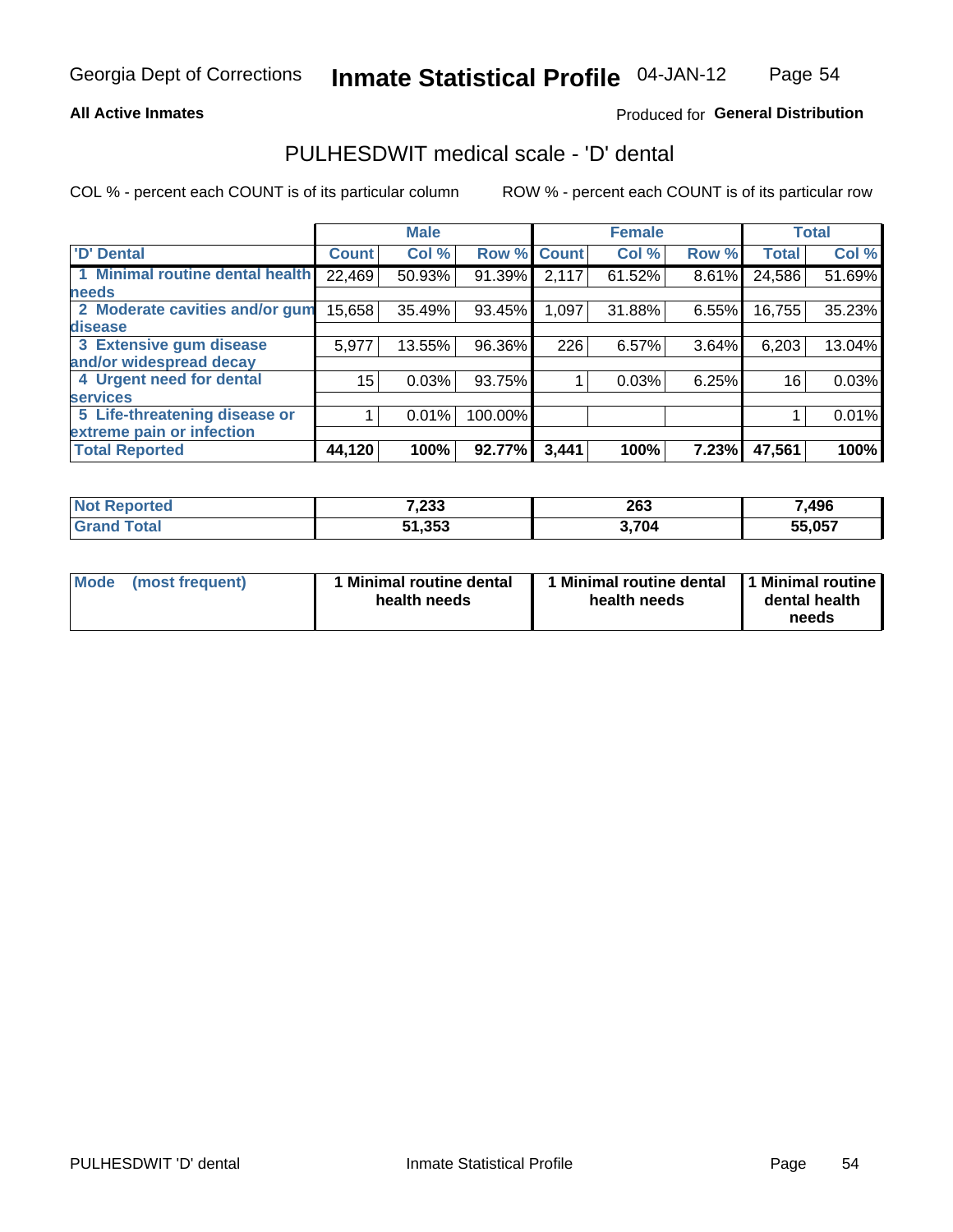### **All Active Inmates**

## Produced for General Distribution

## PULHESDWIT medical scale - 'D' dental

COL % - percent each COUNT is of its particular column

|                                 |              | <b>Male</b> |         |              | <b>Female</b> |       |              | <b>Total</b> |
|---------------------------------|--------------|-------------|---------|--------------|---------------|-------|--------------|--------------|
| <b>D'</b> Dental                | <b>Count</b> | Col %       | Row %   | <b>Count</b> | Col %         | Row % | <b>Total</b> | Col %        |
| 1 Minimal routine dental health | 22,469       | 50.93%      | 91.39%  | 2,117        | 61.52%        | 8.61% | 24,586       | 51.69%       |
| <b>needs</b>                    |              |             |         |              |               |       |              |              |
| 2 Moderate cavities and/or gum  | 15,658       | 35.49%      | 93.45%  | 1,097        | 31.88%        | 6.55% | 16,755       | 35.23%       |
| disease                         |              |             |         |              |               |       |              |              |
| 3 Extensive gum disease         | 5,977        | 13.55%      | 96.36%  | 226          | 6.57%         | 3.64% | 6,203        | 13.04%       |
| and/or widespread decay         |              |             |         |              |               |       |              |              |
| 4 Urgent need for dental        | 15           | 0.03%       | 93.75%  |              | 0.03%         | 6.25% | 16           | 0.03%        |
| <b>services</b>                 |              |             |         |              |               |       |              |              |
| 5 Life-threatening disease or   |              | 0.01%       | 100.00% |              |               |       |              | 0.01%        |
| extreme pain or infection       |              |             |         |              |               |       |              |              |
| <b>Total Reported</b>           | 44,120       | 100%        | 92.77%  | 3,441        | 100%          | 7.23% | 47,561       | 100%         |

| <b>Not Reported</b> | 7,233  | 263   | 7,496      |
|---------------------|--------|-------|------------|
| Гоtа                | 51,353 | 3,704 | 55.057<br> |

| 1 Minimal routine dental<br>Mode<br>(most frequent)<br>health needs | 1 Minimal routine dental 1 Minimal routine<br>health needs | dental health<br>needs |
|---------------------------------------------------------------------|------------------------------------------------------------|------------------------|
|---------------------------------------------------------------------|------------------------------------------------------------|------------------------|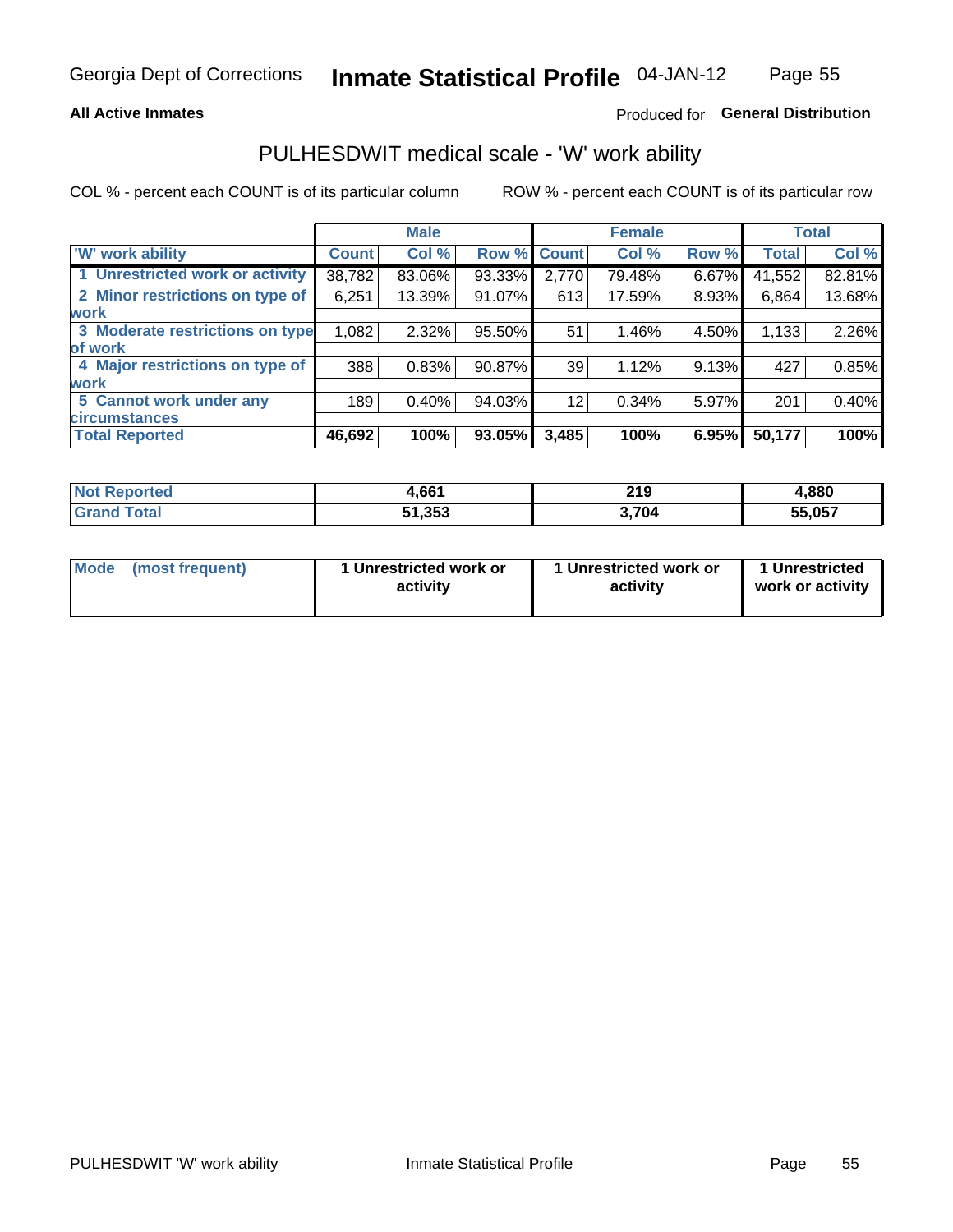### **All Active Inmates**

## Produced for General Distribution

## PULHESDWIT medical scale - 'W' work ability

COL % - percent each COUNT is of its particular column

|                                 |              | <b>Male</b> |        |             | <b>Female</b> |       |              | <b>Total</b> |
|---------------------------------|--------------|-------------|--------|-------------|---------------|-------|--------------|--------------|
| 'W' work ability                | <b>Count</b> | Col %       |        | Row % Count | Col %         | Row % | <b>Total</b> | Col %        |
| 1 Unrestricted work or activity | 38,782       | 83.06%      | 93.33% | 2,770       | 79.48%        | 6.67% | 41,552       | 82.81%       |
| 2 Minor restrictions on type of | 6,251        | 13.39%      | 91.07% | 613         | 17.59%        | 8.93% | 6,864        | 13.68%       |
| <b>work</b>                     |              |             |        |             |               |       |              |              |
| 3 Moderate restrictions on type | 1,082        | 2.32%       | 95.50% | 51          | 1.46%         | 4.50% | 1,133        | 2.26%        |
| lof work                        |              |             |        |             |               |       |              |              |
| 4 Major restrictions on type of | 388          | 0.83%       | 90.87% | 39          | 1.12%         | 9.13% | 427          | 0.85%        |
| <b>work</b>                     |              |             |        |             |               |       |              |              |
| 5 Cannot work under any         | 189          | 0.40%       | 94.03% | 12          | 0.34%         | 5.97% | 201          | 0.40%        |
| <b>circumstances</b>            |              |             |        |             |               |       |              |              |
| <b>Total Reported</b>           | 46,692       | 100%        | 93.05% | 3,485       | 100%          | 6.95% | 50,177       | 100%         |

| <b>Enorted</b><br>NO1 | .661   | <b>210</b><br>213<br>$\sim$         | 1,880  |
|-----------------------|--------|-------------------------------------|--------|
| <b>Total</b>          | 51,353 | $^{\backprime}$ 704 $^{\backprime}$ | 55,057 |

| Mode            | 1 Unrestricted work or | 1 Unrestricted work or | 1 Unrestricted   |
|-----------------|------------------------|------------------------|------------------|
| (most frequent) | activity               | activity               | work or activity |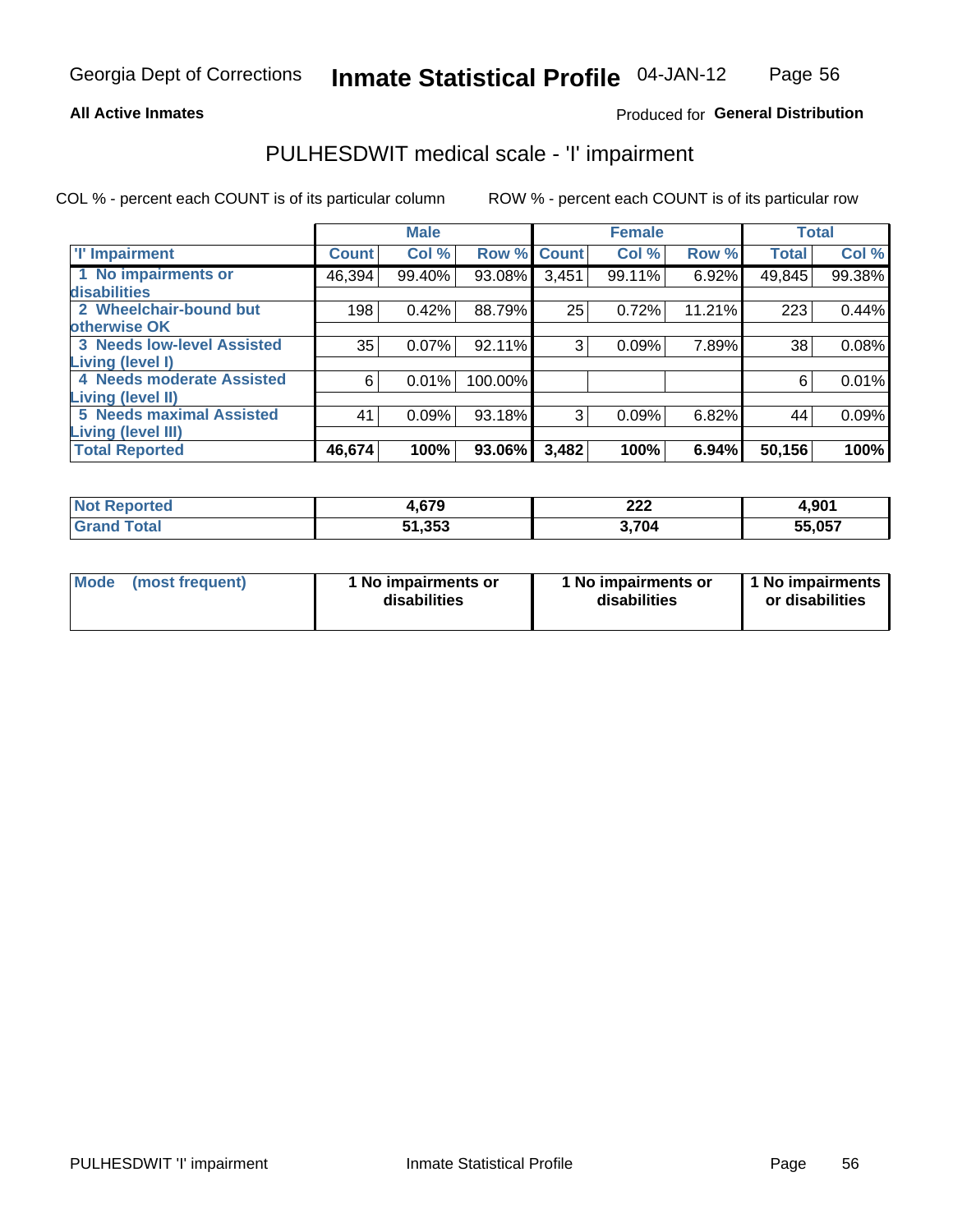### **All Active Inmates**

## Produced for General Distribution

## PULHESDWIT medical scale - 'I' impairment

COL % - percent each COUNT is of its particular column

|                                   |              | <b>Male</b> |             |       | <b>Female</b> |        | <b>Total</b> |        |
|-----------------------------------|--------------|-------------|-------------|-------|---------------|--------|--------------|--------|
| <b>T' Impairment</b>              | <b>Count</b> | Col %       | Row % Count |       | Col %         | Row %  | <b>Total</b> | Col %  |
| 1 No impairments or               | 46,394       | 99.40%      | 93.08%      | 3,451 | 99.11%        | 6.92%  | 49,845       | 99.38% |
| disabilities                      |              |             |             |       |               |        |              |        |
| 2 Wheelchair-bound but            | 198          | 0.42%       | 88.79%      | 25    | 0.72%         | 11.21% | 223          | 0.44%  |
| otherwise OK                      |              |             |             |       |               |        |              |        |
| <b>3 Needs low-level Assisted</b> | 35           | 0.07%       | 92.11%      | 3     | 0.09%         | 7.89%  | 38           | 0.08%  |
| Living (level I)                  |              |             |             |       |               |        |              |        |
| 4 Needs moderate Assisted         | 6            | 0.01%       | 100.00%     |       |               |        | 6            | 0.01%  |
| Living (level II)                 |              |             |             |       |               |        |              |        |
| <b>5 Needs maximal Assisted</b>   | 41           | 0.09%       | 93.18%      | 3     | 0.09%         | 6.82%  | 44           | 0.09%  |
| <b>Living (level III)</b>         |              |             |             |       |               |        |              |        |
| <b>Total Reported</b>             | 46,674       | 100%        | 93.06%      | 3,482 | 100%          | 6.94%  | 50,156       | 100%   |

| Reported<br>NO    | <b>670</b><br>1.V / J | ິດດດ<br>ZZZ | 4,901  |
|-------------------|-----------------------|-------------|--------|
| <sup>-</sup> otal | 51,353                | .704        | 55,057 |

| Mode | (most frequent) | 1 No impairments or<br>disabilities | 1 No impairments or<br>disabilities | 1 No impairments<br>or disabilities |
|------|-----------------|-------------------------------------|-------------------------------------|-------------------------------------|
|------|-----------------|-------------------------------------|-------------------------------------|-------------------------------------|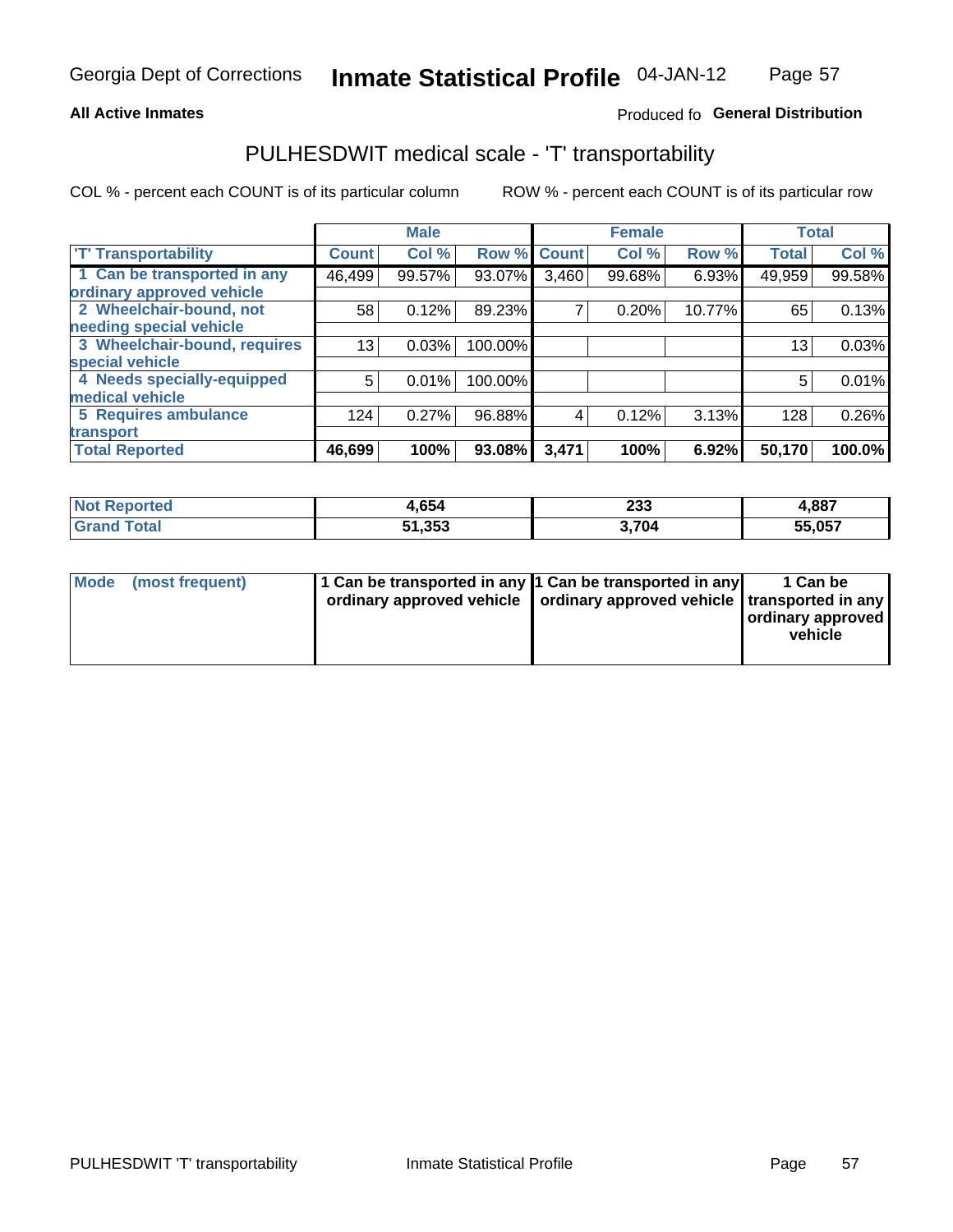## **All Active Inmates**

## Produced fo General Distribution

## PULHESDWIT medical scale - 'T' transportability

COL % - percent each COUNT is of its particular column

|                              |              | <b>Male</b> |         |              | <b>Female</b> |        |              | <b>Total</b> |
|------------------------------|--------------|-------------|---------|--------------|---------------|--------|--------------|--------------|
| <b>T' Transportability</b>   | <b>Count</b> | Col %       | Row %   | <b>Count</b> | Col %         | Row %  | <b>Total</b> | Col %        |
| 1 Can be transported in any  | 46,499       | 99.57%      | 93.07%  | 3,460        | 99.68%        | 6.93%  | 49,959       | 99.58%       |
| ordinary approved vehicle    |              |             |         |              |               |        |              |              |
| 2 Wheelchair-bound, not      | 58           | 0.12%       | 89.23%  | 7            | 0.20%         | 10.77% | 65           | 0.13%        |
| needing special vehicle      |              |             |         |              |               |        |              |              |
| 3 Wheelchair-bound, requires | 13           | 0.03%       | 100.00% |              |               |        | 13           | 0.03%        |
| special vehicle              |              |             |         |              |               |        |              |              |
| 4 Needs specially-equipped   | 5            | 0.01%       | 100.00% |              |               |        | 5            | 0.01%        |
| medical vehicle              |              |             |         |              |               |        |              |              |
| <b>5 Requires ambulance</b>  | 124          | 0.27%       | 96.88%  | 4            | 0.12%         | 3.13%  | 128          | 0.26%        |
| transport                    |              |             |         |              |               |        |              |              |
| <b>Total Reported</b>        | 46,699       | 100%        | 93.08%  | 3,471        | 100%          | 6.92%  | 50,170       | 100.0%       |

| <b>Not</b><br>Reported | 4,654  | 233   | 4,887  |
|------------------------|--------|-------|--------|
| Total                  | 51,353 | 3,704 | 55,057 |

|  | Mode (most frequent) | 1 Can be transported in any 1 Can be transported in any<br>ordinary approved vehicle   ordinary approved vehicle   transported in any |  | 1 Can be<br>  ordinary approved  <br>vehicle |
|--|----------------------|---------------------------------------------------------------------------------------------------------------------------------------|--|----------------------------------------------|
|--|----------------------|---------------------------------------------------------------------------------------------------------------------------------------|--|----------------------------------------------|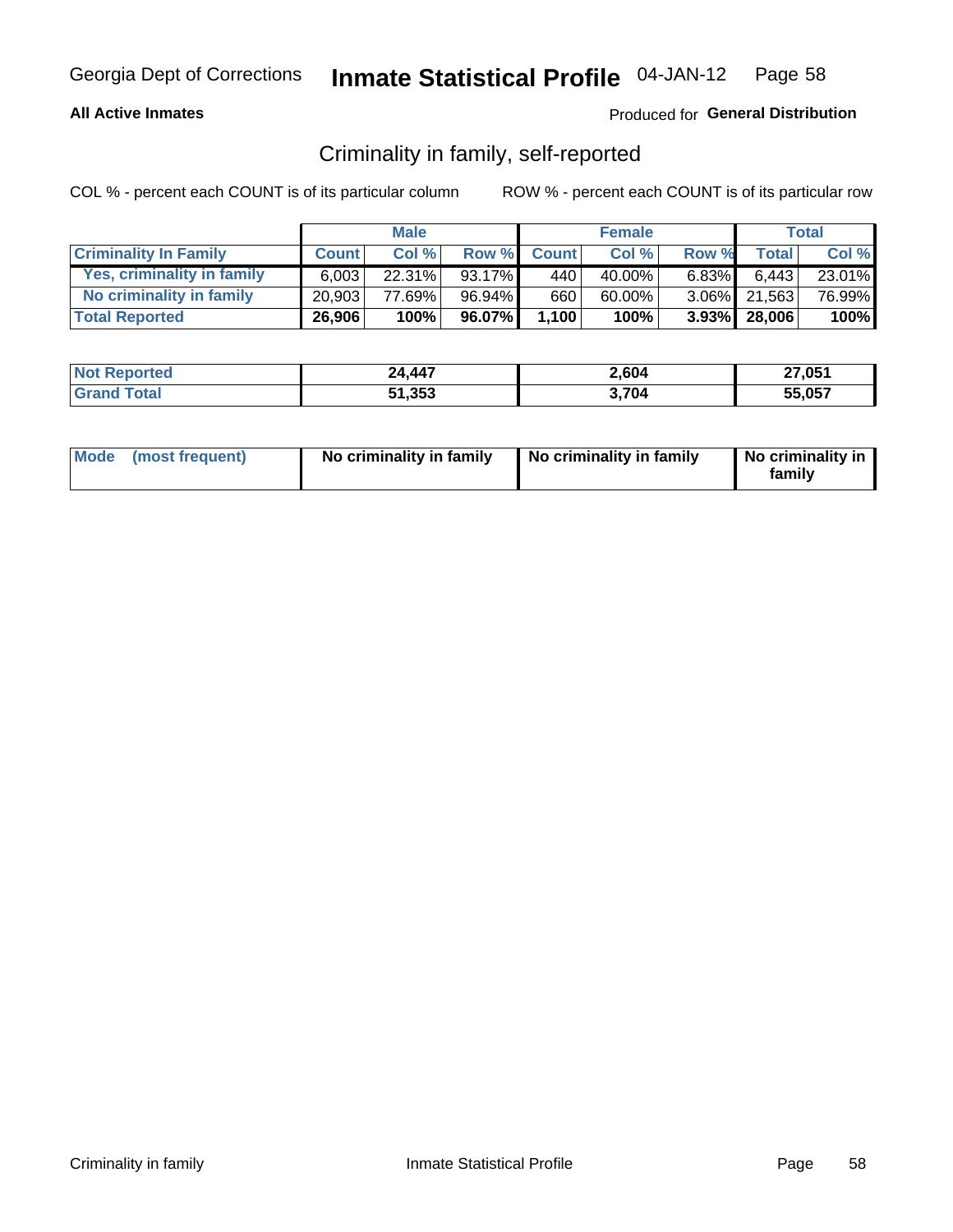## **All Active Inmates**

## Produced for General Distribution

## Criminality in family, self-reported

COL % - percent each COUNT is of its particular column

|                              |              | <b>Male</b> |           |              | <b>Female</b> |          |                   | Total  |
|------------------------------|--------------|-------------|-----------|--------------|---------------|----------|-------------------|--------|
| <b>Criminality In Family</b> | <b>Count</b> | Col%        | Row %     | <b>Count</b> | Col %         | Row %    | <b>Total</b>      | Col %  |
| Yes, criminality in family   | 6.003        | $22.31\%$   | $93.17\%$ | 440          | 40.00%        | $6.83\%$ | 6,443             | 23.01% |
| No criminality in family     | 20.903       | 77.69%      | 96.94%    | 660          | 60.00%        |          | 3.06% 21,563      | 76.99% |
| <b>Total Reported</b>        | 26,906       | 100%        | 96.07%    | 1,100        | 100%          |          | $3.93\%$   28,006 | 100%   |

| <b>Not</b><br>Reported | 24,447 | 2,604 | 27,051 |
|------------------------|--------|-------|--------|
| `otal                  | 51,353 | ,704  | 55.057 |

|  | Mode (most frequent) | No criminality in family | No criminality in family | No criminality in<br>family |
|--|----------------------|--------------------------|--------------------------|-----------------------------|
|--|----------------------|--------------------------|--------------------------|-----------------------------|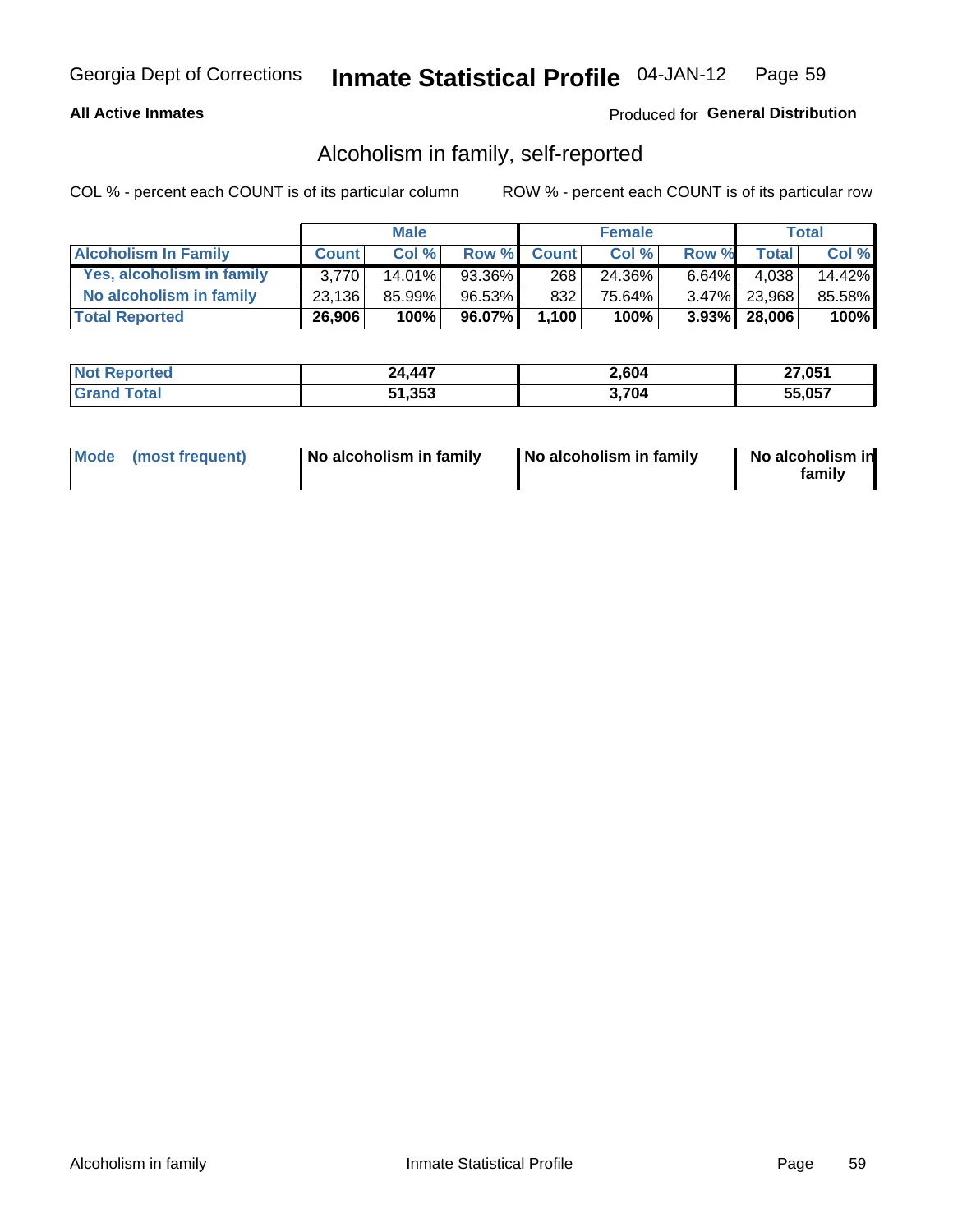## **All Active Inmates**

## Produced for General Distribution

## Alcoholism in family, self-reported

COL % - percent each COUNT is of its particular column

|                             |              | <b>Male</b> |        |              | <b>Female</b> |          |                   | Total  |
|-----------------------------|--------------|-------------|--------|--------------|---------------|----------|-------------------|--------|
| <b>Alcoholism In Family</b> | <b>Count</b> | Col %       | Row %  | <b>Count</b> | Col %         | Row %    | <b>Total</b>      | Col %  |
| Yes, alcoholism in family   | 3.770        | $14.01\%$   | 93.36% | 268          | 24.36%        | $6.64\%$ | 4.038             | 14.42% |
| No alcoholism in family     | 23,136       | 85.99%      | 96.53% | 832          | 75.64%        |          | 3.47% 23,968      | 85.58% |
| <b>Total Reported</b>       | 26,906       | 100%        | 96.07% | 1,100        | 100%          |          | $3.93\%$   28,006 | 100%   |

| <b>Not</b><br>Reported | 24,447 | 2,604 | 27,051 |
|------------------------|--------|-------|--------|
| `otal                  | 51,353 | ,704  | 55.057 |

|  | Mode (most frequent) | No alcoholism in family | No alcoholism in family | No alcoholism in<br>family |
|--|----------------------|-------------------------|-------------------------|----------------------------|
|--|----------------------|-------------------------|-------------------------|----------------------------|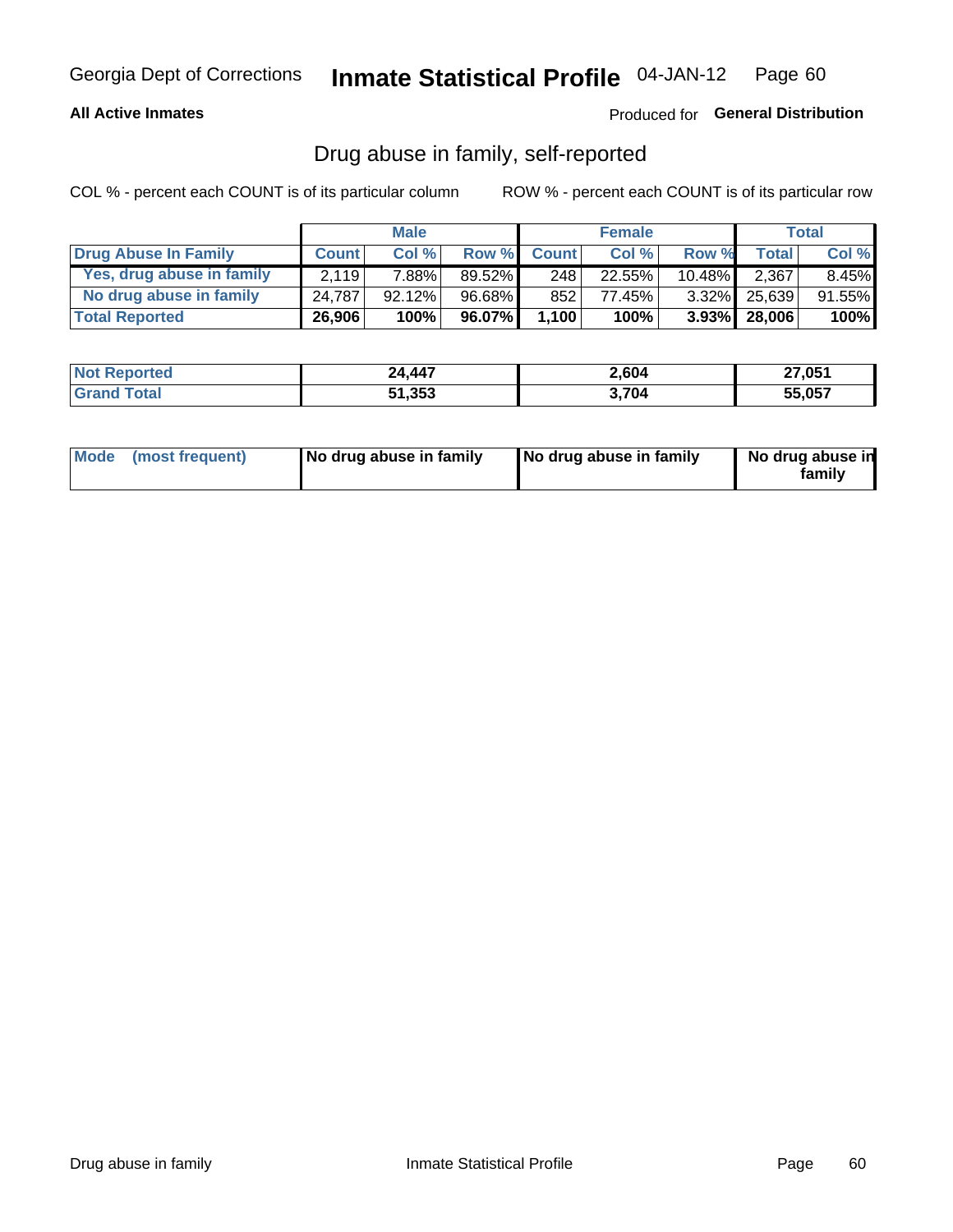## **All Active Inmates**

## Produced for General Distribution

## Drug abuse in family, self-reported

COL % - percent each COUNT is of its particular column

|                           |              | <b>Male</b> |        |              | <b>Female</b> |           |                   | Total     |
|---------------------------|--------------|-------------|--------|--------------|---------------|-----------|-------------------|-----------|
| Drug Abuse In Family      | <b>Count</b> | Col%        | Row %  | <b>Count</b> | Col%          | Row %     | <b>Total</b>      | Col %     |
| Yes, drug abuse in family | 2.119        | 7.88%       | 89.52% | 248          | 22.55%        | $10.48\%$ | 2,367             | $8.45\%$  |
| No drug abuse in family   | 24.787       | 92.12%      | 96.68% | 852          | 77.45%        | $3.32\%$  | 25,639            | $91.55\%$ |
| <b>Total Reported</b>     | 26,906       | 100%        | 96.07% | 1,100        | 100%          |           | $3.93\%$   28,006 | $100\%$   |

| <b>Not Reported</b>      | 24,447 | 2,604 | 27,051 |
|--------------------------|--------|-------|--------|
| <b>∣Grand T</b><br>Total | 51,353 | ,704  | 55.057 |

|  | Mode (most frequent) | No drug abuse in family | No drug abuse in family | No drug abuse in<br>familv |
|--|----------------------|-------------------------|-------------------------|----------------------------|
|--|----------------------|-------------------------|-------------------------|----------------------------|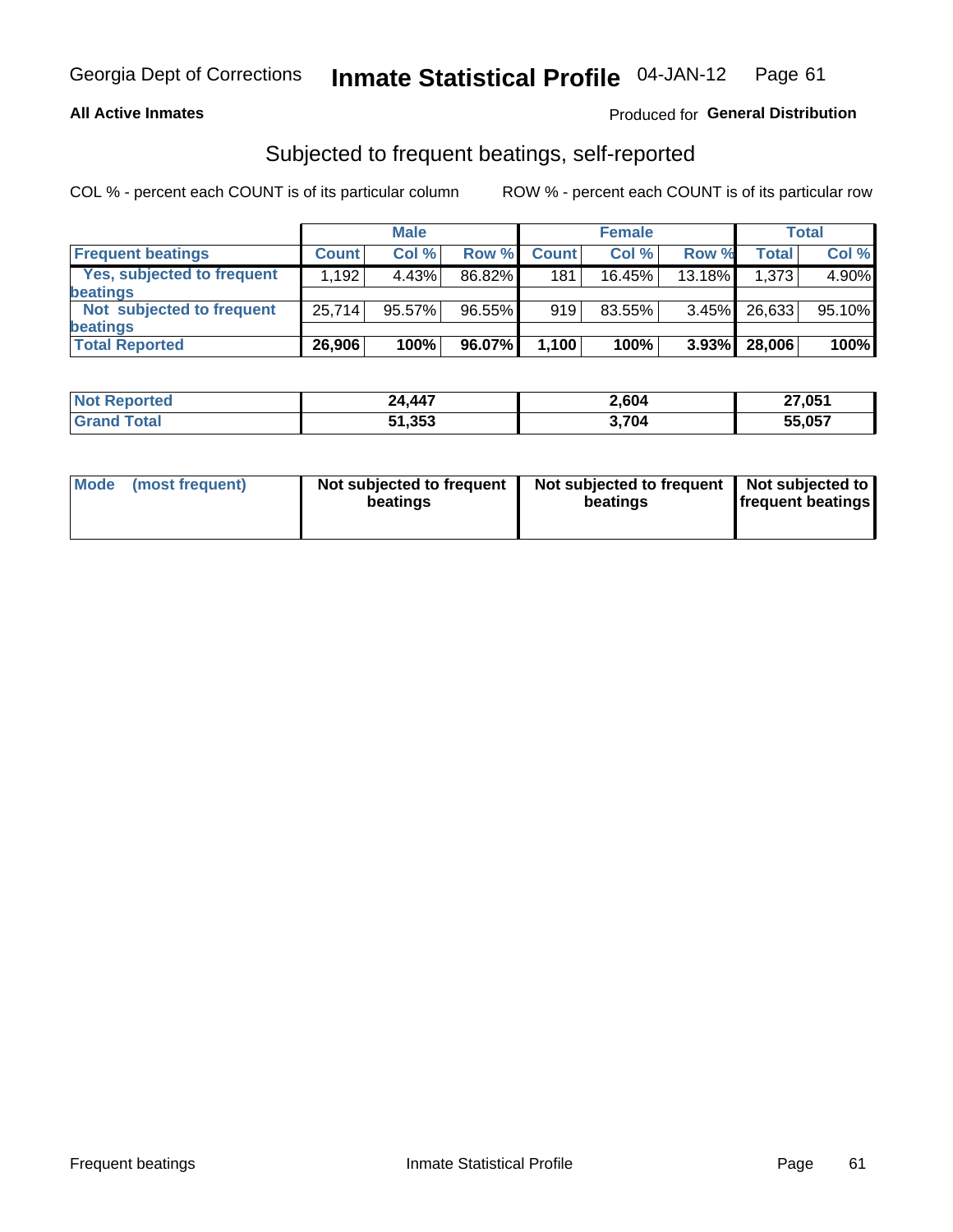### **All Active Inmates**

## Produced for General Distribution

## Subjected to frequent beatings, self-reported

COL % - percent each COUNT is of its particular column

|                                   |              | <b>Male</b> |        |              | <b>Female</b> |          |              | Total  |
|-----------------------------------|--------------|-------------|--------|--------------|---------------|----------|--------------|--------|
| <b>Frequent beatings</b>          | <b>Count</b> | Col %       | Row %  | <b>Count</b> | Col %         | Row %    | <b>Total</b> | Col%   |
| <b>Yes, subjected to frequent</b> | 1,192        | 4.43%       | 86.82% | 181          | 16.45%        | 13.18%   | 1,373        | 4.90%  |
| beatings                          |              |             |        |              |               |          |              |        |
| Not subjected to frequent         | 25,714       | 95.57%      | 96.55% | 919          | 83.55%        | $3.45\%$ | 26,633       | 95.10% |
| beatings                          |              |             |        |              |               |          |              |        |
| <b>Total Reported</b>             | 26,906       | 100%        | 96.07% | 1,100        | 100%          | $3.93\%$ | 28,006       | 100%   |

| 'Not<br>Reported | 24,447 | 2,604 | 27,051 |
|------------------|--------|-------|--------|
| <b>Total</b>     | 51,353 | 3,704 | 55,057 |

| (most frequent)<br>Not subjected to frequent<br><b>Mode</b><br>beatings | Not subjected to frequent   Not subjected to<br>beatings | <b>frequent beatings</b> |
|-------------------------------------------------------------------------|----------------------------------------------------------|--------------------------|
|-------------------------------------------------------------------------|----------------------------------------------------------|--------------------------|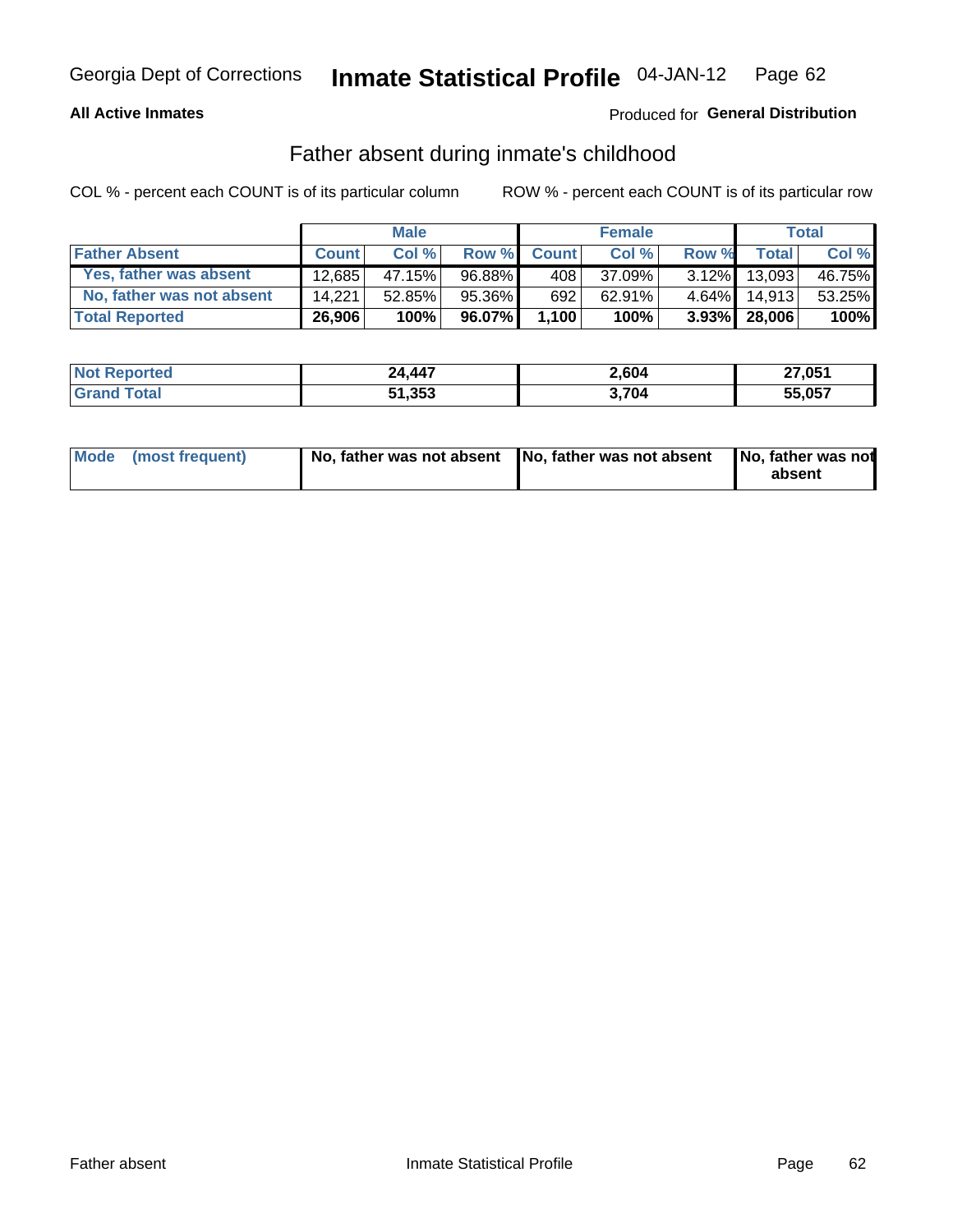### **All Active Inmates**

## Produced for General Distribution

## Father absent during inmate's childhood

COL % - percent each COUNT is of its particular column

|                           |              | <b>Male</b> |        |              | <b>Female</b> |          |                 | Total  |
|---------------------------|--------------|-------------|--------|--------------|---------------|----------|-----------------|--------|
| <b>Father Absent</b>      | <b>Count</b> | Col%        | Row %  | <b>Count</b> | Col %         | Row %    | <b>Total</b>    | Col %  |
| Yes, father was absent    | 12.685       | 47.15%      | 96.88% | 408          | 37.09%        | $3.12\%$ | 13,093          | 46.75% |
| No, father was not absent | 14.221       | 52.85%      | 95.36% | 692          | 62.91%        | $4.64\%$ | 14.913          | 53.25% |
| <b>Total Reported</b>     | 26,906       | 100%        | 96.07% | 1,100        | 100%          |          | $3.93\%$ 28,006 | 100%   |

| <b>Not Reported</b> | 24,447 | 2,604 | 27,051 |
|---------------------|--------|-------|--------|
| <b>Srand Total</b>  | 51,353 | 3,704 | 55,057 |

|  | Mode (most frequent) | No, father was not absent No, father was not absent |  | No, father was not<br>absent |
|--|----------------------|-----------------------------------------------------|--|------------------------------|
|--|----------------------|-----------------------------------------------------|--|------------------------------|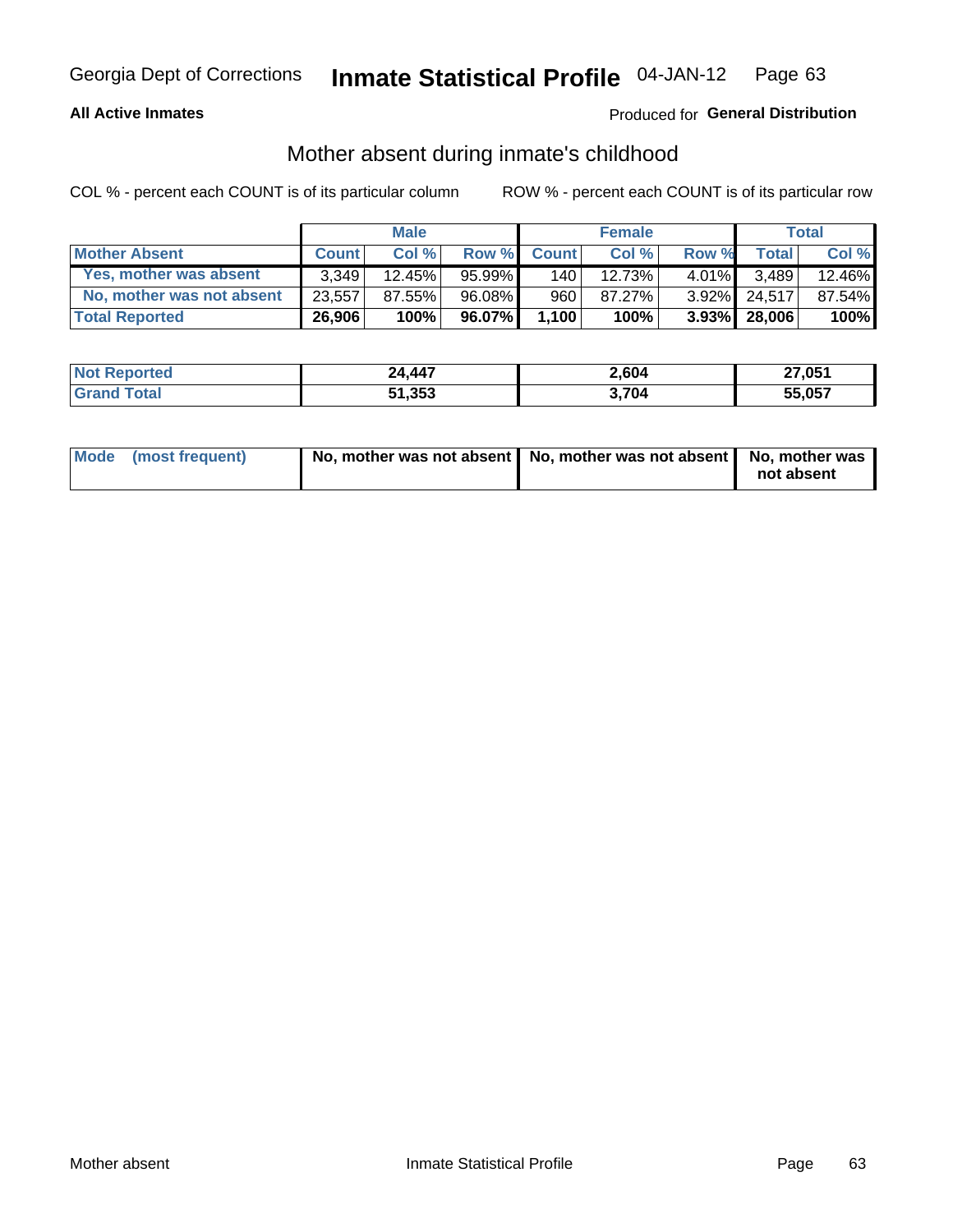## **All Active Inmates**

## Produced for General Distribution

## Mother absent during inmate's childhood

COL % - percent each COUNT is of its particular column

|                           |              | <b>Male</b> |           |              | <b>Female</b> |          |                   | Total  |
|---------------------------|--------------|-------------|-----------|--------------|---------------|----------|-------------------|--------|
| <b>Mother Absent</b>      | <b>Count</b> | Col%        | Row %     | <b>Count</b> | Col %         | Row %    | <b>Total</b>      | Col %  |
| Yes, mother was absent    | 3.349        | 12.45%      | $95.99\%$ | 140          | 12.73%        | $4.01\%$ | 3,489             | 12.46% |
| No, mother was not absent | 23,557       | 87.55%      | 96.08%    | 960          | 87.27%        | $3.92\%$ | 24.517            | 87.54% |
| <b>Total Reported</b>     | 26,906       | 100%        | 96.07%    | 1,100        | 100%          |          | $3.93\%$   28,006 | 100%   |

| <b>Not</b><br>Reported | 24,447 | 2,604 | 27,051 |
|------------------------|--------|-------|--------|
| `otal                  | 51,353 | ,704  | 55.057 |

| Mode (most frequent) | No, mother was not absent   No, mother was not absent   No, mother was | not absent |
|----------------------|------------------------------------------------------------------------|------------|
|                      |                                                                        |            |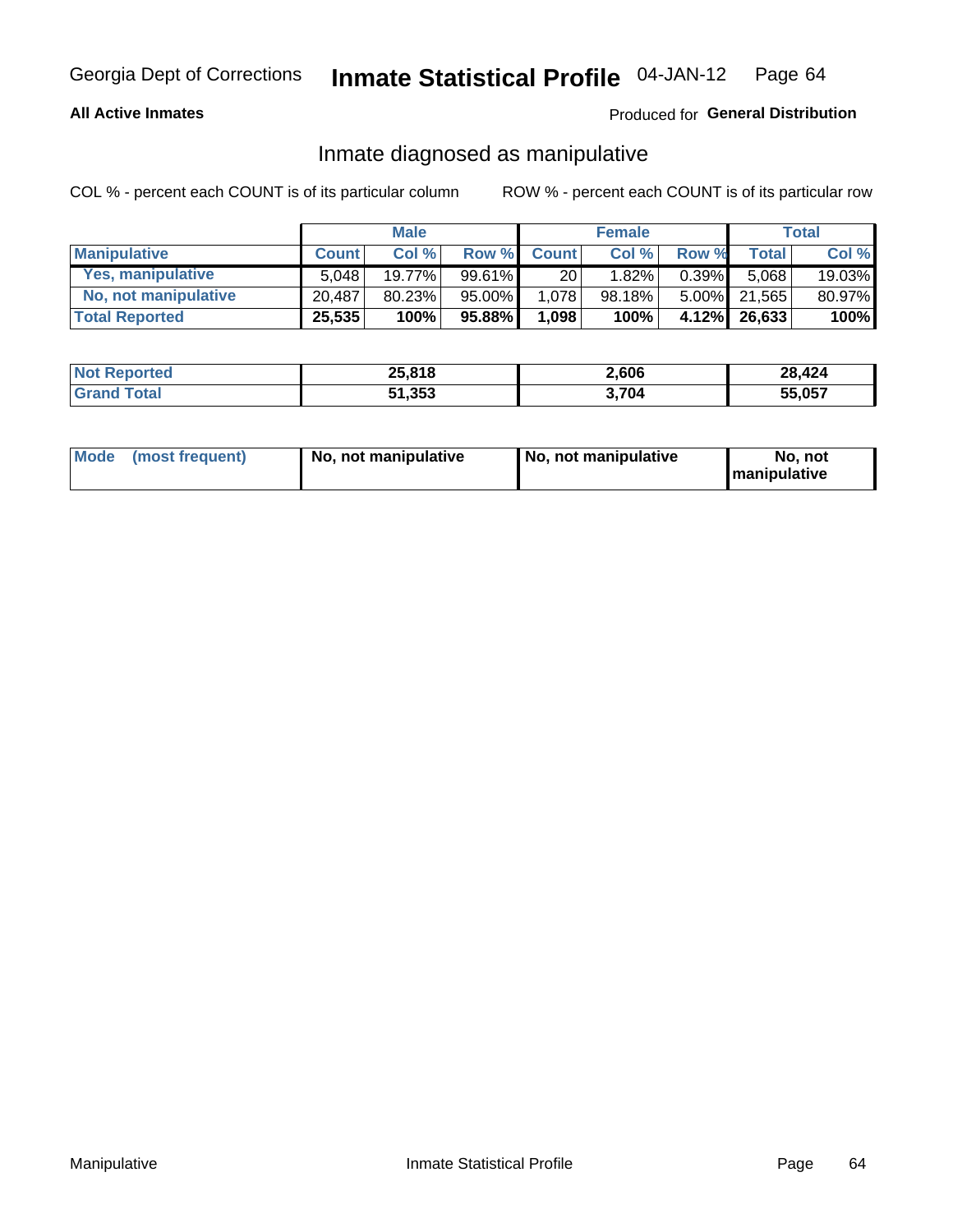## **All Active Inmates**

## Produced for General Distribution

## Inmate diagnosed as manipulative

COL % - percent each COUNT is of its particular column

|                       |              | <b>Male</b> |        |              | <b>Female</b> |          |              | Total  |
|-----------------------|--------------|-------------|--------|--------------|---------------|----------|--------------|--------|
| <b>Manipulative</b>   | <b>Count</b> | Col %       | Row %  | <b>Count</b> | Col%          | Row %    | <b>Total</b> | Col %  |
| Yes, manipulative     | 5.048        | 19.77%      | 99.61% | 20           | 1.82%         | 0.39%    | 5.068        | 19.03% |
| No, not manipulative  | 20.487       | 80.23%      | 95.00% | 1,078        | 98.18%        | $5.00\%$ | 21.565       | 80.97% |
| <b>Total Reported</b> | 25,535       | 100%        | 95.88% | 1,098        | 100%          | $4.12\%$ | 26,633       | 100%   |

| <b>Not Reported</b>      | 25,818 | 2,606 | 28,424 |
|--------------------------|--------|-------|--------|
| Total<br><b>∣Grand T</b> | 51,353 | 3,704 | 55,057 |

| Mode | (most frequent) | No, not manipulative | No, not manipulative | No. not<br><b>I</b> manipulative |
|------|-----------------|----------------------|----------------------|----------------------------------|
|------|-----------------|----------------------|----------------------|----------------------------------|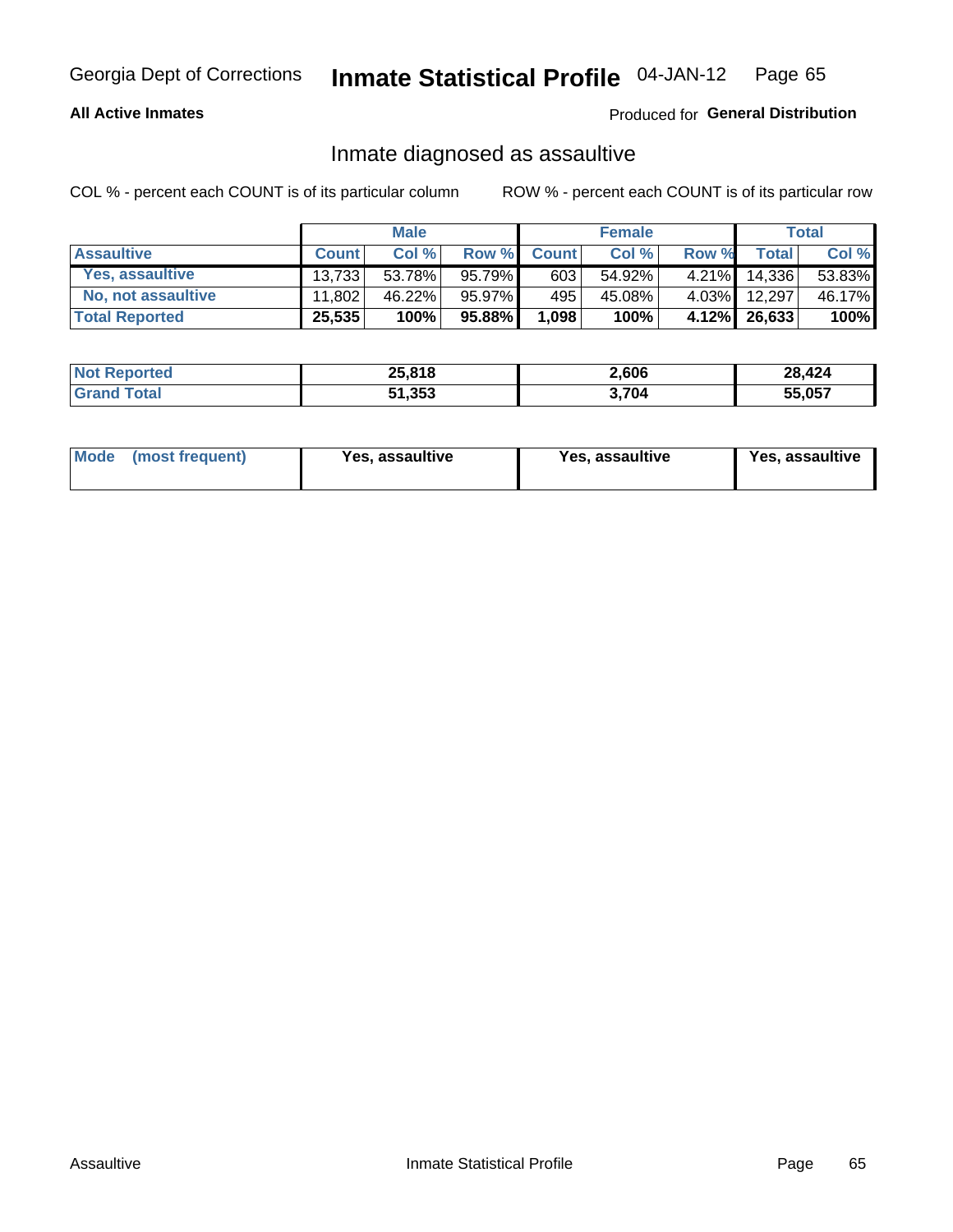### **All Active Inmates**

Produced for General Distribution

## Inmate diagnosed as assaultive

COL % - percent each COUNT is of its particular column

|                       |              | <b>Male</b> |        |              | <b>Female</b> |          |              | Total  |
|-----------------------|--------------|-------------|--------|--------------|---------------|----------|--------------|--------|
| <b>Assaultive</b>     | <b>Count</b> | Col%        | Row %  | <b>Count</b> | Col %         | Row %    | <b>Total</b> | Col %  |
| Yes, assaultive       | 13.733       | 53.78%      | 95.79% | 603          | 54.92%        | 4.21%    | 14,336       | 53.83% |
| No, not assaultive    | 11.802       | 46.22%      | 95.97% | 495          | 45.08%        | $4.03\%$ | 12,297       | 46.17% |
| <b>Total Reported</b> | 25,535       | 100%        | 95.88% | 1,098        | 100%          |          | 4.12% 26,633 | 100%   |

| <b>Not Reported</b> | 25,818 | 2,606 | 28,424 |
|---------------------|--------|-------|--------|
| <b>Cotal</b>        | 51,353 | ,704  | 55,057 |

| Mode<br>(most frequent) | Yes, assaultive | Yes, assaultive | <b>Yes, assaultive</b> |
|-------------------------|-----------------|-----------------|------------------------|
|-------------------------|-----------------|-----------------|------------------------|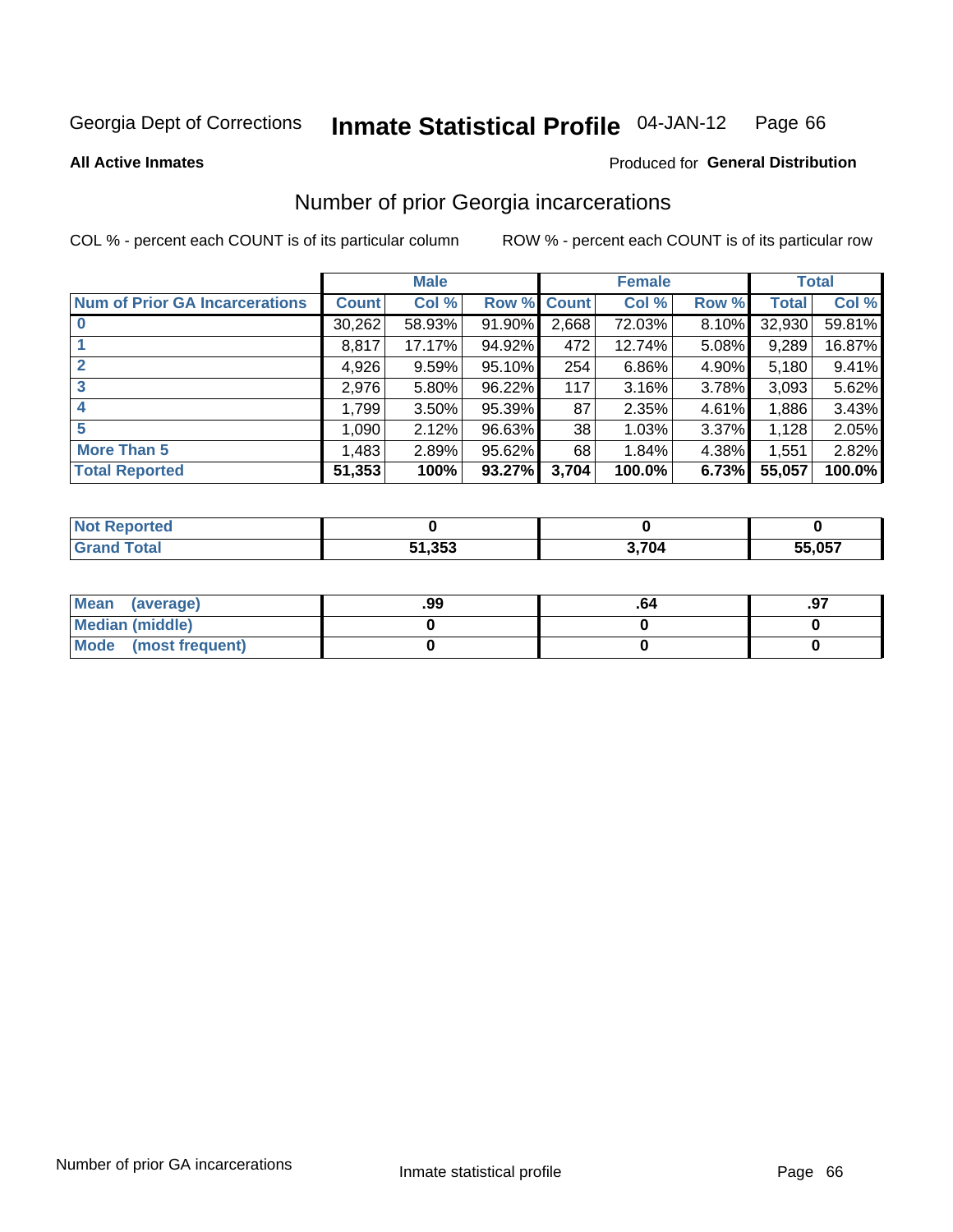#### Inmate Statistical Profile 04-JAN-12 Page 66

**All Active Inmates** 

## **Produced for General Distribution**

## Number of prior Georgia incarcerations

COL % - percent each COUNT is of its particular column

|                                       |              | <b>Male</b> |             |       | <b>Female</b> |       |        | <b>Total</b> |
|---------------------------------------|--------------|-------------|-------------|-------|---------------|-------|--------|--------------|
| <b>Num of Prior GA Incarcerations</b> | <b>Count</b> | Col %       | Row % Count |       | Col %         | Row % | Total  | Col %        |
| $\bf{0}$                              | 30,262       | 58.93%      | 91.90%      | 2,668 | 72.03%        | 8.10% | 32,930 | 59.81%       |
|                                       | 8,817        | 17.17%      | 94.92%      | 472   | 12.74%        | 5.08% | 9,289  | 16.87%       |
|                                       | 4,926        | 9.59%       | 95.10%      | 254   | 6.86%         | 4.90% | 5,180  | 9.41%        |
| 3                                     | 2,976        | 5.80%       | 96.22%      | 117   | 3.16%         | 3.78% | 3,093  | 5.62%        |
| 4                                     | 1,799        | 3.50%       | 95.39%      | 87    | 2.35%         | 4.61% | 1,886  | 3.43%        |
| 5                                     | 1,090        | 2.12%       | 96.63%      | 38    | 1.03%         | 3.37% | 1,128  | 2.05%        |
| <b>More Than 5</b>                    | 1,483        | 2.89%       | 95.62%      | 68    | 1.84%         | 4.38% | 1,551  | 2.82%        |
| <b>Total Reported</b>                 | 51,353       | 100%        | 93.27%      | 3,704 | 100.0%        | 6.73% | 55,057 | 100.0%       |

| eported<br>NO.       |        |       |        |
|----------------------|--------|-------|--------|
| <b>c</b> otal<br>Gr: | 51,353 | 3,704 | 55,057 |

| Mean (average)         | .99 | -04 | .97 |
|------------------------|-----|-----|-----|
| <b>Median (middle)</b> |     |     |     |
| Mode (most frequent)   |     |     |     |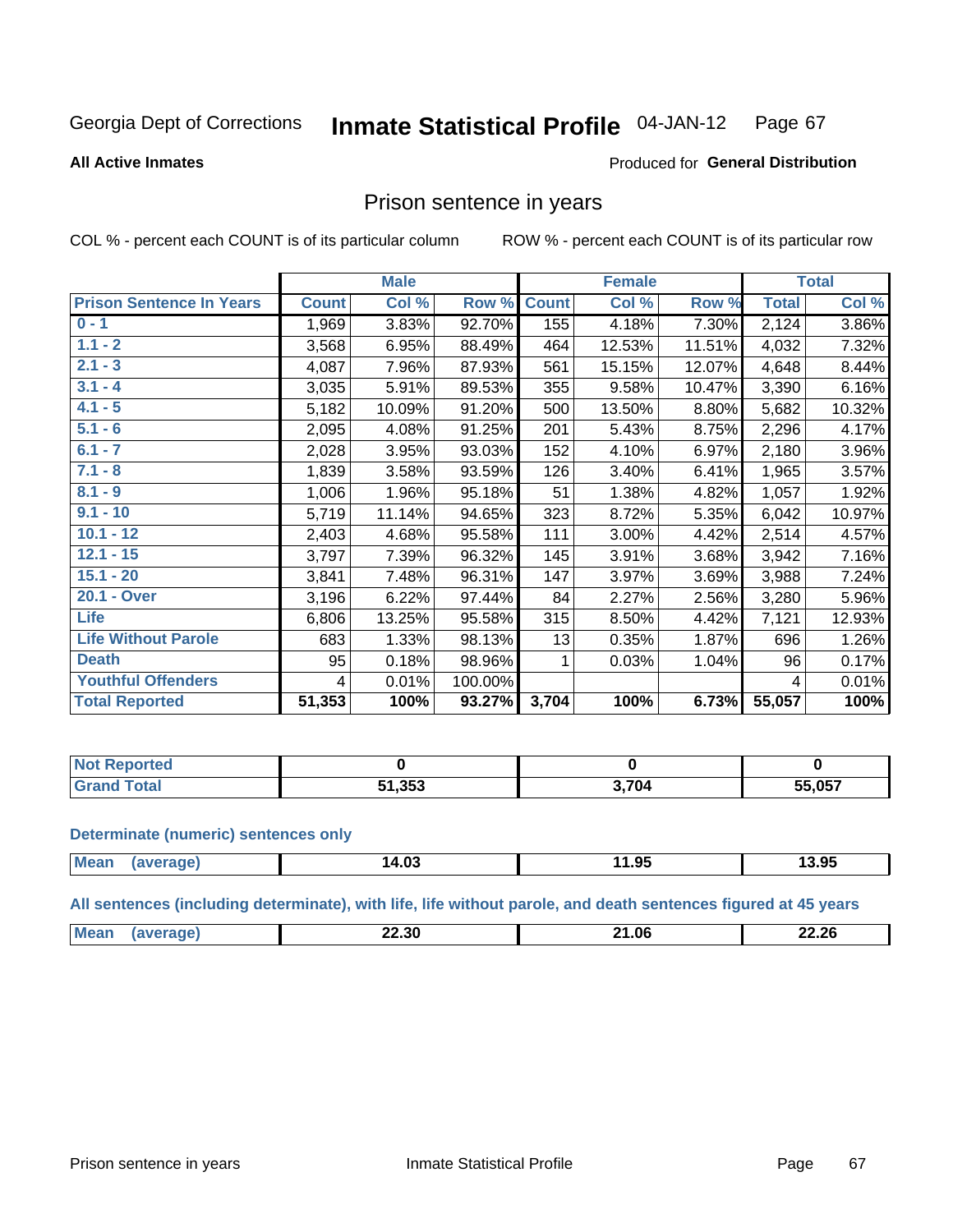#### **Inmate Statistical Profile 04-JAN-12** Page 67

**All Active Inmates** 

### Produced for General Distribution

## Prison sentence in years

COL % - percent each COUNT is of its particular column

ROW % - percent each COUNT is of its particular row

|                                 |              | <b>Male</b> |         |              | <b>Female</b> |        |              | <b>Total</b> |
|---------------------------------|--------------|-------------|---------|--------------|---------------|--------|--------------|--------------|
| <b>Prison Sentence In Years</b> | <b>Count</b> | Col %       | Row %   | <b>Count</b> | Col %         | Row %  | <b>Total</b> | Col %        |
| $0 - 1$                         | 1,969        | 3.83%       | 92.70%  | 155          | 4.18%         | 7.30%  | 2,124        | 3.86%        |
| $1.1 - 2$                       | 3,568        | 6.95%       | 88.49%  | 464          | 12.53%        | 11.51% | 4,032        | 7.32%        |
| $2.1 - 3$                       | 4,087        | 7.96%       | 87.93%  | 561          | 15.15%        | 12.07% | 4,648        | 8.44%        |
| $3.1 - 4$                       | 3,035        | 5.91%       | 89.53%  | 355          | 9.58%         | 10.47% | 3,390        | 6.16%        |
| $4.1 - 5$                       | 5,182        | 10.09%      | 91.20%  | 500          | 13.50%        | 8.80%  | 5,682        | 10.32%       |
| $5.1 - 6$                       | 2,095        | 4.08%       | 91.25%  | 201          | 5.43%         | 8.75%  | 2,296        | 4.17%        |
| $6.1 - 7$                       | 2,028        | 3.95%       | 93.03%  | 152          | 4.10%         | 6.97%  | 2,180        | 3.96%        |
| $7.1 - 8$                       | 1,839        | 3.58%       | 93.59%  | 126          | 3.40%         | 6.41%  | 1,965        | 3.57%        |
| $8.1 - 9$                       | 1,006        | 1.96%       | 95.18%  | 51           | 1.38%         | 4.82%  | 1,057        | 1.92%        |
| $9.1 - 10$                      | 5,719        | 11.14%      | 94.65%  | 323          | 8.72%         | 5.35%  | 6,042        | 10.97%       |
| $10.1 - 12$                     | 2,403        | 4.68%       | 95.58%  | 111          | 3.00%         | 4.42%  | 2,514        | 4.57%        |
| $12.1 - 15$                     | 3,797        | 7.39%       | 96.32%  | 145          | 3.91%         | 3.68%  | 3,942        | 7.16%        |
| $15.1 - 20$                     | 3,841        | 7.48%       | 96.31%  | 147          | 3.97%         | 3.69%  | 3,988        | 7.24%        |
| 20.1 - Over                     | 3,196        | 6.22%       | 97.44%  | 84           | 2.27%         | 2.56%  | 3,280        | 5.96%        |
| <b>Life</b>                     | 6,806        | 13.25%      | 95.58%  | 315          | 8.50%         | 4.42%  | 7,121        | 12.93%       |
| <b>Life Without Parole</b>      | 683          | 1.33%       | 98.13%  | 13           | 0.35%         | 1.87%  | 696          | 1.26%        |
| <b>Death</b>                    | 95           | 0.18%       | 98.96%  |              | 0.03%         | 1.04%  | 96           | 0.17%        |
| <b>Youthful Offenders</b>       | 4            | 0.01%       | 100.00% |              |               |        | 4            | 0.01%        |
| <b>Total Reported</b>           | 51,353       | 100%        | 93.27%  | 3,704        | 100%          | 6.73%  | 55,057       | 100%         |

| <b>Reported</b><br>I NOT |        |       |        |
|--------------------------|--------|-------|--------|
|                          | 51,353 | 3.704 | 55,057 |

#### **Determinate (numeric) sentences only**

| Mean | ane | 14.03 | $\mathbf{a}$<br>1.93 | 3.95 |
|------|-----|-------|----------------------|------|
|      |     |       |                      |      |

All sentences (including determinate), with life, life without parole, and death sentences figured at 45 years

| M <sub>c</sub> | מה הה<br>ـ 5Uـ<br>___ | $\sim$<br>- 14<br>___ | 22.26 |
|----------------|-----------------------|-----------------------|-------|
|                |                       |                       |       |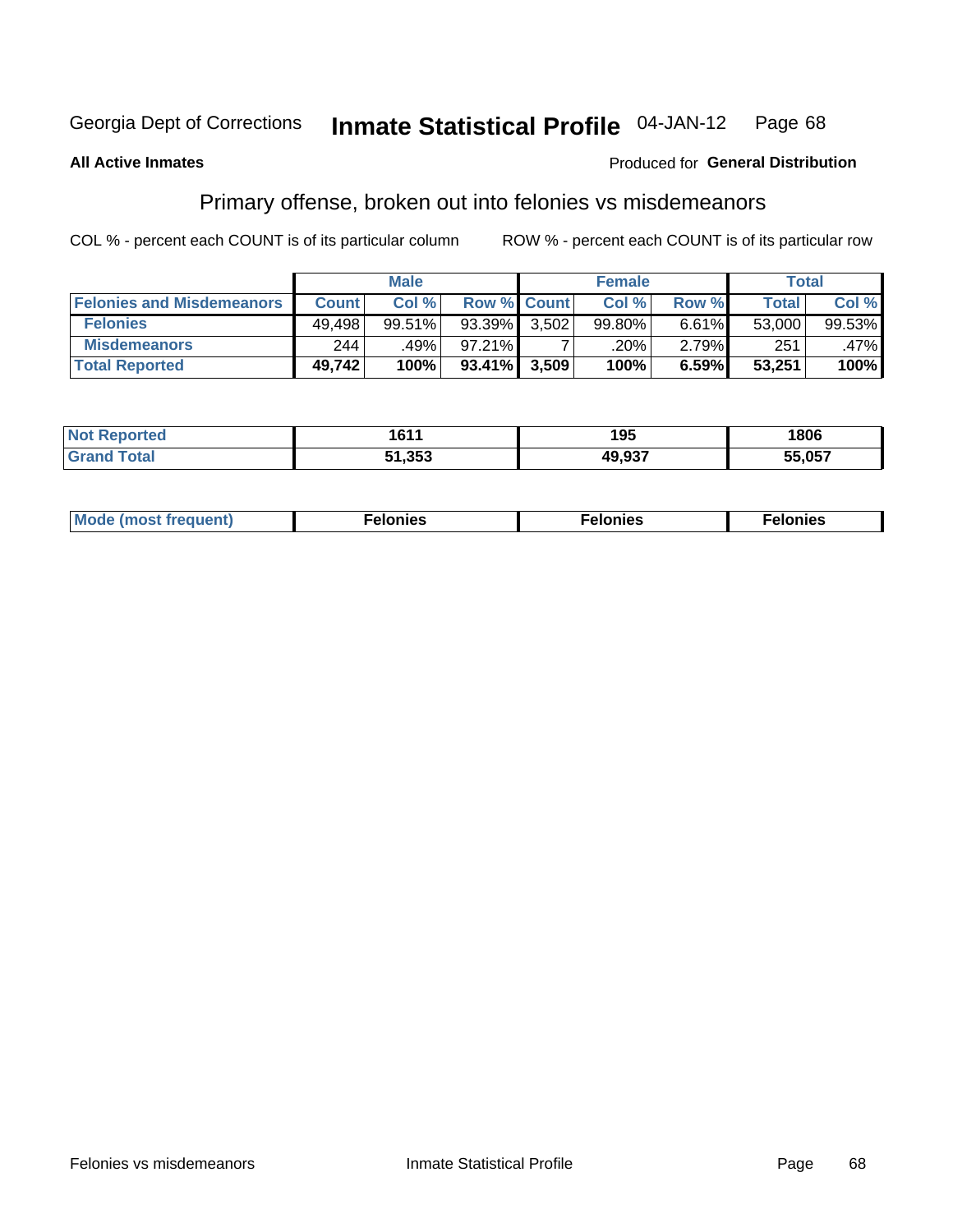#### Inmate Statistical Profile 04-JAN-12 Page 68

### **All Active Inmates**

### Produced for General Distribution

## Primary offense, broken out into felonies vs misdemeanors

COL % - percent each COUNT is of its particular column

|                                  |              | <b>Male</b> |                 |                    | <b>Female</b> |       | Total  |         |
|----------------------------------|--------------|-------------|-----------------|--------------------|---------------|-------|--------|---------|
| <b>Felonies and Misdemeanors</b> | <b>Count</b> | Col%        |                 | <b>Row % Count</b> | Col%          | Row % | Total, | Col %   |
| <b>Felonies</b>                  | 49.498       | 99.51%      | $93.39\%$       | 3.502              | 99.80%        | 6.61% | 53,000 | 99.53%  |
| <b>Misdemeanors</b>              | 244          | .49%        | 97.21%          |                    | .20%          | 2.79% | 251    | $.47\%$ |
| <b>Total Reported</b>            | 49,742       | 100%        | $93.41\%$ 3,509 |                    | 100%          | 6.59% | 53,251 | 100%    |

| <b>Not</b><br>n eo        | 1611               | 1 Q 5<br>ט ו       | 1806   |
|---------------------------|--------------------|--------------------|--------|
| <b>Grar</b><br><b>ota</b> | המת גי<br>- 353 هـ | ハヘ ヘヘラ<br>лι.<br>. | 55.057 |

| Мı     | . | nes | onies |
|--------|---|-----|-------|
| 1Uenti | . | .   | .     |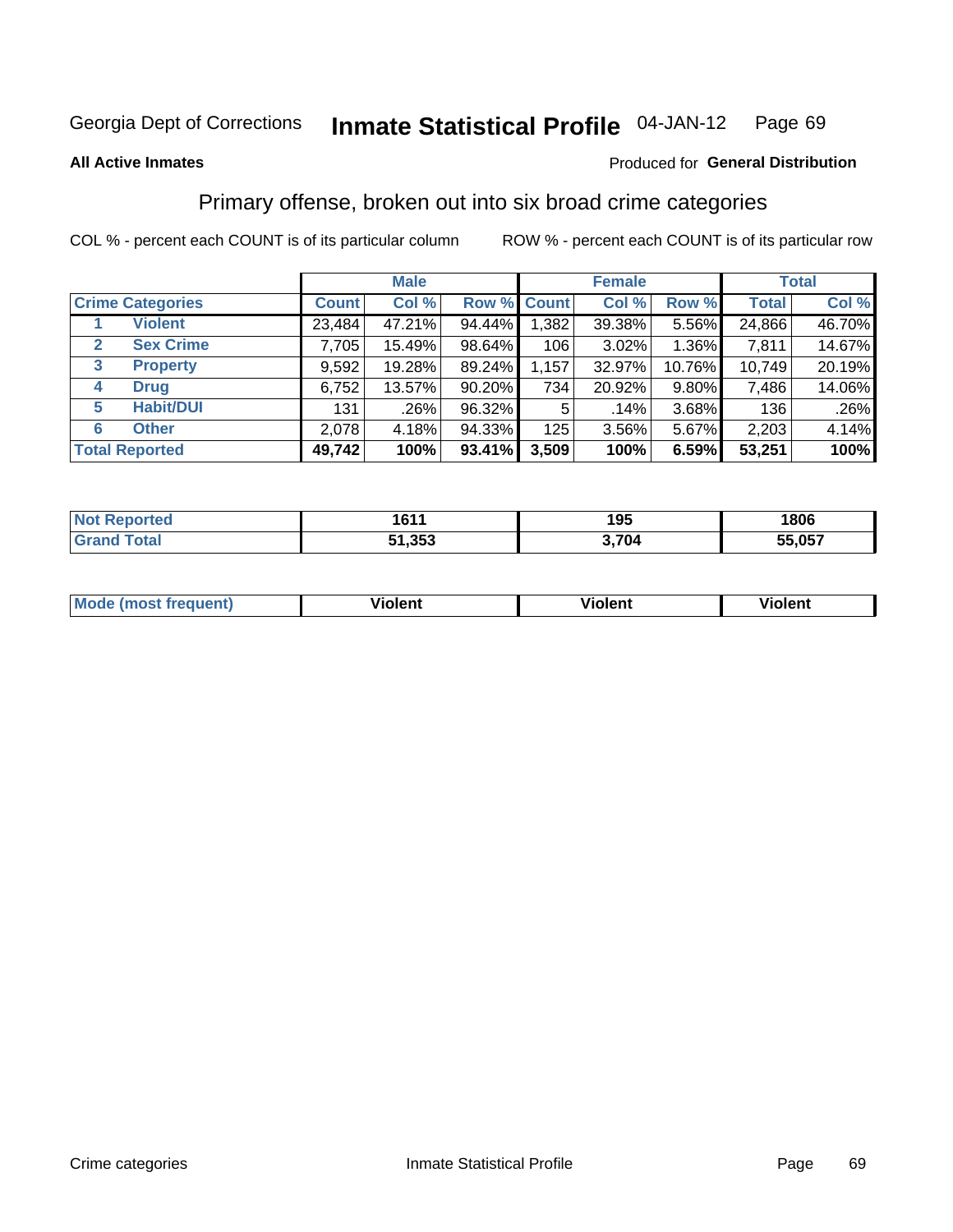### **All Active Inmates**

### Produced for **General Distribution**

## Primary offense, broken out into six broad crime categories

|                                 | <b>Male</b>  |        |           | <b>Female</b> |          |        | <b>Total</b> |        |
|---------------------------------|--------------|--------|-----------|---------------|----------|--------|--------------|--------|
| <b>Crime Categories</b>         | <b>Count</b> | Col %  |           | Row % Count   | Col %    | Row %  | <b>Total</b> | Col %  |
| <b>Violent</b>                  | 23,484       | 47.21% | 94.44%    | 1,382         | 39.38%   | 5.56%  | 24,866       | 46.70% |
| <b>Sex Crime</b><br>2           | 7,705        | 15.49% | 98.64%    | 106           | $3.02\%$ | 1.36%  | 7,811        | 14.67% |
| $\mathbf{3}$<br><b>Property</b> | 9,592        | 19.28% | 89.24%    | 1,157         | 32.97%   | 10.76% | 10,749       | 20.19% |
| <b>Drug</b><br>4                | 6,752        | 13.57% | 90.20%    | 734           | 20.92%   | 9.80%  | 7,486        | 14.06% |
| <b>Habit/DUI</b><br>5           | 131          | .26%   | 96.32%    | 5             | .14%     | 3.68%  | 136          | .26%   |
| <b>Other</b><br>6               | 2,078        | 4.18%  | 94.33%    | 125           | $3.56\%$ | 5.67%  | 2,203        | 4.14%  |
| <b>Total Reported</b>           | 49,742       | 100%   | $93.41\%$ | 3,509         | 100%     | 6.59%  | 53,251       | 100%   |

| тео<br>NO | 1611<br>1 U U        | 195 | 1806           |
|-----------|----------------------|-----|----------------|
|           | つにつ<br>E4<br>ง เ.งงง | 70/ | 55 057<br>ו שי |

| <b>Mode</b><br>t frequent)<br>THOS | .<br>iolent | 'iolent | <b>Violent</b> |
|------------------------------------|-------------|---------|----------------|
|                                    |             |         |                |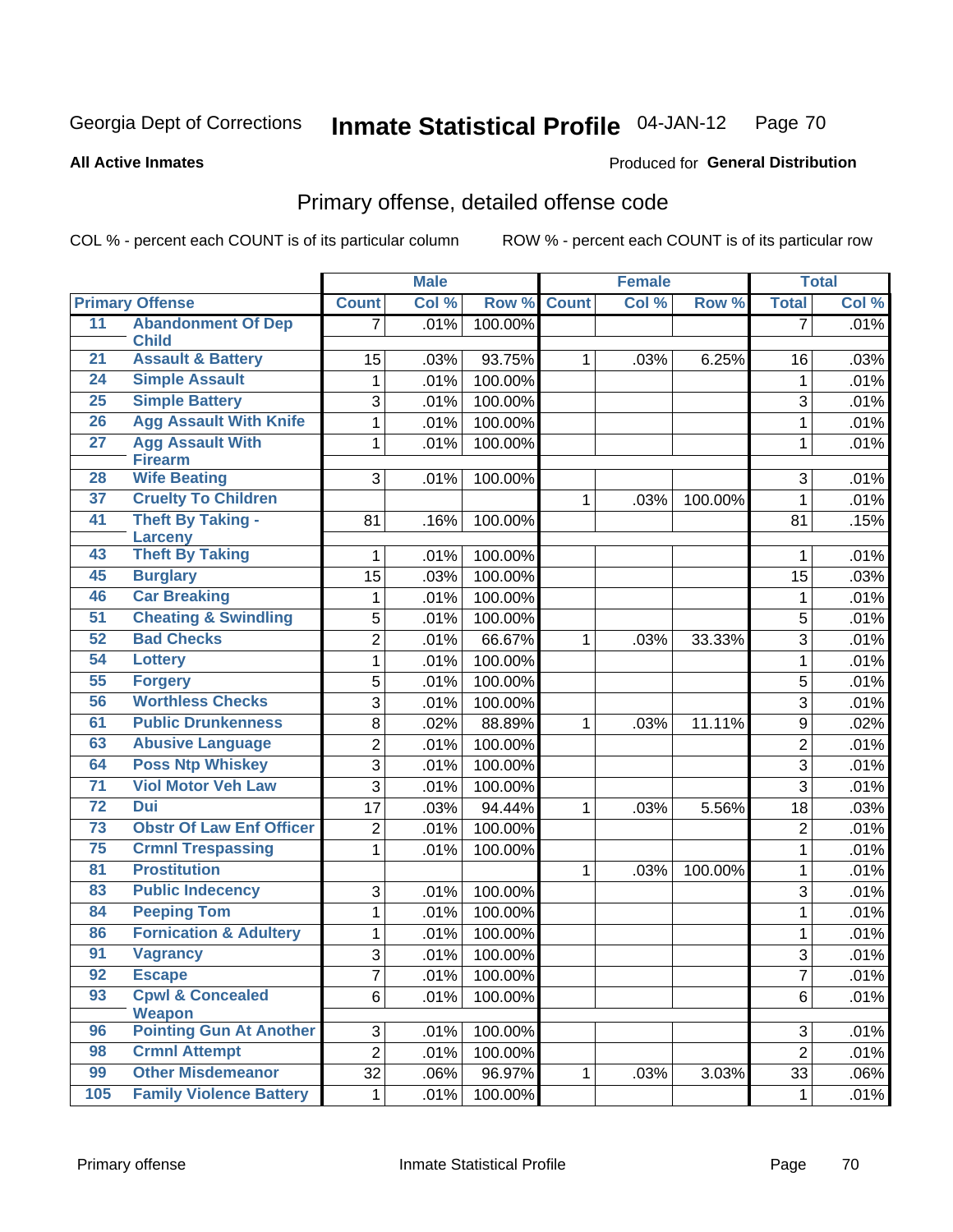### **All Active Inmates**

## Produced for **General Distribution**

## Primary offense, detailed offense code

|                 |                                              | <b>Male</b>    |       | <b>Female</b> |              |       | <b>Total</b> |                |       |
|-----------------|----------------------------------------------|----------------|-------|---------------|--------------|-------|--------------|----------------|-------|
|                 | <b>Primary Offense</b>                       | <b>Count</b>   | Col % | Row %         | <b>Count</b> | Col % | Row %        | <b>Total</b>   | Col % |
| 11              | <b>Abandonment Of Dep</b>                    | 7              | .01%  | 100.00%       |              |       |              | $\overline{7}$ | .01%  |
| 21              | <b>Child</b><br><b>Assault &amp; Battery</b> | 15             | .03%  | 93.75%        | $\mathbf{1}$ |       | 6.25%        |                | .03%  |
| 24              | <b>Simple Assault</b>                        |                |       |               |              | .03%  |              | 16             |       |
| 25              | <b>Simple Battery</b>                        | $\mathbf{1}$   | .01%  | 100.00%       |              |       |              | $\mathbf{1}$   | .01%  |
|                 |                                              | 3              | .01%  | 100.00%       |              |       |              | 3              | .01%  |
| 26              | <b>Agg Assault With Knife</b>                | 1              | .01%  | 100.00%       |              |       |              | $\mathbf 1$    | .01%  |
| 27              | <b>Agg Assault With</b><br><b>Firearm</b>    | 1              | .01%  | 100.00%       |              |       |              | $\mathbf{1}$   | .01%  |
| 28              | <b>Wife Beating</b>                          | 3              | .01%  | 100.00%       |              |       |              | 3              | .01%  |
| 37              | <b>Cruelty To Children</b>                   |                |       |               | $\mathbf{1}$ | .03%  | 100.00%      | 1              | .01%  |
| 41              | <b>Theft By Taking -</b>                     | 81             | .16%  | 100.00%       |              |       |              | 81             | .15%  |
|                 | <b>Larceny</b>                               |                |       |               |              |       |              |                |       |
| 43              | <b>Theft By Taking</b>                       | 1              | .01%  | 100.00%       |              |       |              | 1              | .01%  |
| 45              | <b>Burglary</b>                              | 15             | .03%  | 100.00%       |              |       |              | 15             | .03%  |
| 46              | <b>Car Breaking</b>                          | 1              | .01%  | 100.00%       |              |       |              | $\mathbf{1}$   | .01%  |
| 51              | <b>Cheating &amp; Swindling</b>              | 5              | .01%  | 100.00%       |              |       |              | 5              | .01%  |
| 52              | <b>Bad Checks</b>                            | $\overline{2}$ | .01%  | 66.67%        | $\mathbf{1}$ | .03%  | 33.33%       | 3              | .01%  |
| 54              | <b>Lottery</b>                               | $\mathbf 1$    | .01%  | 100.00%       |              |       |              | $\mathbf 1$    | .01%  |
| 55              | <b>Forgery</b>                               | 5              | .01%  | 100.00%       |              |       |              | 5              | .01%  |
| 56              | <b>Worthless Checks</b>                      | 3              | .01%  | 100.00%       |              |       |              | 3              | .01%  |
| 61              | <b>Public Drunkenness</b>                    | 8              | .02%  | 88.89%        | $\mathbf{1}$ | .03%  | 11.11%       | 9              | .02%  |
| 63              | <b>Abusive Language</b>                      | $\overline{c}$ | .01%  | 100.00%       |              |       |              | $\overline{2}$ | .01%  |
| 64              | <b>Poss Ntp Whiskey</b>                      | 3              | .01%  | 100.00%       |              |       |              | 3              | .01%  |
| $\overline{71}$ | <b>Viol Motor Veh Law</b>                    | 3              | .01%  | 100.00%       |              |       |              | 3              | .01%  |
| $\overline{72}$ | <b>Dui</b>                                   | 17             | .03%  | 94.44%        | $\mathbf 1$  | .03%  | 5.56%        | 18             | .03%  |
| 73              | <b>Obstr Of Law Enf Officer</b>              | $\overline{c}$ | .01%  | 100.00%       |              |       |              | $\overline{2}$ | .01%  |
| 75              | <b>Crmnl Trespassing</b>                     | 1              | .01%  | 100.00%       |              |       |              | $\mathbf{1}$   | .01%  |
| 81              | <b>Prostitution</b>                          |                |       |               | $\mathbf{1}$ | .03%  | 100.00%      | $\mathbf 1$    | .01%  |
| 83              | <b>Public Indecency</b>                      | 3              | .01%  | 100.00%       |              |       |              | 3              | .01%  |
| 84              | <b>Peeping Tom</b>                           | $\mathbf{1}$   | .01%  | 100.00%       |              |       |              | $\mathbf{1}$   | .01%  |
| 86              | <b>Fornication &amp; Adultery</b>            | 1              | .01%  | 100.00%       |              |       |              | 1              | .01%  |
| 91              | <b>Vagrancy</b>                              | 3              | .01%  | 100.00%       |              |       |              | 3              | .01%  |
| 92              | <b>Escape</b>                                | 7              | .01%  | 100.00%       |              |       |              | 7              | .01%  |
| 93              | <b>Cpwl &amp; Concealed</b>                  | 6              | .01%  | 100.00%       |              |       |              | 6              | .01%  |
|                 | Weapon                                       |                |       |               |              |       |              |                |       |
| 96              | <b>Pointing Gun At Another</b>               | 3              | .01%  | 100.00%       |              |       |              | 3              | .01%  |
| 98              | <b>Crmnl Attempt</b>                         | $\overline{2}$ | .01%  | 100.00%       |              |       |              | $\overline{2}$ | .01%  |
| 99              | <b>Other Misdemeanor</b>                     | 32             | .06%  | 96.97%        | 1            | .03%  | 3.03%        | 33             | .06%  |
| 105             | <b>Family Violence Battery</b>               | 1              | .01%  | 100.00%       |              |       |              | $\mathbf 1$    | .01%  |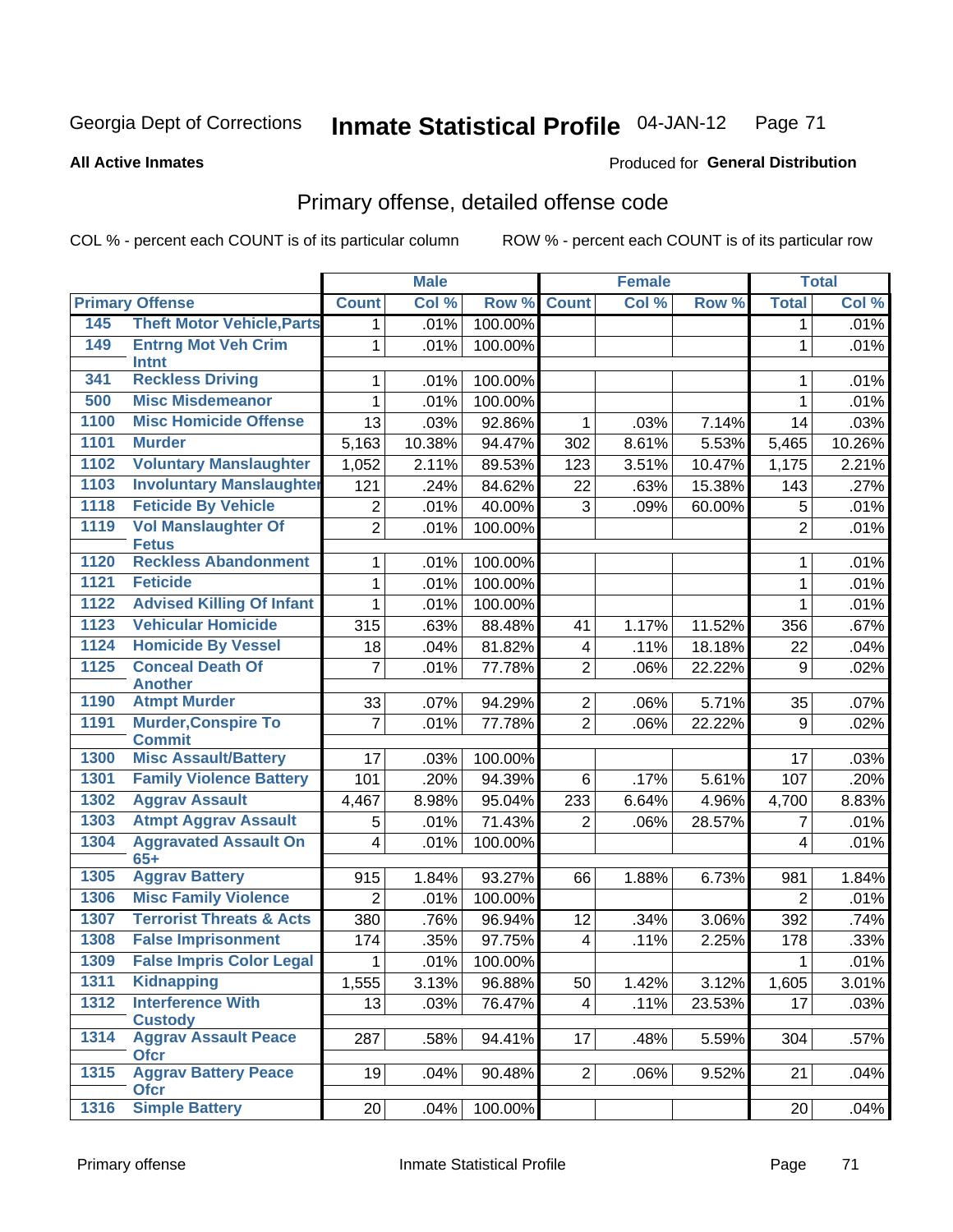Produced for **General Distribution**

### **All Active Inmates**

## Primary offense, detailed offense code

|      |                                             |                         | <b>Male</b> |         |                         | <b>Female</b> |        |                | <b>Total</b> |
|------|---------------------------------------------|-------------------------|-------------|---------|-------------------------|---------------|--------|----------------|--------------|
|      | <b>Primary Offense</b>                      | <b>Count</b>            | Col %       | Row %   | <b>Count</b>            | Col %         | Row %  | <b>Total</b>   | Col %        |
| 145  | <b>Theft Motor Vehicle, Parts</b>           | 1 <sup>1</sup>          | .01%        | 100.00% |                         |               |        | 1              | .01%         |
| 149  | <b>Entrng Mot Veh Crim</b><br>Intnt         | 1                       | .01%        | 100.00% |                         |               |        | 1              | .01%         |
| 341  | <b>Reckless Driving</b>                     | 1                       | .01%        | 100.00% |                         |               |        | 1              | .01%         |
| 500  | <b>Misc Misdemeanor</b>                     | $\mathbf{1}$            | .01%        | 100.00% |                         |               |        | 1              | .01%         |
| 1100 | <b>Misc Homicide Offense</b>                | 13                      | .03%        | 92.86%  | 1                       | .03%          | 7.14%  | 14             | .03%         |
| 1101 | <b>Murder</b>                               | 5,163                   | 10.38%      | 94.47%  | 302                     | 8.61%         | 5.53%  | 5,465          | 10.26%       |
| 1102 | <b>Voluntary Manslaughter</b>               | 1,052                   | 2.11%       | 89.53%  | 123                     | 3.51%         | 10.47% | 1,175          | 2.21%        |
| 1103 | <b>Involuntary Manslaughter</b>             | 121                     | .24%        | 84.62%  | 22                      | .63%          | 15.38% | 143            | .27%         |
| 1118 | <b>Feticide By Vehicle</b>                  | $\overline{2}$          | .01%        | 40.00%  | 3                       | .09%          | 60.00% | 5              | .01%         |
| 1119 | <b>Vol Manslaughter Of</b><br><b>Fetus</b>  | $\overline{2}$          | .01%        | 100.00% |                         |               |        | $\overline{2}$ | .01%         |
| 1120 | <b>Reckless Abandonment</b>                 | 1                       | .01%        | 100.00% |                         |               |        | 1              | .01%         |
| 1121 | <b>Feticide</b>                             | 1                       | .01%        | 100.00% |                         |               |        | 1              | .01%         |
| 1122 | <b>Advised Killing Of Infant</b>            | $\mathbf 1$             | .01%        | 100.00% |                         |               |        | 1              | .01%         |
| 1123 | <b>Vehicular Homicide</b>                   | 315                     | .63%        | 88.48%  | 41                      | 1.17%         | 11.52% | 356            | .67%         |
| 1124 | <b>Homicide By Vessel</b>                   | 18                      | .04%        | 81.82%  | 4                       | .11%          | 18.18% | 22             | .04%         |
| 1125 | <b>Conceal Death Of</b><br><b>Another</b>   | $\overline{7}$          | .01%        | 77.78%  | $\overline{2}$          | .06%          | 22.22% | 9              | .02%         |
| 1190 | <b>Atmpt Murder</b>                         | 33                      | .07%        | 94.29%  | $\overline{2}$          | .06%          | 5.71%  | 35             | .07%         |
| 1191 | <b>Murder, Conspire To</b><br><b>Commit</b> | $\overline{7}$          | .01%        | 77.78%  | $\overline{2}$          | .06%          | 22.22% | 9              | .02%         |
| 1300 | <b>Misc Assault/Battery</b>                 | 17                      | .03%        | 100.00% |                         |               |        | 17             | .03%         |
| 1301 | <b>Family Violence Battery</b>              | 101                     | .20%        | 94.39%  | 6                       | .17%          | 5.61%  | 107            | .20%         |
| 1302 | <b>Aggrav Assault</b>                       | 4,467                   | 8.98%       | 95.04%  | 233                     | 6.64%         | 4.96%  | 4,700          | 8.83%        |
| 1303 | <b>Atmpt Aggrav Assault</b>                 | 5                       | .01%        | 71.43%  | 2                       | .06%          | 28.57% | 7              | .01%         |
| 1304 | <b>Aggravated Assault On</b><br>$65+$       | $\overline{\mathbf{4}}$ | .01%        | 100.00% |                         |               |        | $\overline{4}$ | .01%         |
| 1305 | <b>Aggrav Battery</b>                       | 915                     | 1.84%       | 93.27%  | 66                      | 1.88%         | 6.73%  | 981            | 1.84%        |
| 1306 | <b>Misc Family Violence</b>                 | $\overline{2}$          | .01%        | 100.00% |                         |               |        | $\overline{2}$ | .01%         |
| 1307 | <b>Terrorist Threats &amp; Acts</b>         | 380                     | .76%        | 96.94%  | 12                      | .34%          | 3.06%  | 392            | .74%         |
| 1308 | <b>False Imprisonment</b>                   | 174                     | .35%        | 97.75%  | $\overline{\mathbf{4}}$ | .11%          | 2.25%  | 178            | .33%         |
| 1309 | <b>False Impris Color Legal</b>             | 1                       | .01%        | 100.00% |                         |               |        | 1              | .01%         |
| 1311 | <b>Kidnapping</b>                           | 1,555                   | 3.13%       | 96.88%  | 50                      | 1.42%         | 3.12%  | 1,605          | 3.01%        |
| 1312 | <b>Interference With</b><br><b>Custody</b>  | 13                      | .03%        | 76.47%  | $\overline{4}$          | .11%          | 23.53% | 17             | .03%         |
| 1314 | <b>Aggrav Assault Peace</b><br><b>Ofcr</b>  | 287                     | .58%        | 94.41%  | 17                      | .48%          | 5.59%  | 304            | .57%         |
| 1315 | <b>Aggrav Battery Peace</b><br><b>Ofcr</b>  | 19                      | .04%        | 90.48%  | $\overline{2}$          | .06%          | 9.52%  | 21             | .04%         |
| 1316 | <b>Simple Battery</b>                       | 20                      | .04%        | 100.00% |                         |               |        | 20             | .04%         |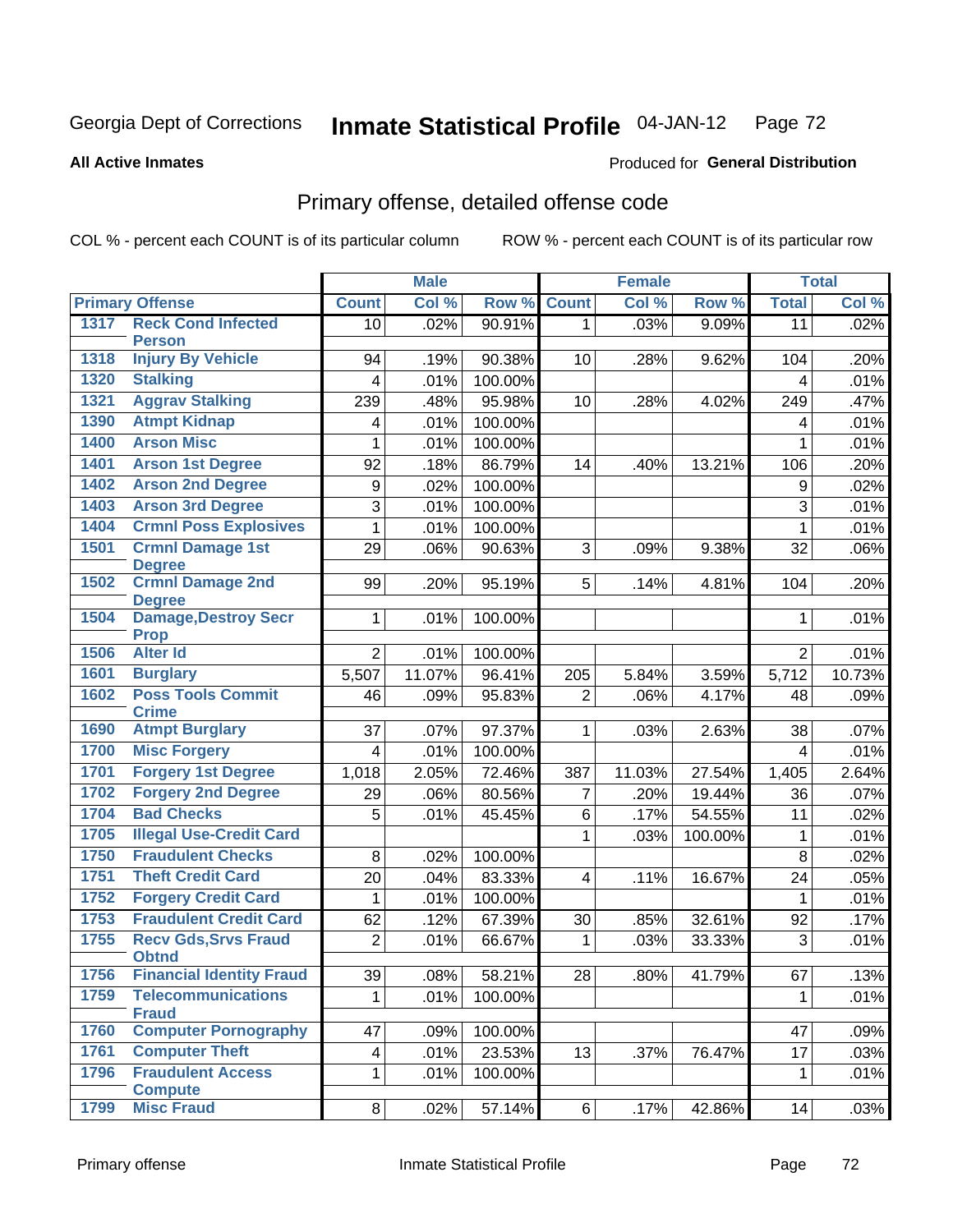**All Active Inmates**

### Produced for **General Distribution**

## Primary offense, detailed offense code

|      |                                             |                | <b>Male</b> |         |                 | <b>Female</b> |         |                 | <b>Total</b> |
|------|---------------------------------------------|----------------|-------------|---------|-----------------|---------------|---------|-----------------|--------------|
|      | <b>Primary Offense</b>                      | <b>Count</b>   | Col %       | Row %   | <b>Count</b>    | Col %         | Row %   | <b>Total</b>    | Col %        |
| 1317 | <b>Reck Cond Infected</b>                   | 10             | .02%        | 90.91%  | $\mathbf{1}$    | .03%          | 9.09%   | $\overline{11}$ | .02%         |
|      | <b>Person</b>                               |                |             |         |                 |               |         |                 |              |
| 1318 | <b>Injury By Vehicle</b>                    | 94             | .19%        | 90.38%  | 10              | .28%          | 9.62%   | 104             | .20%         |
| 1320 | <b>Stalking</b>                             | $\overline{4}$ | .01%        | 100.00% |                 |               |         | 4               | .01%         |
| 1321 | <b>Aggrav Stalking</b>                      | 239            | .48%        | 95.98%  | 10              | .28%          | 4.02%   | 249             | .47%         |
| 1390 | <b>Atmpt Kidnap</b>                         | 4              | .01%        | 100.00% |                 |               |         | 4               | .01%         |
| 1400 | <b>Arson Misc</b>                           | 1              | .01%        | 100.00% |                 |               |         | 1               | .01%         |
| 1401 | <b>Arson 1st Degree</b>                     | 92             | .18%        | 86.79%  | 14              | .40%          | 13.21%  | 106             | .20%         |
| 1402 | <b>Arson 2nd Degree</b>                     | 9              | .02%        | 100.00% |                 |               |         | 9               | .02%         |
| 1403 | <b>Arson 3rd Degree</b>                     | 3              | .01%        | 100.00% |                 |               |         | 3               | .01%         |
| 1404 | <b>Crmnl Poss Explosives</b>                | 1              | .01%        | 100.00% |                 |               |         | 1               | .01%         |
| 1501 | <b>Crmnl Damage 1st</b><br><b>Degree</b>    | 29             | .06%        | 90.63%  | 3               | .09%          | 9.38%   | 32              | .06%         |
| 1502 | <b>Crmnl Damage 2nd</b><br><b>Degree</b>    | 99             | .20%        | 95.19%  | 5               | .14%          | 4.81%   | 104             | .20%         |
| 1504 | <b>Damage, Destroy Secr</b><br><b>Prop</b>  | $\mathbf{1}$   | .01%        | 100.00% |                 |               |         | 1               | .01%         |
| 1506 | <b>Alter Id</b>                             | $\overline{2}$ | .01%        | 100.00% |                 |               |         | $\overline{2}$  | .01%         |
| 1601 | <b>Burglary</b>                             | 5,507          | 11.07%      | 96.41%  | 205             | 5.84%         | 3.59%   | 5,712           | 10.73%       |
| 1602 | <b>Poss Tools Commit</b>                    | 46             | .09%        | 95.83%  | $\overline{2}$  | .06%          | 4.17%   | 48              | .09%         |
|      | <b>Crime</b>                                |                |             |         |                 |               |         |                 |              |
| 1690 | <b>Atmpt Burglary</b>                       | 37             | .07%        | 97.37%  | 1               | .03%          | 2.63%   | 38              | .07%         |
| 1700 | <b>Misc Forgery</b>                         | $\overline{4}$ | .01%        | 100.00% |                 |               |         | 4               | .01%         |
| 1701 | <b>Forgery 1st Degree</b>                   | 1,018          | 2.05%       | 72.46%  | 387             | 11.03%        | 27.54%  | 1,405           | 2.64%        |
| 1702 | <b>Forgery 2nd Degree</b>                   | 29             | .06%        | 80.56%  | $\overline{7}$  | .20%          | 19.44%  | 36              | .07%         |
| 1704 | <b>Bad Checks</b>                           | 5              | .01%        | 45.45%  | $6\phantom{1}6$ | .17%          | 54.55%  | 11              | .02%         |
| 1705 | <b>Illegal Use-Credit Card</b>              |                |             |         | 1               | .03%          | 100.00% | 1               | .01%         |
| 1750 | <b>Fraudulent Checks</b>                    | 8              | .02%        | 100.00% |                 |               |         | 8               | .02%         |
| 1751 | <b>Theft Credit Card</b>                    | 20             | .04%        | 83.33%  | 4               | .11%          | 16.67%  | 24              | .05%         |
| 1752 | <b>Forgery Credit Card</b>                  | $\mathbf{1}$   | .01%        | 100.00% |                 |               |         | 1               | .01%         |
| 1753 | <b>Fraudulent Credit Card</b>               | 62             | .12%        | 67.39%  | 30              | .85%          | 32.61%  | 92              | .17%         |
| 1755 | <b>Recv Gds, Srvs Fraud</b><br><b>Obtnd</b> | $\overline{2}$ | .01%        | 66.67%  | 1               | .03%          | 33.33%  | 3               | .01%         |
| 1756 | <b>Financial Identity Fraud</b>             | 39             | .08%        | 58.21%  | 28              | .80%          | 41.79%  | 67              | .13%         |
| 1759 | <b>Telecommunications</b><br><b>Fraud</b>   | 1              | .01%        | 100.00% |                 |               |         | 1               | .01%         |
| 1760 | <b>Computer Pornography</b>                 | 47             | .09%        | 100.00% |                 |               |         | 47              | .09%         |
| 1761 | <b>Computer Theft</b>                       | $\overline{4}$ | .01%        | 23.53%  | 13              | .37%          | 76.47%  | 17              | .03%         |
| 1796 | <b>Fraudulent Access</b>                    | $\mathbf{1}$   | .01%        | 100.00% |                 |               |         | 1               | .01%         |
|      | <b>Compute</b>                              |                |             |         |                 |               |         |                 |              |
| 1799 | <b>Misc Fraud</b>                           | 8              | .02%        | 57.14%  | 6 <sup>1</sup>  | .17%          | 42.86%  | 14              | .03%         |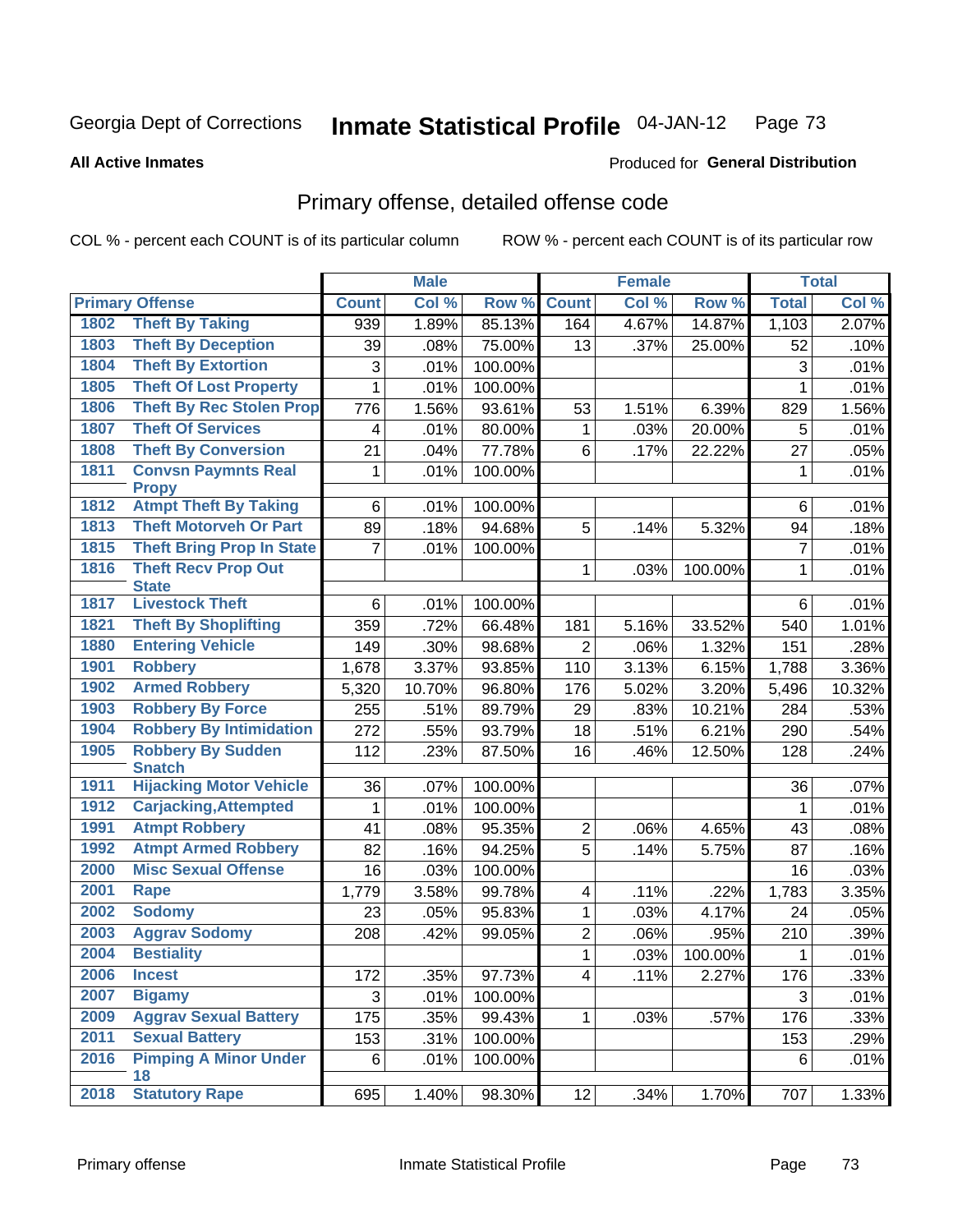**All Active Inmates**

#### Produced for **General Distribution**

## Primary offense, detailed offense code

|      |                                            |                | <b>Male</b> |         |                | <b>Female</b> |         |                | <b>Total</b> |
|------|--------------------------------------------|----------------|-------------|---------|----------------|---------------|---------|----------------|--------------|
|      | <b>Primary Offense</b>                     | <b>Count</b>   | Col %       | Row %   | <b>Count</b>   | Col %         | Row %   | <b>Total</b>   | Col %        |
| 1802 | <b>Theft By Taking</b>                     | 939            | 1.89%       | 85.13%  | 164            | 4.67%         | 14.87%  | 1,103          | 2.07%        |
| 1803 | <b>Theft By Deception</b>                  | 39             | .08%        | 75.00%  | 13             | .37%          | 25.00%  | 52             | .10%         |
| 1804 | <b>Theft By Extortion</b>                  | 3              | .01%        | 100.00% |                |               |         | $\sqrt{3}$     | .01%         |
| 1805 | <b>Theft Of Lost Property</b>              | $\mathbf{1}$   | .01%        | 100.00% |                |               |         | $\mathbf{1}$   | .01%         |
| 1806 | <b>Theft By Rec Stolen Prop</b>            | 776            | 1.56%       | 93.61%  | 53             | 1.51%         | 6.39%   | 829            | 1.56%        |
| 1807 | <b>Theft Of Services</b>                   | 4              | .01%        | 80.00%  | $\mathbf{1}$   | .03%          | 20.00%  | 5              | .01%         |
| 1808 | <b>Theft By Conversion</b>                 | 21             | .04%        | 77.78%  | 6              | .17%          | 22.22%  | 27             | .05%         |
| 1811 | <b>Convsn Paymnts Real</b><br><b>Propy</b> | 1              | .01%        | 100.00% |                |               |         | 1              | .01%         |
| 1812 | <b>Atmpt Theft By Taking</b>               | 6              | .01%        | 100.00% |                |               |         | 6              | .01%         |
| 1813 | <b>Theft Motorveh Or Part</b>              | 89             | .18%        | 94.68%  | 5              | .14%          | 5.32%   | 94             | .18%         |
| 1815 | <b>Theft Bring Prop In State</b>           | $\overline{7}$ | .01%        | 100.00% |                |               |         | $\overline{7}$ | .01%         |
| 1816 | <b>Theft Recv Prop Out</b><br><b>State</b> |                |             |         | $\mathbf{1}$   | .03%          | 100.00% | 1              | .01%         |
| 1817 | <b>Livestock Theft</b>                     | 6              | .01%        | 100.00% |                |               |         | 6              | .01%         |
| 1821 | <b>Theft By Shoplifting</b>                | 359            | .72%        | 66.48%  | 181            | 5.16%         | 33.52%  | 540            | 1.01%        |
| 1880 | <b>Entering Vehicle</b>                    | 149            | .30%        | 98.68%  | $\overline{2}$ | .06%          | 1.32%   | 151            | .28%         |
| 1901 | <b>Robbery</b>                             | 1,678          | 3.37%       | 93.85%  | 110            | 3.13%         | 6.15%   | 1,788          | 3.36%        |
| 1902 | <b>Armed Robbery</b>                       | 5,320          | 10.70%      | 96.80%  | 176            | 5.02%         | 3.20%   | 5,496          | 10.32%       |
| 1903 | <b>Robbery By Force</b>                    | 255            | .51%        | 89.79%  | 29             | .83%          | 10.21%  | 284            | .53%         |
| 1904 | <b>Robbery By Intimidation</b>             | 272            | .55%        | 93.79%  | 18             | .51%          | 6.21%   | 290            | .54%         |
| 1905 | <b>Robbery By Sudden</b><br><b>Snatch</b>  | 112            | .23%        | 87.50%  | 16             | .46%          | 12.50%  | 128            | .24%         |
| 1911 | <b>Hijacking Motor Vehicle</b>             | 36             | .07%        | 100.00% |                |               |         | 36             | .07%         |
| 1912 | <b>Carjacking, Attempted</b>               | $\mathbf{1}$   | .01%        | 100.00% |                |               |         | $\mathbf{1}$   | .01%         |
| 1991 | <b>Atmpt Robbery</b>                       | 41             | .08%        | 95.35%  | $\overline{2}$ | .06%          | 4.65%   | 43             | .08%         |
| 1992 | <b>Atmpt Armed Robbery</b>                 | 82             | .16%        | 94.25%  | $\overline{5}$ | .14%          | 5.75%   | 87             | .16%         |
| 2000 | <b>Misc Sexual Offense</b>                 | 16             | .03%        | 100.00% |                |               |         | 16             | .03%         |
| 2001 | <b>Rape</b>                                | 1,779          | 3.58%       | 99.78%  | $\overline{4}$ | .11%          | .22%    | 1,783          | 3.35%        |
| 2002 | <b>Sodomy</b>                              | 23             | .05%        | 95.83%  | $\mathbf 1$    | .03%          | 4.17%   | 24             | .05%         |
| 2003 | <b>Aggrav Sodomy</b>                       | 208            | .42%        | 99.05%  | $\overline{c}$ | .06%          | .95%    | 210            | .39%         |
| 2004 | <b>Bestiality</b>                          |                |             |         | $\mathbf{1}$   | .03%          | 100.00% | 1              | .01%         |
| 2006 | <b>Incest</b>                              | 172            | .35%        | 97.73%  | $\overline{4}$ | .11%          | 2.27%   | 176            | .33%         |
| 2007 | <b>Bigamy</b>                              | 3              | .01%        | 100.00% |                |               |         | 3              | .01%         |
| 2009 | <b>Aggrav Sexual Battery</b>               | 175            | .35%        | 99.43%  | $\mathbf{1}$   | .03%          | .57%    | 176            | .33%         |
| 2011 | <b>Sexual Battery</b>                      | 153            | .31%        | 100.00% |                |               |         | 153            | .29%         |
| 2016 | <b>Pimping A Minor Under</b><br>18         | 6              | .01%        | 100.00% |                |               |         | 6              | .01%         |
| 2018 | <b>Statutory Rape</b>                      | 695            | 1.40%       | 98.30%  | 12             | $.34\%$       | 1.70%   | 707            | 1.33%        |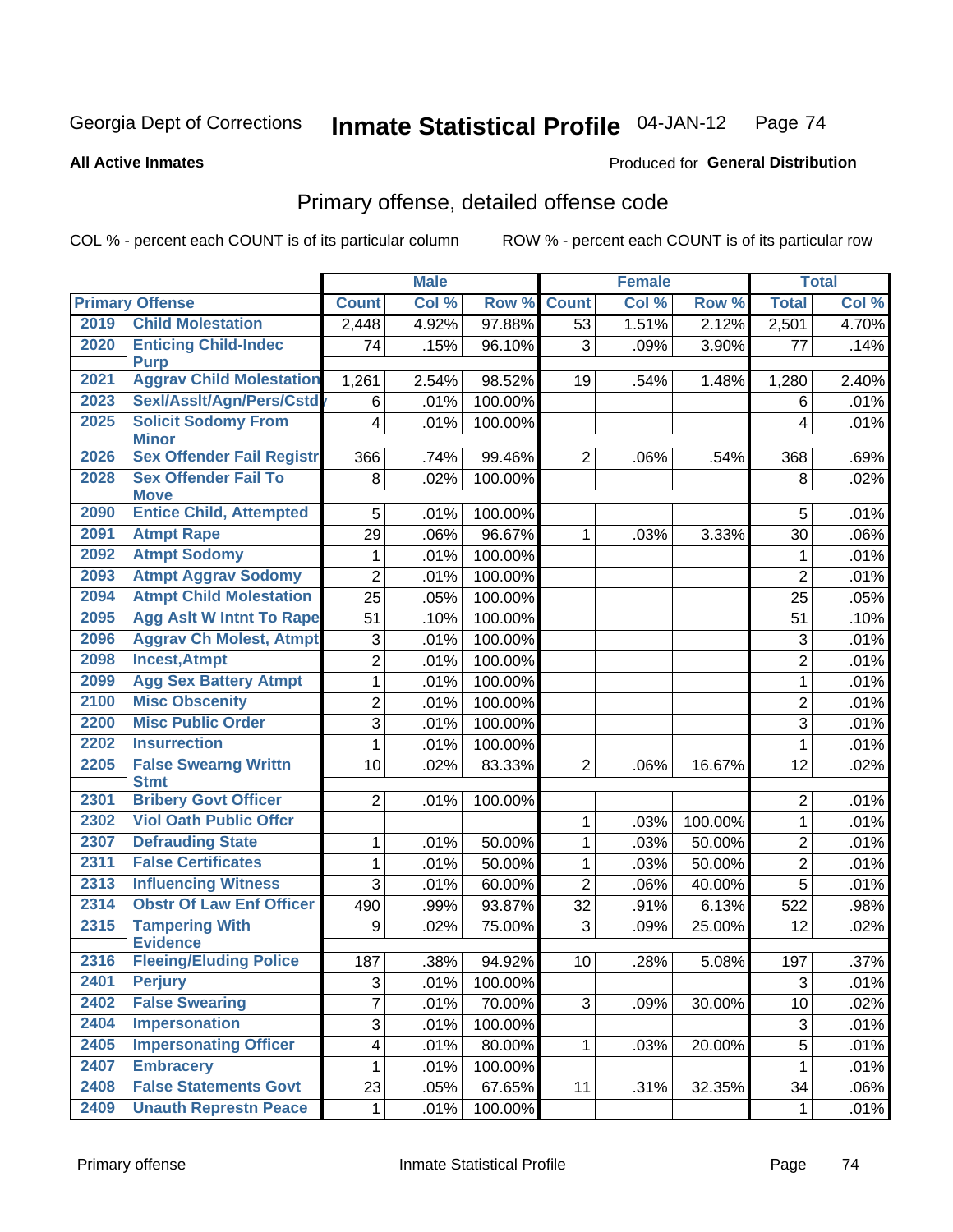**All Active Inmates**

#### Produced for **General Distribution**

## Primary offense, detailed offense code

|      |                                            |                         | <b>Male</b> |         |                 | <b>Female</b> |         | <b>Total</b>   |         |
|------|--------------------------------------------|-------------------------|-------------|---------|-----------------|---------------|---------|----------------|---------|
|      | <b>Primary Offense</b>                     | <b>Count</b>            | Col %       | Row %   | <b>Count</b>    | Col %         | Row %   | <b>Total</b>   | Col %   |
| 2019 | <b>Child Molestation</b>                   | 2,448                   | 4.92%       | 97.88%  | 53              | 1.51%         | 2.12%   | 2,501          | 4.70%   |
| 2020 | <b>Enticing Child-Indec</b><br><b>Purp</b> | 74                      | .15%        | 96.10%  | 3               | .09%          | 3.90%   | 77             | .14%    |
| 2021 | <b>Aggrav Child Molestation</b>            | 1,261                   | 2.54%       | 98.52%  | 19              | .54%          | 1.48%   | 1,280          | 2.40%   |
| 2023 | Sexl/Asslt/Agn/Pers/Cstdy                  | 6                       | .01%        | 100.00% |                 |               |         | 6              | .01%    |
| 2025 | <b>Solicit Sodomy From</b><br><b>Minor</b> | 4                       | .01%        | 100.00% |                 |               |         | 4              | .01%    |
| 2026 | <b>Sex Offender Fail Registr</b>           | 366                     | .74%        | 99.46%  | $\overline{2}$  | .06%          | .54%    | 368            | .69%    |
| 2028 | <b>Sex Offender Fail To</b><br><b>Move</b> | 8                       | .02%        | 100.00% |                 |               |         | 8              | .02%    |
| 2090 | <b>Entice Child, Attempted</b>             | 5                       | .01%        | 100.00% |                 |               |         | 5              | .01%    |
| 2091 | <b>Atmpt Rape</b>                          | 29                      | .06%        | 96.67%  | 1               | .03%          | 3.33%   | 30             | $.06\%$ |
| 2092 | <b>Atmpt Sodomy</b>                        | $\mathbf{1}$            | .01%        | 100.00% |                 |               |         | 1              | .01%    |
| 2093 | <b>Atmpt Aggrav Sodomy</b>                 | $\overline{2}$          | .01%        | 100.00% |                 |               |         | $\overline{2}$ | .01%    |
| 2094 | <b>Atmpt Child Molestation</b>             | 25                      | .05%        | 100.00% |                 |               |         | 25             | .05%    |
| 2095 | <b>Agg Aslt W Intnt To Rape</b>            | 51                      | .10%        | 100.00% |                 |               |         | 51             | .10%    |
| 2096 | <b>Aggrav Ch Molest, Atmpt</b>             | 3                       | .01%        | 100.00% |                 |               |         | 3              | .01%    |
| 2098 | <b>Incest, Atmpt</b>                       | $\overline{2}$          | .01%        | 100.00% |                 |               |         | $\overline{2}$ | .01%    |
| 2099 | <b>Agg Sex Battery Atmpt</b>               | $\mathbf 1$             | .01%        | 100.00% |                 |               |         | $\mathbf{1}$   | .01%    |
| 2100 | <b>Misc Obscenity</b>                      | $\overline{2}$          | .01%        | 100.00% |                 |               |         | $\overline{2}$ | .01%    |
| 2200 | <b>Misc Public Order</b>                   | 3                       | .01%        | 100.00% |                 |               |         | 3              | .01%    |
| 2202 | <b>Insurrection</b>                        | $\mathbf{1}$            | .01%        | 100.00% |                 |               |         | $\mathbf{1}$   | .01%    |
| 2205 | <b>False Swearng Writtn</b><br><b>Stmt</b> | 10                      | .02%        | 83.33%  | $\overline{2}$  | .06%          | 16.67%  | 12             | .02%    |
| 2301 | <b>Bribery Govt Officer</b>                | $\overline{2}$          | .01%        | 100.00% |                 |               |         | $\overline{2}$ | .01%    |
| 2302 | <b>Viol Oath Public Offcr</b>              |                         |             |         | 1               | .03%          | 100.00% | $\mathbf{1}$   | .01%    |
| 2307 | <b>Defrauding State</b>                    | 1                       | .01%        | 50.00%  | 1               | .03%          | 50.00%  | $\overline{2}$ | .01%    |
| 2311 | <b>False Certificates</b>                  | $\mathbf{1}$            | .01%        | 50.00%  | 1               | .03%          | 50.00%  | $\overline{2}$ | .01%    |
| 2313 | <b>Influencing Witness</b>                 | 3                       | .01%        | 60.00%  | $\overline{2}$  | .06%          | 40.00%  | 5              | .01%    |
| 2314 | <b>Obstr Of Law Enf Officer</b>            | 490                     | .99%        | 93.87%  | 32              | .91%          | 6.13%   | 522            | .98%    |
| 2315 | <b>Tampering With</b>                      | 9                       | .02%        | 75.00%  | 3               | .09%          | 25.00%  | 12             | .02%    |
|      | <b>Evidence</b>                            |                         |             |         |                 |               |         |                |         |
| 2316 | <b>Fleeing/Eluding Police</b>              | 187                     | .38%        | 94.92%  | 10 <sup>1</sup> | .28%          | 5.08%   | 197            | .37%    |
| 2401 | <b>Perjury</b>                             | 3                       | .01%        | 100.00% |                 |               |         | 3              | .01%    |
| 2402 | <b>False Swearing</b>                      | $\overline{7}$          | .01%        | 70.00%  | 3               | .09%          | 30.00%  | 10             | .02%    |
| 2404 | <b>Impersonation</b>                       | 3                       | .01%        | 100.00% |                 |               |         | 3              | .01%    |
| 2405 | <b>Impersonating Officer</b>               | $\overline{\mathbf{4}}$ | .01%        | 80.00%  | $\mathbf{1}$    | .03%          | 20.00%  | $\sqrt{5}$     | .01%    |
| 2407 | <b>Embracery</b>                           | $\mathbf{1}$            | .01%        | 100.00% |                 |               |         | 1              | .01%    |
| 2408 | <b>False Statements Govt</b>               | 23                      | .05%        | 67.65%  | 11              | .31%          | 32.35%  | 34             | .06%    |
| 2409 | <b>Unauth Represtn Peace</b>               | 1                       | .01%        | 100.00% |                 |               |         | 1              | .01%    |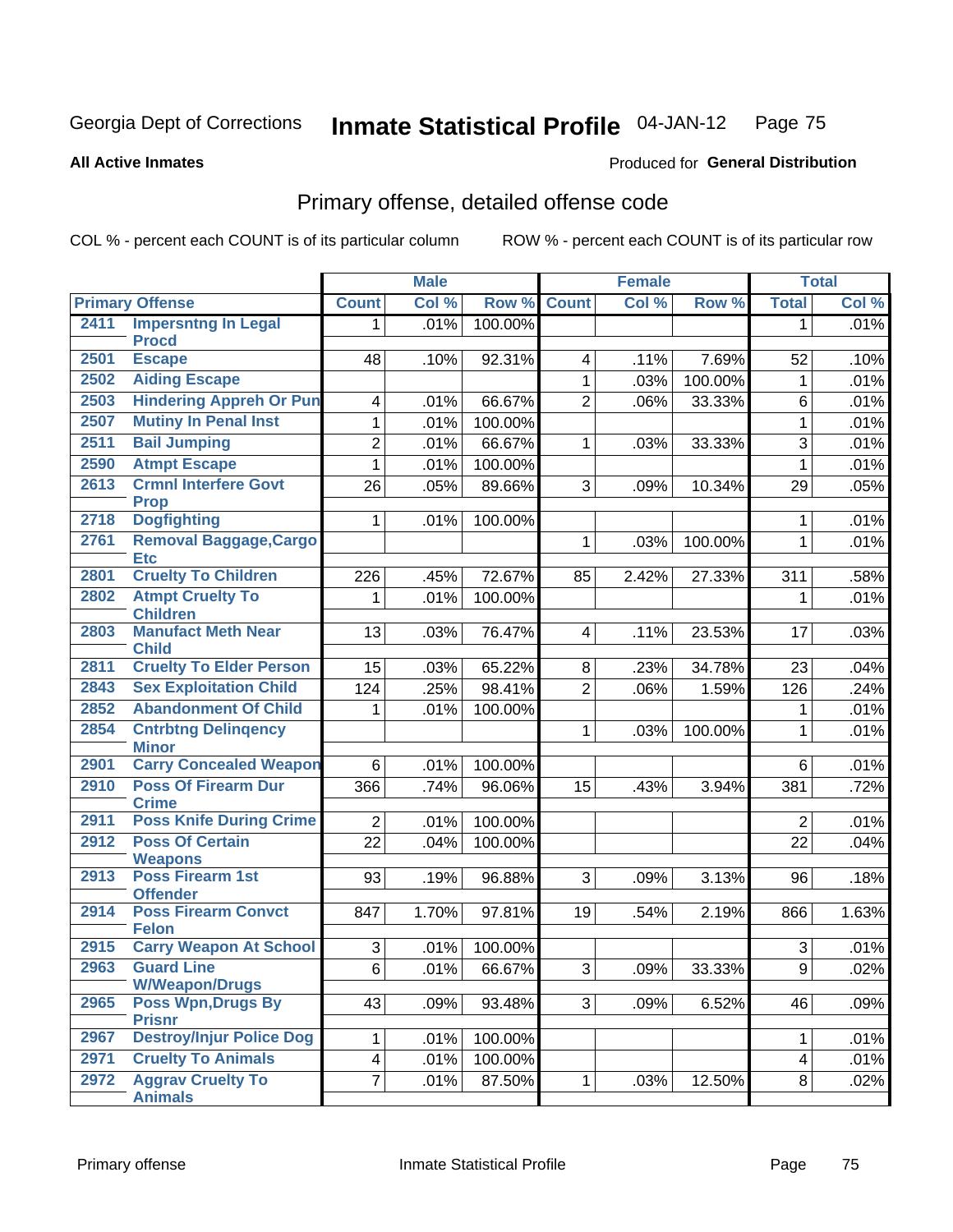#### **All Active Inmates**

#### Produced for **General Distribution**

#### Primary offense, detailed offense code

|      |                                            |                         | <b>Male</b> |         | <b>Female</b>  |       |                  | <b>Total</b>   |       |
|------|--------------------------------------------|-------------------------|-------------|---------|----------------|-------|------------------|----------------|-------|
|      | <b>Primary Offense</b>                     | <b>Count</b>            | Col %       | Row %   | <b>Count</b>   | Col % | Row <sup>%</sup> | <b>Total</b>   | Col % |
| 2411 | <b>Impersntng In Legal</b>                 | 1.                      | .01%        | 100.00% |                |       |                  | $\mathbf 1$    | .01%  |
|      | <b>Procd</b>                               |                         |             |         |                |       |                  |                |       |
| 2501 | <b>Escape</b>                              | 48                      | .10%        | 92.31%  | $\overline{4}$ | .11%  | 7.69%            | 52             | .10%  |
| 2502 | <b>Aiding Escape</b>                       |                         |             |         | 1              | .03%  | 100.00%          | 1              | .01%  |
| 2503 | <b>Hindering Appreh Or Pun</b>             | 4                       | .01%        | 66.67%  | $\overline{2}$ | .06%  | 33.33%           | 6              | .01%  |
| 2507 | <b>Mutiny In Penal Inst</b>                | 1                       | .01%        | 100.00% |                |       |                  | 1              | .01%  |
| 2511 | <b>Bail Jumping</b>                        | 2                       | .01%        | 66.67%  | 1.             | .03%  | 33.33%           | $\overline{3}$ | .01%  |
| 2590 | <b>Atmpt Escape</b>                        | 1                       | .01%        | 100.00% |                |       |                  | $\mathbf{1}$   | .01%  |
| 2613 | <b>Crmnl Interfere Govt</b><br><b>Prop</b> | 26                      | .05%        | 89.66%  | 3              | .09%  | 10.34%           | 29             | .05%  |
| 2718 | <b>Dogfighting</b>                         | 1                       | .01%        | 100.00% |                |       |                  | 1              | .01%  |
| 2761 | Removal Baggage, Cargo<br><b>Etc</b>       |                         |             |         | $\mathbf{1}$   | .03%  | 100.00%          | $\mathbf{1}$   | .01%  |
| 2801 | <b>Cruelty To Children</b>                 | 226                     | .45%        | 72.67%  | 85             | 2.42% | 27.33%           | 311            | .58%  |
| 2802 | <b>Atmpt Cruelty To</b><br><b>Children</b> | 1                       | .01%        | 100.00% |                |       |                  | 1              | .01%  |
| 2803 | <b>Manufact Meth Near</b><br><b>Child</b>  | 13                      | .03%        | 76.47%  | $\overline{4}$ | .11%  | 23.53%           | 17             | .03%  |
| 2811 | <b>Cruelty To Elder Person</b>             | 15                      | .03%        | 65.22%  | 8              | .23%  | 34.78%           | 23             | .04%  |
| 2843 | <b>Sex Exploitation Child</b>              | 124                     | .25%        | 98.41%  | $\overline{2}$ | .06%  | 1.59%            | 126            | .24%  |
| 2852 | <b>Abandonment Of Child</b>                | 1                       | .01%        | 100.00% |                |       |                  | 1              | .01%  |
| 2854 | <b>Cntrbtng Delingency</b><br><b>Minor</b> |                         |             |         | 1              | .03%  | 100.00%          | 1              | .01%  |
| 2901 | <b>Carry Concealed Weapon</b>              | 6                       | .01%        | 100.00% |                |       |                  | 6              | .01%  |
| 2910 | <b>Poss Of Firearm Dur</b><br><b>Crime</b> | 366                     | .74%        | 96.06%  | 15             | .43%  | 3.94%            | 381            | .72%  |
| 2911 | <b>Poss Knife During Crime</b>             | $\overline{2}$          | .01%        | 100.00% |                |       |                  | $\overline{2}$ | .01%  |
| 2912 | <b>Poss Of Certain</b><br><b>Weapons</b>   | 22                      | .04%        | 100.00% |                |       |                  | 22             | .04%  |
| 2913 | <b>Poss Firearm 1st</b><br><b>Offender</b> | 93                      | .19%        | 96.88%  | 3              | .09%  | 3.13%            | 96             | .18%  |
| 2914 | <b>Poss Firearm Convct</b><br><b>Felon</b> | 847                     | 1.70%       | 97.81%  | 19             | .54%  | 2.19%            | 866            | 1.63% |
| 2915 | <b>Carry Weapon At School</b>              | 3                       | .01%        | 100.00% |                |       |                  | $\sqrt{3}$     | .01%  |
| 2963 | <b>Guard Line</b><br><b>W/Weapon/Drugs</b> | $\overline{6}$          | .01%        | 66.67%  | $3\vert$       | .09%  | 33.33%           | q              | .02%  |
| 2965 | Poss Wpn, Drugs By<br><b>Prisnr</b>        | 43                      | .09%        | 93.48%  | 3              | .09%  | 6.52%            | 46             | .09%  |
| 2967 | <b>Destroy/Injur Police Dog</b>            | 1                       | .01%        | 100.00% |                |       |                  | $\mathbf 1$    | .01%  |
| 2971 | <b>Cruelty To Animals</b>                  | $\overline{\mathbf{4}}$ | .01%        | 100.00% |                |       |                  | 4              | .01%  |
| 2972 | <b>Aggrav Cruelty To</b><br><b>Animals</b> | $\overline{7}$          | .01%        | 87.50%  | $\mathbf 1$    | .03%  | 12.50%           | 8              | .02%  |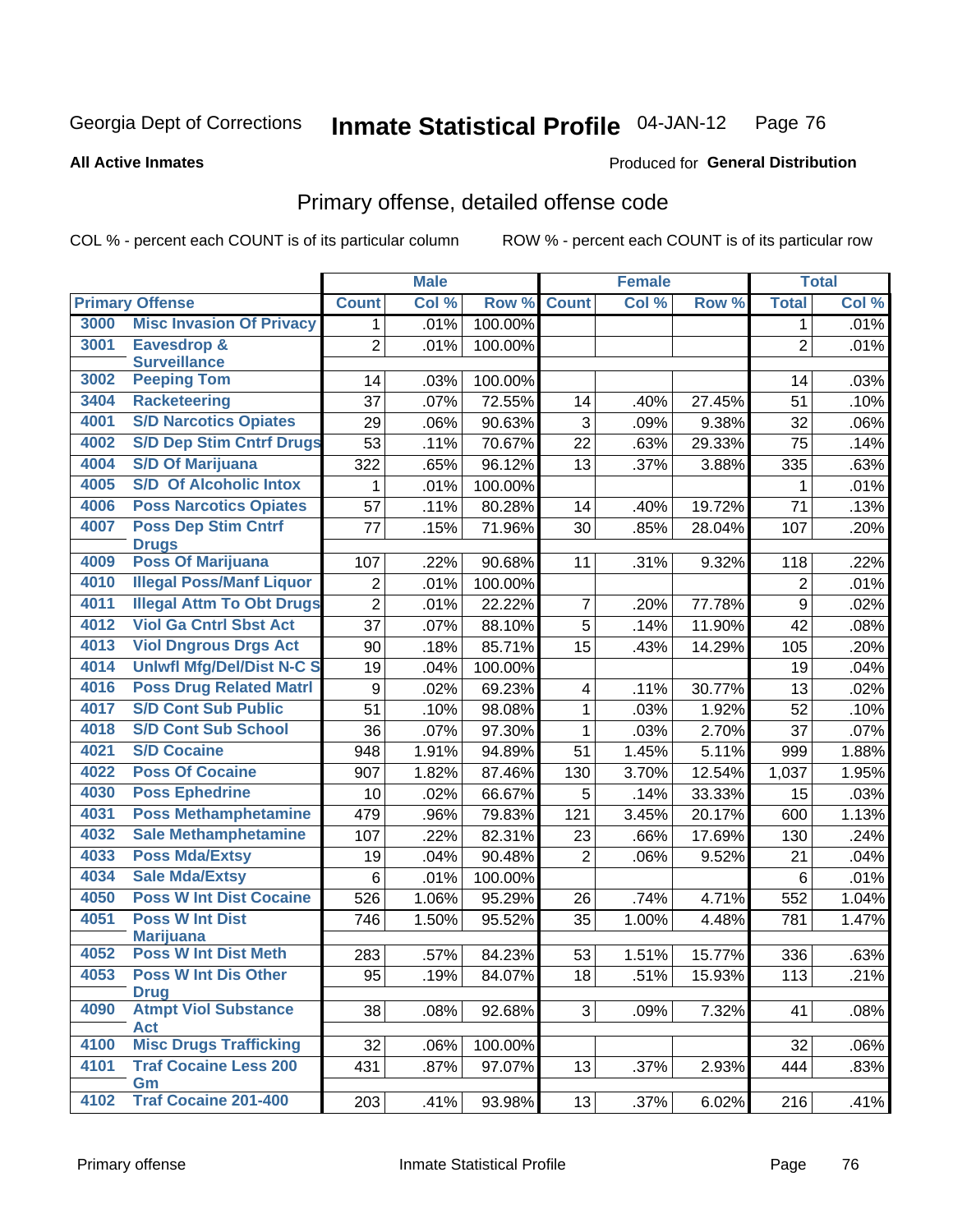#### **All Active Inmates**

#### Produced for **General Distribution**

## Primary offense, detailed offense code

|      |                                                 |                  | <b>Male</b> |         |                | <b>Female</b> |        |                | <b>Total</b> |
|------|-------------------------------------------------|------------------|-------------|---------|----------------|---------------|--------|----------------|--------------|
|      | <b>Primary Offense</b>                          | <b>Count</b>     | Col %       | Row %   | <b>Count</b>   | Col %         | Row %  | <b>Total</b>   | Col %        |
| 3000 | <b>Misc Invasion Of Privacy</b>                 | 1 <sup>1</sup>   | .01%        | 100.00% |                |               |        | $\mathbf{1}$   | .01%         |
| 3001 | <b>Eavesdrop &amp;</b><br><b>Surveillance</b>   | $\overline{2}$   | .01%        | 100.00% |                |               |        | $\overline{2}$ | .01%         |
| 3002 | <b>Peeping Tom</b>                              | 14               | .03%        | 100.00% |                |               |        | 14             | .03%         |
| 3404 | <b>Racketeering</b>                             | 37               | .07%        | 72.55%  | 14             | .40%          | 27.45% | 51             | .10%         |
| 4001 | <b>S/D Narcotics Opiates</b>                    | 29               | .06%        | 90.63%  | $\mathfrak{S}$ | .09%          | 9.38%  | 32             | .06%         |
| 4002 | <b>S/D Dep Stim Cntrf Drugs</b>                 | 53               | .11%        | 70.67%  | 22             | .63%          | 29.33% | 75             | .14%         |
| 4004 | <b>S/D Of Marijuana</b>                         | 322              | .65%        | 96.12%  | 13             | .37%          | 3.88%  | 335            | .63%         |
| 4005 | <b>S/D Of Alcoholic Intox</b>                   | 1                | .01%        | 100.00% |                |               |        | 1              | .01%         |
| 4006 | <b>Poss Narcotics Opiates</b>                   | 57               | .11%        | 80.28%  | 14             | .40%          | 19.72% | 71             | .13%         |
| 4007 | <b>Poss Dep Stim Cntrf</b><br><b>Drugs</b>      | 77               | .15%        | 71.96%  | 30             | .85%          | 28.04% | 107            | .20%         |
| 4009 | <b>Poss Of Marijuana</b>                        | 107              | .22%        | 90.68%  | 11             | .31%          | 9.32%  | 118            | .22%         |
| 4010 | <b>Illegal Poss/Manf Liquor</b>                 | $\overline{2}$   | .01%        | 100.00% |                |               |        | $\overline{2}$ | .01%         |
| 4011 | <b>Illegal Attm To Obt Drugs</b>                | $\overline{2}$   | .01%        | 22.22%  | $\overline{7}$ | .20%          | 77.78% | 9              | .02%         |
| 4012 | <b>Viol Ga Cntrl Sbst Act</b>                   | 37               | .07%        | 88.10%  | $\overline{5}$ | .14%          | 11.90% | 42             | .08%         |
| 4013 | <b>Viol Dngrous Drgs Act</b>                    | 90               | .18%        | 85.71%  | 15             | .43%          | 14.29% | 105            | .20%         |
| 4014 | <b>Uniwfl Mfg/Del/Dist N-C S</b>                | 19               | .04%        | 100.00% |                |               |        | 19             | .04%         |
| 4016 | <b>Poss Drug Related Matri</b>                  | $\boldsymbol{9}$ | .02%        | 69.23%  | 4              | .11%          | 30.77% | 13             | .02%         |
| 4017 | <b>S/D Cont Sub Public</b>                      | 51               | .10%        | 98.08%  | $\mathbf{1}$   | .03%          | 1.92%  | 52             | .10%         |
| 4018 | <b>S/D Cont Sub School</b>                      | $\overline{36}$  | .07%        | 97.30%  | 1              | .03%          | 2.70%  | 37             | .07%         |
| 4021 | <b>S/D Cocaine</b>                              | 948              | 1.91%       | 94.89%  | 51             | 1.45%         | 5.11%  | 999            | 1.88%        |
| 4022 | <b>Poss Of Cocaine</b>                          | 907              | 1.82%       | 87.46%  | 130            | 3.70%         | 12.54% | 1,037          | 1.95%        |
| 4030 | <b>Poss Ephedrine</b>                           | 10               | .02%        | 66.67%  | 5              | .14%          | 33.33% | 15             | .03%         |
| 4031 | <b>Poss Methamphetamine</b>                     | 479              | .96%        | 79.83%  | 121            | 3.45%         | 20.17% | 600            | 1.13%        |
| 4032 | <b>Sale Methamphetamine</b>                     | 107              | .22%        | 82.31%  | 23             | .66%          | 17.69% | 130            | .24%         |
| 4033 | <b>Poss Mda/Extsy</b>                           | 19               | .04%        | 90.48%  | $\overline{2}$ | .06%          | 9.52%  | 21             | .04%         |
| 4034 | <b>Sale Mda/Extsy</b>                           | 6                | .01%        | 100.00% |                |               |        | 6              | .01%         |
| 4050 | <b>Poss W Int Dist Cocaine</b>                  | 526              | 1.06%       | 95.29%  | 26             | .74%          | 4.71%  | 552            | 1.04%        |
| 4051 | <b>Poss W Int Dist</b>                          | 746              | 1.50%       | 95.52%  | 35             | 1.00%         | 4.48%  | 781            | 1.47%        |
| 4052 | <b>Marijuana</b><br><b>Poss W Int Dist Meth</b> | 283              | .57%        | 84.23%  | 53             | 1.51%         | 15.77% | 336            | .63%         |
| 4053 | <b>Poss W Int Dis Other</b>                     |                  |             | 84.07%  |                |               |        |                |              |
|      | <b>Drug</b>                                     | 95               | .19%        |         | 18             | .51%          | 15.93% | 113            | .21%         |
| 4090 | <b>Atmpt Viol Substance</b><br><b>Act</b>       | 38               | .08%        | 92.68%  | 3              | .09%          | 7.32%  | 41             | .08%         |
| 4100 | <b>Misc Drugs Trafficking</b>                   | 32               | .06%        | 100.00% |                |               |        | 32             | .06%         |
| 4101 | <b>Traf Cocaine Less 200</b><br>Gm              | 431              | .87%        | 97.07%  | 13             | .37%          | 2.93%  | 444            | .83%         |
| 4102 | <b>Traf Cocaine 201-400</b>                     | 203              | .41%        | 93.98%  | 13             | .37%          | 6.02%  | 216            | .41%         |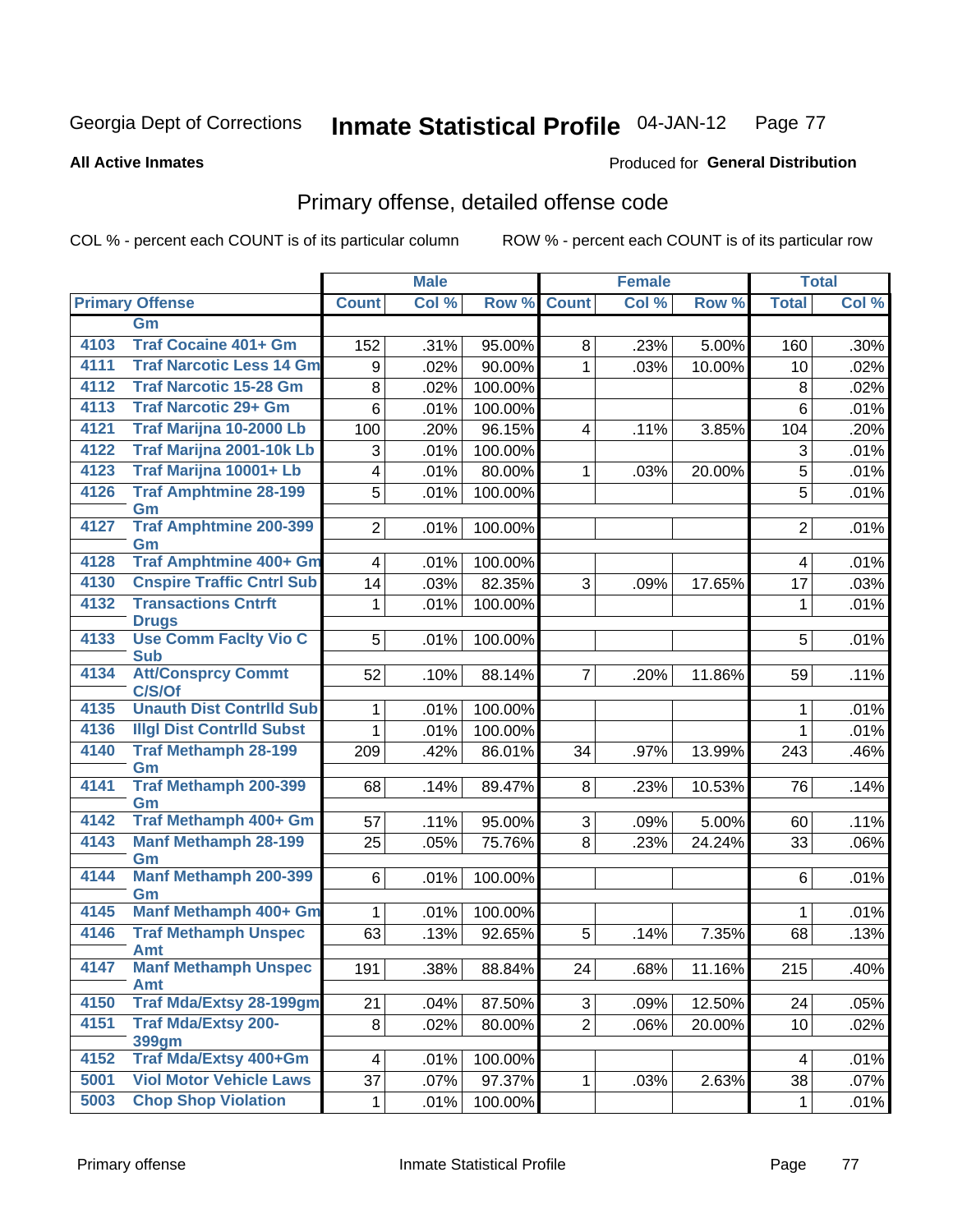Produced for **General Distribution**

#### **All Active Inmates**

# Primary offense, detailed offense code

|      |                                            |                | <b>Male</b> |         |                    | <b>Female</b> |        |                | <b>Total</b> |
|------|--------------------------------------------|----------------|-------------|---------|--------------------|---------------|--------|----------------|--------------|
|      | <b>Primary Offense</b>                     | <b>Count</b>   | Col %       |         | <b>Row % Count</b> | Col %         | Row %  | <b>Total</b>   | Col %        |
|      | Gm                                         |                |             |         |                    |               |        |                |              |
| 4103 | <b>Traf Cocaine 401+ Gm</b>                | 152            | .31%        | 95.00%  | 8                  | .23%          | 5.00%  | 160            | $.30\%$      |
| 4111 | <b>Traf Narcotic Less 14 Gm</b>            | 9              | .02%        | 90.00%  | 1                  | .03%          | 10.00% | 10             | .02%         |
| 4112 | <b>Traf Narcotic 15-28 Gm</b>              | 8              | .02%        | 100.00% |                    |               |        | 8              | .02%         |
| 4113 | <b>Traf Narcotic 29+ Gm</b>                | $6\phantom{a}$ | .01%        | 100.00% |                    |               |        | 6              | .01%         |
| 4121 | Traf Marijna 10-2000 Lb                    | 100            | .20%        | 96.15%  | 4                  | .11%          | 3.85%  | 104            | .20%         |
| 4122 | Traf Marijna 2001-10k Lb                   | 3              | .01%        | 100.00% |                    |               |        | 3              | .01%         |
| 4123 | Traf Marijna 10001+ Lb                     | 4              | .01%        | 80.00%  | 1.                 | .03%          | 20.00% | 5              | .01%         |
| 4126 | <b>Traf Amphtmine 28-199</b><br>Gm         | 5              | .01%        | 100.00% |                    |               |        | 5              | .01%         |
| 4127 | <b>Traf Amphtmine 200-399</b><br>Gm        | 2              | .01%        | 100.00% |                    |               |        | $\overline{2}$ | .01%         |
| 4128 | <b>Traf Amphtmine 400+ Gm</b>              | $\overline{4}$ | .01%        | 100.00% |                    |               |        | 4              | .01%         |
| 4130 | <b>Cnspire Traffic Cntrl Sub</b>           | 14             | .03%        | 82.35%  | 3                  | .09%          | 17.65% | 17             | .03%         |
| 4132 | <b>Transactions Cntrft</b><br><b>Drugs</b> | $\mathbf 1$    | .01%        | 100.00% |                    |               |        | 1              | .01%         |
| 4133 | <b>Use Comm Facity Vio C</b><br><b>Sub</b> | 5              | .01%        | 100.00% |                    |               |        | 5              | .01%         |
| 4134 | <b>Att/Consprcy Commt</b><br>C/S/Of        | 52             | .10%        | 88.14%  | $\overline{7}$     | .20%          | 11.86% | 59             | .11%         |
| 4135 | <b>Unauth Dist Contrild Sub</b>            | $\mathbf{1}$   | .01%        | 100.00% |                    |               |        | 1              | .01%         |
| 4136 | <b>Illgl Dist Contrild Subst</b>           | $\mathbf{1}$   | .01%        | 100.00% |                    |               |        | 1              | .01%         |
| 4140 | <b>Traf Methamph 28-199</b><br>Gm          | 209            | .42%        | 86.01%  | 34                 | .97%          | 13.99% | 243            | .46%         |
| 4141 | <b>Traf Methamph 200-399</b><br>Gm         | 68             | .14%        | 89.47%  | 8                  | .23%          | 10.53% | 76             | .14%         |
| 4142 | Traf Methamph 400+ Gm                      | 57             | .11%        | 95.00%  | 3                  | .09%          | 5.00%  | 60             | .11%         |
| 4143 | <b>Manf Methamph 28-199</b><br>Gm          | 25             | .05%        | 75.76%  | 8                  | .23%          | 24.24% | 33             | .06%         |
| 4144 | Manf Methamph 200-399<br>Gm                | 6              | .01%        | 100.00% |                    |               |        | 6              | .01%         |
| 4145 | <b>Manf Methamph 400+ Gm</b>               | $\mathbf{1}$   | .01%        | 100.00% |                    |               |        | 1              | .01%         |
| 4146 | <b>Traf Methamph Unspec</b><br>Amt         | 63             | .13%        | 92.65%  | 5                  | .14%          | 7.35%  | 68             | .13%         |
| 4147 | <b>Manf Methamph Unspec</b><br>Amt         | 191            | .38%        | 88.84%  | 24                 | .68%          | 11.16% | 215            | .40%         |
| 4150 | <b>Traf Mda/Extsy 28-199gm</b>             | 21             | .04%        | 87.50%  | 3                  | .09%          | 12.50% | 24             | .05%         |
| 4151 | <b>Traf Mda/Extsy 200-</b><br>399gm        | 8              | .02%        | 80.00%  | $\overline{2}$     | .06%          | 20.00% | 10             | .02%         |
| 4152 | Traf Mda/Extsy 400+Gm                      | $\overline{4}$ | .01%        | 100.00% |                    |               |        | 4              | .01%         |
| 5001 | <b>Viol Motor Vehicle Laws</b>             | 37             | .07%        | 97.37%  | 1                  | .03%          | 2.63%  | 38             | .07%         |
| 5003 | <b>Chop Shop Violation</b>                 | $\mathbf{1}$   | .01%        | 100.00% |                    |               |        | $\mathbf{1}$   | .01%         |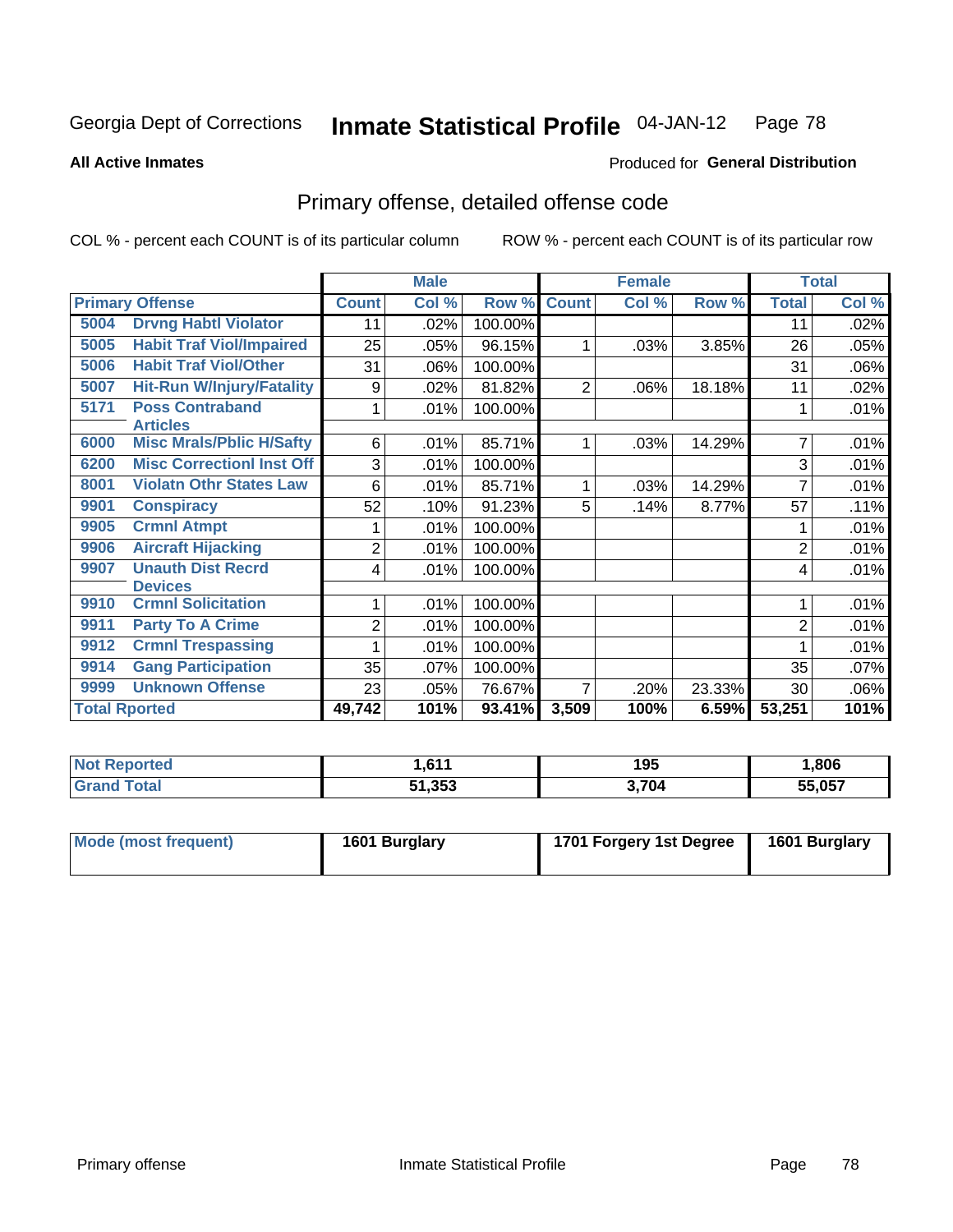**All Active Inmates**

#### Produced for **General Distribution**

## Primary offense, detailed offense code

|                        |                                            | <b>Male</b>    |       |                      | <b>Female</b>  |       | <b>Total</b> |                |       |
|------------------------|--------------------------------------------|----------------|-------|----------------------|----------------|-------|--------------|----------------|-------|
| <b>Primary Offense</b> |                                            | <b>Count</b>   | Col % | Row %                | <b>Count</b>   | Col % | Row %        | <b>Total</b>   | Col % |
| 5004                   | <b>Drvng Habtl Violator</b>                | 11             | .02%  | 100.00%              |                |       |              | 11             | .02%  |
| 5005                   | <b>Habit Traf Viol/Impaired</b>            | 25             | .05%  | 96.15%               | 1              | .03%  | 3.85%        | 26             | .05%  |
| 5006                   | <b>Habit Traf Viol/Other</b>               | 31             | .06%  | 100.00%              |                |       |              | 31             | .06%  |
| 5007                   | <b>Hit-Run W/Injury/Fatality</b>           | 9              | .02%  | 81.82%               | $\overline{2}$ | .06%  | 18.18%       | 11             | .02%  |
| 5171                   | <b>Poss Contraband</b><br><b>Articles</b>  | $\mathbf{1}$   | .01%  | 100.00%              |                |       |              | 1              | .01%  |
| 6000                   | <b>Misc Mrals/Pblic H/Safty</b>            | 6              | .01%  | 85.71%               | 1              | .03%  | 14.29%       | 7              | .01%  |
| 6200                   | <b>Misc CorrectionI Inst Off</b>           | 3              | .01%  | 100.00%              |                |       |              | 3              | .01%  |
| 8001                   | <b>Violatn Othr States Law</b>             | 6              | .01%  | 85.71%               | 1              | .03%  | 14.29%       | 7              | .01%  |
| 9901                   | <b>Conspiracy</b>                          | 52             | .10%  | 91.23%               | 5              | .14%  | 8.77%        | 57             | .11%  |
| 9905                   | <b>Crmnl Atmpt</b>                         |                | .01%  | 100.00%              |                |       |              |                | .01%  |
| 9906                   | <b>Aircraft Hijacking</b>                  | $\overline{2}$ | .01%  | 100.00%              |                |       |              | $\overline{2}$ | .01%  |
| 9907                   | <b>Unauth Dist Recrd</b><br><b>Devices</b> | 4              | .01%  | 100.00%              |                |       |              | 4              | .01%  |
| 9910                   | <b>Crmnl Solicitation</b>                  |                | .01%  | 100.00%              |                |       |              |                | .01%  |
| 9911                   | <b>Party To A Crime</b>                    | 2              | .01%  | 100.00%              |                |       |              | 2              | .01%  |
| 9912                   | <b>Crmnl Trespassing</b>                   |                | .01%  | 100.00%              |                |       |              |                | .01%  |
| 9914                   | <b>Gang Participation</b>                  | 35             | .07%  | 100.00%              |                |       |              | 35             | .07%  |
| 9999                   | <b>Unknown Offense</b>                     | 23             | .05%  | 76.67%               | 7              | .20%  | 23.33%       | 30             | .06%  |
| <b>Total Rported</b>   |                                            | 49,742         | 101%  | $\overline{93.41\%}$ | 3,509          | 100%  | 6.59%        | 53,251         | 101%  |

| <b>Not Reported</b> | <b>C44</b> | 195                       | ,806   |
|---------------------|------------|---------------------------|--------|
| `otal               | .353       | $^{\circ}$ 704 $^{\circ}$ | 55.057 |

| Mode (most frequent) | 1601 Burglary | 1701 Forgery 1st Degree | 1601 Burglary |
|----------------------|---------------|-------------------------|---------------|
|----------------------|---------------|-------------------------|---------------|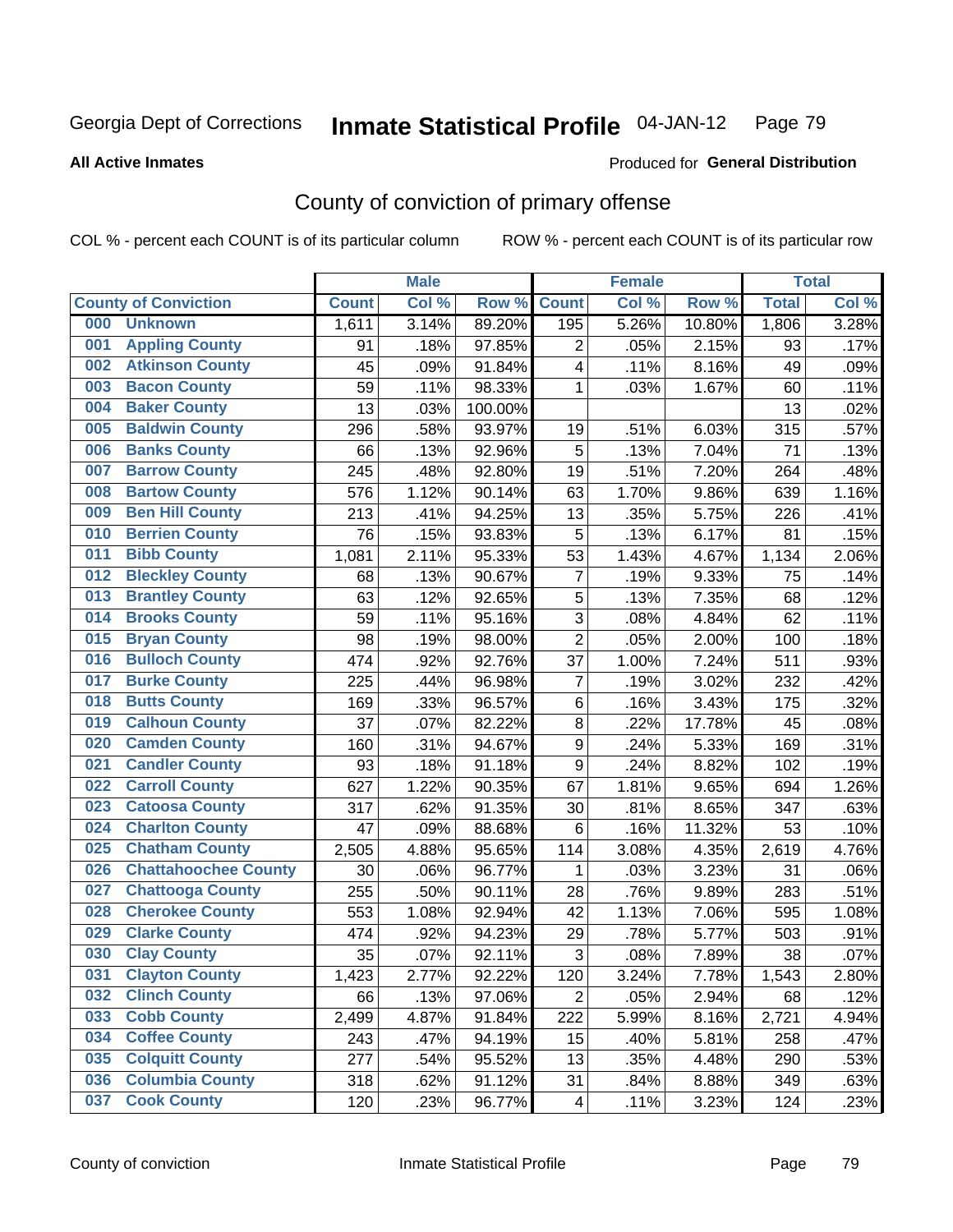#### **All Active Inmates**

## Produced for **General Distribution**

## County of conviction of primary offense

|     |                             |              | <b>Male</b> |         |                         | <b>Female</b> |        |              | <b>Total</b> |
|-----|-----------------------------|--------------|-------------|---------|-------------------------|---------------|--------|--------------|--------------|
|     | <b>County of Conviction</b> | <b>Count</b> | Col %       | Row %   | <b>Count</b>            | Col%          | Row %  | <b>Total</b> | Col %        |
| 000 | <b>Unknown</b>              | 1,611        | 3.14%       | 89.20%  | 195                     | 5.26%         | 10.80% | 1,806        | 3.28%        |
| 001 | <b>Appling County</b>       | 91           | .18%        | 97.85%  | 2                       | .05%          | 2.15%  | 93           | .17%         |
| 002 | <b>Atkinson County</b>      | 45           | .09%        | 91.84%  | $\overline{\mathbf{4}}$ | .11%          | 8.16%  | 49           | .09%         |
| 003 | <b>Bacon County</b>         | 59           | .11%        | 98.33%  | 1                       | .03%          | 1.67%  | 60           | .11%         |
| 004 | <b>Baker County</b>         | 13           | .03%        | 100.00% |                         |               |        | 13           | .02%         |
| 005 | <b>Baldwin County</b>       | 296          | .58%        | 93.97%  | 19                      | .51%          | 6.03%  | 315          | .57%         |
| 006 | <b>Banks County</b>         | 66           | .13%        | 92.96%  | 5                       | .13%          | 7.04%  | 71           | .13%         |
| 007 | <b>Barrow County</b>        | 245          | .48%        | 92.80%  | 19                      | .51%          | 7.20%  | 264          | .48%         |
| 008 | <b>Bartow County</b>        | 576          | 1.12%       | 90.14%  | 63                      | 1.70%         | 9.86%  | 639          | 1.16%        |
| 009 | <b>Ben Hill County</b>      | 213          | .41%        | 94.25%  | 13                      | .35%          | 5.75%  | 226          | .41%         |
| 010 | <b>Berrien County</b>       | 76           | .15%        | 93.83%  | 5                       | .13%          | 6.17%  | 81           | .15%         |
| 011 | <b>Bibb County</b>          | 1,081        | 2.11%       | 95.33%  | 53                      | 1.43%         | 4.67%  | 1,134        | 2.06%        |
| 012 | <b>Bleckley County</b>      | 68           | .13%        | 90.67%  | $\overline{7}$          | .19%          | 9.33%  | 75           | .14%         |
| 013 | <b>Brantley County</b>      | 63           | .12%        | 92.65%  | 5                       | .13%          | 7.35%  | 68           | .12%         |
| 014 | <b>Brooks County</b>        | 59           | .11%        | 95.16%  | 3                       | .08%          | 4.84%  | 62           | .11%         |
| 015 | <b>Bryan County</b>         | 98           | .19%        | 98.00%  | $\overline{2}$          | .05%          | 2.00%  | 100          | .18%         |
| 016 | <b>Bulloch County</b>       | 474          | .92%        | 92.76%  | 37                      | 1.00%         | 7.24%  | 511          | .93%         |
| 017 | <b>Burke County</b>         | 225          | .44%        | 96.98%  | $\overline{7}$          | .19%          | 3.02%  | 232          | .42%         |
| 018 | <b>Butts County</b>         | 169          | .33%        | 96.57%  | 6                       | .16%          | 3.43%  | 175          | .32%         |
| 019 | <b>Calhoun County</b>       | 37           | .07%        | 82.22%  | 8                       | .22%          | 17.78% | 45           | .08%         |
| 020 | <b>Camden County</b>        | 160          | .31%        | 94.67%  | $\boldsymbol{9}$        | .24%          | 5.33%  | 169          | .31%         |
| 021 | <b>Candler County</b>       | 93           | .18%        | 91.18%  | 9                       | .24%          | 8.82%  | 102          | .19%         |
| 022 | <b>Carroll County</b>       | 627          | 1.22%       | 90.35%  | 67                      | 1.81%         | 9.65%  | 694          | 1.26%        |
| 023 | <b>Catoosa County</b>       | 317          | .62%        | 91.35%  | 30                      | .81%          | 8.65%  | 347          | .63%         |
| 024 | <b>Charlton County</b>      | 47           | .09%        | 88.68%  | 6                       | .16%          | 11.32% | 53           | .10%         |
| 025 | <b>Chatham County</b>       | 2,505        | 4.88%       | 95.65%  | 114                     | 3.08%         | 4.35%  | 2,619        | 4.76%        |
| 026 | <b>Chattahoochee County</b> | 30           | .06%        | 96.77%  | 1                       | .03%          | 3.23%  | 31           | .06%         |
| 027 | <b>Chattooga County</b>     | 255          | .50%        | 90.11%  | 28                      | .76%          | 9.89%  | 283          | .51%         |
| 028 | <b>Cherokee County</b>      | 553          | 1.08%       | 92.94%  | 42                      | 1.13%         | 7.06%  | 595          | 1.08%        |
| 029 | <b>Clarke County</b>        | 474          | .92%        | 94.23%  | 29                      | .78%          | 5.77%  | 503          | .91%         |
| 030 | <b>Clay County</b>          | 35           | .07%        | 92.11%  | 3                       | .08%          | 7.89%  | 38           | .07%         |
| 031 | <b>Clayton County</b>       | 1,423        | 2.77%       | 92.22%  | 120                     | 3.24%         | 7.78%  | 1,543        | $2.80\%$     |
| 032 | <b>Clinch County</b>        | 66           | .13%        | 97.06%  | $\overline{2}$          | .05%          | 2.94%  | 68           | .12%         |
| 033 | <b>Cobb County</b>          | 2,499        | 4.87%       | 91.84%  | 222                     | 5.99%         | 8.16%  | 2,721        | 4.94%        |
| 034 | <b>Coffee County</b>        | 243          | .47%        | 94.19%  | 15                      | .40%          | 5.81%  | 258          | .47%         |
| 035 | <b>Colquitt County</b>      | 277          | .54%        | 95.52%  | 13                      | .35%          | 4.48%  | 290          | .53%         |
| 036 | <b>Columbia County</b>      | 318          | .62%        | 91.12%  | 31                      | .84%          | 8.88%  | 349          | .63%         |
| 037 | <b>Cook County</b>          | 120          | .23%        | 96.77%  | $\overline{4}$          | .11%          | 3.23%  | 124          | .23%         |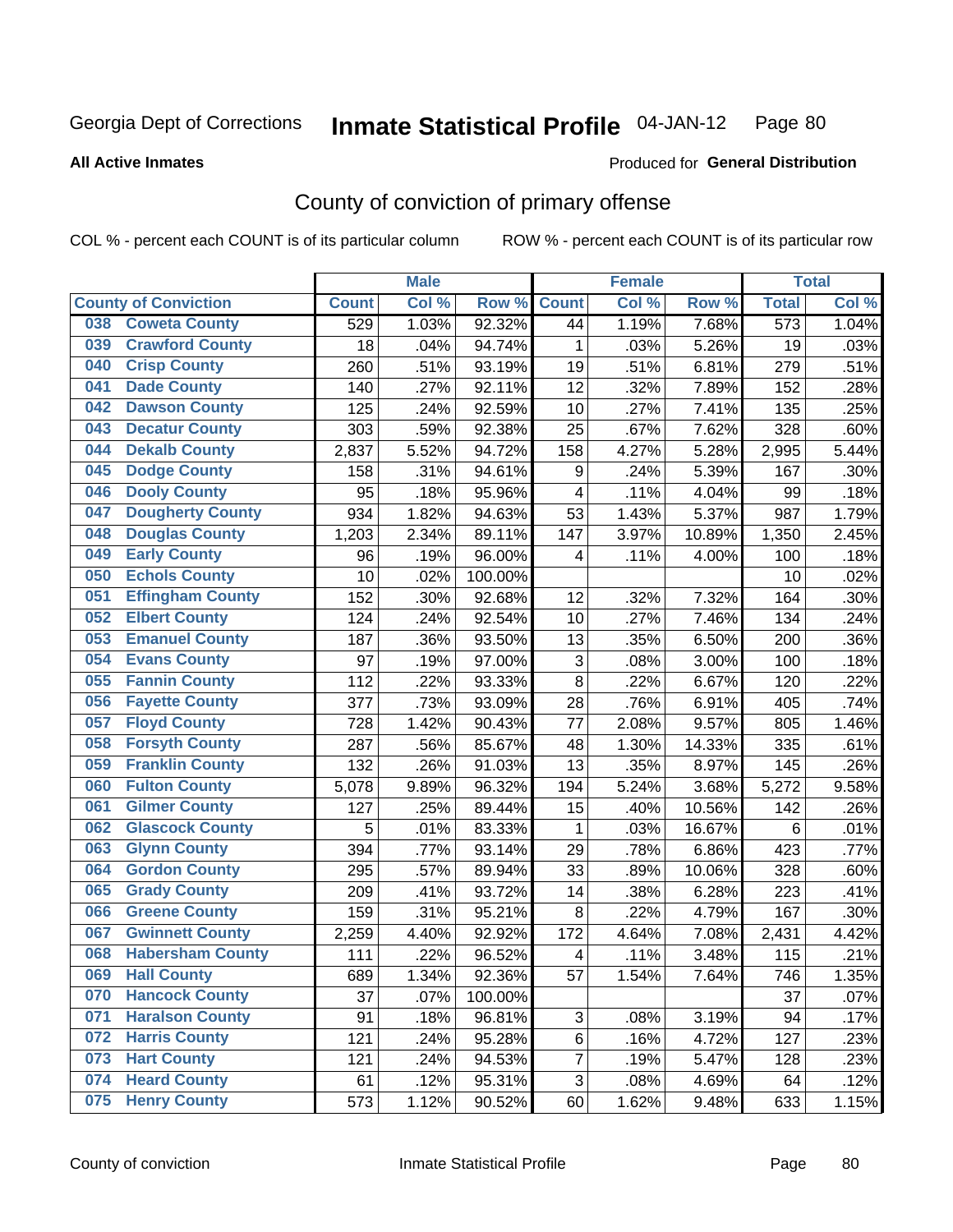#### **All Active Inmates**

#### Produced for **General Distribution**

## County of conviction of primary offense

|     |                             |              | <b>Male</b> |         |                  | <b>Female</b> |        |                  | <b>Total</b> |
|-----|-----------------------------|--------------|-------------|---------|------------------|---------------|--------|------------------|--------------|
|     | <b>County of Conviction</b> | <b>Count</b> | Col %       | Row %   | <b>Count</b>     | Col %         | Row %  | <b>Total</b>     | Col %        |
| 038 | <b>Coweta County</b>        | 529          | 1.03%       | 92.32%  | 44               | 1.19%         | 7.68%  | $\overline{573}$ | 1.04%        |
| 039 | <b>Crawford County</b>      | 18           | .04%        | 94.74%  | 1                | .03%          | 5.26%  | 19               | .03%         |
| 040 | <b>Crisp County</b>         | 260          | .51%        | 93.19%  | 19               | .51%          | 6.81%  | 279              | .51%         |
| 041 | <b>Dade County</b>          | 140          | .27%        | 92.11%  | 12               | .32%          | 7.89%  | 152              | .28%         |
| 042 | <b>Dawson County</b>        | 125          | .24%        | 92.59%  | 10               | .27%          | 7.41%  | 135              | .25%         |
| 043 | <b>Decatur County</b>       | 303          | .59%        | 92.38%  | 25               | .67%          | 7.62%  | 328              | .60%         |
| 044 | <b>Dekalb County</b>        | 2,837        | 5.52%       | 94.72%  | 158              | 4.27%         | 5.28%  | 2,995            | 5.44%        |
| 045 | <b>Dodge County</b>         | 158          | .31%        | 94.61%  | $\boldsymbol{9}$ | .24%          | 5.39%  | 167              | .30%         |
| 046 | <b>Dooly County</b>         | 95           | .18%        | 95.96%  | 4                | .11%          | 4.04%  | 99               | .18%         |
| 047 | <b>Dougherty County</b>     | 934          | 1.82%       | 94.63%  | 53               | 1.43%         | 5.37%  | 987              | 1.79%        |
| 048 | <b>Douglas County</b>       | 1,203        | 2.34%       | 89.11%  | 147              | 3.97%         | 10.89% | 1,350            | 2.45%        |
| 049 | <b>Early County</b>         | 96           | .19%        | 96.00%  | 4                | .11%          | 4.00%  | 100              | .18%         |
| 050 | <b>Echols County</b>        | 10           | .02%        | 100.00% |                  |               |        | 10               | .02%         |
| 051 | <b>Effingham County</b>     | 152          | .30%        | 92.68%  | 12               | .32%          | 7.32%  | 164              | .30%         |
| 052 | <b>Elbert County</b>        | 124          | .24%        | 92.54%  | 10               | .27%          | 7.46%  | 134              | .24%         |
| 053 | <b>Emanuel County</b>       | 187          | .36%        | 93.50%  | 13               | .35%          | 6.50%  | 200              | .36%         |
| 054 | <b>Evans County</b>         | 97           | .19%        | 97.00%  | $\sqrt{3}$       | .08%          | 3.00%  | 100              | .18%         |
| 055 | <b>Fannin County</b>        | 112          | .22%        | 93.33%  | 8                | .22%          | 6.67%  | 120              | .22%         |
| 056 | <b>Fayette County</b>       | 377          | .73%        | 93.09%  | 28               | .76%          | 6.91%  | 405              | .74%         |
| 057 | <b>Floyd County</b>         | 728          | 1.42%       | 90.43%  | 77               | 2.08%         | 9.57%  | 805              | 1.46%        |
| 058 | <b>Forsyth County</b>       | 287          | .56%        | 85.67%  | 48               | 1.30%         | 14.33% | 335              | .61%         |
| 059 | <b>Franklin County</b>      | 132          | .26%        | 91.03%  | 13               | .35%          | 8.97%  | 145              | .26%         |
| 060 | <b>Fulton County</b>        | 5,078        | 9.89%       | 96.32%  | 194              | 5.24%         | 3.68%  | 5,272            | 9.58%        |
| 061 | <b>Gilmer County</b>        | 127          | .25%        | 89.44%  | 15               | .40%          | 10.56% | 142              | .26%         |
| 062 | <b>Glascock County</b>      | 5            | .01%        | 83.33%  | $\mathbf{1}$     | .03%          | 16.67% | 6                | .01%         |
| 063 | <b>Glynn County</b>         | 394          | .77%        | 93.14%  | 29               | .78%          | 6.86%  | 423              | .77%         |
| 064 | <b>Gordon County</b>        | 295          | .57%        | 89.94%  | 33               | .89%          | 10.06% | 328              | .60%         |
| 065 | <b>Grady County</b>         | 209          | .41%        | 93.72%  | 14               | .38%          | 6.28%  | 223              | .41%         |
| 066 | <b>Greene County</b>        | 159          | .31%        | 95.21%  | 8                | .22%          | 4.79%  | 167              | .30%         |
| 067 | <b>Gwinnett County</b>      | 2,259        | 4.40%       | 92.92%  | 172              | 4.64%         | 7.08%  | 2,431            | 4.42%        |
| 068 | <b>Habersham County</b>     | 111          | .22%        | 96.52%  | 4                | .11%          | 3.48%  | 115              | .21%         |
| 069 | <b>Hall County</b>          | 689          | 1.34%       | 92.36%  | 57               | 1.54%         | 7.64%  | 746              | 1.35%        |
| 070 | <b>Hancock County</b>       | 37           | .07%        | 100.00% |                  |               |        | 37               | .07%         |
| 071 | <b>Haralson County</b>      | 91           | .18%        | 96.81%  | 3                | .08%          | 3.19%  | 94               | .17%         |
| 072 | <b>Harris County</b>        | 121          | .24%        | 95.28%  | 6                | .16%          | 4.72%  | 127              | .23%         |
| 073 | <b>Hart County</b>          | 121          | .24%        | 94.53%  | $\overline{7}$   | .19%          | 5.47%  | 128              | .23%         |
| 074 | <b>Heard County</b>         | 61           | .12%        | 95.31%  | 3                | .08%          | 4.69%  | 64               | .12%         |
| 075 | <b>Henry County</b>         | 573          | 1.12%       | 90.52%  | 60               | 1.62%         | 9.48%  | 633              | 1.15%        |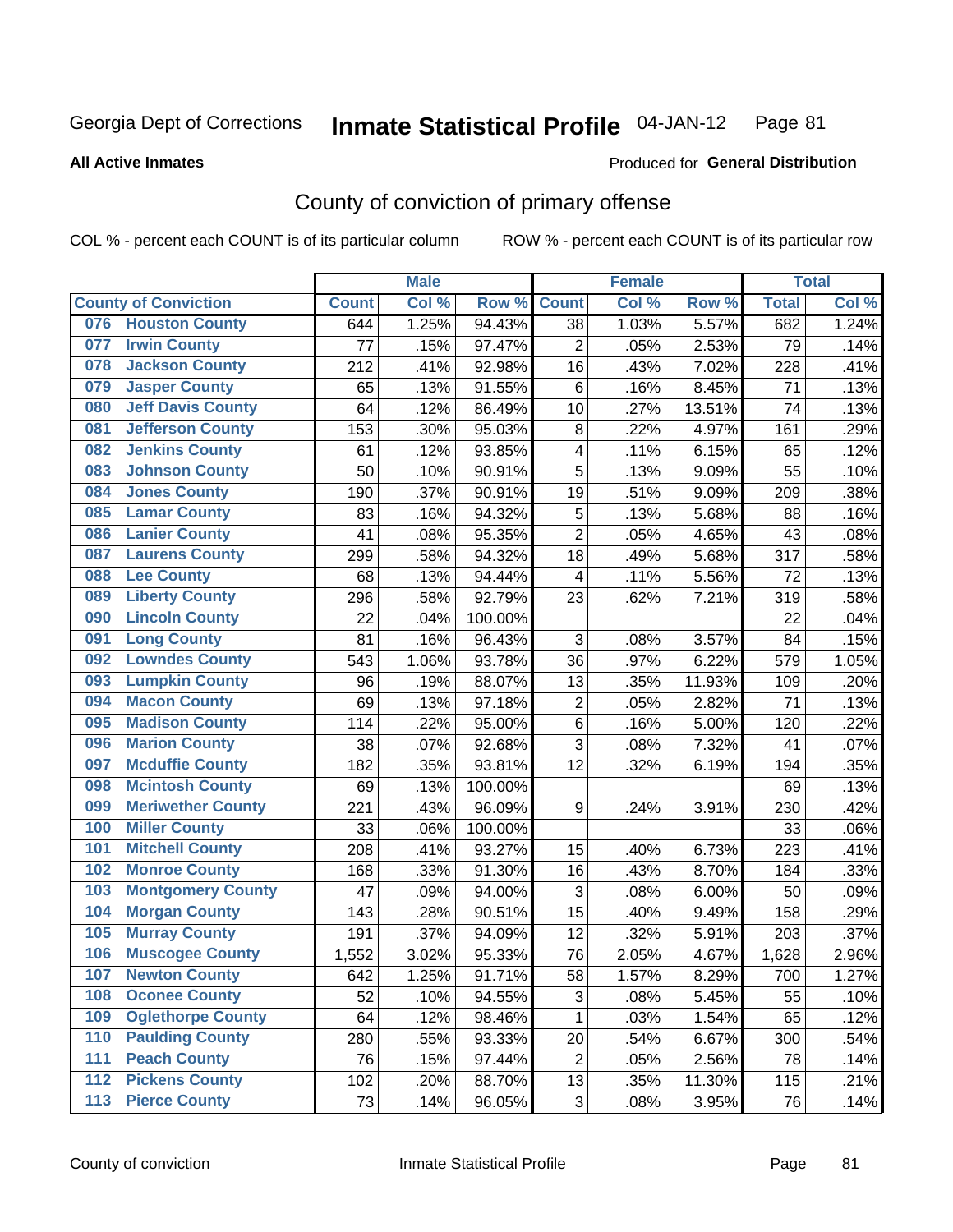#### **All Active Inmates**

#### Produced for **General Distribution**

## County of conviction of primary offense

|                                 |              | <b>Male</b> |         |                | <b>Female</b> |        |              | <b>Total</b> |
|---------------------------------|--------------|-------------|---------|----------------|---------------|--------|--------------|--------------|
| <b>County of Conviction</b>     | <b>Count</b> | Col %       | Row %   | <b>Count</b>   | Col %         | Row %  | <b>Total</b> | Col %        |
| <b>Houston County</b><br>076    | 644          | 1.25%       | 94.43%  | 38             | 1.03%         | 5.57%  | 682          | 1.24%        |
| <b>Irwin County</b><br>077      | 77           | .15%        | 97.47%  | $\overline{2}$ | .05%          | 2.53%  | 79           | .14%         |
| <b>Jackson County</b><br>078    | 212          | .41%        | 92.98%  | 16             | .43%          | 7.02%  | 228          | .41%         |
| <b>Jasper County</b><br>079     | 65           | .13%        | 91.55%  | 6              | .16%          | 8.45%  | 71           | .13%         |
| <b>Jeff Davis County</b><br>080 | 64           | .12%        | 86.49%  | 10             | .27%          | 13.51% | 74           | .13%         |
| 081<br><b>Jefferson County</b>  | 153          | .30%        | 95.03%  | 8              | .22%          | 4.97%  | 161          | .29%         |
| <b>Jenkins County</b><br>082    | 61           | .12%        | 93.85%  | 4              | .11%          | 6.15%  | 65           | .12%         |
| <b>Johnson County</b><br>083    | 50           | .10%        | 90.91%  | 5              | .13%          | 9.09%  | 55           | .10%         |
| <b>Jones County</b><br>084      | 190          | .37%        | 90.91%  | 19             | .51%          | 9.09%  | 209          | .38%         |
| <b>Lamar County</b><br>085      | 83           | .16%        | 94.32%  | 5              | .13%          | 5.68%  | 88           | .16%         |
| <b>Lanier County</b><br>086     | 41           | .08%        | 95.35%  | $\overline{2}$ | .05%          | 4.65%  | 43           | .08%         |
| <b>Laurens County</b><br>087    | 299          | .58%        | 94.32%  | 18             | .49%          | 5.68%  | 317          | .58%         |
| <b>Lee County</b><br>088        | 68           | .13%        | 94.44%  | $\overline{4}$ | .11%          | 5.56%  | 72           | .13%         |
| <b>Liberty County</b><br>089    | 296          | .58%        | 92.79%  | 23             | .62%          | 7.21%  | 319          | .58%         |
| <b>Lincoln County</b><br>090    | 22           | .04%        | 100.00% |                |               |        | 22           | .04%         |
| <b>Long County</b><br>091       | 81           | .16%        | 96.43%  | 3              | .08%          | 3.57%  | 84           | .15%         |
| <b>Lowndes County</b><br>092    | 543          | 1.06%       | 93.78%  | 36             | .97%          | 6.22%  | 579          | 1.05%        |
| <b>Lumpkin County</b><br>093    | 96           | .19%        | 88.07%  | 13             | .35%          | 11.93% | 109          | .20%         |
| <b>Macon County</b><br>094      | 69           | .13%        | 97.18%  | $\mathbf 2$    | .05%          | 2.82%  | 71           | .13%         |
| <b>Madison County</b><br>095    | 114          | .22%        | 95.00%  | $\,6$          | .16%          | 5.00%  | 120          | .22%         |
| <b>Marion County</b><br>096     | 38           | .07%        | 92.68%  | 3              | .08%          | 7.32%  | 41           | .07%         |
| <b>Mcduffie County</b><br>097   | 182          | .35%        | 93.81%  | 12             | .32%          | 6.19%  | 194          | .35%         |
| <b>Mcintosh County</b><br>098   | 69           | .13%        | 100.00% |                |               |        | 69           | .13%         |
| <b>Meriwether County</b><br>099 | 221          | .43%        | 96.09%  | 9              | .24%          | 3.91%  | 230          | .42%         |
| <b>Miller County</b><br>100     | 33           | .06%        | 100.00% |                |               |        | 33           | .06%         |
| <b>Mitchell County</b><br>101   | 208          | .41%        | 93.27%  | 15             | .40%          | 6.73%  | 223          | .41%         |
| <b>Monroe County</b><br>102     | 168          | .33%        | 91.30%  | 16             | .43%          | 8.70%  | 184          | .33%         |
| <b>Montgomery County</b><br>103 | 47           | .09%        | 94.00%  | 3              | .08%          | 6.00%  | 50           | .09%         |
| <b>Morgan County</b><br>104     | 143          | .28%        | 90.51%  | 15             | .40%          | 9.49%  | 158          | .29%         |
| <b>Murray County</b><br>105     | 191          | .37%        | 94.09%  | 12             | .32%          | 5.91%  | 203          | .37%         |
| <b>Muscogee County</b><br>106   | 1,552        | 3.02%       | 95.33%  | 76             | 2.05%         | 4.67%  | 1,628        | 2.96%        |
| 107<br><b>Newton County</b>     | 642          | 1.25%       | 91.71%  | 58             | 1.57%         | 8.29%  | 700          | 1.27%        |
| <b>Oconee County</b><br>108     | 52           | .10%        | 94.55%  | 3              | .08%          | 5.45%  | 55           | .10%         |
| <b>Oglethorpe County</b><br>109 | 64           | .12%        | 98.46%  | 1              | .03%          | 1.54%  | 65           | .12%         |
| <b>Paulding County</b><br>110   | 280          | .55%        | 93.33%  | 20             | .54%          | 6.67%  | 300          | .54%         |
| <b>Peach County</b><br>111      | 76           | .15%        | 97.44%  | $\overline{2}$ | .05%          | 2.56%  | 78           | .14%         |
| <b>Pickens County</b><br>$112$  | 102          | .20%        | 88.70%  | 13             | .35%          | 11.30% | 115          | .21%         |
| <b>Pierce County</b><br>$113$   | 73           | .14%        | 96.05%  | 3              | .08%          | 3.95%  | 76           | .14%         |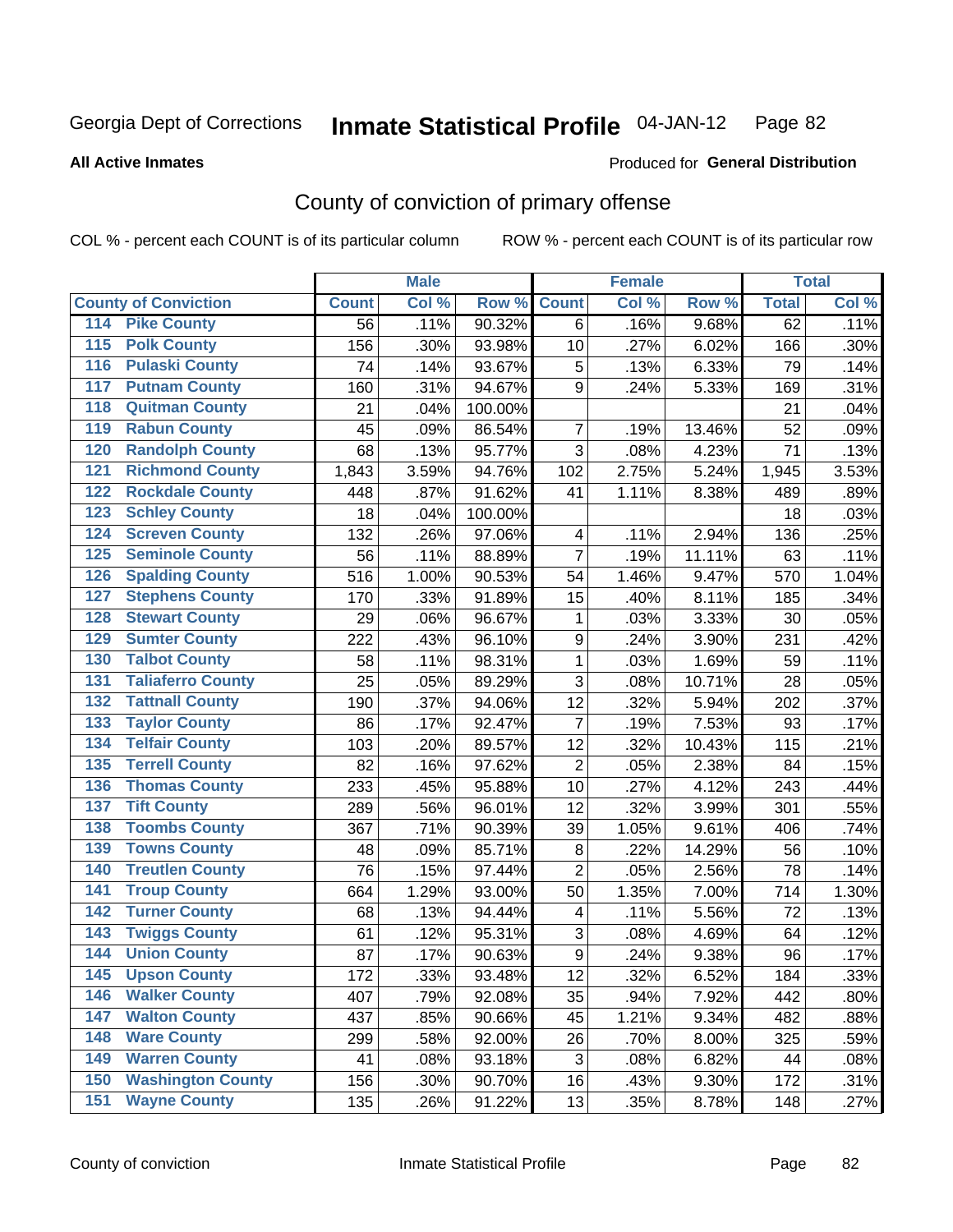#### **All Active Inmates**

#### Produced for **General Distribution**

## County of conviction of primary offense

|                                          |              | <b>Male</b> |         |                  | <b>Female</b> |        |              | <b>Total</b> |
|------------------------------------------|--------------|-------------|---------|------------------|---------------|--------|--------------|--------------|
| <b>County of Conviction</b>              | <b>Count</b> | Col %       | Row %   | <b>Count</b>     | Col %         | Row %  | <b>Total</b> | Col %        |
| <b>Pike County</b><br>114                | 56           | .11%        | 90.32%  | 6                | .16%          | 9.68%  | 62           | .11%         |
| <b>Polk County</b><br>$\overline{115}$   | 156          | .30%        | 93.98%  | 10               | .27%          | 6.02%  | 166          | .30%         |
| <b>Pulaski County</b><br>116             | 74           | .14%        | 93.67%  | 5                | .13%          | 6.33%  | 79           | .14%         |
| <b>Putnam County</b><br>117              | 160          | .31%        | 94.67%  | 9                | .24%          | 5.33%  | 169          | .31%         |
| <b>Quitman County</b><br>118             | 21           | .04%        | 100.00% |                  |               |        | 21           | .04%         |
| <b>Rabun County</b><br>119               | 45           | .09%        | 86.54%  | $\overline{7}$   | .19%          | 13.46% | 52           | .09%         |
| <b>Randolph County</b><br>120            | 68           | .13%        | 95.77%  | 3                | .08%          | 4.23%  | 71           | .13%         |
| <b>Richmond County</b><br>121            | 1,843        | 3.59%       | 94.76%  | 102              | 2.75%         | 5.24%  | 1,945        | 3.53%        |
| <b>Rockdale County</b><br>122            | 448          | .87%        | 91.62%  | 41               | 1.11%         | 8.38%  | 489          | .89%         |
| 123<br><b>Schley County</b>              | 18           | .04%        | 100.00% |                  |               |        | 18           | .03%         |
| <b>Screven County</b><br>124             | 132          | .26%        | 97.06%  | 4                | .11%          | 2.94%  | 136          | .25%         |
| <b>Seminole County</b><br>125            | 56           | .11%        | 88.89%  | 7                | .19%          | 11.11% | 63           | .11%         |
| <b>Spalding County</b><br>126            | 516          | 1.00%       | 90.53%  | 54               | 1.46%         | 9.47%  | 570          | 1.04%        |
| 127<br><b>Stephens County</b>            | 170          | .33%        | 91.89%  | 15               | .40%          | 8.11%  | 185          | .34%         |
| <b>Stewart County</b><br>128             | 29           | .06%        | 96.67%  | 1                | .03%          | 3.33%  | 30           | .05%         |
| <b>Sumter County</b><br>129              | 222          | .43%        | 96.10%  | $\boldsymbol{9}$ | .24%          | 3.90%  | 231          | .42%         |
| <b>Talbot County</b><br>130              | 58           | .11%        | 98.31%  | 1                | .03%          | 1.69%  | 59           | .11%         |
| <b>Taliaferro County</b><br>131          | 25           | .05%        | 89.29%  | 3                | .08%          | 10.71% | 28           | .05%         |
| <b>Tattnall County</b><br>132            | 190          | .37%        | 94.06%  | 12               | .32%          | 5.94%  | 202          | .37%         |
| 133<br><b>Taylor County</b>              | 86           | .17%        | 92.47%  | $\overline{7}$   | .19%          | 7.53%  | 93           | .17%         |
| <b>Telfair County</b><br>134             | 103          | .20%        | 89.57%  | 12               | .32%          | 10.43% | 115          | .21%         |
| <b>Terrell County</b><br>135             | 82           | .16%        | 97.62%  | $\overline{2}$   | .05%          | 2.38%  | 84           | .15%         |
| <b>Thomas County</b><br>136              | 233          | .45%        | 95.88%  | 10               | .27%          | 4.12%  | 243          | .44%         |
| <b>Tift County</b><br>137                | 289          | .56%        | 96.01%  | 12               | .32%          | 3.99%  | 301          | .55%         |
| <b>Toombs County</b><br>138              | 367          | .71%        | 90.39%  | 39               | 1.05%         | 9.61%  | 406          | .74%         |
| <b>Towns County</b><br>139               | 48           | .09%        | 85.71%  | 8                | .22%          | 14.29% | 56           | .10%         |
| <b>Treutlen County</b><br>140            | 76           | .15%        | 97.44%  | $\overline{2}$   | .05%          | 2.56%  | 78           | .14%         |
| <b>Troup County</b><br>141               | 664          | 1.29%       | 93.00%  | 50               | 1.35%         | 7.00%  | 714          | 1.30%        |
| <b>Turner County</b><br>142              | 68           | .13%        | 94.44%  | 4                | .11%          | 5.56%  | 72           | .13%         |
| $\overline{143}$<br><b>Twiggs County</b> | 61           | .12%        | 95.31%  | $\sqrt{3}$       | .08%          | 4.69%  | 64           | .12%         |
| <b>Union County</b><br>144               | 87           | .17%        | 90.63%  | $\boldsymbol{9}$ | .24%          | 9.38%  | 96           | .17%         |
| 145<br><b>Upson County</b>               | 172          | .33%        | 93.48%  | 12               | .32%          | 6.52%  | 184          | .33%         |
| <b>Walker County</b><br>146              | 407          | .79%        | 92.08%  | 35               | .94%          | 7.92%  | 442          | .80%         |
| <b>Walton County</b><br>147              | 437          | .85%        | 90.66%  | 45               | 1.21%         | 9.34%  | 482          | .88%         |
| <b>Ware County</b><br>148                | 299          | .58%        | 92.00%  | 26               | .70%          | 8.00%  | 325          | .59%         |
| <b>Warren County</b><br>149              | 41           | .08%        | 93.18%  | 3                | .08%          | 6.82%  | 44           | .08%         |
| <b>Washington County</b><br>150          | 156          | .30%        | 90.70%  | 16               | .43%          | 9.30%  | 172          | .31%         |
| <b>Wayne County</b><br>151               | 135          | .26%        | 91.22%  | 13               | .35%          | 8.78%  | 148          | .27%         |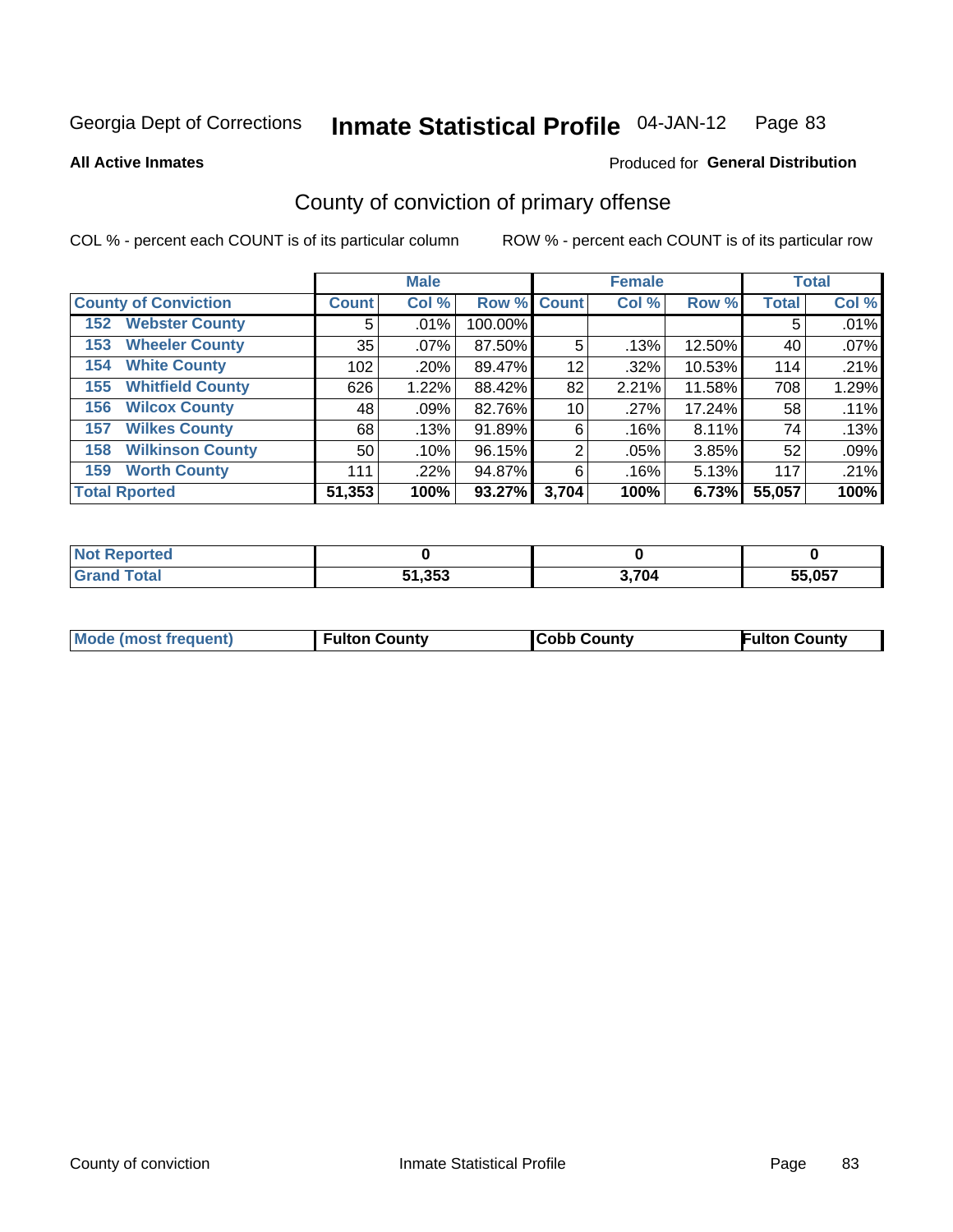**All Active Inmates**

#### Produced for **General Distribution**

## County of conviction of primary offense

|                                |              | <b>Male</b> |             |       | <b>Female</b> |        |              | <b>Total</b> |
|--------------------------------|--------------|-------------|-------------|-------|---------------|--------|--------------|--------------|
| <b>County of Conviction</b>    | <b>Count</b> | Col %       | Row % Count |       | Col %         | Row %  | <b>Total</b> | Col %        |
| <b>Webster County</b><br>152   | 5            | $.01\%$     | 100.00%     |       |               |        | 5            | .01%         |
| <b>Wheeler County</b><br>153   | 35           | $.07\%$     | 87.50%      | 5     | .13%          | 12.50% | 40           | .07%         |
| <b>White County</b><br>154     | 102          | .20%        | 89.47%      | 12    | .32%          | 10.53% | 114          | .21%         |
| <b>Whitfield County</b><br>155 | 626          | 1.22%       | 88.42%      | 82    | 2.21%         | 11.58% | 708          | 1.29%        |
| <b>Wilcox County</b><br>156    | 48           | .09%        | 82.76%      | 10    | .27%          | 17.24% | 58           | .11%         |
| <b>Wilkes County</b><br>157    | 68           | .13%        | 91.89%      | 6     | .16%          | 8.11%  | 74           | .13%         |
| <b>Wilkinson County</b><br>158 | 50           | .10%        | 96.15%      | 2     | .05%          | 3.85%  | 52           | .09%         |
| <b>Worth County</b><br>159     | 111          | .22%        | 94.87%      | 6     | .16%          | 5.13%  | 117          | .21%         |
| <b>Total Rported</b>           | 51,353       | 100%        | 93.27%      | 3,704 | 100%          | 6.73%  | 55,057       | 100%         |

| <b>Not Reported</b> |        |       |        |
|---------------------|--------|-------|--------|
| Total               | 51,353 | 3,704 | 55,057 |

| Mode (most frequent) | <b>Fulton County</b> | <b>Cobb County</b> | <b>Fulton County</b> |
|----------------------|----------------------|--------------------|----------------------|
|                      |                      |                    |                      |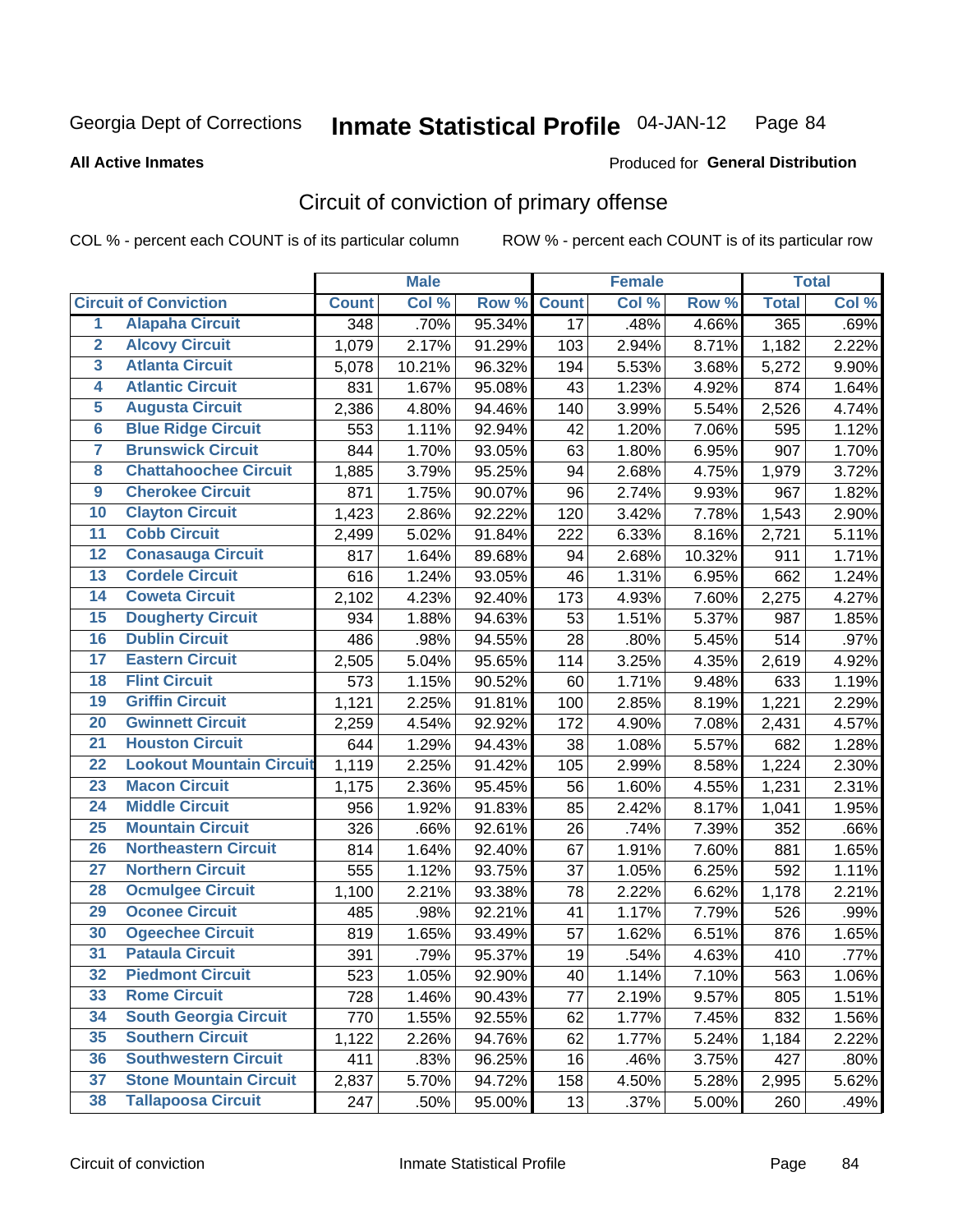#### **All Active Inmates**

#### Produced for **General Distribution**

## Circuit of conviction of primary offense

|                         |                                 |              | <b>Male</b> |        |              | <b>Female</b> |        |                    | <b>Total</b> |
|-------------------------|---------------------------------|--------------|-------------|--------|--------------|---------------|--------|--------------------|--------------|
|                         | <b>Circuit of Conviction</b>    | <b>Count</b> | Col %       | Row %  | <b>Count</b> | Col %         | Row %  | <b>Total</b>       | Col %        |
| 1                       | <b>Alapaha Circuit</b>          | 348          | .70%        | 95.34% | 17           | .48%          | 4.66%  | 365                | .69%         |
| $\overline{2}$          | <b>Alcovy Circuit</b>           | 1,079        | 2.17%       | 91.29% | 103          | 2.94%         | 8.71%  | $\overline{1,}182$ | 2.22%        |
| $\overline{\mathbf{3}}$ | <b>Atlanta Circuit</b>          | 5,078        | 10.21%      | 96.32% | 194          | 5.53%         | 3.68%  | 5,272              | 9.90%        |
| 4                       | <b>Atlantic Circuit</b>         | 831          | 1.67%       | 95.08% | 43           | 1.23%         | 4.92%  | 874                | 1.64%        |
| 5                       | <b>Augusta Circuit</b>          | 2,386        | 4.80%       | 94.46% | 140          | 3.99%         | 5.54%  | 2,526              | 4.74%        |
| $\overline{\mathbf{6}}$ | <b>Blue Ridge Circuit</b>       | 553          | 1.11%       | 92.94% | 42           | 1.20%         | 7.06%  | 595                | 1.12%        |
| $\overline{\mathbf{7}}$ | <b>Brunswick Circuit</b>        | 844          | 1.70%       | 93.05% | 63           | 1.80%         | 6.95%  | 907                | 1.70%        |
| 8                       | <b>Chattahoochee Circuit</b>    | 1,885        | 3.79%       | 95.25% | 94           | 2.68%         | 4.75%  | 1,979              | 3.72%        |
| $\overline{9}$          | <b>Cherokee Circuit</b>         | 871          | 1.75%       | 90.07% | 96           | 2.74%         | 9.93%  | 967                | 1.82%        |
| 10                      | <b>Clayton Circuit</b>          | 1,423        | 2.86%       | 92.22% | 120          | 3.42%         | 7.78%  | 1,543              | 2.90%        |
| $\overline{11}$         | <b>Cobb Circuit</b>             | 2,499        | 5.02%       | 91.84% | 222          | 6.33%         | 8.16%  | 2,721              | 5.11%        |
| $\overline{12}$         | <b>Conasauga Circuit</b>        | 817          | 1.64%       | 89.68% | 94           | 2.68%         | 10.32% | 911                | 1.71%        |
| 13                      | <b>Cordele Circuit</b>          | 616          | 1.24%       | 93.05% | 46           | 1.31%         | 6.95%  | 662                | 1.24%        |
| 14                      | <b>Coweta Circuit</b>           | 2,102        | 4.23%       | 92.40% | 173          | 4.93%         | 7.60%  | 2,275              | 4.27%        |
| 15                      | <b>Dougherty Circuit</b>        | 934          | 1.88%       | 94.63% | 53           | 1.51%         | 5.37%  | 987                | 1.85%        |
| 16                      | <b>Dublin Circuit</b>           | 486          | .98%        | 94.55% | 28           | .80%          | 5.45%  | 514                | .97%         |
| 17                      | <b>Eastern Circuit</b>          | 2,505        | 5.04%       | 95.65% | 114          | 3.25%         | 4.35%  | 2,619              | 4.92%        |
| 18                      | <b>Flint Circuit</b>            | 573          | 1.15%       | 90.52% | 60           | 1.71%         | 9.48%  | 633                | 1.19%        |
| 19                      | <b>Griffin Circuit</b>          | 1,121        | 2.25%       | 91.81% | 100          | 2.85%         | 8.19%  | 1,221              | 2.29%        |
| 20                      | <b>Gwinnett Circuit</b>         | 2,259        | 4.54%       | 92.92% | 172          | 4.90%         | 7.08%  | 2,431              | 4.57%        |
| $\overline{21}$         | <b>Houston Circuit</b>          | 644          | 1.29%       | 94.43% | 38           | 1.08%         | 5.57%  | 682                | 1.28%        |
| $\overline{22}$         | <b>Lookout Mountain Circuit</b> | 1,119        | 2.25%       | 91.42% | 105          | 2.99%         | 8.58%  | 1,224              | 2.30%        |
| 23                      | <b>Macon Circuit</b>            | 1,175        | 2.36%       | 95.45% | 56           | 1.60%         | 4.55%  | 1,231              | 2.31%        |
| $\overline{24}$         | <b>Middle Circuit</b>           | 956          | 1.92%       | 91.83% | 85           | 2.42%         | 8.17%  | 1,041              | 1.95%        |
| 25                      | <b>Mountain Circuit</b>         | 326          | .66%        | 92.61% | 26           | .74%          | 7.39%  | 352                | .66%         |
| 26                      | <b>Northeastern Circuit</b>     | 814          | 1.64%       | 92.40% | 67           | 1.91%         | 7.60%  | 881                | 1.65%        |
| $\overline{27}$         | <b>Northern Circuit</b>         | 555          | 1.12%       | 93.75% | 37           | 1.05%         | 6.25%  | 592                | 1.11%        |
| 28                      | <b>Ocmulgee Circuit</b>         | 1,100        | 2.21%       | 93.38% | 78           | 2.22%         | 6.62%  | 1,178              | 2.21%        |
| 29                      | <b>Oconee Circuit</b>           | 485          | .98%        | 92.21% | 41           | 1.17%         | 7.79%  | 526                | .99%         |
| 30                      | <b>Ogeechee Circuit</b>         | 819          | 1.65%       | 93.49% | 57           | 1.62%         | 6.51%  | 876                | 1.65%        |
| $\overline{31}$         | <b>Pataula Circuit</b>          | 391          | .79%        | 95.37% | 19           | .54%          | 4.63%  | 410                | .77%         |
| 32                      | <b>Piedmont Circuit</b>         | 523          | 1.05%       | 92.90% | 40           | 1.14%         | 7.10%  | 563                | 1.06%        |
| 33                      | <b>Rome Circuit</b>             | 728          | 1.46%       | 90.43% | 77           | 2.19%         | 9.57%  | 805                | 1.51%        |
| 34                      | <b>South Georgia Circuit</b>    | 770          | 1.55%       | 92.55% | 62           | 1.77%         | 7.45%  | 832                | 1.56%        |
| 35                      | <b>Southern Circuit</b>         | 1,122        | 2.26%       | 94.76% | 62           | 1.77%         | 5.24%  | 1,184              | 2.22%        |
| 36                      | <b>Southwestern Circuit</b>     | 411          | .83%        | 96.25% | 16           | .46%          | 3.75%  | 427                | .80%         |
| 37                      | <b>Stone Mountain Circuit</b>   | 2,837        | 5.70%       | 94.72% | 158          | 4.50%         | 5.28%  | 2,995              | 5.62%        |
| 38                      | <b>Tallapoosa Circuit</b>       | 247          | .50%        | 95.00% | 13           | .37%          | 5.00%  | 260                | .49%         |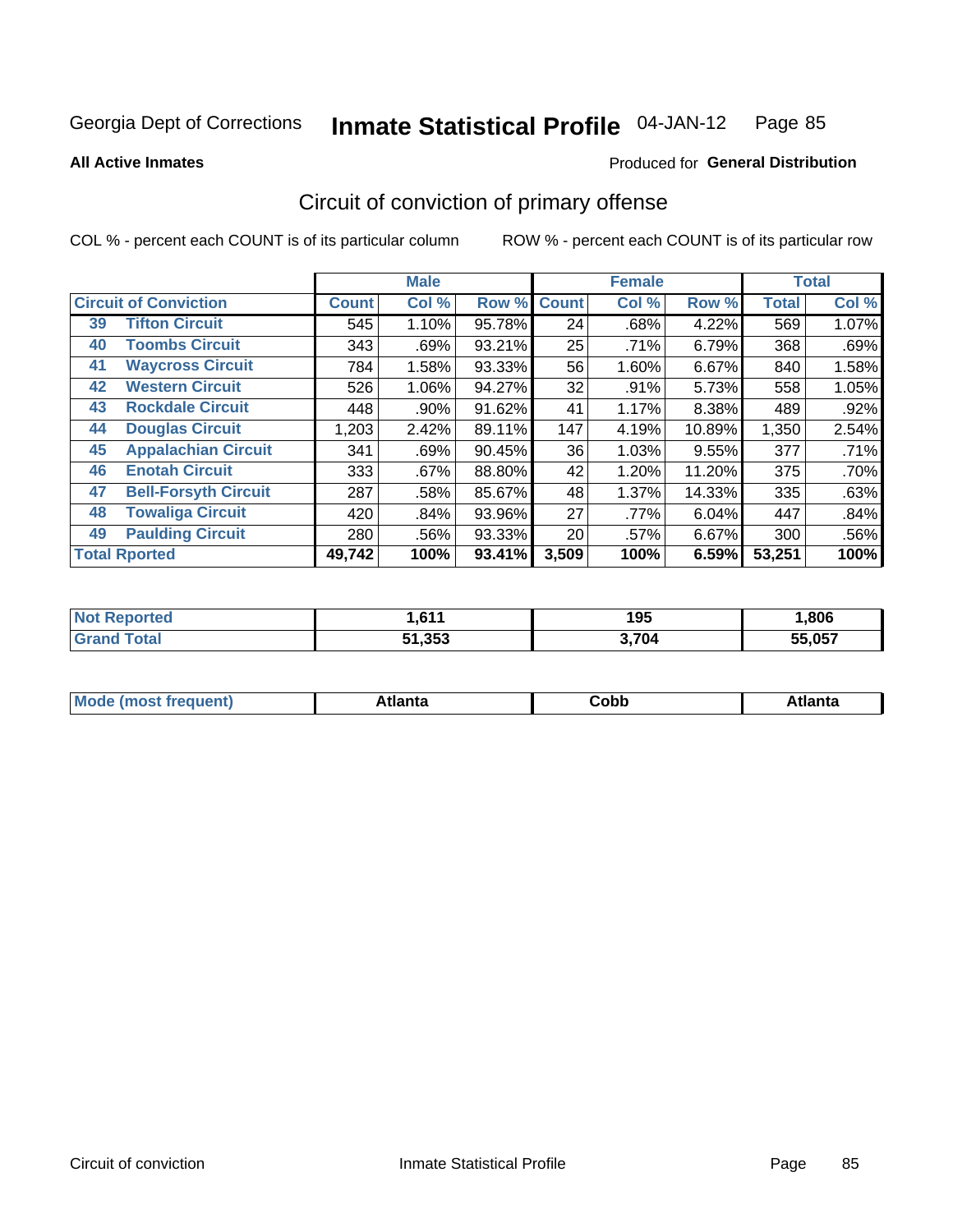Produced for **General Distribution**

#### **All Active Inmates**

## Circuit of conviction of primary offense

|                                   |              | <b>Male</b> |        |              | <b>Female</b> |        |              | <b>Total</b> |
|-----------------------------------|--------------|-------------|--------|--------------|---------------|--------|--------------|--------------|
| <b>Circuit of Conviction</b>      | <b>Count</b> | Col %       | Row %  | <b>Count</b> | Col %         | Row %  | <b>Total</b> | Col %        |
| <b>Tifton Circuit</b><br>39       | 545          | 1.10%       | 95.78% | 24           | .68%          | 4.22%  | 569          | 1.07%        |
| <b>Toombs Circuit</b><br>40       | 343          | .69%        | 93.21% | 25           | .71%          | 6.79%  | 368          | .69%         |
| <b>Waycross Circuit</b><br>41     | 784          | 1.58%       | 93.33% | 56           | 1.60%         | 6.67%  | 840          | 1.58%        |
| <b>Western Circuit</b><br>42      | 526          | 1.06%       | 94.27% | 32           | .91%          | 5.73%  | 558          | 1.05%        |
| <b>Rockdale Circuit</b><br>43     | 448          | .90%        | 91.62% | 41           | 1.17%         | 8.38%  | 489          | .92%         |
| <b>Douglas Circuit</b><br>44      | 1,203        | 2.42%       | 89.11% | 147          | 4.19%         | 10.89% | 1,350        | 2.54%        |
| <b>Appalachian Circuit</b><br>45  | 341          | .69%        | 90.45% | 36           | 1.03%         | 9.55%  | 377          | .71%         |
| <b>Enotah Circuit</b><br>46       | 333          | $.67\%$     | 88.80% | 42           | 1.20%         | 11.20% | 375          | .70%         |
| 47<br><b>Bell-Forsyth Circuit</b> | 287          | .58%        | 85.67% | 48           | 1.37%         | 14.33% | 335          | .63%         |
| <b>Towaliga Circuit</b><br>48     | 420          | .84%        | 93.96% | 27           | .77%          | 6.04%  | 447          | .84%         |
| <b>Paulding Circuit</b><br>49     | 280          | .56%        | 93.33% | 20           | .57%          | 6.67%  | 300          | .56%         |
| <b>Total Rported</b>              | 49,742       | 100%        | 93.41% | 3,509        | 100%          | 6.59%  | 53,251       | 100%         |

| <b>C44</b> | 1 Q F<br>נט ו | ,806               |
|------------|---------------|--------------------|
| 51,353     | 3.704         | <b>EE 057</b><br>w |

| M<br>- - -<br>.<br>.<br>∪opp<br>нс |
|------------------------------------|
|------------------------------------|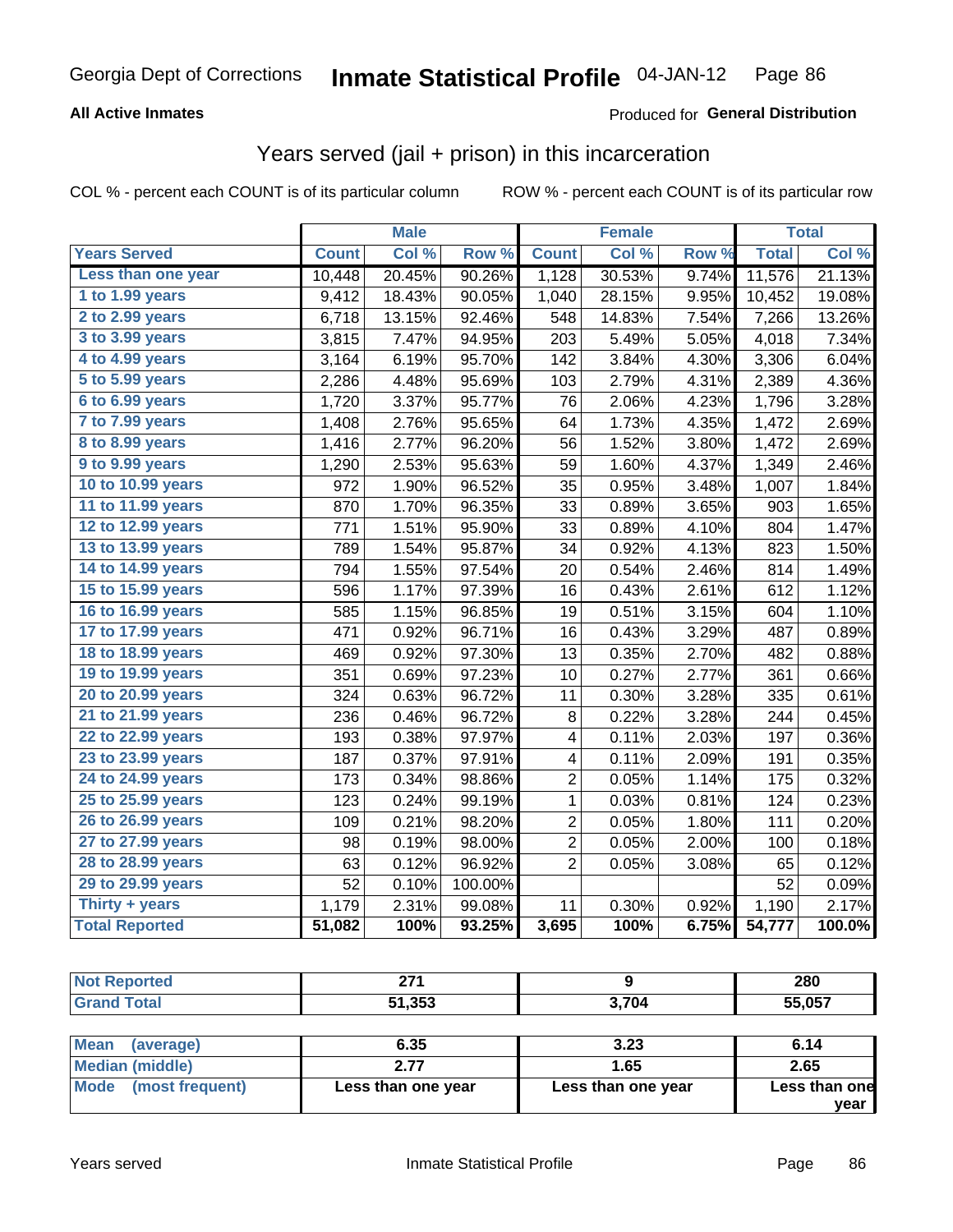#### **All Active Inmates**

#### Produced for **General Distribution**

#### Years served (jail + prison) in this incarceration

|                       |              | <b>Male</b> |         |                | <b>Female</b> |       |              | <b>Total</b> |
|-----------------------|--------------|-------------|---------|----------------|---------------|-------|--------------|--------------|
| <b>Years Served</b>   | <b>Count</b> | Col %       | Row %   | <b>Count</b>   | Col %         | Row % | <b>Total</b> | Col %        |
| Less than one year    | 10,448       | 20.45%      | 90.26%  | 1,128          | 30.53%        | 9.74% | 11,576       | 21.13%       |
| 1 to 1.99 years       | 9,412        | 18.43%      | 90.05%  | 1,040          | 28.15%        | 9.95% | 10,452       | 19.08%       |
| 2 to 2.99 years       | 6,718        | 13.15%      | 92.46%  | 548            | 14.83%        | 7.54% | 7,266        | 13.26%       |
| 3 to 3.99 years       | 3,815        | 7.47%       | 94.95%  | 203            | 5.49%         | 5.05% | 4,018        | 7.34%        |
| 4 to 4.99 years       | 3,164        | 6.19%       | 95.70%  | 142            | 3.84%         | 4.30% | 3,306        | 6.04%        |
| 5 to 5.99 years       | 2,286        | 4.48%       | 95.69%  | 103            | 2.79%         | 4.31% | 2,389        | 4.36%        |
| 6 to 6.99 years       | 1,720        | 3.37%       | 95.77%  | 76             | 2.06%         | 4.23% | 1,796        | 3.28%        |
| 7 to 7.99 years       | 1,408        | 2.76%       | 95.65%  | 64             | 1.73%         | 4.35% | 1,472        | 2.69%        |
| 8 to 8.99 years       | 1,416        | 2.77%       | 96.20%  | 56             | 1.52%         | 3.80% | 1,472        | 2.69%        |
| 9 to 9.99 years       | 1,290        | 2.53%       | 95.63%  | 59             | 1.60%         | 4.37% | 1,349        | 2.46%        |
| 10 to 10.99 years     | 972          | 1.90%       | 96.52%  | 35             | 0.95%         | 3.48% | 1,007        | 1.84%        |
| 11 to 11.99 years     | 870          | 1.70%       | 96.35%  | 33             | 0.89%         | 3.65% | 903          | 1.65%        |
| 12 to 12.99 years     | 771          | 1.51%       | 95.90%  | 33             | 0.89%         | 4.10% | 804          | 1.47%        |
| 13 to 13.99 years     | 789          | 1.54%       | 95.87%  | 34             | 0.92%         | 4.13% | 823          | 1.50%        |
| 14 to 14.99 years     | 794          | 1.55%       | 97.54%  | 20             | 0.54%         | 2.46% | 814          | 1.49%        |
| 15 to 15.99 years     | 596          | 1.17%       | 97.39%  | 16             | 0.43%         | 2.61% | 612          | 1.12%        |
| 16 to 16.99 years     | 585          | 1.15%       | 96.85%  | 19             | 0.51%         | 3.15% | 604          | 1.10%        |
| 17 to 17.99 years     | 471          | 0.92%       | 96.71%  | 16             | 0.43%         | 3.29% | 487          | 0.89%        |
| 18 to 18.99 years     | 469          | 0.92%       | 97.30%  | 13             | 0.35%         | 2.70% | 482          | 0.88%        |
| 19 to 19.99 years     | 351          | 0.69%       | 97.23%  | 10             | 0.27%         | 2.77% | 361          | 0.66%        |
| 20 to 20.99 years     | 324          | 0.63%       | 96.72%  | 11             | 0.30%         | 3.28% | 335          | 0.61%        |
| 21 to 21.99 years     | 236          | 0.46%       | 96.72%  | 8              | 0.22%         | 3.28% | 244          | 0.45%        |
| 22 to 22.99 years     | 193          | 0.38%       | 97.97%  | 4              | 0.11%         | 2.03% | 197          | 0.36%        |
| 23 to 23.99 years     | 187          | 0.37%       | 97.91%  | 4              | 0.11%         | 2.09% | 191          | 0.35%        |
| 24 to 24.99 years     | 173          | 0.34%       | 98.86%  | 2              | 0.05%         | 1.14% | 175          | 0.32%        |
| 25 to 25.99 years     | 123          | 0.24%       | 99.19%  | 1              | 0.03%         | 0.81% | 124          | 0.23%        |
| 26 to 26.99 years     | 109          | 0.21%       | 98.20%  | $\overline{c}$ | 0.05%         | 1.80% | 111          | 0.20%        |
| 27 to 27.99 years     | 98           | 0.19%       | 98.00%  | $\overline{c}$ | 0.05%         | 2.00% | 100          | 0.18%        |
| 28 to 28.99 years     | 63           | 0.12%       | 96.92%  | $\overline{2}$ | 0.05%         | 3.08% | 65           | 0.12%        |
| 29 to 29.99 years     | 52           | 0.10%       | 100.00% |                |               |       | 52           | 0.09%        |
| Thirty + years        | 1,179        | 2.31%       | 99.08%  | 11             | 0.30%         | 0.92% | 1,190        | 2.17%        |
| <b>Total Reported</b> | 51,082       | 100%        | 93.25%  | 3,695          | 100%          | 6.75% | 54,777       | 100.0%       |

| <b>Not Reported</b>     | 271                |                    | 280           |
|-------------------------|--------------------|--------------------|---------------|
| <b>Grand Total</b>      | 51,353             | 3.704              | 55,057        |
|                         |                    |                    |               |
| Mean<br>(average)       | 6.35               | 3.23               | 6.14          |
| Median (middle)         | 2.77               | 1.65               | 2.65          |
| Mode<br>(most frequent) | Less than one year | Less than one year | Less than one |
|                         |                    |                    | vear          |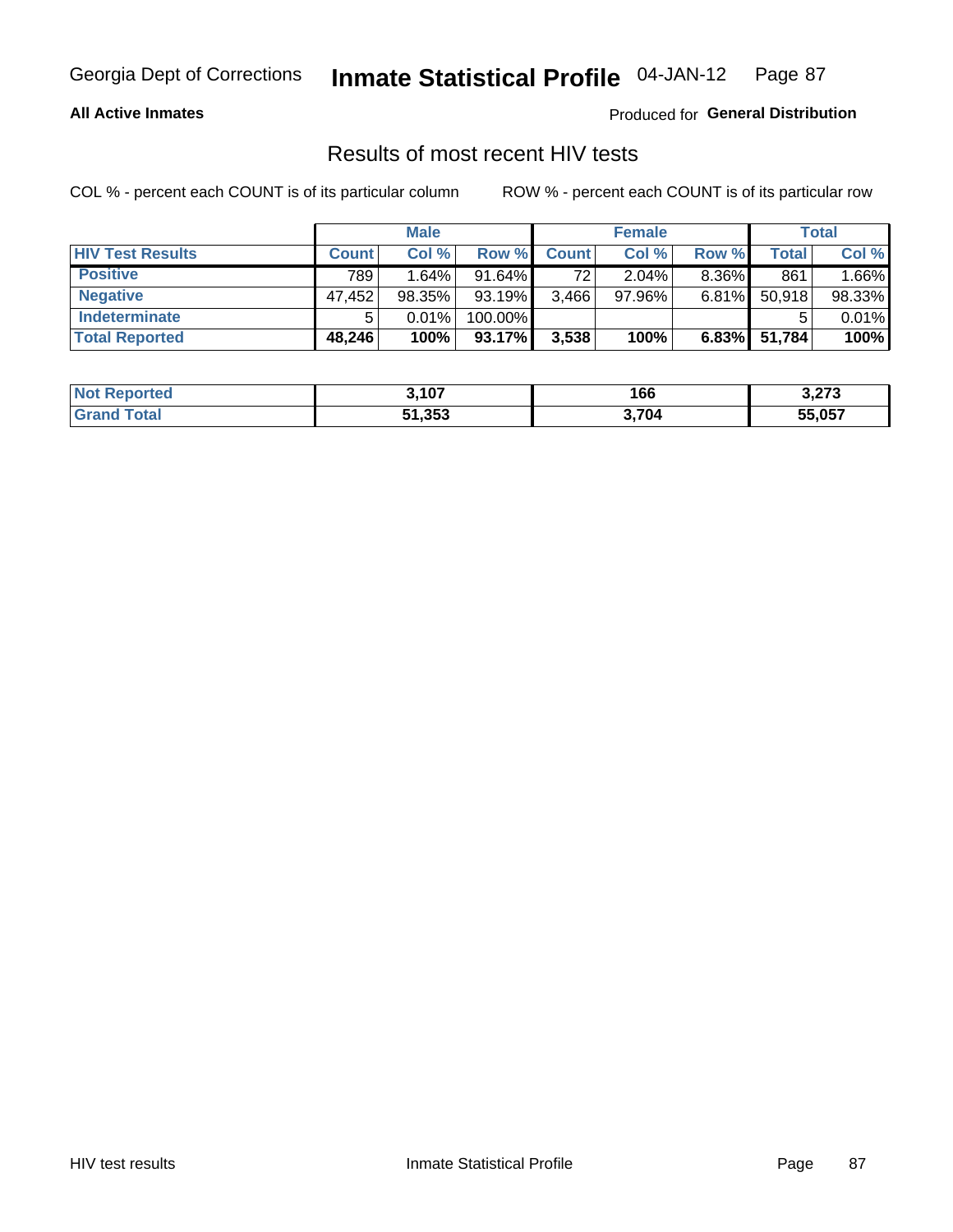#### **All Active Inmates**

Produced for **General Distribution**

#### Results of most recent HIV tests

|                         |              | <b>Male</b> |         |              | <b>Female</b> |          |        | Total  |
|-------------------------|--------------|-------------|---------|--------------|---------------|----------|--------|--------|
| <b>HIV Test Results</b> | <b>Count</b> | Col %       | Row %I  | <b>Count</b> | Col %         | Row %    | Total  | Col %  |
| <b>Positive</b>         | 789          | 1.64%       | 91.64%  | 72           | 2.04%         | $8.36\%$ | 861    | 1.66%  |
| <b>Negative</b>         | 47,452       | $98.35\%$   | 93.19%  | 3,466        | 97.96%        | $6.81\%$ | 50,918 | 98.33% |
| <b>Indeterminate</b>    |              | 0.01%       | 100.00% |              |               |          |        | 0.01%  |
| <b>Total Reported</b>   | 48,246       | 100%        | 93.17%  | 3,538        | 100%          | $6.83\%$ | 51,784 | 100%   |

| <b>Not Reported</b> | 3,107  | 166   | מדה ה<br>3.ZI J |
|---------------------|--------|-------|-----------------|
| Total<br>Gran       | 51,353 | 3,704 | 55,057          |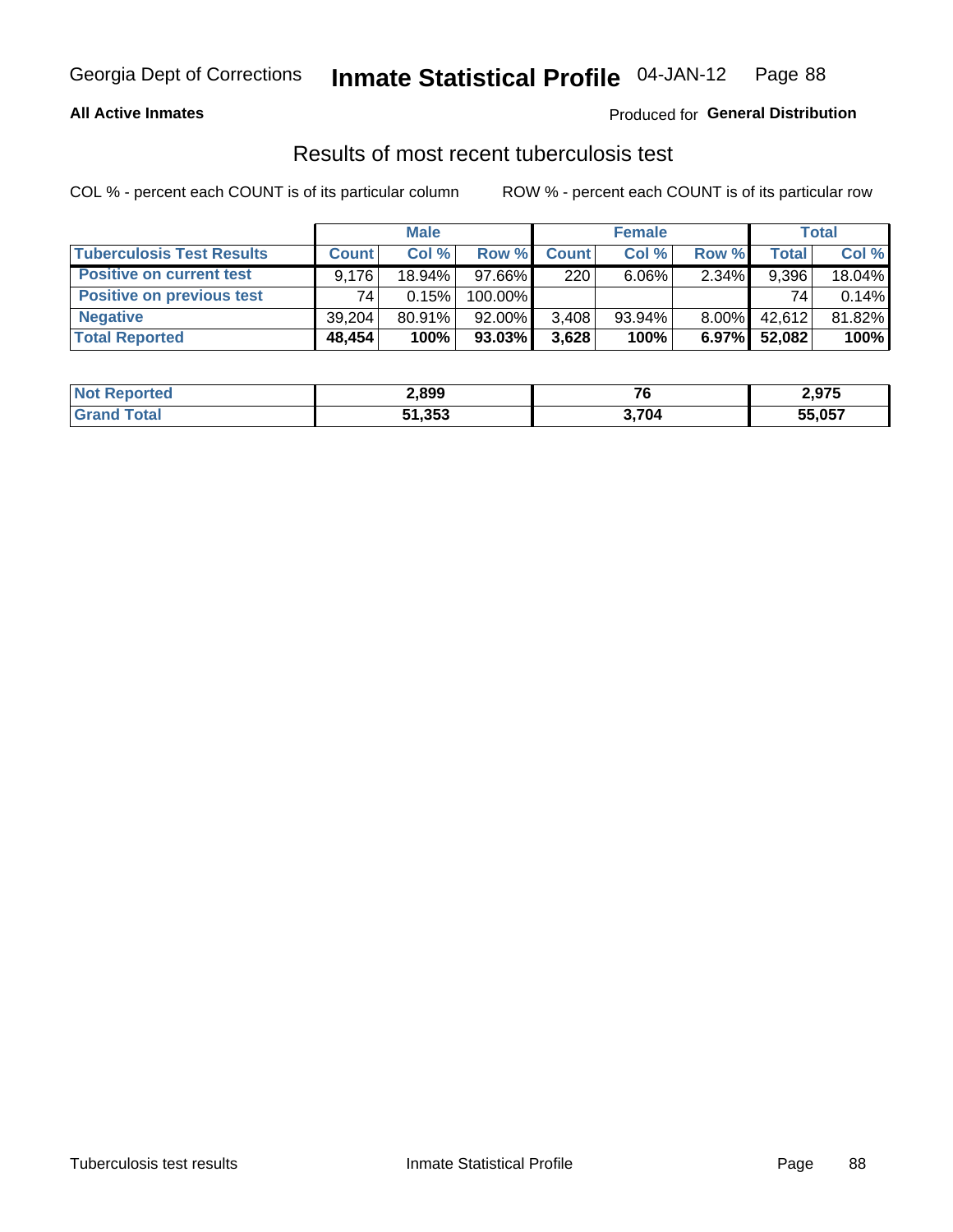#### **All Active Inmates**

#### Produced for **General Distribution**

#### Results of most recent tuberculosis test

|                                  | <b>Male</b>  |           |           | <b>Female</b> |           |          | Total        |        |
|----------------------------------|--------------|-----------|-----------|---------------|-----------|----------|--------------|--------|
| <b>Tuberculosis Test Results</b> | <b>Count</b> | Col%      | Row %     | <b>Count</b>  | Col %     | Row %    | <b>Total</b> | Col %  |
| <b>Positive on current test</b>  | 9.176        | $18.94\%$ | $97.66\%$ | 220           | $6.06\%$  | 2.34%    | 9,396        | 18.04% |
| <b>Positive on previous test</b> | 74           | 0.15%     | 100.00%   |               |           |          | 74           | 0.14%  |
| <b>Negative</b>                  | 39.204       | $80.91\%$ | $92.00\%$ | 3,408         | $93.94\%$ | $8.00\%$ | 42.612       | 81.82% |
| <b>Total Reported</b>            | 48,454       | 100%      | $93.03\%$ | 3,628         | 100%      | $6.97\%$ | 52,082       | 100%   |

| <b>Not Reported</b> | 2,899  | 76    | 2,975  |
|---------------------|--------|-------|--------|
| Total               | 51,353 | 3,704 | 55,057 |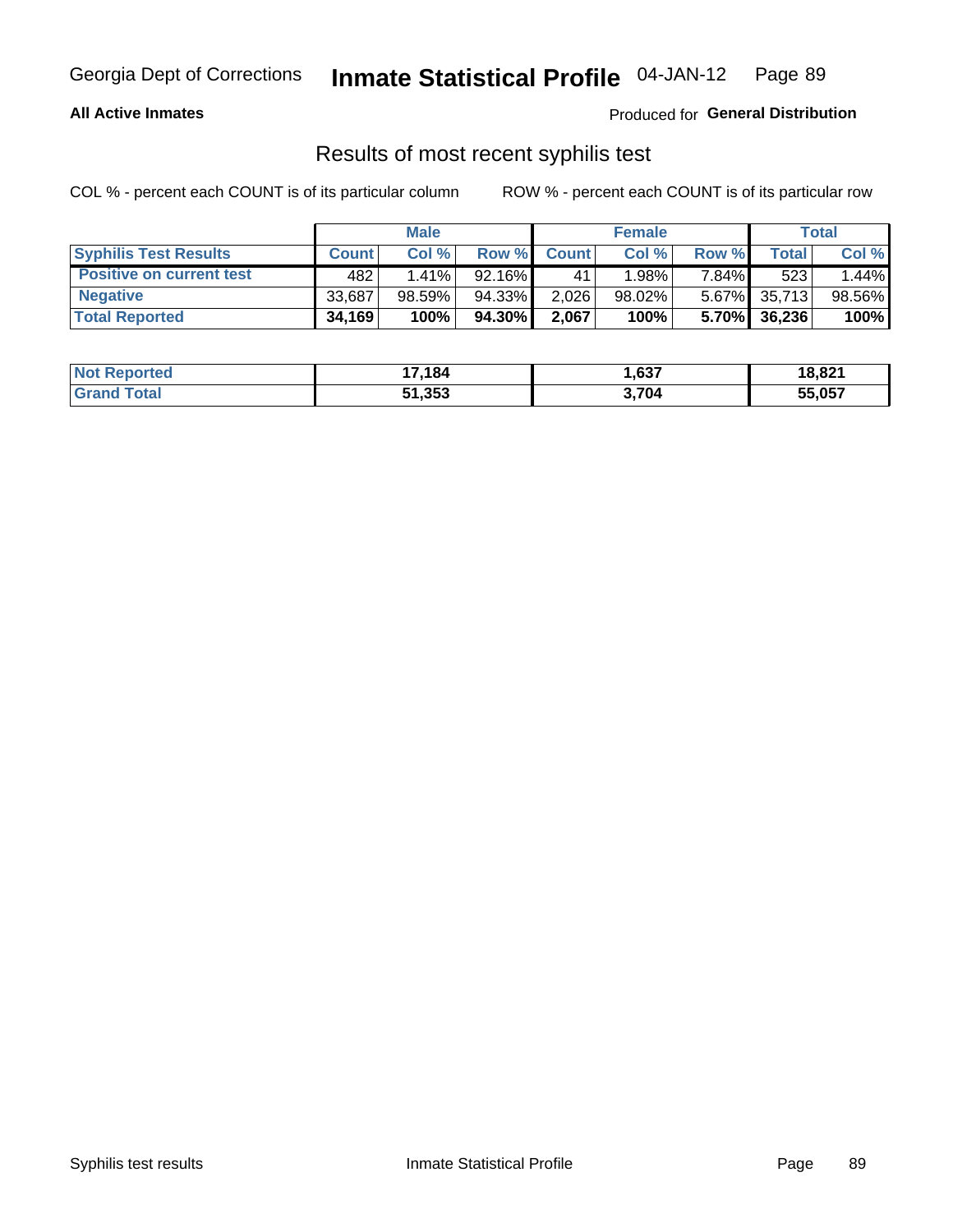#### **All Active Inmates**

Produced for **General Distribution**

#### Results of most recent syphilis test

|                                 | <b>Male</b>  |        |           | <b>Female</b> |           |       | Total        |        |
|---------------------------------|--------------|--------|-----------|---------------|-----------|-------|--------------|--------|
| <b>Syphilis Test Results</b>    | <b>Count</b> | Col%   | Row %     | <b>Count</b>  | Col %     | Row % | Total        | Col %  |
| <b>Positive on current test</b> | 482          | 1.41%  | $92.16\%$ | 41            | 1.98%     | 7.84% | 523          | 1.44%  |
| <b>Negative</b>                 | 33.687       | 98.59% | 94.33%    | 2,026         | $98.02\%$ |       | 5.67% 35,713 | 98.56% |
| <b>Total Reported</b>           | 34,169       | 100%   | 94.30%    | 2,067         | 100%      | 5.70% | 36,236       | 100%   |

| <b>Not Reported</b> | 17,184 | 637,  | 18,821 |
|---------------------|--------|-------|--------|
| <b>Grand Total</b>  | 51,353 | 3,704 | 55,057 |